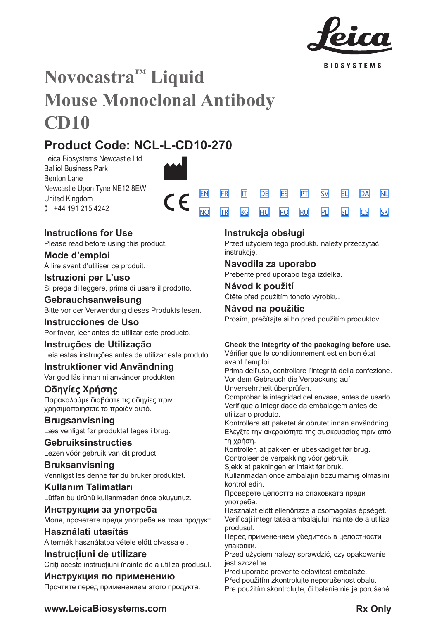

**BIOSYSTEMS** 

[SV](#page-20-0) [EL](#page-23-0) [DA](#page-26-0) [PL](#page-51-0) [SL](#page-54-0) [CS](#page-57-0) [NL](#page-29-0)

[SK](#page-60-0)

# **Novocastra™ Liquid Mouse Monoclonal Antibody CD10**

 $\epsilon$ 

# **Product Code: NCL-L-CD10-270**

Leica Biosystems Newcastle Ltd Balliol Business Park Benton Lane Newcastle Upon Tyne NE12 8EW United Kingdom  $1 +44 191 215 4242$ 

## **Instructions for Use**

Please read before using this product.

**Mode d'emploi** Á lire avant d'utiliser ce produit.

## **Istruzioni per L'uso** Si prega di leggere, prima di usare il prodotto.

**Gebrauchsanweisung** Bitte vor der Verwendung dieses Produkts lesen.

**Instrucciones de Uso** Por favor, leer antes de utilizar este producto.

**Instruções de Utilização** Leia estas instruções antes de utilizar este produto.

**Instruktioner vid Användning** Var god läs innan ni använder produkten.

## **Οδηγίες Χρήσης** Παρακαλούμε διαβάστε τις οδηγίες πριν

χρησιμοποιήσετε το προϊόν αυτό.

**Brugsanvisning** Læs venligst før produktet tages i brug.

## **Gebruiksinstructies** Lezen vóór gebruik van dit product.

**Bruksanvisning** Vennligst les denne før du bruker produktet.

**Kullanım Talimatları** Lütfen bu ürünü kullanmadan önce okuyunuz.

**Инструкции за употреба** Моля, прочетете преди употреба на този продукт.

**Használati utasítás** A termék használatba vétele előtt olvassa el.

**Instrucțiuni de utilizare** Cititi aceste instructiuni înainte de a utiliza produsul.

**Инструкция по применению** Прочтите перед применением этого продукта.

## **Instrukcja obsługi**

[EN](#page-2-0) [FR](#page-5-0) [IT](#page-8-0) [DE](#page-11-0) [ES](#page-14-0) [PT](#page-17-0) <u>[NO](#page-32-0) [TR](#page-35-0) [BG](#page-38-0) [HU](#page-41-0) [RO](#page-44-0) [RU](#page-47-0)</u>

> Przed użyciem tego produktu należy przeczytać instrukcję.

## **Navodila za uporabo**

Preberite pred uporabo tega izdelka.

**Návod k použití** Čtěte před použitím tohoto výrobku.

**Návod na použitie** Prosím, prečítajte si ho pred použitím produktov.

## **Check the integrity of the packaging before use.**

Vérifier que le conditionnement est en bon état avant l'emploi.

Prima dell'uso, controllare l'integrità della confezione. Vor dem Gebrauch die Verpackung auf Unversehrtheit überprüfen.

Comprobar la integridad del envase, antes de usarlo. Verifique a integridade da embalagem antes de utilizar o produto.

Kontrollera att paketet är obrutet innan användning. Ελέγξτε την ακεραιότητα της συσκευασίας πριν από τη χρήση.

Kontroller, at pakken er ubeskadiget før brug. Controleer de verpakking vóór gebruik.

Sjekk at pakningen er intakt før bruk.

Kullanmadan önce ambalajın bozulmamış olmasını kontrol edin.

Проверете целостта на опаковката преди употреба.

Használat előtt ellenőrizze a csomagolás épségét. Verificați integritatea ambalajului înainte de a utiliza produsul.

Перед применением убедитесь в целостности упаковки.

Przed użyciem należy sprawdzić, czy opakowanie jest szczelne.

Pred uporabo preverite celovitost embalaže. Před použitím zkontrolujte neporušenost obalu. Pre použitím skontrolujte, či balenie nie je porušené.

## **www.LeicaBiosystems.com Rx Only**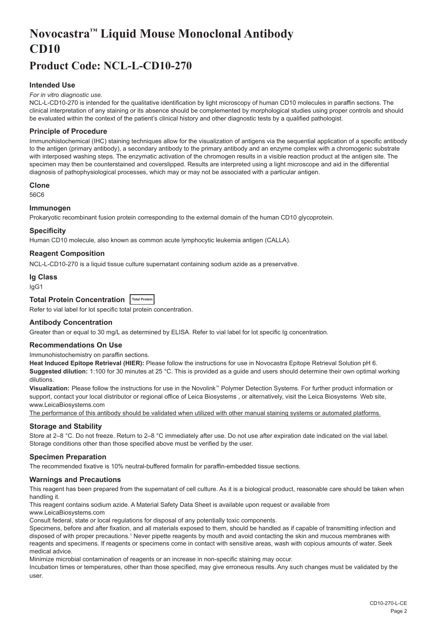# <span id="page-2-0"></span>**Novocastra™ Liquid Mouse Monoclonal Antibody CD10**

## **Product Code: NCL-L-CD10-270**

## **Intended Use**

#### *For in vitro diagnostic use.*

NCL-L-CD10-270 is intended for the qualitative identification by light microscopy of human CD10 molecules in paraffin sections. The clinical interpretation of any staining or its absence should be complemented by morphological studies using proper controls and should be evaluated within the context of the patient's clinical history and other diagnostic tests by a qualified pathologist.

#### **Principle of Procedure**

Immunohistochemical (IHC) staining techniques allow for the visualization of antigens via the sequential application of a specific antibody to the antigen (primary antibody), a secondary antibody to the primary antibody and an enzyme complex with a chromogenic substrate with interposed washing steps. The enzymatic activation of the chromogen results in a visible reaction product at the antigen site. The specimen may then be counterstained and coverslipped. Results are interpreted using a light microscope and aid in the differential diagnosis of pathophysiological processes, which may or may not be associated with a particular antigen.

#### **Clone**

56C6

#### **Immunogen**

Prokaryotic recombinant fusion protein corresponding to the external domain of the human CD10 glycoprotein.

#### **Specificity**

Human CD10 molecule, also known as common acute lymphocytic leukemia antigen (CALLA).

#### **Reagent Composition**

NCL-L-CD10-270 is a liquid tissue culture supernatant containing sodium azide as a preservative.

#### **Ig Class**

IgG1

## **Total Protein Concentration Total Protein**

Refer to vial label for lot specific total protein concentration.

#### **Antibody Concentration**

Greater than or equal to 30 mg/L as determined by ELISA. Refer to vial label for lot specific Ig concentration.

## **Recommendations On Use**

Immunohistochemistry on paraffin sections.

**Heat Induced Epitope Retrieval (HIER):** Please follow the instructions for use in Novocastra Epitope Retrieval Solution pH 6. **Suggested dilution:** 1:100 for 30 minutes at 25 °C. This is provided as a guide and users should determine their own optimal working dilutions.

**Visualization:** Please follow the instructions for use in the Novolink™ Polymer Detection Systems. For further product information or support, contact your local distributor or regional office of Leica Biosystems , or alternatively, visit the Leica Biosystems Web site, www.LeicaBiosystems.com

The performance of this antibody should be validated when utilized with other manual staining systems or automated platforms.

## **Storage and Stability**

Store at 2–8 °C. Do not freeze. Return to 2–8 °C immediately after use. Do not use after expiration date indicated on the vial label. Storage conditions other than those specified above must be verified by the user.

#### **Specimen Preparation**

The recommended fixative is 10% neutral-buffered formalin for paraffin-embedded tissue sections.

#### **Warnings and Precautions**

This reagent has been prepared from the supernatant of cell culture. As it is a biological product, reasonable care should be taken when handling it.

This reagent contains sodium azide. A Material Safety Data Sheet is available upon request or available from

www.LeicaBiosystems.com

Consult federal, state or local regulations for disposal of any potentially toxic components.

Specimens, before and after fixation, and all materials exposed to them, should be handled as if capable of transmitting infection and disposed of with proper precautions.1 Never pipette reagents by mouth and avoid contacting the skin and mucous membranes with reagents and specimens. If reagents or specimens come in contact with sensitive areas, wash with copious amounts of water. Seek medical advice.

Minimize microbial contamination of reagents or an increase in non-specific staining may occur.

Incubation times or temperatures, other than those specified, may give erroneous results. Any such changes must be validated by the user.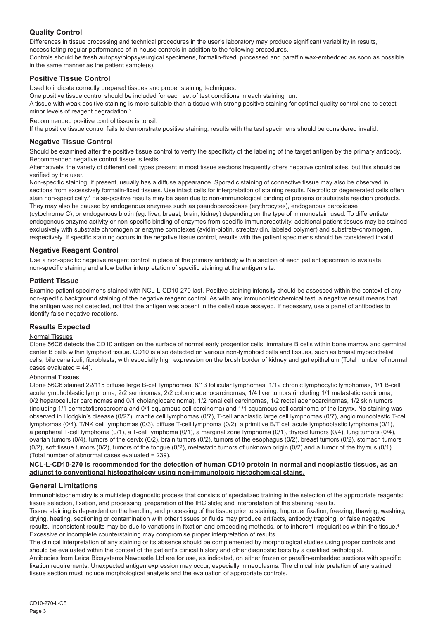## **Quality Control**

Differences in tissue processing and technical procedures in the user's laboratory may produce significant variability in results, necessitating regular performance of in-house controls in addition to the following procedures.

Controls should be fresh autopsy/biopsy/surgical specimens, formalin-fixed, processed and paraffin wax-embedded as soon as possible in the same manner as the patient sample(s).

## **Positive Tissue Control**

Used to indicate correctly prepared tissues and proper staining techniques.

One positive tissue control should be included for each set of test conditions in each staining run.

A tissue with weak positive staining is more suitable than a tissue with strong positive staining for optimal quality control and to detect minor levels of reagent degradation.<sup>2</sup>

Recommended positive control tissue is tonsil.

If the positive tissue control fails to demonstrate positive staining, results with the test specimens should be considered invalid.

## **Negative Tissue Control**

Should be examined after the positive tissue control to verify the specificity of the labeling of the target antigen by the primary antibody. Recommended negative control tissue is testis.

Alternatively, the variety of different cell types present in most tissue sections frequently offers negative control sites, but this should be verified by the user.

Non-specific staining, if present, usually has a diffuse appearance. Sporadic staining of connective tissue may also be observed in sections from excessively formalin-fixed tissues. Use intact cells for interpretation of staining results. Necrotic or degenerated cells often stain non-specifically.<sup>3</sup> False-positive results may be seen due to non-immunological binding of proteins or substrate reaction products. They may also be caused by endogenous enzymes such as pseudoperoxidase (erythrocytes), endogenous peroxidase

(cytochrome C), or endogenous biotin (eg. liver, breast, brain, kidney) depending on the type of immunostain used. To differentiate endogenous enzyme activity or non-specific binding of enzymes from specific immunoreactivity, additional patient tissues may be stained exclusively with substrate chromogen or enzyme complexes (avidin-biotin, streptavidin, labeled polymer) and substrate-chromogen, respectively. If specific staining occurs in the negative tissue control, results with the patient specimens should be considered invalid.

## **Negative Reagent Control**

Use a non-specific negative reagent control in place of the primary antibody with a section of each patient specimen to evaluate non-specific staining and allow better interpretation of specific staining at the antigen site.

## **Patient Tissue**

Examine patient specimens stained with NCL-L-CD10-270 last. Positive staining intensity should be assessed within the context of any non-specific background staining of the negative reagent control. As with any immunohistochemical test, a negative result means that the antigen was not detected, not that the antigen was absent in the cells/tissue assayed. If necessary, use a panel of antibodies to identify false-negative reactions.

## **Results Expected**

## Normal Tissues

Clone 56C6 detects the CD10 antigen on the surface of normal early progenitor cells, immature B cells within bone marrow and germinal center B cells within lymphoid tissue. CD10 is also detected on various non-lymphoid cells and tissues, such as breast myoepithelial cells, bile canaliculi, fibroblasts, with especially high expression on the brush border of kidney and gut epithelium (Total number of normal cases evaluated = 44).

#### Abnormal Tissues

Clone 56C6 stained 22/115 diffuse large B-cell lymphomas, 8/13 follicular lymphomas, 1/12 chronic lymphocytic lymphomas, 1/1 B-cell acute lymphoblastic lymphoma, 2/2 seminomas, 2/2 colonic adenocarcinomas, 1/4 liver tumors (including 1/1 metastatic carcinoma, 0/2 hepatocellular carcinomas and 0/1 cholangiocarcinoma), 1/2 renal cell carcinomas, 1/2 rectal adenocarcinomas, 1/2 skin tumors (including 1/1 dermatofibrosarcoma and 0/1 squamous cell carcinoma) and 1/1 squamous cell carcinoma of the larynx. No staining was observed in Hodgkin's disease (0/27), mantle cell lymphomas (0/7), T-cell anaplastic large cell lymphomas (0/7), angioimunoblastic T-cell lymphomas (0/4), T/NK cell lymphomas (0/3), diffuse T-cell lymphoma (0/2), a primitive B/T cell acute lymphoblastic lymphoma (0/1), a peripheral T-cell lymphoma (0/1), a T-cell lymphoma (0/1), a marginal zone lymphoma (0/1), thyroid tumors (0/4), lung tumors (0/4), ovarian tumors (0/4), tumors of the cervix (0/2), brain tumors (0/2), tumors of the esophagus (0/2), breast tumors (0/2), stomach tumors (0/2), soft tissue tumors (0/2), tumors of the tongue (0/2), metastatic tumors of unknown origin (0/2) and a tumor of the thymus (0/1). (Total number of abnormal cases evaluated = 239).

#### **NCL-L-CD10-270 is recommended for the detection of human CD10 protein in normal and neoplastic tissues, as an adjunct to conventional histopathology using non-immunologic histochemical stains.**

## **General Limitations**

Immunohistochemistry is a multistep diagnostic process that consists of specialized training in the selection of the appropriate reagents; tissue selection, fixation, and processing; preparation of the IHC slide; and interpretation of the staining results.

Tissue staining is dependent on the handling and processing of the tissue prior to staining. Improper fixation, freezing, thawing, washing, drying, heating, sectioning or contamination with other tissues or fluids may produce artifacts, antibody trapping, or false negative results. Inconsistent results may be due to variations in fixation and embedding methods, or to inherent irregularities within the tissue.4 Excessive or incomplete counterstaining may compromise proper interpretation of results.

The clinical interpretation of any staining or its absence should be complemented by morphological studies using proper controls and should be evaluated within the context of the patient's clinical history and other diagnostic tests by a qualified pathologist.

Antibodies from Leica Biosystems Newcastle Ltd are for use, as indicated, on either frozen or paraffin-embedded sections with specific fixation requirements. Unexpected antigen expression may occur, especially in neoplasms. The clinical interpretation of any stained tissue section must include morphological analysis and the evaluation of appropriate controls.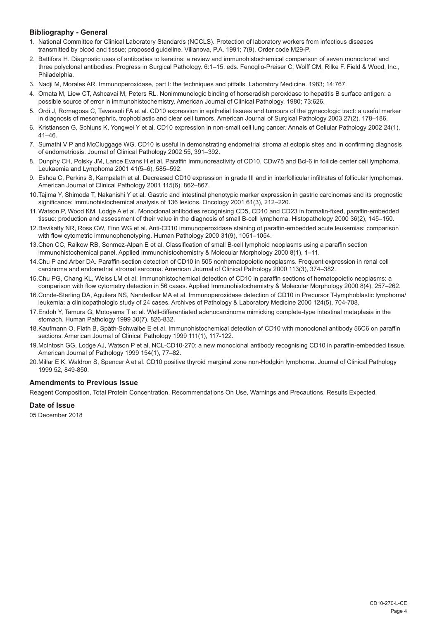## **Bibliography - General**

- 1. National Committee for Clinical Laboratory Standards (NCCLS). Protection of laboratory workers from infectious diseases transmitted by blood and tissue; proposed guideline. Villanova, P.A. 1991; 7(9). Order code M29-P.
- 2. Battifora H. Diagnostic uses of antibodies to keratins: a review and immunohistochemical comparison of seven monoclonal and three polyclonal antibodies. Progress in Surgical Pathology. 6:1–15. eds. Fenoglio-Preiser C, Wolff CM, Rilke F. Field & Wood, Inc., Philadelphia.
- 3. Nadji M, Morales AR. Immunoperoxidase, part I: the techniques and pitfalls. Laboratory Medicine. 1983; 14:767.
- 4. Omata M, Liew CT, Ashcavai M, Peters RL. Nonimmunologic binding of horseradish peroxidase to hepatitis B surface antigen: a possible source of error in immunohistochemistry. American Journal of Clinical Pathology. 1980; 73:626.
- 5. Ordi J, Romagosa C, Tavassoli FA et al. CD10 expression in epithelial tissues and tumours of the gynecologic tract: a useful marker in diagnosis of mesonephric, trophoblastic and clear cell tumors. American Journal of Surgical Pathology 2003 27(2), 178–186.
- 6. Kristiansen G, Schluns K, Yongwei Y et al. CD10 expression in non-small cell lung cancer. Annals of Cellular Pathology 2002 24(1),  $41 - 46$
- 7. Sumathi V P and McCluggage WG. CD10 is useful in demonstrating endometrial stroma at ectopic sites and in confirming diagnosis of endometriosis. Journal of Clinical Pathology 2002 55, 391–392.
- 8. Dunphy CH, Polsky JM, Lance Evans H et al. Paraffin immunoreactivity of CD10, CDw75 and Bcl-6 in follicle center cell lymphoma. Leukaemia and Lymphoma 2001 41(5–6), 585–592.
- 9. Eshoa C, Perkins S, Kampalath et al. Decreased CD10 expression in grade III and in interfollicular infiltrates of follicular lymphomas. American Journal of Clinical Pathology 2001 115(6), 862–867.
- 10.Tajima Y, Shimoda T, Nakanishi Y et al. Gastric and intestinal phenotypic marker expression in gastric carcinomas and its prognostic significance: immunohistochemical analysis of 136 lesions. Oncology 2001 61(3), 212–220.
- 11.Watson P, Wood KM, Lodge A et al. Monoclonal antibodies recognising CD5, CD10 and CD23 in formalin-fixed, paraffin-embedded tissue: production and assessment of their value in the diagnosis of small B-cell lymphoma. Histopathology 2000 36(2), 145–150.
- 12.Bavikatty NR, Ross CW, Finn WG et al. Anti-CD10 immunoperoxidase staining of paraffin-embedded acute leukemias: comparison with flow cytometric immunophenotyping. Human Pathology 2000 31(9), 1051–1054.
- 13.Chen CC, Raikow RB, Sonmez-Alpan E et al. Classification of small B-cell lymphoid neoplasms using a paraffin section immunohistochemical panel. Applied Immunohistochemistry & Molecular Morphology 2000 8(1), 1–11.
- 14.Chu P and Arber DA. Paraffin-section detection of CD10 in 505 nonhematopoietic neoplasms. Frequent expression in renal cell carcinoma and endometrial stromal sarcoma. American Journal of Clinical Pathology 2000 113(3), 374–382.
- 15.Chu PG, Chang KL, Weiss LM et al. Immunohistochemical detection of CD10 in paraffin sections of hematopoietic neoplasms: a comparison with flow cytometry detection in 56 cases. Applied Immunohistochemistry & Molecular Morphology 2000 8(4), 257–262.
- 16.Conde-Sterling DA, Aguilera NS, Nandedkar MA et al. Immunoperoxidase detection of CD10 in Precursor T-lymphoblastic lymphoma/ leukemia: a clinicopathologic study of 24 cases. Archives of Pathology & Laboratory Medicine 2000 124(5), 704-708.
- 17.Endoh Y, Tamura G, Motoyama T et al. Well-differentiated adenocarcinoma mimicking complete-type intestinal metaplasia in the stomach. Human Pathology 1999 30(7), 826-832.
- 18.Kaufmann O, Flath B, Späth-Schwalbe E et al. Immunohistochemical detection of CD10 with monoclonal antibody 56C6 on paraffin sections. American Journal of Clinical Pathology 1999 111(1), 117-122.
- 19.McIntosh GG, Lodge AJ, Watson P et al. NCL-CD10-270: a new monoclonal antibody recognising CD10 in paraffin-embedded tissue. American Journal of Pathology 1999 154(1), 77–82.
- 20.Millar E K, Waldron S, Spencer A et al. CD10 positive thyroid marginal zone non-Hodgkin lymphoma. Journal of Clinical Pathology 1999 52, 849-850.

## **Amendments to Previous Issue**

Reagent Composition, Total Protein Concentration, Recommendations On Use, Warnings and Precautions, Results Expected.

## **Date of Issue**

05 December 2018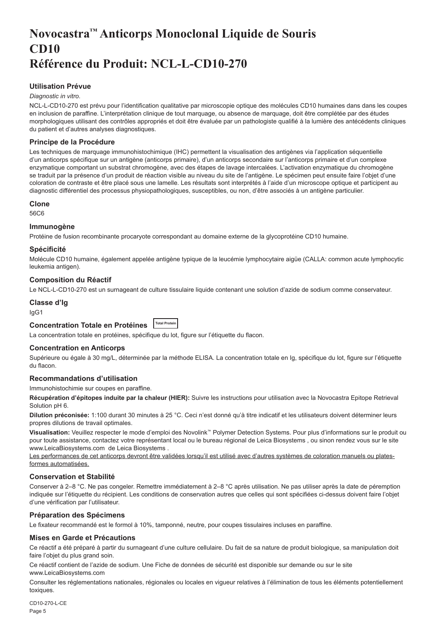# <span id="page-5-0"></span>**Novocastra™ Anticorps Monoclonal Liquide de Souris CD10 Référence du Produit: NCL-L-CD10-270**

## **Utilisation Prévue**

#### *Diagnostic in vitro*.

NCL-L-CD10-270 est prévu pour l'identification qualitative par microscopie optique des molécules CD10 humaines dans dans les coupes en inclusion de paraffine. L'interprétation clinique de tout marquage, ou absence de marquage, doit être complétée par des études morphologiques utilisant des contrôles appropriés et doit être évaluée par un pathologiste qualifié à la lumière des antécédents cliniques du patient et d'autres analyses diagnostiques.

## **Principe de la Procédure**

Les techniques de marquage immunohistochimique (IHC) permettent la visualisation des antigènes via l'application séquentielle d'un anticorps spécifique sur un antigène (anticorps primaire), d'un anticorps secondaire sur l'anticorps primaire et d'un complexe enzymatique comportant un substrat chromogène, avec des étapes de lavage intercalées. L'activation enzymatique du chromogène se traduit par la présence d'un produit de réaction visible au niveau du site de l'antigène. Le spécimen peut ensuite faire l'objet d'une coloration de contraste et être placé sous une lamelle. Les résultats sont interprétés à l'aide d'un microscope optique et participent au diagnostic différentiel des processus physiopathologiques, susceptibles, ou non, d'être associés à un antigène particulier.

#### **Clone**

56C6

#### **Immunogène**

Protéine de fusion recombinante procaryote correspondant au domaine externe de la glycoprotéine CD10 humaine.

#### **Spécificité**

Molécule CD10 humaine, également appelée antigène typique de la leucémie lymphocytaire aigüe (CALLA: common acute lymphocytic leukemia antigen).

#### **Composition du Réactif**

Le NCL-L-CD10-270 est un surnageant de culture tissulaire liquide contenant une solution d'azide de sodium comme conservateur.

#### **Classe d'Ig**

IgG1

## **Concentration Totale en Protéines Total Protein**

La concentration totale en protéines, spécifique du lot, figure sur l'étiquette du flacon.

#### **Concentration en Anticorps**

Supérieure ou égale à 30 mg/L, déterminée par la méthode ELISA. La concentration totale en Ig, spécifique du lot, figure sur l'étiquette du flacon.

#### **Recommandations d'utilisation**

Immunohistochimie sur coupes en paraffine.

**Récupération d'épitopes induite par la chaleur (HIER):** Suivre les instructions pour utilisation avec la Novocastra Epitope Retrieval Solution pH 6.

**Dilution préconisée:** 1:100 durant 30 minutes à 25 °C. Ceci n'est donné qu'à titre indicatif et les utilisateurs doivent déterminer leurs propres dilutions de travail optimales.

**Visualisation:** Veuillez respecter le mode d'emploi des Novolink™ Polymer Detection Systems. Pour plus d'informations sur le produit ou pour toute assistance, contactez votre représentant local ou le bureau régional de Leica Biosystems , ou sinon rendez vous sur le site www.LeicaBiosystems.com de Leica Biosystems .

Les performances de cet anticorps devront être validées lorsqu'il est utilisé avec d'autres systèmes de coloration manuels ou platesformes automatisées.

#### **Conservation et Stabilité**

Conserver à 2–8 °C. Ne pas congeler. Remettre immédiatement à 2–8 °C après utilisation. Ne pas utiliser après la date de péremption indiquée sur l'étiquette du récipient. Les conditions de conservation autres que celles qui sont spécifiées ci-dessus doivent faire l'objet d'une vérification par l'utilisateur.

#### **Préparation des Spécimens**

Le fixateur recommandé est le formol à 10%, tamponné, neutre, pour coupes tissulaires incluses en paraffine.

#### **Mises en Garde et Précautions**

Ce réactif a été préparé à partir du surnageant d'une culture cellulaire. Du fait de sa nature de produit biologique, sa manipulation doit faire l'objet du plus grand soin.

Ce réactif contient de l'azide de sodium. Une Fiche de données de sécurité est disponible sur demande ou sur le site www.LeicaBiosystems.com

Consulter les réglementations nationales, régionales ou locales en vigueur relatives à l'élimination de tous les éléments potentiellement toxiques.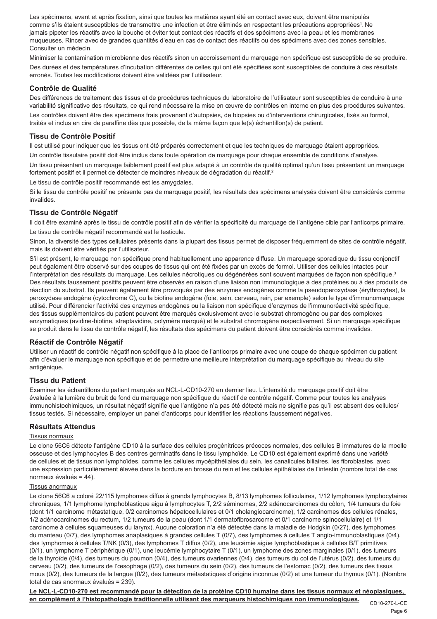Les spécimens, avant et après fixation, ainsi que toutes les matières ayant été en contact avec eux, doivent être manipulés comme s'ils étaient susceptibles de transmettre une infection et être éliminés en respectant les précautions appropriées<sup>,</sup> Ne jamais pipeter les réactifs avec la bouche et éviter tout contact des réactifs et des spécimens avec la peau et les membranes muqueuses. Rincer avec de grandes quantités d'eau en cas de contact des réactifs ou des spécimens avec des zones sensibles. Consulter un médecin.

Minimiser la contamination microbienne des réactifs sinon un accroissement du marquage non spécifique est susceptible de se produire. Des durées et des températures d'incubation différentes de celles qui ont été spécifiées sont susceptibles de conduire à des résultats erronés. Toutes les modifications doivent être validées par l'utilisateur.

#### **Contrôle de Qualité**

Des différences de traitement des tissus et de procédures techniques du laboratoire de l'utilisateur sont susceptibles de conduire à une variabilité significative des résultats, ce qui rend nécessaire la mise en œuvre de contrôles en interne en plus des procédures suivantes.

Les contrôles doivent être des spécimens frais provenant d'autopsies, de biopsies ou d'interventions chirurgicales, fixés au formol, traités et inclus en cire de paraffine dès que possible, de la même façon que le(s) échantillon(s) de patient.

## **Tissu de Contrôle Positif**

Il est utilisé pour indiquer que les tissus ont été préparés correctement et que les techniques de marquage étaient appropriées.

Un contrôle tissulaire positif doit être inclus dans toute opération de marquage pour chaque ensemble de conditions d'analyse.

Un tissu présentant un marquage faiblement positif est plus adapté à un contrôle de qualité optimal qu'un tissu présentant un marquage fortement positif et il permet de détecter de moindres niveaux de dégradation du réactif.<sup>2</sup>

Le tissu de contrôle positif recommandé est les amygdales.

Si le tissu de contrôle positif ne présente pas de marquage positif, les résultats des spécimens analysés doivent être considérés comme invalides.

## **Tissu de Contrôle Négatif**

Il doit être examiné après le tissu de contrôle positif afin de vérifier la spécificité du marquage de l'antigène cible par l'anticorps primaire. Le tissu de contrôle négatif recommandé est le testicule.

Sinon, la diversité des types cellulaires présents dans la plupart des tissus permet de disposer fréquemment de sites de contrôle négatif, mais ils doivent être vérifiés par l'utilisateur.

S'il est présent, le marquage non spécifique prend habituellement une apparence diffuse. Un marquage sporadique du tissu conjonctif peut également être observé sur des coupes de tissus qui ont été fixées par un excès de formol. Utiliser des cellules intactes pour l'interprétation des résultats du marquage. Les cellules nécrotiques ou dégénérées sont souvent marquées de façon non spécifique.<sup>3</sup> Des résultats faussement positifs peuvent être observés en raison d'une liaison non immunologique à des protéines ou à des produits de réaction du substrat. Ils peuvent également être provoqués par des enzymes endogènes comme la pseudoperoxydase (érythrocytes), la peroxydase endogène (cytochrome C), ou la biotine endogène (foie, sein, cerveau, rein, par exemple) selon le type d'immunomarquage utilisé. Pour différencier l'activité des enzymes endogènes ou la liaison non spécifique d'enzymes de l'immunoréactivité spécifique, des tissus supplémentaires du patient peuvent être marqués exclusivement avec le substrat chromogène ou par des complexes enzymatiques (avidine-biotine, streptavidine, polymère marqué) et le substrat chromogène respectivement. Si un marquage spécifique se produit dans le tissu de contrôle négatif, les résultats des spécimens du patient doivent être considérés comme invalides.

## **Réactif de Contrôle Négatif**

Utiliser un réactif de contrôle négatif non spécifique à la place de l'anticorps primaire avec une coupe de chaque spécimen du patient afin d'évaluer le marquage non spécifique et de permettre une meilleure interprétation du marquage spécifique au niveau du site antigénique.

## **Tissu du Patient**

Examiner les échantillons du patient marqués au NCL-L-CD10-270 en dernier lieu. L'intensité du marquage positif doit être évaluée à la lumière du bruit de fond du marquage non spécifique du réactif de contrôle négatif. Comme pour toutes les analyses immunohistochimiques, un résultat négatif signifie que l'antigène n'a pas été détecté mais ne signifie pas qu'il est absent des cellules/ tissus testés. Si nécessaire, employer un panel d'anticorps pour identifier les réactions faussement négatives.

## **Résultats Attendus**

## Tissus normaux

Le clone 56C6 détecte l'antigène CD10 à la surface des cellules progénitrices précoces normales, des cellules B immatures de la moelle osseuse et des lymphocytes B des centres germinatifs dans le tissu lymphoïde. Le CD10 est également exprimé dans une variété de cellules et de tissus non lymphoïdes, comme les cellules myoépithéliales du sein, les canalicules biliaires, les fibroblastes, avec une expression particulièrement élevée dans la bordure en brosse du rein et les cellules épithéliales de l'intestin (nombre total de cas normaux évalués = 44).

#### Tissus anormaux

Le clone 56C6 a coloré 22/115 lymphomes diffus à grands lymphocytes B, 8/13 lymphomes folliculaires, 1/12 lymphomes lymphocytaires chroniques, 1/1 lymphome lymphoblastique aigu à lymphocytes T, 2/2 séminomes, 2/2 adénocarcinomes du côlon, 1/4 tumeurs du foie (dont 1/1 carcinome métastatique, 0/2 carcinomes hépatocellulaires et 0/1 cholangiocarcinome), 1/2 carcinomes des cellules rénales, 1/2 adénocarcinomes du rectum, 1/2 tumeurs de la peau (dont 1/1 dermatofibrosarcome et 0/1 carcinome spinocellulaire) et 1/1 carcinome à cellules squameuses du larynx). Aucune coloration n'a été détectée dans la maladie de Hodgkin (0/27), des lymphomes du manteau (0/7), des lymphomes anaplasiques à grandes cellules T (0/7), des lymphomes à cellules T angio-immunoblastiques (0/4), des lymphomes à cellules T/NK (0/3), des lymphomes T diffus (0/2), une leucémie aigüe lymphoblastique à cellules B/T primitives (0/1), un lymphome T périphérique (0/1), une leucémie lymphocytaire T (0/1), un lymphome des zones marginales (0/1), des tumeurs de la thyroïde (0/4), des tumeurs du poumon (0/4), des tumeurs ovariennes (0/4), des tumeurs du col de l'utérus (0/2), des tumeurs du cerveau (0/2), des tumeurs de l'œsophage (0/2), des tumeurs du sein (0/2), des tumeurs de l'estomac (0/2), des tumeurs des tissus mous (0/2), des tumeurs de la langue (0/2), des tumeurs métastatiques d'origine inconnue (0/2) et une tumeur du thymus (0/1). (Nombre total de cas anormaux évalués = 239).

CD10-270-L-CE **Le NCL-L-CD10-270 est recommandé pour la détection de la protéine CD10 humaine dans les tissus normaux et néoplasiques, en complément à l'histopathologie traditionnelle utilisant des marqueurs histochimiques non immunologiques.**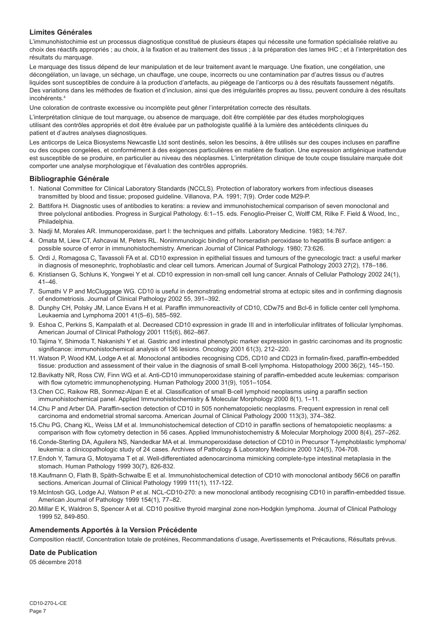## **Limites Générales**

L'immunohistochimie est un processus diagnostique constitué de plusieurs étapes qui nécessite une formation spécialisée relative au choix des réactifs appropriés ; au choix, à la fixation et au traitement des tissus ; à la préparation des lames IHC ; et à l'interprétation des résultats du marquage.

Le marquage des tissus dépend de leur manipulation et de leur traitement avant le marquage. Une fixation, une congélation, une décongélation, un lavage, un séchage, un chauffage, une coupe, incorrects ou une contamination par d'autres tissus ou d'autres liquides sont susceptibles de conduire à la production d'artefacts, au piégeage de l'anticorps ou à des résultats faussement négatifs. Des variations dans les méthodes de fixation et d'inclusion, ainsi que des irrégularités propres au tissu, peuvent conduire à des résultats incohérents.4

Une coloration de contraste excessive ou incomplète peut gêner l'interprétation correcte des résultats.

L'interprétation clinique de tout marquage, ou absence de marquage, doit être complétée par des études morphologiques utilisant des contrôles appropriés et doit être évaluée par un pathologiste qualifié à la lumière des antécédents cliniques du patient et d'autres analyses diagnostiques.

Les anticorps de Leica Biosystems Newcastle Ltd sont destinés, selon les besoins, à être utilisés sur des coupes incluses en paraffine ou des coupes congelées, et conformément à des exigences particulières en matière de fixation. Une expression antigénique inattendue est susceptible de se produire, en particulier au niveau des néoplasmes. L'interprétation clinique de toute coupe tissulaire marquée doit comporter une analyse morphologique et l'évaluation des contrôles appropriés.

#### **Bibliographie Générale**

- 1. National Committee for Clinical Laboratory Standards (NCCLS). Protection of laboratory workers from infectious diseases transmitted by blood and tissue; proposed guideline. Villanova, P.A. 1991; 7(9). Order code M29-P.
- 2. Battifora H. Diagnostic uses of antibodies to keratins: a review and immunohistochemical comparison of seven monoclonal and three polyclonal antibodies. Progress in Surgical Pathology. 6:1–15. eds. Fenoglio-Preiser C, Wolff CM, Rilke F. Field & Wood, Inc., Philadelphia.
- 3. Nadji M, Morales AR. Immunoperoxidase, part I: the techniques and pitfalls. Laboratory Medicine. 1983; 14:767.
- 4. Omata M, Liew CT, Ashcavai M, Peters RL. Nonimmunologic binding of horseradish peroxidase to hepatitis B surface antigen: a possible source of error in immunohistochemistry. American Journal of Clinical Pathology. 1980; 73:626.
- 5. Ordi J, Romagosa C, Tavassoli FA et al. CD10 expression in epithelial tissues and tumours of the gynecologic tract: a useful marker in diagnosis of mesonephric, trophoblastic and clear cell tumors. American Journal of Surgical Pathology 2003 27(2), 178–186.
- 6. Kristiansen G, Schluns K, Yongwei Y et al. CD10 expression in non-small cell lung cancer. Annals of Cellular Pathology 2002 24(1), 41–46.
- 7. Sumathi V P and McCluggage WG. CD10 is useful in demonstrating endometrial stroma at ectopic sites and in confirming diagnosis of endometriosis. Journal of Clinical Pathology 2002 55, 391–392.
- 8. Dunphy CH, Polsky JM, Lance Evans H et al. Paraffin immunoreactivity of CD10, CDw75 and Bcl-6 in follicle center cell lymphoma. Leukaemia and Lymphoma 2001 41(5–6), 585–592.
- 9. Eshoa C, Perkins S, Kampalath et al. Decreased CD10 expression in grade III and in interfollicular infiltrates of follicular lymphomas. American Journal of Clinical Pathology 2001 115(6), 862–867.
- 10.Tajima Y, Shimoda T, Nakanishi Y et al. Gastric and intestinal phenotypic marker expression in gastric carcinomas and its prognostic significance: immunohistochemical analysis of 136 lesions. Oncology 2001 61(3), 212–220.
- 11.Watson P, Wood KM, Lodge A et al. Monoclonal antibodies recognising CD5, CD10 and CD23 in formalin-fixed, paraffin-embedded tissue: production and assessment of their value in the diagnosis of small B-cell lymphoma. Histopathology 2000 36(2), 145–150.
- 12.Bavikatty NR, Ross CW, Finn WG et al. Anti-CD10 immunoperoxidase staining of paraffin-embedded acute leukemias: comparison with flow cytometric immunophenotyping. Human Pathology 2000 31(9), 1051–1054.
- 13.Chen CC, Raikow RB, Sonmez-Alpan E et al. Classification of small B-cell lymphoid neoplasms using a paraffin section immunohistochemical panel. Applied Immunohistochemistry & Molecular Morphology 2000 8(1), 1–11.
- 14.Chu P and Arber DA. Paraffin-section detection of CD10 in 505 nonhematopoietic neoplasms. Frequent expression in renal cell carcinoma and endometrial stromal sarcoma. American Journal of Clinical Pathology 2000 113(3), 374–382.
- 15.Chu PG, Chang KL, Weiss LM et al. Immunohistochemical detection of CD10 in paraffin sections of hematopoietic neoplasms: a comparison with flow cytometry detection in 56 cases. Applied Immunohistochemistry & Molecular Morphology 2000 8(4), 257–262.
- 16.Conde-Sterling DA, Aguilera NS, Nandedkar MA et al. Immunoperoxidase detection of CD10 in Precursor T-lymphoblastic lymphoma/ leukemia: a clinicopathologic study of 24 cases. Archives of Pathology & Laboratory Medicine 2000 124(5), 704-708.
- 17.Endoh Y, Tamura G, Motoyama T et al. Well-differentiated adenocarcinoma mimicking complete-type intestinal metaplasia in the stomach. Human Pathology 1999 30(7), 826-832.
- 18.Kaufmann O, Flath B, Späth-Schwalbe E et al. Immunohistochemical detection of CD10 with monoclonal antibody 56C6 on paraffin sections. American Journal of Clinical Pathology 1999 111(1), 117-122.
- 19.McIntosh GG, Lodge AJ, Watson P et al. NCL-CD10-270: a new monoclonal antibody recognising CD10 in paraffin-embedded tissue. American Journal of Pathology 1999 154(1), 77–82.
- 20.Millar E K, Waldron S, Spencer A et al. CD10 positive thyroid marginal zone non-Hodgkin lymphoma. Journal of Clinical Pathology 1999 52, 849-850.

#### **Amendements Apportés à la Version Précédente**

Composition réactif, Concentration totale de protéines, Recommandations d'usage, Avertissements et Précautions, Résultats prévus.

## **Date de Publication**

05 décembre 2018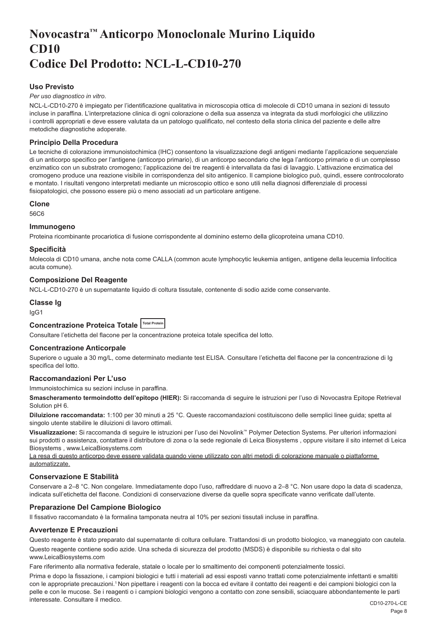# <span id="page-8-0"></span>**Novocastra™ Anticorpo Monoclonale Murino Liquido CD10 Codice Del Prodotto: NCL-L-CD10-270**

## **Uso Previsto**

#### *Per uso diagnostico in vitro*.

NCL-L-CD10-270 è impiegato per l'identificazione qualitativa in microscopia ottica di molecole di CD10 umana in sezioni di tessuto incluse in paraffina. L'interpretazione clinica di ogni colorazione o della sua assenza va integrata da studi morfologici che utilizzino i controlli appropriati e deve essere valutata da un patologo qualificato, nel contesto della storia clinica del paziente e delle altre metodiche diagnostiche adoperate.

## **Principio Della Procedura**

Le tecniche di colorazione immunoistochimica (IHC) consentono la visualizzazione degli antigeni mediante l'applicazione sequenziale di un anticorpo specifico per l'antigene (anticorpo primario), di un anticorpo secondario che lega l'anticorpo primario e di un complesso enzimatico con un substrato cromogeno; l'applicazione dei tre reagenti è intervallata da fasi di lavaggio. L'attivazione enzimatica del cromogeno produce una reazione visibile in corrispondenza del sito antigenico. Il campione biologico può, quindi, essere controcolorato e montato. I risultati vengono interpretati mediante un microscopio ottico e sono utili nella diagnosi differenziale di processi fisiopatologici, che possono essere più o meno associati ad un particolare antigene.

#### **Clone**

56C6

#### **Immunogeno**

Proteina ricombinante procariotica di fusione corrispondente al dominino esterno della glicoproteina umana CD10.

#### **Specificità**

Molecola di CD10 umana, anche nota come CALLA (common acute lymphocytic leukemia antigen, antigene della leucemia linfocitica acuta comune).

#### **Composizione Del Reagente**

NCL-L-CD10-270 è un supernatante liquido di coltura tissutale, contenente di sodio azide come conservante.

#### **Classe Ig**

IgG1

## **Concentrazione Proteica Totale Total Protein**

Consultare l'etichetta del flacone per la concentrazione proteica totale specifica del lotto.

#### **Concentrazione Anticorpale**

Superiore o uguale a 30 mg/L, come determinato mediante test ELISA. Consultare l'etichetta del flacone per la concentrazione di Ig specifica del lotto.

#### **Raccomandazioni Per L'uso**

Immunoistochimica su sezioni incluse in paraffina.

**Smascheramento termoindotto dell'epitopo (HIER):** Si raccomanda di seguire le istruzioni per l'uso di Novocastra Epitope Retrieval Solution pH 6.

**Diluizione raccomandata:** 1:100 per 30 minuti a 25 °C. Queste raccomandazioni costituiscono delle semplici linee guida; spetta al singolo utente stabilire le diluizioni di lavoro ottimali.

**Visualizzazione:** Si raccomanda di seguire le istruzioni per l'uso dei Novolink™ Polymer Detection Systems. Per ulteriori informazioni sui prodotti o assistenza, contattare il distributore di zona o la sede regionale di Leica Biosystems , oppure visitare il sito internet di Leica Biosystems , www.LeicaBiosystems.com

La resa di questo anticorpo deve essere validata quando viene utilizzato con altri metodi di colorazione manuale o piattaforme automatizzate.

#### **Conservazione E Stabilità**

Conservare a 2–8 °C. Non congelare. Immediatamente dopo l'uso, raffreddare di nuovo a 2–8 °C. Non usare dopo la data di scadenza, indicata sull'etichetta del flacone. Condizioni di conservazione diverse da quelle sopra specificate vanno verificate dall'utente.

## **Preparazione Del Campione Biologico**

Il fissativo raccomandato è la formalina tamponata neutra al 10% per sezioni tissutali incluse in paraffina.

#### **Avvertenze E Precauzioni**

Questo reagente è stato preparato dal supernatante di coltura cellulare. Trattandosi di un prodotto biologico, va maneggiato con cautela.

Questo reagente contiene sodio azide. Una scheda di sicurezza del prodotto (MSDS) è disponibile su richiesta o dal sito www.LeicaBiosystems.com

Fare riferimento alla normativa federale, statale o locale per lo smaltimento dei componenti potenzialmente tossici.

Prima e dopo la fissazione, i campioni biologici e tutti i materiali ad essi esposti vanno trattati come potenzialmente infettanti e smaltiti con le appropriate precauzioni.<sup>1</sup>Non pipettare i reagenti con la bocca ed evitare il contatto dei reagenti e dei campioni biologici con la pelle e con le mucose. Se i reagenti o i campioni biologici vengono a contatto con zone sensibili, sciacquare abbondantemente le parti interessate. Consultare il medico.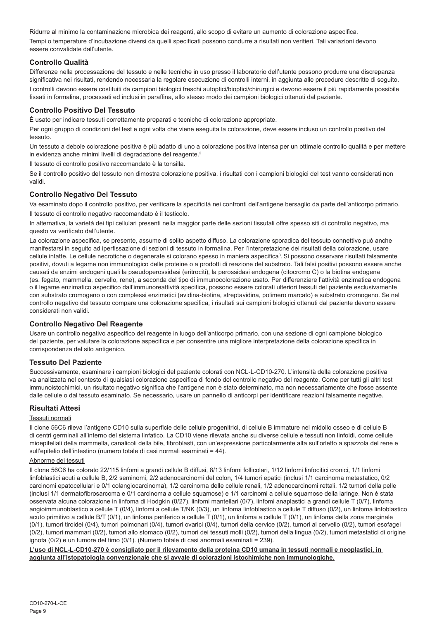Ridurre al minimo la contaminazione microbica dei reagenti, allo scopo di evitare un aumento di colorazione aspecifica. Tempi o temperature d'incubazione diversi da quelli specificati possono condurre a risultati non veritieri. Tali variazioni devono essere convalidate dall'utente.

## **Controllo Qualità**

Differenze nella processazione del tessuto e nelle tecniche in uso presso il laboratorio dell'utente possono produrre una discrepanza significativa nei risultati, rendendo necessaria la regolare esecuzione di controlli interni, in aggiunta alle procedure descritte di seguito. I controlli devono essere costituiti da campioni biologici freschi autoptici/bioptici/chirurgici e devono essere il più rapidamente possibile fissati in formalina, processati ed inclusi in paraffina, allo stesso modo dei campioni biologici ottenuti dal paziente.

## **Controllo Positivo Del Tessuto**

È usato per indicare tessuti correttamente preparati e tecniche di colorazione appropriate.

Per ogni gruppo di condizioni del test e ogni volta che viene eseguita la colorazione, deve essere incluso un controllo positivo del tessuto.

Un tessuto a debole colorazione positiva è più adatto di uno a colorazione positiva intensa per un ottimale controllo qualità e per mettere in evidenza anche minimi livelli di degradazione del reagente.<sup>2</sup>

Il tessuto di controllo positivo raccomandato è la tonsilla.

Se il controllo positivo del tessuto non dimostra colorazione positiva, i risultati con i campioni biologici del test vanno considerati non validi.

## **Controllo Negativo Del Tessuto**

Va esaminato dopo il controllo positivo, per verificare la specificità nei confronti dell'antigene bersaglio da parte dell'anticorpo primario. Il tessuto di controllo negativo raccomandato è il testicolo.

In alternativa, la varietà dei tipi cellulari presenti nella maggior parte delle sezioni tissutali offre spesso siti di controllo negativo, ma questo va verificato dall'utente.

La colorazione aspecifica, se presente, assume di solito aspetto diffuso. La colorazione sporadica del tessuto connettivo può anche manifestarsi in seguito ad iperfissazione di sezioni di tessuto in formalina. Per l'interpretazione dei risultati della colorazione, usare cellule intatte. Le cellule necrotiche o degenerate si colorano spesso in maniera aspecifica<sup>3</sup>. Si possono osservare risultati falsamente positivi, dovuti a legame non immunologico delle proteine o a prodotti di reazione del substrato. Tali falsi positivi possono essere anche causati da enzimi endogeni quali la pseudoperossidasi (eritrociti), la perossidasi endogena (citocromo C) o la biotina endogena (es. fegato, mammella, cervello, rene), a seconda del tipo di immunocolorazione usato. Per differenziare l'attività enzimatica endogena o il legame enzimatico aspecifico dall'immunoreattività specifica, possono essere colorati ulteriori tessuti del paziente esclusivamente con substrato cromogeno o con complessi enzimatici (avidina-biotina, streptavidina, polimero marcato) e substrato cromogeno. Se nel controllo negativo del tessuto compare una colorazione specifica, i risultati sui campioni biologici ottenuti dal paziente devono essere considerati non validi.

## **Controllo Negativo Del Reagente**

Usare un controllo negativo aspecifico del reagente in luogo dell'anticorpo primario, con una sezione di ogni campione biologico del paziente, per valutare la colorazione aspecifica e per consentire una migliore interpretazione della colorazione specifica in corrispondenza del sito antigenico.

## **Tessuto Del Paziente**

Successivamente, esaminare i campioni biologici del paziente colorati con NCL-L-CD10-270. L'intensità della colorazione positiva va analizzata nel contesto di qualsiasi colorazione aspecifica di fondo del controllo negativo del reagente. Come per tutti gli altri test immunoistochimici, un risultato negativo significa che l'antigene non è stato determinato, ma non necessariamente che fosse assente dalle cellule o dal tessuto esaminato. Se necessario, usare un pannello di anticorpi per identificare reazioni falsamente negative.

## **Risultati Attesi**

#### Tessuti normali

Il clone 56C6 rileva l'antigene CD10 sulla superficie delle cellule progenitrici, di cellule B immature nel midollo osseo e di cellule B di centri germinali all'interno del sistema linfatico. La CD10 viene rilevata anche su diverse cellule e tessuti non linfoidi, come cellule mioepiteliali della mammella, canalicoli della bile, fibroblasti, con un'espressione particolarmente alta sull'orletto a spazzola del rene e sull'epitelio dell'intestino (numero totale di casi normali esaminati = 44).

## Abnorme dei tessuti

Il clone 56C6 ha colorato 22/115 linfomi a grandi cellule B diffusi, 8/13 linfomi follicolari, 1/12 linfomi linfocitici cronici, 1/1 linfomi linfoblastici acuti a cellule B, 2/2 seminomi, 2/2 adenocarcinomi del colon, 1/4 tumori epatici (inclusi 1/1 carcinoma metastatico, 0/2 carcinomi epatocellulari e 0/1 colangiocarcinoma), 1/2 carcinoma delle cellule renali, 1/2 adenocarcinomi rettali, 1/2 tumori della pelle (inclusi 1/1 dermatofibrosarcoma e 0/1 carcinoma a cellule squamose) e 1/1 carcinomi a cellule squamose della laringe. Non è stata osservata alcuna colorazione in linfoma di Hodgkin (0/27), linfomi mantellari (0/7), linfomi anaplastici a grandi cellule T (0/7), linfoma angioimmunoblastico a cellule T (0/4), linfomi a cellule T/NK (0/3), un linfoma linfoblastico a cellule T diffuso (0/2), un linfoma linfoblastico acuto primitivo a cellule B/T (0/1), un linfoma periferico a cellule T (0/1), un linfoma a cellule T (0/1), un linfoma della zona marginale (0/1), tumori tiroidei (0/4), tumori polmonari (0/4), tumori ovarici (0/4), tumori della cervice (0/2), tumori al cervello (0/2), tumori esofagei (0/2), tumori mammari (0/2), tumori allo stomaco (0/2), tumori dei tessuti molli (0/2), tumori della lingua (0/2), tumori metastatici di origine ignota (0/2) e un tumore del timo (0/1). (Numero totale di casi anormali esaminati = 239).

**L'uso di NCL-L-CD10-270 è consigliato per il rilevamento della proteina CD10 umana in tessuti normali e neoplastici, in aggiunta all'istopatologia convenzionale che si avvale di colorazioni istochimiche non immunologiche.**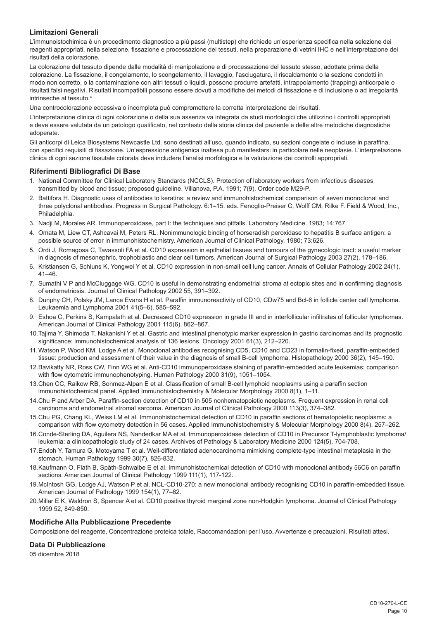## **Limitazioni Generali**

L'immunoistochimica è un procedimento diagnostico a più passi (multistep) che richiede un'esperienza specifica nella selezione dei reagenti appropriati, nella selezione, fissazione e processazione dei tessuti, nella preparazione di vetrini IHC e nell'interpretazione dei risultati della colorazione.

La colorazione del tessuto dipende dalle modalità di manipolazione e di processazione del tessuto stesso, adottate prima della colorazione. La fissazione, il congelamento, lo scongelamento, il lavaggio, l'asciugatura, il riscaldamento o la sezione condotti in modo non corretto, o la contaminazione con altri tessuti o liquidi, possono produrre artefatti, intrappolamento (trapping) anticorpale o risultati falsi negativi. Risultati incompatibili possono essere dovuti a modifiche dei metodi di fissazione e di inclusione o ad irregolarità intrinseche al tessuto.4

Una controcolorazione eccessiva o incompleta può compromettere la corretta interpretazione dei risultati.

L'interpretazione clinica di ogni colorazione o della sua assenza va integrata da studi morfologici che utilizzino i controlli appropriati e deve essere valutata da un patologo qualificato, nel contesto della storia clinica del paziente e delle altre metodiche diagnostiche adoperate.

Gli anticorpi di Leica Biosystems Newcastle Ltd. sono destinati all'uso, quando indicato, su sezioni congelate o incluse in paraffina, con specifici requisiti di fissazione. Un'espressione antigenica inattesa può manifestarsi in particolare nelle neoplasie. L'interpretazione clinica di ogni sezione tissutale colorata deve includere l'analisi morfologica e la valutazione dei controlli appropriati.

#### **Riferimenti Bibliografici Di Base**

- 1. National Committee for Clinical Laboratory Standards (NCCLS). Protection of laboratory workers from infectious diseases transmitted by blood and tissue; proposed guideline. Villanova, P.A. 1991; 7(9). Order code M29-P.
- 2. Battifora H. Diagnostic uses of antibodies to keratins: a review and immunohistochemical comparison of seven monoclonal and three polyclonal antibodies. Progress in Surgical Pathology. 6:1–15. eds. Fenoglio-Preiser C, Wolff CM, Rilke F. Field & Wood, Inc., Philadelphia.
- 3. Nadji M, Morales AR. Immunoperoxidase, part I: the techniques and pitfalls. Laboratory Medicine. 1983; 14:767.
- 4. Omata M, Liew CT, Ashcavai M, Peters RL. Nonimmunologic binding of horseradish peroxidase to hepatitis B surface antigen: a possible source of error in immunohistochemistry. American Journal of Clinical Pathology. 1980; 73:626.
- 5. Ordi J, Romagosa C, Tavassoli FA et al. CD10 expression in epithelial tissues and tumours of the gynecologic tract: a useful marker in diagnosis of mesonephric, trophoblastic and clear cell tumors. American Journal of Surgical Pathology 2003 27(2), 178–186.
- 6. Kristiansen G, Schluns K, Yongwei Y et al. CD10 expression in non-small cell lung cancer. Annals of Cellular Pathology 2002 24(1), 41–46.
- 7. Sumathi V P and McCluggage WG. CD10 is useful in demonstrating endometrial stroma at ectopic sites and in confirming diagnosis of endometriosis. Journal of Clinical Pathology 2002 55, 391–392.
- 8. Dunphy CH, Polsky JM, Lance Evans H et al. Paraffin immunoreactivity of CD10, CDw75 and Bcl-6 in follicle center cell lymphoma. Leukaemia and Lymphoma 2001 41(5–6), 585–592.
- 9. Eshoa C, Perkins S, Kampalath et al. Decreased CD10 expression in grade III and in interfollicular infiltrates of follicular lymphomas. American Journal of Clinical Pathology 2001 115(6), 862–867.
- 10.Tajima Y, Shimoda T, Nakanishi Y et al. Gastric and intestinal phenotypic marker expression in gastric carcinomas and its prognostic significance: immunohistochemical analysis of 136 lesions. Oncology 2001 61(3), 212–220.
- 11.Watson P, Wood KM, Lodge A et al. Monoclonal antibodies recognising CD5, CD10 and CD23 in formalin-fixed, paraffin-embedded tissue: production and assessment of their value in the diagnosis of small B-cell lymphoma. Histopathology 2000 36(2), 145–150.
- 12.Bavikatty NR, Ross CW, Finn WG et al. Anti-CD10 immunoperoxidase staining of paraffin-embedded acute leukemias: comparison with flow cytometric immunophenotyping. Human Pathology 2000 31(9), 1051–1054.
- 13.Chen CC, Raikow RB, Sonmez-Alpan E et al. Classification of small B-cell lymphoid neoplasms using a paraffin section immunohistochemical panel. Applied Immunohistochemistry & Molecular Morphology 2000 8(1), 1–11.
- 14.Chu P and Arber DA. Paraffin-section detection of CD10 in 505 nonhematopoietic neoplasms. Frequent expression in renal cell carcinoma and endometrial stromal sarcoma. American Journal of Clinical Pathology 2000 113(3), 374–382.
- 15.Chu PG, Chang KL, Weiss LM et al. Immunohistochemical detection of CD10 in paraffin sections of hematopoietic neoplasms: a comparison with flow cytometry detection in 56 cases. Applied Immunohistochemistry & Molecular Morphology 2000 8(4), 257–262.
- 16.Conde-Sterling DA, Aguilera NS, Nandedkar MA et al. Immunoperoxidase detection of CD10 in Precursor T-lymphoblastic lymphoma/ leukemia: a clinicopathologic study of 24 cases. Archives of Pathology & Laboratory Medicine 2000 124(5), 704-708.
- 17.Endoh Y, Tamura G, Motoyama T et al. Well-differentiated adenocarcinoma mimicking complete-type intestinal metaplasia in the stomach. Human Pathology 1999 30(7), 826-832.
- 18.Kaufmann O, Flath B, Späth-Schwalbe E et al. Immunohistochemical detection of CD10 with monoclonal antibody 56C6 on paraffin sections. American Journal of Clinical Pathology 1999 111(1), 117-122.
- 19.McIntosh GG, Lodge AJ, Watson P et al. NCL-CD10-270: a new monoclonal antibody recognising CD10 in paraffin-embedded tissue. American Journal of Pathology 1999 154(1), 77–82.
- 20.Millar E K, Waldron S, Spencer A et al. CD10 positive thyroid marginal zone non-Hodgkin lymphoma. Journal of Clinical Pathology 1999 52, 849-850.

#### **Modifiche Alla Pubblicazione Precedente**

Composizione del reagente, Concentrazione proteica totale, Raccomandazioni per l'uso, Avvertenze e precauzioni, Risultati attesi.

## **Data Di Pubblicazione**

05 dicembre 2018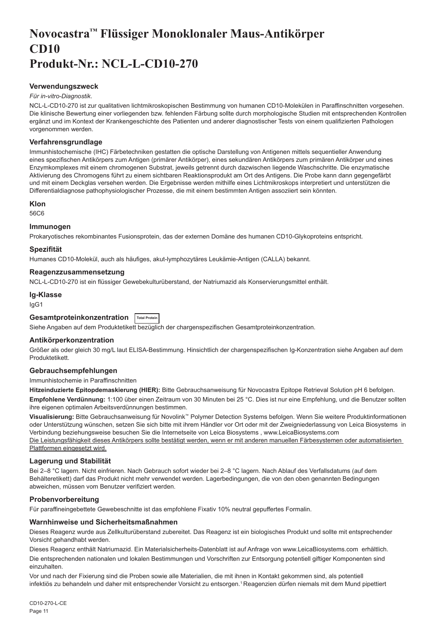# <span id="page-11-0"></span>**Novocastra™ Flüssiger Monoklonaler Maus-Antikörper CD10 Produkt-Nr.: NCL-L-CD10-270**

## **Verwendungszweck**

#### *Für in-vitro-Diagnostik*.

NCL-L-CD10-270 ist zur qualitativen lichtmikroskopischen Bestimmung von humanen CD10-Molekülen in Paraffinschnitten vorgesehen. Die klinische Bewertung einer vorliegenden bzw. fehlenden Färbung sollte durch morphologische Studien mit entsprechenden Kontrollen ergänzt und im Kontext der Krankengeschichte des Patienten und anderer diagnostischer Tests von einem qualifizierten Pathologen vorgenommen werden.

#### **Verfahrensgrundlage**

Immunhistochemische (IHC) Färbetechniken gestatten die optische Darstellung von Antigenen mittels sequentieller Anwendung eines spezifischen Antikörpers zum Antigen (primärer Antikörper), eines sekundären Antikörpers zum primären Antikörper und eines Enzymkomplexes mit einem chromogenen Substrat, jeweils getrennt durch dazwischen liegende Waschschritte. Die enzymatische Aktivierung des Chromogens führt zu einem sichtbaren Reaktionsprodukt am Ort des Antigens. Die Probe kann dann gegengefärbt und mit einem Deckglas versehen werden. Die Ergebnisse werden mithilfe eines Lichtmikroskops interpretiert und unterstützen die Differentialdiagnose pathophysiologischer Prozesse, die mit einem bestimmten Antigen assoziiert sein könnten.

#### **Klon**

56C6

## **Immunogen**

Prokaryotisches rekombinantes Fusionsprotein, das der externen Domäne des humanen CD10-Glykoproteins entspricht.

#### **Spezifität**

Humanes CD10-Molekül, auch als häufiges, akut-lymphozytäres Leukämie-Antigen (CALLA) bekannt.

#### **Reagenzzusammensetzung**

NCL-L-CD10-270 ist ein flüssiger Gewebekulturüberstand, der Natriumazid als Konservierungsmittel enthält.

**Ig-Klasse** IgG1

## **Gesamtproteinkonzentration Total Protein**

Siehe Angaben auf dem Produktetikett bezüglich der chargenspezifischen Gesamtproteinkonzentration.

## **Antikörperkonzentration**

Größer als oder gleich 30 mg/L laut ELISA-Bestimmung. Hinsichtlich der chargenspezifischen Ig-Konzentration siehe Angaben auf dem Produktetikett.

## **Gebrauchsempfehlungen**

Immunhistochemie in Paraffinschnitten

**Hitzeinduzierte Epitopdemaskierung (HIER):** Bitte Gebrauchsanweisung für Novocastra Epitope Retrieval Solution pH 6 befolgen.

**Empfohlene Verdünnung:** 1:100 über einen Zeitraum von 30 Minuten bei 25 °C. Dies ist nur eine Empfehlung, und die Benutzer sollten ihre eigenen optimalen Arbeitsverdünnungen bestimmen.

**Visualisierung:** Bitte Gebrauchsanweisung für Novolink™ Polymer Detection Systems befolgen. Wenn Sie weitere Produktinformationen oder Unterstützung wünschen, setzen Sie sich bitte mit ihrem Händler vor Ort oder mit der Zweigniederlassung von Leica Biosystems in Verbindung beziehungsweise besuchen Sie die Internetseite von Leica Biosystems , www.LeicaBiosystems.com Die Leistungsfähigkeit dieses Antikörpers sollte bestätigt werden, wenn er mit anderen manuellen Färbesystemen oder automatisierten Plattformen eingesetzt wird.

## **Lagerung und Stabilität**

Bei 2–8 °C lagern. Nicht einfrieren. Nach Gebrauch sofort wieder bei 2–8 °C lagern. Nach Ablauf des Verfallsdatums (auf dem Behälteretikett) darf das Produkt nicht mehr verwendet werden. Lagerbedingungen, die von den oben genannten Bedingungen abweichen, müssen vom Benutzer verifiziert werden.

#### **Probenvorbereitung**

Für paraffineingebettete Gewebeschnitte ist das empfohlene Fixativ 10% neutral gepuffertes Formalin.

#### **Warnhinweise und Sicherheitsmaßnahmen**

Dieses Reagenz wurde aus Zellkulturüberstand zubereitet. Das Reagenz ist ein biologisches Produkt und sollte mit entsprechender Vorsicht gehandhabt werden.

Dieses Reagenz enthält Natriumazid. Ein Materialsicherheits-Datenblatt ist auf Anfrage von www.LeicaBiosystems.com erhältlich.

Die entsprechenden nationalen und lokalen Bestimmungen und Vorschriften zur Entsorgung potentiell giftiger Komponenten sind einzuhalten.

Vor und nach der Fixierung sind die Proben sowie alle Materialien, die mit ihnen in Kontakt gekommen sind, als potentiell infektiös zu behandeln und daher mit entsprechender Vorsicht zu entsorgen.<sup>1</sup> Reagenzien dürfen niemals mit dem Mund pipettiert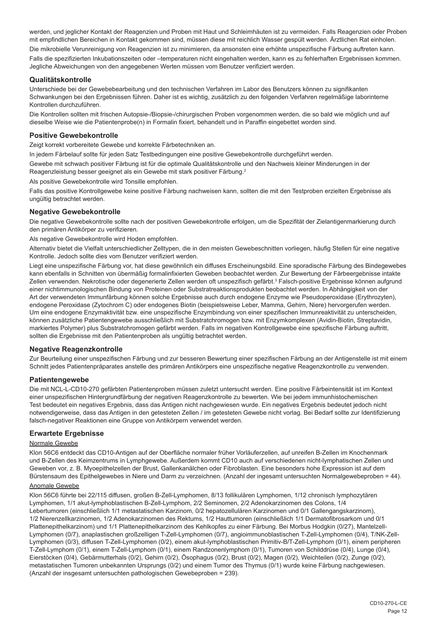werden, und jeglicher Kontakt der Reagenzien und Proben mit Haut und Schleimhäuten ist zu vermeiden. Falls Reagenzien oder Proben mit empfindlichen Bereichen in Kontakt gekommen sind, müssen diese mit reichlich Wasser gespült werden. Ärztlichen Rat einholen.

Die mikrobielle Verunreinigung von Reagenzien ist zu minimieren, da ansonsten eine erhöhte unspezifische Färbung auftreten kann. Falls die spezifizierten Inkubationszeiten oder –temperaturen nicht eingehalten werden, kann es zu fehlerhaften Ergebnissen kommen. Jegliche Abweichungen von den angegebenen Werten müssen vom Benutzer verifiziert werden.

#### **Qualitätskontrolle**

Unterschiede bei der Gewebebearbeitung und den technischen Verfahren im Labor des Benutzers können zu signifikanten Schwankungen bei den Ergebnissen führen. Daher ist es wichtig, zusätzlich zu den folgenden Verfahren regelmäßige laborinterne Kontrollen durchzuführen.

Die Kontrollen sollten mit frischen Autopsie-/Biopsie-/chirurgischen Proben vorgenommen werden, die so bald wie möglich und auf dieselbe Weise wie die Patientenprobe(n) in Formalin fixiert, behandelt und in Paraffin eingebettet worden sind.

#### **Positive Gewebekontrolle**

Zeigt korrekt vorbereitete Gewebe und korrekte Färbetechniken an.

In jedem Färbelauf sollte für jeden Satz Testbedingungen eine positive Gewebekontrolle durchgeführt werden.

Gewebe mit schwach positiver Färbung ist für die optimale Qualitätskontrolle und den Nachweis kleiner Minderungen in der Reagenzleistung besser geeignet als ein Gewebe mit stark positiver Färbung.<sup>2</sup>

Als positive Gewebekontrolle wird Tonsille empfohlen.

Falls das positive Kontrollgewebe keine positive Färbung nachweisen kann, sollten die mit den Testproben erzielten Ergebnisse als ungültig betrachtet werden.

## **Negative Gewebekontrolle**

Die negative Gewebekontrolle sollte nach der positiven Gewebekontrolle erfolgen, um die Spezifität der Zielantigenmarkierung durch den primären Antikörper zu verifizieren.

Als negative Gewebekontrolle wird Hoden empfohlen.

Alternativ bietet die Vielfalt unterschiedlicher Zelltypen, die in den meisten Gewebeschnitten vorliegen, häufig Stellen für eine negative Kontrolle. Jedoch sollte dies vom Benutzer verifiziert werden.

Liegt eine unspezifische Färbung vor, hat diese gewöhnlich ein diffuses Erscheinungsbild. Eine sporadische Färbung des Bindegewebes kann ebenfalls in Schnitten von übermäßig formalinfixierten Geweben beobachtet werden. Zur Bewertung der Färbeergebnisse intakte Zellen verwenden. Nekrotische oder degenerierte Zellen werden oft unspezifisch gefärbt.<sup>3</sup> Falsch-positive Ergebnisse können aufgrund einer nichtimmunologischen Bindung von Proteinen oder Substratreaktionsprodukten beobachtet werden. In Abhängigkeit von der Art der verwendeten Immunfärbung können solche Ergebnisse auch durch endogene Enzyme wie Pseudoperoxidase (Erythrozyten), endogene Peroxidase (Zytochrom C) oder endogenes Biotin (beispielsweise Leber, Mamma, Gehirn, Niere) hervorgerufen werden. Um eine endogene Enzymaktivität bzw. eine unspezifische Enzymbindung von einer spezifischen Immunreaktivität zu unterscheiden, können zusätzliche Patientengewebe ausschließlich mit Substratchromogen bzw. mit Enzymkomplexen (Avidin-Biotin, Streptavidin, markiertes Polymer) plus Substratchromogen gefärbt werden. Falls im negativen Kontrollgewebe eine spezifische Färbung auftritt, sollten die Ergebnisse mit den Patientenproben als ungültig betrachtet werden.

## **Negative Reagenzkontrolle**

Zur Beurteilung einer unspezifischen Färbung und zur besseren Bewertung einer spezifischen Färbung an der Antigenstelle ist mit einem Schnitt jedes Patientenpräparates anstelle des primären Antikörpers eine unspezifische negative Reagenzkontrolle zu verwenden.

#### **Patientengewebe**

Die mit NCL-L-CD10-270 gefärbten Patientenproben müssen zuletzt untersucht werden. Eine positive Färbeintensität ist im Kontext einer unspezifischen Hintergrundfärbung der negativen Reagenzkontrolle zu bewerten. Wie bei jedem immunhistochemischen Test bedeutet ein negatives Ergebnis, dass das Antigen nicht nachgewiesen wurde. Ein negatives Ergebnis bedeutet jedoch nicht notwendigerweise, dass das Antigen in den getesteten Zellen / im getesteten Gewebe nicht vorlag. Bei Bedarf sollte zur Identifizierung falsch-negativer Reaktionen eine Gruppe von Antikörpern verwendet werden.

## **Erwartete Ergebnisse**

#### Normale Gewebe

Klon 56C6 entdeckt das CD10-Antigen auf der Oberfläche normaler früher Vorläuferzellen, auf unreifen B-Zellen im Knochenmark und B-Zellen des Keimzentrums in Lymphgewebe. Außerdem kommt CD10 auch auf verschiedenen nicht-lymphatischen Zellen und Geweben vor, z. B. Myoepithelzellen der Brust, Gallenkanälchen oder Fibroblasten. Eine besonders hohe Expression ist auf dem Bürstensaum des Epithelgewebes in Niere und Darm zu verzeichnen. (Anzahl der ingesamt untersuchten Normalgewebeproben = 44).

## Anomale Gewebe

Klon 56C6 führte bei 22/115 diffusen, großen B-Zell-Lymphomen, 8/13 follikulären Lymphomen, 1/12 chronisch lymphozytären Lymphomen, 1/1 akut-lymphoblastischen B-Zell-Lymphom, 2/2 Seminomen, 2/2 Adenokarzinomen des Colons, 1/4 Lebertumoren (einschließlich 1/1 metastatischen Karzinom, 0/2 hepatozellulären Karzinomen und 0/1 Gallengangskarzinom), 1/2 Nierenzellkarzinomen, 1/2 Adenokarzinomen des Rektums, 1/2 Hauttumoren (einschließlich 1/1 Dermatofibrosarkom und 0/1 Plattenepithelkarzinom) und 1/1 Plattenepithelkarzinom des Kehlkopfes zu einer Färbung. Bei Morbus Hodgkin (0/27), Mantelzell-Lymphomen (0/7), anaplastischen großzelligen T-Zell-Lymphomen (0/7), angioimmunoblastischen T-Zell-Lymphomen (0/4), T/NK-Zell-Lymphomen (0/3), diffusen T-Zell-Lymphomen (0/2), einem akut-lymphoblastischen Primitiv-B/T-Zell-Lymphom (0/1), einem peripheren T-Zell-Lymphom (0/1), einem T-Zell-Lymphom (0/1), einem Randzonenlymphom (0/1), Tumoren von Schilddrüse (0/4), Lunge (0/4), Eierstöcken (0/4), Gebärmutterhals (0/2), Gehirn (0/2), Ösophagus (0/2), Brust (0/2), Magen (0/2), Weichteilen (0/2), Zunge (0/2), metastatischen Tumoren unbekannten Ursprungs (0/2) und einem Tumor des Thymus (0/1) wurde keine Färbung nachgewiesen. (Anzahl der insgesamt untersuchten pathologischen Gewebeproben = 239).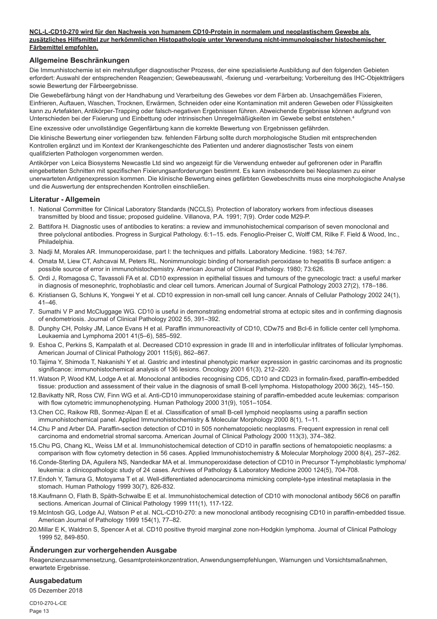#### **NCL-L-CD10-270 wird für den Nachweis von humanem CD10-Protein in normalem und neoplastischem Gewebe als zusätzliches Hilfsmittel zur herkömmlichen Histopathologie unter Verwendung nicht-immunologischer histochemischer Färbemittel empfohlen.**

## **Allgemeine Beschränkungen**

Die Immunhistochemie ist ein mehrstufiger diagnostischer Prozess, der eine spezialisierte Ausbildung auf den folgenden Gebieten erfordert: Auswahl der entsprechenden Reagenzien; Gewebeauswahl, -fixierung und -verarbeitung; Vorbereitung des IHC-Objektträgers sowie Bewertung der Färbeergebnisse.

Die Gewebefärbung hängt von der Handhabung und Verarbeitung des Gewebes vor dem Färben ab. Unsachgemäßes Fixieren, Einfrieren, Auftauen, Waschen, Trocknen, Erwärmen, Schneiden oder eine Kontamination mit anderen Geweben oder Flüssigkeiten kann zu Artefakten, Antikörper-Trapping oder falsch-negativen Ergebnissen führen. Abweichende Ergebnisse können aufgrund von Unterschieden bei der Fixierung und Einbettung oder intrinsischen Unregelmäßigkeiten im Gewebe selbst entstehen.4

Eine exzessive oder unvollständige Gegenfärbung kann die korrekte Bewertung von Ergebnissen gefährden.

Die klinische Bewertung einer vorliegenden bzw. fehlenden Färbung sollte durch morphologische Studien mit entsprechenden Kontrollen ergänzt und im Kontext der Krankengeschichte des Patienten und anderer diagnostischer Tests von einem qualifizierten Pathologen vorgenommen werden.

Antikörper von Leica Biosystems Newcastle Ltd sind wo angezeigt für die Verwendung entweder auf gefrorenen oder in Paraffin eingebetteten Schnitten mit spezifischen Fixierungsanforderungen bestimmt. Es kann insbesondere bei Neoplasmen zu einer unerwarteten Antigenexpression kommen. Die klinische Bewertung eines gefärbten Gewebeschnitts muss eine morphologische Analyse und die Auswertung der entsprechenden Kontrollen einschließen.

## **Literatur - Allgemein**

- 1. National Committee for Clinical Laboratory Standards (NCCLS). Protection of laboratory workers from infectious diseases transmitted by blood and tissue; proposed guideline. Villanova, P.A. 1991; 7(9). Order code M29-P.
- 2. Battifora H. Diagnostic uses of antibodies to keratins: a review and immunohistochemical comparison of seven monoclonal and three polyclonal antibodies. Progress in Surgical Pathology. 6:1–15. eds. Fenoglio-Preiser C, Wolff CM, Rilke F. Field & Wood, Inc., Philadelphia.
- 3. Nadji M, Morales AR. Immunoperoxidase, part I: the techniques and pitfalls. Laboratory Medicine. 1983; 14:767.
- 4. Omata M, Liew CT, Ashcavai M, Peters RL. Nonimmunologic binding of horseradish peroxidase to hepatitis B surface antigen: a possible source of error in immunohistochemistry. American Journal of Clinical Pathology. 1980; 73:626.
- 5. Ordi J, Romagosa C, Tavassoli FA et al. CD10 expression in epithelial tissues and tumours of the gynecologic tract: a useful marker in diagnosis of mesonephric, trophoblastic and clear cell tumors. American Journal of Surgical Pathology 2003 27(2), 178–186.
- 6. Kristiansen G, Schluns K, Yongwei Y et al. CD10 expression in non-small cell lung cancer. Annals of Cellular Pathology 2002 24(1), 41–46.
- 7. Sumathi V P and McCluggage WG. CD10 is useful in demonstrating endometrial stroma at ectopic sites and in confirming diagnosis of endometriosis. Journal of Clinical Pathology 2002 55, 391–392.
- 8. Dunphy CH, Polsky JM, Lance Evans H et al. Paraffin immunoreactivity of CD10, CDw75 and Bcl-6 in follicle center cell lymphoma. Leukaemia and Lymphoma 2001 41(5–6), 585–592.
- 9. Eshoa C, Perkins S, Kampalath et al. Decreased CD10 expression in grade III and in interfollicular infiltrates of follicular lymphomas. American Journal of Clinical Pathology 2001 115(6), 862–867.
- 10.Tajima Y, Shimoda T, Nakanishi Y et al. Gastric and intestinal phenotypic marker expression in gastric carcinomas and its prognostic significance: immunohistochemical analysis of 136 lesions. Oncology 2001 61(3), 212–220.
- 11.Watson P, Wood KM, Lodge A et al. Monoclonal antibodies recognising CD5, CD10 and CD23 in formalin-fixed, paraffin-embedded tissue: production and assessment of their value in the diagnosis of small B-cell lymphoma. Histopathology 2000 36(2), 145–150.
- 12.Bavikatty NR, Ross CW, Finn WG et al. Anti-CD10 immunoperoxidase staining of paraffin-embedded acute leukemias: comparison with flow cytometric immunophenotyping. Human Pathology 2000 31(9), 1051–1054.
- 13.Chen CC, Raikow RB, Sonmez-Alpan E et al. Classification of small B-cell lymphoid neoplasms using a paraffin section immunohistochemical panel. Applied Immunohistochemistry & Molecular Morphology 2000 8(1), 1–11.
- 14.Chu P and Arber DA. Paraffin-section detection of CD10 in 505 nonhematopoietic neoplasms. Frequent expression in renal cell carcinoma and endometrial stromal sarcoma. American Journal of Clinical Pathology 2000 113(3), 374–382.
- 15.Chu PG, Chang KL, Weiss LM et al. Immunohistochemical detection of CD10 in paraffin sections of hematopoietic neoplasms: a comparison with flow cytometry detection in 56 cases. Applied Immunohistochemistry & Molecular Morphology 2000 8(4), 257–262.
- 16.Conde-Sterling DA, Aguilera NS, Nandedkar MA et al. Immunoperoxidase detection of CD10 in Precursor T-lymphoblastic lymphoma/ leukemia: a clinicopathologic study of 24 cases. Archives of Pathology & Laboratory Medicine 2000 124(5), 704-708.
- 17.Endoh Y, Tamura G, Motoyama T et al. Well-differentiated adenocarcinoma mimicking complete-type intestinal metaplasia in the stomach. Human Pathology 1999 30(7), 826-832.
- 18.Kaufmann O, Flath B, Späth-Schwalbe E et al. Immunohistochemical detection of CD10 with monoclonal antibody 56C6 on paraffin sections. American Journal of Clinical Pathology 1999 111(1), 117-122.
- 19.McIntosh GG, Lodge AJ, Watson P et al. NCL-CD10-270: a new monoclonal antibody recognising CD10 in paraffin-embedded tissue. American Journal of Pathology 1999 154(1), 77–82.
- 20.Millar E K, Waldron S, Spencer A et al. CD10 positive thyroid marginal zone non-Hodgkin lymphoma. Journal of Clinical Pathology 1999 52, 849-850.

## **Änderungen zur vorhergehenden Ausgabe**

Reagenzienzusammensetzung, Gesamtproteinkonzentration, Anwendungsempfehlungen, Warnungen und Vorsichtsmaßnahmen, erwartete Ergebnisse.

## **Ausgabedatum**

05 Dezember 2018

CD10-270-L-CE Page 13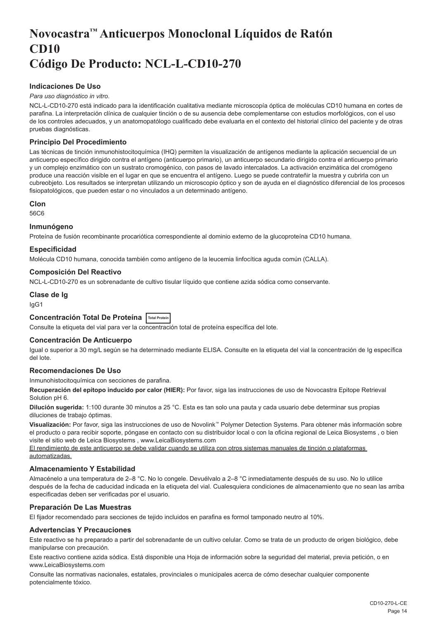# <span id="page-14-0"></span>**Novocastra™ Anticuerpos Monoclonal Líquidos de Ratón CD10 Código De Producto: NCL-L-CD10-270**

## **Indicaciones De Uso**

#### *Para uso diagnóstico in vitro*.

NCL-L-CD10-270 está indicado para la identificación cualitativa mediante microscopía óptica de moléculas CD10 humana en cortes de parafina. La interpretación clínica de cualquier tinción o de su ausencia debe complementarse con estudios morfológicos, con el uso de los controles adecuados, y un anatomopatólogo cualificado debe evaluarla en el contexto del historial clínico del paciente y de otras pruebas diagnósticas.

## **Principio Del Procedimiento**

Las técnicas de tinción inmunohistocitoquímica (IHQ) permiten la visualización de antígenos mediante la aplicación secuencial de un anticuerpo específico dirigido contra el antígeno (anticuerpo primario), un anticuerpo secundario dirigido contra el anticuerpo primario y un complejo enzimático con un sustrato cromogénico, con pasos de lavado intercalados. La activación enzimática del cromógeno produce una reacción visible en el lugar en que se encuentra el antígeno. Luego se puede contrateñir la muestra y cubrirla con un cubreobjeto. Los resultados se interpretan utilizando un microscopio óptico y son de ayuda en el diagnóstico diferencial de los procesos fisiopatológicos, que pueden estar o no vinculados a un determinado antígeno.

#### **Clon**

56C6

#### **Inmunógeno**

Proteína de fusión recombinante procariótica correspondiente al dominio externo de la glucoproteína CD10 humana.

## **Especificidad**

Molécula CD10 humana, conocida también como antígeno de la leucemia linfocítica aguda común (CALLA).

#### **Composición Del Reactivo**

NCL-L-CD10-270 es un sobrenadante de cultivo tisular líquido que contiene azida sódica como conservante.

**Clase de Ig**

IgG1

## **Concentración Total De Proteína Total Protein**

Consulte la etiqueta del vial para ver la concentración total de proteína específica del lote.

## **Concentración De Anticuerpo**

Igual o superior a 30 mg/L según se ha determinado mediante ELISA. Consulte en la etiqueta del vial la concentración de Ig específica del lote.

## **Recomendaciones De Uso**

Inmunohistocitoquímica con secciones de parafina.

**Recuperación del epítopo inducido por calor (HIER):** Por favor, siga las instrucciones de uso de Novocastra Epitope Retrieval Solution pH 6.

**Dilución sugerida:** 1:100 durante 30 minutos a 25 °C. Esta es tan solo una pauta y cada usuario debe determinar sus propias diluciones de trabajo óptimas.

**Visualización:** Por favor, siga las instrucciones de uso de Novolink™ Polymer Detection Systems. Para obtener más información sobre el producto o para recibir soporte, póngase en contacto con su distribuidor local o con la oficina regional de Leica Biosystems , o bien visite el sitio web de Leica Biosystems , www.LeicaBiosystems.com

El rendimiento de este anticuerpo se debe validar cuando se utiliza con otros sistemas manuales de tinción o plataformas automatizadas.

## **Almacenamiento Y Estabilidad**

Almacénelo a una temperatura de 2–8 °C. No lo congele. Devuélvalo a 2–8 °C inmediatamente después de su uso. No lo utilice después de la fecha de caducidad indicada en la etiqueta del vial. Cualesquiera condiciones de almacenamiento que no sean las arriba especificadas deben ser verificadas por el usuario.

## **Preparación De Las Muestras**

El fijador recomendado para secciones de tejido incluidos en parafina es formol tamponado neutro al 10%.

## **Advertencias Y Precauciones**

Este reactivo se ha preparado a partir del sobrenadante de un cultivo celular. Como se trata de un producto de origen biológico, debe manipularse con precaución.

Este reactivo contiene azida sódica. Está disponible una Hoja de información sobre la seguridad del material, previa petición, o en www.LeicaBiosystems.com

Consulte las normativas nacionales, estatales, provinciales o municipales acerca de cómo desechar cualquier componente potencialmente tóxico.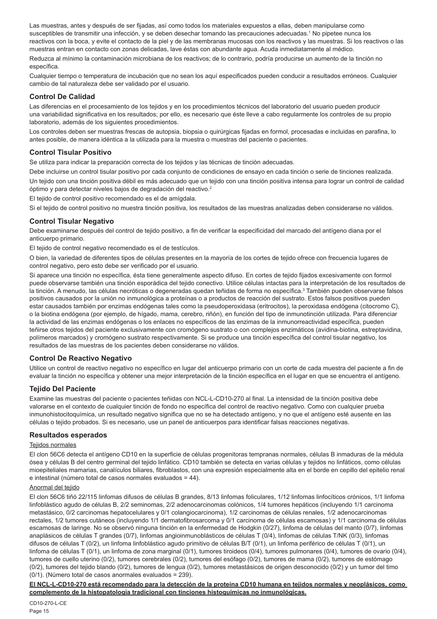Las muestras, antes y después de ser fijadas, así como todos los materiales expuestos a ellas, deben manipularse como susceptibles de transmitir una infección, y se deben desechar tomando las precauciones adecuadas.<sup>1</sup> No pipetee nunca los reactivos con la boca, y evite el contacto de la piel y de las membranas mucosas con los reactivos y las muestras. Si los reactivos o las muestras entran en contacto con zonas delicadas, lave éstas con abundante agua. Acuda inmediatamente al médico.

Reduzca al mínimo la contaminación microbiana de los reactivos; de lo contrario, podría producirse un aumento de la tinción no específica.

Cualquier tiempo o temperatura de incubación que no sean los aquí especificados pueden conducir a resultados erróneos. Cualquier cambio de tal naturaleza debe ser validado por el usuario.

## **Control De Calidad**

Las diferencias en el procesamiento de los tejidos y en los procedimientos técnicos del laboratorio del usuario pueden producir una variabilidad significativa en los resultados; por ello, es necesario que éste lleve a cabo regularmente los controles de su propio laboratorio, además de los siguientes procedimientos.

Los controles deben ser muestras frescas de autopsia, biopsia o quirúrgicas fijadas en formol, procesadas e incluidas en parafina, lo antes posible, de manera idéntica a la utilizada para la muestra o muestras del paciente o pacientes.

## **Control Tisular Positivo**

Se utiliza para indicar la preparación correcta de los tejidos y las técnicas de tinción adecuadas.

Debe incluirse un control tisular positivo por cada conjunto de condiciones de ensayo en cada tinción o serie de tinciones realizada. Un tejido con una tinción positiva débil es más adecuado que un tejido con una tinción positiva intensa para lograr un control de calidad óptimo y para detectar niveles bajos de degradación del reactivo.<sup>2</sup>

El tejido de control positivo recomendado es el de amígdala.

Si el tejido de control positivo no muestra tinción positiva, los resultados de las muestras analizadas deben considerarse no válidos.

## **Control Tisular Negativo**

Debe examinarse después del control de tejido positivo, a fin de verificar la especificidad del marcado del antígeno diana por el anticuerpo primario.

El tejido de control negativo recomendado es el de testículos.

O bien, la variedad de diferentes tipos de células presentes en la mayoría de los cortes de tejido ofrece con frecuencia lugares de control negativo, pero esto debe ser verificado por el usuario.

Si aparece una tinción no específica, ésta tiene generalmente aspecto difuso. En cortes de tejido fijados excesivamente con formol puede observarse también una tinción esporádica del tejido conectivo. Utilice células intactas para la interpretación de los resultados de la tinción. A menudo, las células necróticas o degeneradas quedan teñidas de forma no específica.<sup>3</sup> También pueden observarse falsos positivos causados por la unión no inmunológica a proteínas o a productos de reacción del sustrato. Estos falsos positivos pueden estar causados también por enzimas endógenas tales como la pseudoperoxidasa (eritrocitos), la peroxidasa endógena (citocromo C), o la biotina endógena (por ejemplo, de hígado, mama, cerebro, riñón), en función del tipo de inmunotinción utilizada. Para diferenciar la actividad de las enzimas endógenas o los enlaces no específicos de las enzimas de la inmunorreactividad específica, pueden teñirse otros tejidos del paciente exclusivamente con cromógeno sustrato o con complejos enzimáticos (avidina-biotina, estreptavidina, polímeros marcados) y cromógeno sustrato respectivamente. Si se produce una tinción específica del control tisular negativo, los resultados de las muestras de los pacientes deben considerarse no válidos.

## **Control De Reactivo Negativo**

Utilice un control de reactivo negativo no específico en lugar del anticuerpo primario con un corte de cada muestra del paciente a fin de evaluar la tinción no específica y obtener una mejor interpretación de la tinción específica en el lugar en que se encuentra el antígeno.

## **Tejido Del Paciente**

Examine las muestras del paciente o pacientes teñidas con NCL-L-CD10-270 al final. La intensidad de la tinción positiva debe valorarse en el contexto de cualquier tinción de fondo no específica del control de reactivo negativo. Como con cualquier prueba inmunohistocitoquímica, un resultado negativo significa que no se ha detectado antígeno, y no que el antígeno esté ausente en las células o tejido probados. Si es necesario, use un panel de anticuerpos para identificar falsas reacciones negativas.

## **Resultados esperados**

#### Teiidos normales

El clon 56C6 detecta el antígeno CD10 en la superficie de células progenitoras tempranas normales, células B inmaduras de la médula ósea y células B del centro germinal del tejido linfático. CD10 también se detecta en varias células y tejidos no linfáticos, como células mioepiteliales mamarias, canalículos biliares, fibroblastos, con una expresión especialmente alta en el borde en cepillo del epitelio renal e intestinal (número total de casos normales evaluados = 44).

#### Anormal del tejido

El clon 56C6 tiñó 22/115 linfomas difusos de células B grandes, 8/13 linfomas foliculares, 1/12 linfomas linfocíticos crónicos, 1/1 linfoma linfoblástico agudo de células B, 2/2 seminomas, 2/2 adenocarcinomas colónicos, 1/4 tumores hepáticos (incluyendo 1/1 carcinoma metastásico, 0/2 carcinomas hepatocelulares y 0/1 colangiocarcinoma), 1/2 carcinomas de células renales, 1/2 adenocarcinomas rectales, 1/2 tumores cutáneos (incluyendo 1/1 dermatofibrosarcoma y 0/1 carcinoma de células escamosas) y 1/1 carcinoma de células escamosas de laringe. No se observó ninguna tinción en la enfermedad de Hodgkin (0/27), linfoma de células del manto (0/7), linfomas anaplásicos de células T grandes (0/7), linfomas angioinmunoblásticos de células T (0/4), linfomas de células T/NK (0/3), linfomas difusos de células T (0/2), un linfoma linfoblástico agudo primitivo de células B/T (0/1), un linfoma periférico de células T (0/1), un linfoma de células T (0/1), un linfoma de zona marginal (0/1), tumores tiroideos (0/4), tumores pulmonares (0/4), tumores de ovario (0/4), tumores de cuello uterino (0/2), tumores cerebrales (0/2), tumores del esófago (0/2), tumores de mama (0/2), tumores de estómago (0/2), tumores del tejido blando (0/2), tumores de lengua (0/2), tumores metastásicos de origen desconocido (0/2) y un tumor del timo (0/1). (Número total de casos anormales evaluados = 239).

**El NCL-L-CD10-270 está recomendado para la detección de la proteína CD10 humana en tejidos normales y neoplásicos, como complemento de la histopatología tradicional con tinciones histoquímicas no inmunológicas.**

CD10-270-L-CE Page 15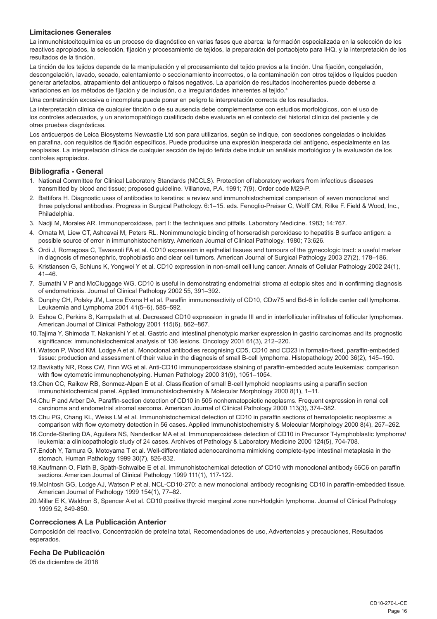## **Limitaciones Generales**

La inmunohistocitoquímica es un proceso de diagnóstico en varias fases que abarca: la formación especializada en la selección de los reactivos apropiados, la selección, fijación y procesamiento de tejidos, la preparación del portaobjeto para IHQ, y la interpretación de los resultados de la tinción.

La tinción de los tejidos depende de la manipulación y el procesamiento del tejido previos a la tinción. Una fijación, congelación, descongelación, lavado, secado, calentamiento o seccionamiento incorrectos, o la contaminación con otros tejidos o líquidos pueden generar artefactos, atrapamiento del anticuerpo o falsos negativos. La aparición de resultados incoherentes puede deberse a variaciones en los métodos de fijación y de inclusión, o a irregularidades inherentes al tejido.<sup>4</sup>

Una contratinción excesiva o incompleta puede poner en peligro la interpretación correcta de los resultados.

La interpretación clínica de cualquier tinción o de su ausencia debe complementarse con estudios morfológicos, con el uso de los controles adecuados, y un anatomopatólogo cualificado debe evaluarla en el contexto del historial clínico del paciente y de otras pruebas diagnósticas.

Los anticuerpos de Leica Biosystems Newcastle Ltd son para utilizarlos, según se indique, con secciones congeladas o incluidas en parafina, con requisitos de fijación específicos. Puede producirse una expresión inesperada del antígeno, especialmente en las neoplasias. La interpretación clínica de cualquier sección de tejido teñida debe incluir un análisis morfológico y la evaluación de los controles apropiados.

#### **Bibliografía - General**

- 1. National Committee for Clinical Laboratory Standards (NCCLS). Protection of laboratory workers from infectious diseases transmitted by blood and tissue; proposed guideline. Villanova, P.A. 1991; 7(9). Order code M29-P.
- 2. Battifora H. Diagnostic uses of antibodies to keratins: a review and immunohistochemical comparison of seven monoclonal and three polyclonal antibodies. Progress in Surgical Pathology. 6:1–15. eds. Fenoglio-Preiser C, Wolff CM, Rilke F. Field & Wood, Inc., Philadelphia.
- 3. Nadji M, Morales AR. Immunoperoxidase, part I: the techniques and pitfalls. Laboratory Medicine. 1983; 14:767.
- 4. Omata M, Liew CT, Ashcavai M, Peters RL. Nonimmunologic binding of horseradish peroxidase to hepatitis B surface antigen: a possible source of error in immunohistochemistry. American Journal of Clinical Pathology. 1980; 73:626.
- 5. Ordi J, Romagosa C, Tavassoli FA et al. CD10 expression in epithelial tissues and tumours of the gynecologic tract: a useful marker in diagnosis of mesonephric, trophoblastic and clear cell tumors. American Journal of Surgical Pathology 2003 27(2), 178–186.
- 6. Kristiansen G, Schluns K, Yongwei Y et al. CD10 expression in non-small cell lung cancer. Annals of Cellular Pathology 2002 24(1), 41–46.
- 7. Sumathi V P and McCluggage WG. CD10 is useful in demonstrating endometrial stroma at ectopic sites and in confirming diagnosis of endometriosis. Journal of Clinical Pathology 2002 55, 391–392.
- 8. Dunphy CH, Polsky JM, Lance Evans H et al. Paraffin immunoreactivity of CD10, CDw75 and Bcl-6 in follicle center cell lymphoma. Leukaemia and Lymphoma 2001 41(5–6), 585–592.
- 9. Eshoa C, Perkins S, Kampalath et al. Decreased CD10 expression in grade III and in interfollicular infiltrates of follicular lymphomas. American Journal of Clinical Pathology 2001 115(6), 862–867.
- 10.Tajima Y, Shimoda T, Nakanishi Y et al. Gastric and intestinal phenotypic marker expression in gastric carcinomas and its prognostic significance: immunohistochemical analysis of 136 lesions. Oncology 2001 61(3), 212–220.
- 11.Watson P, Wood KM, Lodge A et al. Monoclonal antibodies recognising CD5, CD10 and CD23 in formalin-fixed, paraffin-embedded tissue: production and assessment of their value in the diagnosis of small B-cell lymphoma. Histopathology 2000 36(2), 145–150.
- 12.Bavikatty NR, Ross CW, Finn WG et al. Anti-CD10 immunoperoxidase staining of paraffin-embedded acute leukemias: comparison with flow cytometric immunophenotyping. Human Pathology 2000 31(9), 1051–1054.
- 13.Chen CC, Raikow RB, Sonmez-Alpan E et al. Classification of small B-cell lymphoid neoplasms using a paraffin section immunohistochemical panel. Applied Immunohistochemistry & Molecular Morphology 2000 8(1), 1–11.
- 14.Chu P and Arber DA. Paraffin-section detection of CD10 in 505 nonhematopoietic neoplasms. Frequent expression in renal cell carcinoma and endometrial stromal sarcoma. American Journal of Clinical Pathology 2000 113(3), 374–382.
- 15.Chu PG, Chang KL, Weiss LM et al. Immunohistochemical detection of CD10 in paraffin sections of hematopoietic neoplasms: a comparison with flow cytometry detection in 56 cases. Applied Immunohistochemistry & Molecular Morphology 2000 8(4), 257–262.
- 16.Conde-Sterling DA, Aguilera NS, Nandedkar MA et al. Immunoperoxidase detection of CD10 in Precursor T-lymphoblastic lymphoma/ leukemia: a clinicopathologic study of 24 cases. Archives of Pathology & Laboratory Medicine 2000 124(5), 704-708.
- 17.Endoh Y, Tamura G, Motoyama T et al. Well-differentiated adenocarcinoma mimicking complete-type intestinal metaplasia in the stomach. Human Pathology 1999 30(7), 826-832.
- 18.Kaufmann O, Flath B, Späth-Schwalbe E et al. Immunohistochemical detection of CD10 with monoclonal antibody 56C6 on paraffin sections. American Journal of Clinical Pathology 1999 111(1), 117-122.
- 19.McIntosh GG, Lodge AJ, Watson P et al. NCL-CD10-270: a new monoclonal antibody recognising CD10 in paraffin-embedded tissue. American Journal of Pathology 1999 154(1), 77–82.
- 20.Millar E K, Waldron S, Spencer A et al. CD10 positive thyroid marginal zone non-Hodgkin lymphoma. Journal of Clinical Pathology 1999 52, 849-850.

## **Correcciones A La Publicación Anterior**

Composición del reactivo, Concentración de proteína total, Recomendaciones de uso, Advertencias y precauciones, Resultados esperados.

## **Fecha De Publicación**

05 de diciembre de 2018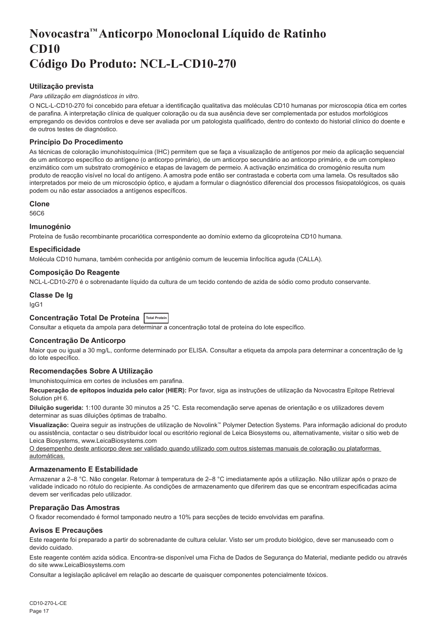# <span id="page-17-0"></span>**Novocastra™ Anticorpo Monoclonal Líquido de Ratinho CD10 Código Do Produto: NCL-L-CD10-270**

## **Utilização prevista**

#### *Para utilização em diagnósticos in vitro*.

O NCL-L-CD10-270 foi concebido para efetuar a identificação qualitativa das moléculas CD10 humanas por microscopia ótica em cortes de parafina. A interpretação clínica de qualquer coloração ou da sua ausência deve ser complementada por estudos morfológicos empregando os devidos controlos e deve ser avaliada por um patologista qualificado, dentro do contexto do historial clínico do doente e de outros testes de diagnóstico.

## **Princípio Do Procedimento**

As técnicas de coloração imunohistoquímica (IHC) permitem que se faça a visualização de antígenos por meio da aplicação sequencial de um anticorpo específico do antígeno (o anticorpo primário), de um anticorpo secundário ao anticorpo primário, e de um complexo enzimático com um substrato cromogénico e etapas de lavagem de permeio. A activação enzimática do cromogénio resulta num produto de reacção visível no local do antígeno. A amostra pode então ser contrastada e coberta com uma lamela. Os resultados são interpretados por meio de um microscópio óptico, e ajudam a formular o diagnóstico diferencial dos processos fisiopatológicos, os quais podem ou não estar associados a antígenos específicos.

#### **Clone**

56C6

#### **Imunogénio**

Proteína de fusão recombinante procariótica correspondente ao domínio externo da glicoproteína CD10 humana.

## **Especificidade**

Molécula CD10 humana, também conhecida por antigénio comum de leucemia linfocítica aguda (CALLA).

## **Composição Do Reagente**

NCL-L-CD10-270 é o sobrenadante líquido da cultura de um tecido contendo de azida de sódio como produto conservante.

## **Classe De Ig**

IgG1

## **Concentração Total De Proteína Total Protein**

Consultar a etiqueta da ampola para determinar a concentração total de proteína do lote específico.

## **Concentração De Anticorpo**

Maior que ou igual a 30 mg/L, conforme determinado por ELISA. Consultar a etiqueta da ampola para determinar a concentração de Ig do lote específico.

## **Recomendações Sobre A Utilização**

Imunohistoquímica em cortes de inclusões em parafina.

**Recuperação de epítopos induzida pelo calor (HIER):** Por favor, siga as instruções de utilização da Novocastra Epitope Retrieval Solution pH 6.

**Diluição sugerida:** 1:100 durante 30 minutos a 25 °C. Esta recomendação serve apenas de orientação e os utilizadores devem determinar as suas diluições óptimas de trabalho.

**Visualização:** Queira seguir as instruções de utilização de Novolink™ Polymer Detection Systems. Para informação adicional do produto ou assistência, contactar o seu distribuidor local ou escritório regional de Leica Biosystems ou, alternativamente, visitar o sitio web de Leica Biosystems, www.LeicaBiosystems.com

O desempenho deste anticorpo deve ser validado quando utilizado com outros sistemas manuais de coloração ou plataformas automáticas.

## **Armazenamento E Estabilidade**

Armazenar a 2–8 °C. Não congelar. Retornar à temperatura de 2–8 °C imediatamente após a utilização. Não utilizar após o prazo de validade indicado no rótulo do recipiente. As condições de armazenamento que diferirem das que se encontram especificadas acima devem ser verificadas pelo utilizador.

## **Preparação Das Amostras**

O fixador recomendado é formol tamponado neutro a 10% para secções de tecido envolvidas em parafina.

## **Avisos E Precauções**

Este reagente foi preparado a partir do sobrenadante de cultura celular. Visto ser um produto biológico, deve ser manuseado com o devido cuidado.

Este reagente contém azida sódica. Encontra-se disponível uma Ficha de Dados de Segurança do Material, mediante pedido ou através do site www.LeicaBiosystems.com

Consultar a legislação aplicável em relação ao descarte de quaisquer componentes potencialmente tóxicos.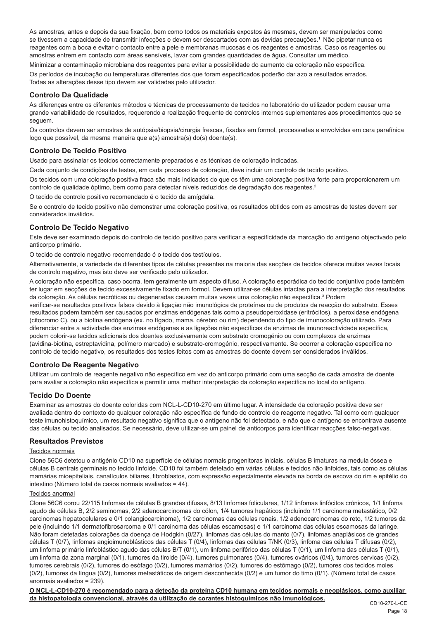As amostras, antes e depois da sua fixação, bem como todos os materiais expostos às mesmas, devem ser manipulados como se tivessem a capacidade de transmitir infecções e devem ser descartados com as devidas precauções.<sup>1</sup> Não pipetar nunca os reagentes com a boca e evitar o contacto entre a pele e membranas mucosas e os reagentes e amostras. Caso os reagentes ou amostras entrem em contacto com áreas sensíveis, lavar com grandes quantidades de água. Consultar um médico.

Minimizar a contaminação microbiana dos reagentes para evitar a possibilidade do aumento da coloração não específica. Os períodos de incubação ou temperaturas diferentes dos que foram especificados poderão dar azo a resultados errados. Todas as alterações desse tipo devem ser validadas pelo utilizador.

## **Controlo Da Qualidade**

As diferenças entre os diferentes métodos e técnicas de processamento de tecidos no laboratório do utilizador podem causar uma grande variabilidade de resultados, requerendo a realização frequente de controlos internos suplementares aos procedimentos que se seguem.

Os controlos devem ser amostras de autópsia/biopsia/cirurgia frescas, fixadas em formol, processadas e envolvidas em cera parafínica logo que possível, da mesma maneira que a(s) amostra(s) do(s) doente(s).

## **Controlo De Tecido Positivo**

Usado para assinalar os tecidos correctamente preparados e as técnicas de coloração indicadas.

Cada conjunto de condições de testes, em cada processo de coloração, deve incluir um controlo de tecido positivo.

Os tecidos com uma coloração positiva fraca são mais indicados do que os têm uma coloração positiva forte para proporcionarem um controlo de qualidade óptimo, bem como para detectar níveis reduzidos de degradação dos reagentes.<sup>2</sup>

O tecido de controlo positivo recomendado é o tecido da amígdala.

Se o controlo de tecido positivo não demonstrar uma coloração positiva, os resultados obtidos com as amostras de testes devem ser considerados inválidos.

## **Controlo De Tecido Negativo**

Este deve ser examinado depois do controlo de tecido positivo para verificar a especificidade da marcação do antígeno objectivado pelo anticorpo primário.

O tecido de controlo negativo recomendado é o tecido dos testículos.

Alternativamente, a variedade de diferentes tipos de células presentes na maioria das secções de tecidos oferece muitas vezes locais de controlo negativo, mas isto deve ser verificado pelo utilizador.

A coloração não específica, caso ocorra, tem geralmente um aspecto difuso. A coloração esporádica do tecido conjuntivo pode também ter lugar em secções de tecido excessivamente fixado em formol. Devem utilizar-se células intactas para a interpretação dos resultados da coloração. As células necróticas ou degeneradas causam muitas vezes uma coloração não específica.<sup>3</sup> Podem

verificar-se resultados positivos falsos devido à ligação não imunológica de proteínas ou de produtos da reacção do substrato. Esses resultados podem também ser causados por enzimas endógenas tais como a pseudoperoxidase (eritrócitos), a peroxidase endógena (citocromo C), ou a biotina endógena (ex. no fígado, mama, cérebro ou rim) dependendo do tipo de imunocoloração utilizado. Para diferenciar entre a actividade das enzimas endógenas e as ligações não específicas de enzimas de imunoreactividade específica, podem colorir-se tecidos adicionais dos doentes exclusivamente com substrato cromogénio ou com complexos de enzimas (avidina-biotina, estreptavidina, polímero marcado) e substrato-cromogénio, respectivamente. Se ocorrer a coloração específica no controlo de tecido negativo, os resultados dos testes feitos com as amostras do doente devem ser considerados inválidos.

## **Controlo De Reagente Negativo**

Utilizar um controlo de reagente negativo não específico em vez do anticorpo primário com uma secção de cada amostra de doente para avaliar a coloração não específica e permitir uma melhor interpretação da coloração específica no local do antígeno.

## **Tecido Do Doente**

Examinar as amostras do doente coloridas com NCL-L-CD10-270 em último lugar. A intensidade da coloração positiva deve ser avaliada dentro do contexto de qualquer coloração não específica de fundo do controlo de reagente negativo. Tal como com qualquer teste imunohistoquímico, um resultado negativo significa que o antígeno não foi detectado, e não que o antígeno se encontrava ausente das células ou tecido analisados. Se necessário, deve utilizar-se um painel de anticorpos para identificar reacções falso-negativas.

## **Resultados Previstos**

#### Tecidos normais

Clone 56C6 detetou o antigénio CD10 na superfície de células normais progenitoras iniciais, células B imaturas na medula óssea e células B centrais germinais no tecido linfoide. CD10 foi também detetado em várias células e tecidos não linfoides, tais como as células mamárias mioepiteliais, canalículos biliares, fibroblastos, com expressão especialmente elevada na borda de escova do rim e epitélio do intestino (Número total de casos normais avaliados = 44).

#### Tecidos anormal

Clone 56C6 corou 22/115 linfomas de células B grandes difusas, 8/13 linfomas foliculares, 1/12 linfomas linfócitos crónicos, 1/1 linfoma agudo de células B, 2/2 seminomas, 2/2 adenocarcinomas do cólon, 1/4 tumores hepáticos (incluindo 1/1 carcinoma metastático, 0/2 carcinomas hepatocelulares e 0/1 colangiocarcinoma), 1/2 carcinomas das células renais, 1/2 adenocarcinomas do reto, 1/2 tumores da pele (incluindo 1/1 dermatofibrosarcoma e 0/1 carcinoma das células escamosas) e 1/1 carcinoma das células escamosas da laringe. Não foram detetadas colorações da doença de Hodgkin (0/27), linfomas das células do manto (0/7), linfomas anaplásicos de grandes células T (0/7), linfomas angioimunoblásticos das células T (0/4), linfomas das células T/NK (0/3), linfoma das células T difusas (0/2), um linfoma primário linfoblástico agudo das células B/T (0/1), um linfoma periférico das células T (0/1), um linfoma das células T (0/1), um linfoma da zona marginal (0/1), tumores da tiroide (0/4), tumores pulmonares (0/4), tumores ováricos (0/4), tumores cervicas (0/2), tumores cerebrais (0/2), tumores do esófago (0/2), tumores mamários (0/2), tumores do estômago (0/2), tumores dos tecidos moles (0/2), tumores da língua (0/2), tumores metastáticos de origem desconhecida (0/2) e um tumor do timo (0/1). (Número total de casos anormais avaliados = 239).

**O NCL-L-CD10-270 é recomendado para a deteção da proteína CD10 humana em tecidos normais e neoplásicos, como auxiliar da histopatologia convencional, através da utilização de corantes histoquímicos não imunológicos.**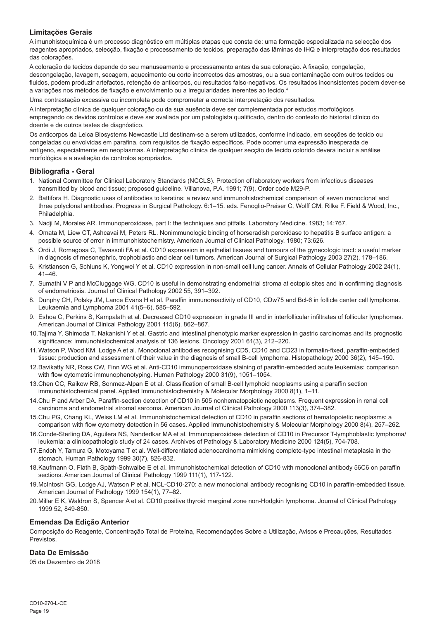## **Limitações Gerais**

A imunohistoquímica é um processo diagnóstico em múltiplas etapas que consta de: uma formação especializada na selecção dos reagentes apropriados, selecção, fixação e processamento de tecidos, preparação das lâminas de IHQ e interpretação dos resultados das colorações.

A coloração de tecidos depende do seu manuseamento e processamento antes da sua coloração. A fixação, congelação, descongelação, lavagem, secagem, aquecimento ou corte incorrectos das amostras, ou a sua contaminação com outros tecidos ou fluidos, podem produzir artefactos, retenção de anticorpos, ou resultados falso-negativos. Os resultados inconsistentes podem dever-se a variações nos métodos de fixação e envolvimento ou a irregularidades inerentes ao tecido.4

Uma contrastação excessiva ou incompleta pode comprometer a correcta interpretação dos resultados.

A interpretação clínica de qualquer coloração ou da sua ausência deve ser complementada por estudos morfológicos empregando os devidos controlos e deve ser avaliada por um patologista qualificado, dentro do contexto do historial clínico do doente e de outros testes de diagnóstico.

Os anticorpos da Leica Biosystems Newcastle Ltd destinam-se a serem utilizados, conforme indicado, em secções de tecido ou congeladas ou envolvidas em parafina, com requisitos de fixação específicos. Pode ocorrer uma expressão inesperada de antígeno, especialmente em neoplasmas. A interpretação clínica de qualquer secção de tecido colorido deverá incluir a análise morfológica e a avaliação de controlos apropriados.

#### **Bibliografia - Geral**

- 1. National Committee for Clinical Laboratory Standards (NCCLS). Protection of laboratory workers from infectious diseases transmitted by blood and tissue; proposed guideline. Villanova, P.A. 1991; 7(9). Order code M29-P.
- 2. Battifora H. Diagnostic uses of antibodies to keratins: a review and immunohistochemical comparison of seven monoclonal and three polyclonal antibodies. Progress in Surgical Pathology. 6:1–15. eds. Fenoglio-Preiser C, Wolff CM, Rilke F. Field & Wood, Inc., Philadelphia.
- 3. Nadji M, Morales AR. Immunoperoxidase, part I: the techniques and pitfalls. Laboratory Medicine. 1983; 14:767.
- 4. Omata M, Liew CT, Ashcavai M, Peters RL. Nonimmunologic binding of horseradish peroxidase to hepatitis B surface antigen: a possible source of error in immunohistochemistry. American Journal of Clinical Pathology. 1980; 73:626.
- 5. Ordi J, Romagosa C, Tavassoli FA et al. CD10 expression in epithelial tissues and tumours of the gynecologic tract: a useful marker in diagnosis of mesonephric, trophoblastic and clear cell tumors. American Journal of Surgical Pathology 2003 27(2), 178–186.
- 6. Kristiansen G, Schluns K, Yongwei Y et al. CD10 expression in non-small cell lung cancer. Annals of Cellular Pathology 2002 24(1), 41–46.
- 7. Sumathi V P and McCluggage WG. CD10 is useful in demonstrating endometrial stroma at ectopic sites and in confirming diagnosis of endometriosis. Journal of Clinical Pathology 2002 55, 391–392.
- 8. Dunphy CH, Polsky JM, Lance Evans H et al. Paraffin immunoreactivity of CD10, CDw75 and Bcl-6 in follicle center cell lymphoma. Leukaemia and Lymphoma 2001 41(5–6), 585–592.
- 9. Eshoa C, Perkins S, Kampalath et al. Decreased CD10 expression in grade III and in interfollicular infiltrates of follicular lymphomas. American Journal of Clinical Pathology 2001 115(6), 862–867.
- 10.Tajima Y, Shimoda T, Nakanishi Y et al. Gastric and intestinal phenotypic marker expression in gastric carcinomas and its prognostic significance: immunohistochemical analysis of 136 lesions. Oncology 2001 61(3), 212–220.
- 11.Watson P, Wood KM, Lodge A et al. Monoclonal antibodies recognising CD5, CD10 and CD23 in formalin-fixed, paraffin-embedded tissue: production and assessment of their value in the diagnosis of small B-cell lymphoma. Histopathology 2000 36(2), 145–150.
- 12.Bavikatty NR, Ross CW, Finn WG et al. Anti-CD10 immunoperoxidase staining of paraffin-embedded acute leukemias: comparison with flow cytometric immunophenotyping. Human Pathology 2000 31(9), 1051–1054.
- 13.Chen CC, Raikow RB, Sonmez-Alpan E et al. Classification of small B-cell lymphoid neoplasms using a paraffin section immunohistochemical panel. Applied Immunohistochemistry & Molecular Morphology 2000 8(1), 1–11.
- 14.Chu P and Arber DA. Paraffin-section detection of CD10 in 505 nonhematopoietic neoplasms. Frequent expression in renal cell carcinoma and endometrial stromal sarcoma. American Journal of Clinical Pathology 2000 113(3), 374–382.
- 15.Chu PG, Chang KL, Weiss LM et al. Immunohistochemical detection of CD10 in paraffin sections of hematopoietic neoplasms: a comparison with flow cytometry detection in 56 cases. Applied Immunohistochemistry & Molecular Morphology 2000 8(4), 257–262.
- 16.Conde-Sterling DA, Aguilera NS, Nandedkar MA et al. Immunoperoxidase detection of CD10 in Precursor T-lymphoblastic lymphoma/ leukemia: a clinicopathologic study of 24 cases. Archives of Pathology & Laboratory Medicine 2000 124(5), 704-708.
- 17.Endoh Y, Tamura G, Motoyama T et al. Well-differentiated adenocarcinoma mimicking complete-type intestinal metaplasia in the stomach. Human Pathology 1999 30(7), 826-832.
- 18.Kaufmann O, Flath B, Späth-Schwalbe E et al. Immunohistochemical detection of CD10 with monoclonal antibody 56C6 on paraffin sections. American Journal of Clinical Pathology 1999 111(1), 117-122.
- 19.McIntosh GG, Lodge AJ, Watson P et al. NCL-CD10-270: a new monoclonal antibody recognising CD10 in paraffin-embedded tissue. American Journal of Pathology 1999 154(1), 77–82.
- 20.Millar E K, Waldron S, Spencer A et al. CD10 positive thyroid marginal zone non-Hodgkin lymphoma. Journal of Clinical Pathology 1999 52, 849-850.

#### **Emendas Da Edição Anterior**

Composição do Reagente, Concentração Total de Proteína, Recomendações Sobre a Utilização, Avisos e Precauções, Resultados Previstos.

## **Data De Emissão**

05 de Dezembro de 2018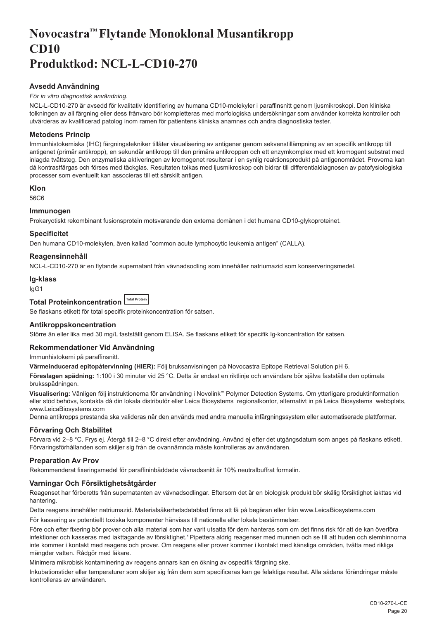# <span id="page-20-0"></span>**Novocastra™ Flytande Monoklonal Musantikropp CD10 Produktkod: NCL-L-CD10-270**

## **Avsedd Användning**

#### *För in vitro diagnostisk användning*.

NCL-L-CD10-270 är avsedd för kvalitativ identifiering av humana CD10-molekyler i paraffinsnitt genom ljusmikroskopi. Den kliniska tolkningen av all färgning eller dess frånvaro bör kompletteras med morfologiska undersökningar som använder korrekta kontroller och utvärderas av kvalificerad patolog inom ramen för patientens kliniska anamnes och andra diagnostiska tester.

## **Metodens Princip**

Immunhistokemiska (IHC) färgningstekniker tillåter visualisering av antigener genom sekvenstillämpning av en specifik antikropp till antigenet (primär antikropp), en sekundär antikropp till den primära antikroppen och ett enzymkomplex med ett kromogent substrat med inlagda tvättsteg. Den enzymatiska aktiveringen av kromogenet resulterar i en synlig reaktionsprodukt på antigenområdet. Proverna kan då kontrastfärgas och förses med täckglas. Resultaten tolkas med ljusmikroskop och bidrar till differentialdiagnosen av patofysiologiska processer som eventuellt kan associeras till ett särskilt antigen.

## **Klon**

56C6

## **Immunogen**

Prokaryotiskt rekombinant fusionsprotein motsvarande den externa domänen i det humana CD10-glykoproteinet.

## **Specificitet**

Den humana CD10-molekylen, även kallad "common acute lymphocytic leukemia antigen" (CALLA).

## **Reagensinnehåll**

NCL-L-CD10-270 är en flytande supernatant från vävnadsodling som innehåller natriumazid som konserveringsmedel.

#### **Ig-klass**

IgG1

#### **Total Proteinkoncentration Total Protein**

Se flaskans etikett för total specifik proteinkoncentration för satsen.

## **Antikroppskoncentration**

Större än eller lika med 30 mg/L fastställt genom ELISA. Se flaskans etikett för specifik Ig-koncentration för satsen.

#### **Rekommendationer Vid Användning**

Immunhistokemi på paraffinsnitt.

**Värmeinducerad epitopåtervinning (HIER):** Följ bruksanvisningen på Novocastra Epitope Retrieval Solution pH 6.

**Föreslagen spädning:** 1:100 i 30 minuter vid 25 °C. Detta är endast en riktlinje och användare bör själva fastställa den optimala bruksspädningen.

**Visualisering:** Vänligen följ instruktionerna för användning i Novolink™ Polymer Detection Systems. Om ytterligare produktinformation eller stöd behövs, kontakta då din lokala distributör eller Leica Biosystems regionalkontor, alternativt in på Leica Biosystems webbplats, www.LeicaBiosystems.com

Denna antikropps prestanda ska valideras när den används med andra manuella infärgningssystem eller automatiserade plattformar.

## **Förvaring Och Stabilitet**

Förvara vid 2–8 °C. Frys ej. Återgå till 2–8 °C direkt efter användning. Använd ej efter det utgångsdatum som anges på flaskans etikett. Förvaringsförhållanden som skiljer sig från de ovannämnda måste kontrolleras av användaren.

## **Preparation Av Prov**

Rekommenderat fixeringsmedel för paraffininbäddade vävnadssnitt är 10% neutralbuffrat formalin.

## **Varningar Och Försiktighetsåtgärder**

Reagenset har förberetts från supernatanten av vävnadsodlingar. Eftersom det är en biologisk produkt bör skälig försiktighet iakttas vid hantering.

Detta reagens innehåller natriumazid. Materialsäkerhetsdatablad finns att få på begäran eller från www.LeicaBiosystems.com

För kassering av potentiellt toxiska komponenter hänvisas till nationella eller lokala bestämmelser.

Före och efter fixering bör prover och alla material som har varit utsatta för dem hanteras som om det finns risk för att de kan överföra infektioner och kasseras med iakttagande av försiktighet.<sup>1</sup> Pipettera aldrig reagenser med munnen och se till att huden och slemhinnorna inte kommer i kontakt med reagens och prover. Om reagens eller prover kommer i kontakt med känsliga områden, tvätta med rikliga mängder vatten. Rådgör med läkare.

Minimera mikrobisk kontaminering av reagens annars kan en ökning av ospecifik färgning ske.

Inkubationstider eller temperaturer som skiljer sig från dem som specificeras kan ge felaktiga resultat. Alla sådana förändringar måste kontrolleras av användaren.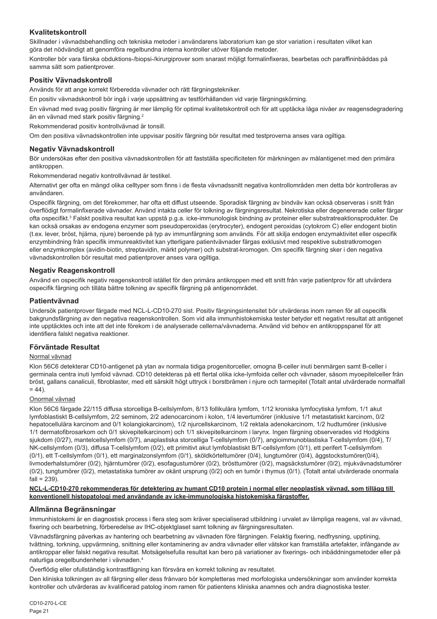## **Kvalitetskontroll**

Skillnader i vävnadsbehandling och tekniska metoder i användarens laboratorium kan ge stor variation i resultaten vilket kan göra det nödvändigt att genomföra regelbundna interna kontroller utöver följande metoder.

Kontroller bör vara färska obduktions-/biopsi-/kirurgiprover som snarast möjligt formalinfixeras, bearbetas och paraffininbäddas på samma sätt som patientprover.

## **Positiv Vävnadskontroll**

Används för att ange korrekt förberedda vävnader och rätt färgningstekniker.

En positiv vävnadskontroll bör ingå i varje uppsättning av testförhållanden vid varje färgningskörning.

En vävnad med svag positiv färgning är mer lämplig för optimal kvalitetskontroll och för att upptäcka låga nivåer av reagensdegradering än en vävnad med stark positiv färgning.<sup>2</sup>

Rekommenderad positiv kontrollvävnad är tonsill.

Om den positiva vävnadskontrollen inte uppvisar positiv färgning bör resultat med testproverna anses vara ogiltiga.

#### **Negativ Vävnadskontroll**

Bör undersökas efter den positiva vävnadskontrollen för att fastställa specificiteten för märkningen av målantigenet med den primära antikroppen.

Rekommenderad negativ kontrollvävnad är testikel.

Alternativt ger ofta en mängd olika celltyper som finns i de flesta vävnadssnitt negativa kontrollområden men detta bör kontrolleras av användaren.

Ospecifik färgning, om det förekommer, har ofta ett diffust utseende. Sporadisk färgning av bindväv kan också observeras i snitt från överflödigt formalinfixerade vävnader. Använd intakta celler för tolkning av färgningsresultat. Nekrotiska eller degenererade celler färgar ofta ospecifikt.<sup>3</sup> Falskt positiva resultat kan uppstå p.g.a. icke-immunologisk bindning av proteiner eller substratreaktionsprodukter. De kan också orsakas av endogena enzymer som pseudoperoxidas (erytrocyter), endogent peroxidas (cytokrom C) eller endogent biotin (t.ex. lever, bröst, hjärna, njure) beroende på typ av immunfärgning som används. För att skilja endogen enzymaktivitet eller ospecifik enzymbindning från specifik immunreaktivitet kan ytterligare patientvävnader färgas exklusivt med respektive substratkromogen eller enzymkomplex (avidin-biotin, streptavidin, märkt polymer) och substrat-kromogen. Om specifik färgning sker i den negativa vävnadskontrollen bör resultat med patientprover anses vara ogiltiga.

## **Negativ Reagenskontroll**

Använd en ospecifik negativ reagenskontroll istället för den primära antikroppen med ett snitt från varje patientprov för att utvärdera ospecifik färgning och tillåta bättre tolkning av specifik färgning på antigenområdet.

#### **Patientvävnad**

Undersök patientprover färgade med NCL-L-CD10-270 sist. Positiv färgningsintensitet bör utvärderas inom ramen för all ospecifik bakgrundsfärgning av den negativa reagenskontrollen. Som vid alla immunhistokemiska tester betyder ett negativt resultat att antigenet inte upptäcktes och inte att det inte förekom i de analyserade cellerna/vävnaderna. Använd vid behov en antikroppspanel för att identifiera falskt negativa reaktioner.

#### **Förväntade Resultat**

## Normal vävnad

Klon 56C6 detekterar CD10-antigenet på ytan av normala tidiga progenitorceller, omogna B-celler inuti benmärgen samt B-celler i germinala centra inuti lymfoid vävnad. CD10 detekteras på ett flertal olika icke-lymfoida celler och vävnader, såsom myoepitelceller från bröst, gallans canaliculi, fibroblaster, med ett särskilt högt uttryck i borstbrämen i njure och tarmepitel (Totalt antal utvärderade normalfall  $= 44$ 

#### Onormal vävnad

Klon 56C6 färgade 22/115 diffusa storcelliga B-cellslymfom, 8/13 follikulära lymfom, 1/12 kroniska lymfocytiska lymfom, 1/1 akut lymfoblastiskt B-cellslymfom, 2/2 seminom, 2/2 adenocarcinom i kolon, 1/4 levertumörer (inklusive 1/1 metastatiskt karcinom, 0/2 hepatocellulära karcinom and 0/1 kolangiokarcinom), 1/2 njurcellskarcinom, 1/2 rektala adenokarcinom, 1/2 hudtumörer (inklusive 1/1 dermatofibrosarkom och 0/1 skivepitelkarcinom) och 1/1 skivepitelkarcinom i larynx. Ingen färgning observerades vid Hodgkins sjukdom (0/27), mantelcellslymfom (0/7), anaplastiska storcelliga T-cellslymfom (0/7), angioimmunoblastiska T-cellslymfom (0/4), T/ NK-cellslymfom (0/3), diffusa T-cellslymfom (0/2), ett primitivt akut lymfoblastiskt B/T-cellslymfom (0/1), ett perifert T-cellslymfom (0/1), ett T-cellslymfom (0/1), ett marginalzonslymfom (0/1), sköldkörteltumörer (0/4), lungtumörer (0/4), äggstockstumörer(0/4), livmoderhalstumörer (0/2), hjärntumörer (0/2), esofagustumörer (0/2), brösttumörer (0/2), magsäckstumörer (0/2), miukvävnadstumörer (0/2), tungtumörer (0/2), metastatiska tumörer av okänt ursprung (0/2) och en tumör i thymus (0/1). (Totalt antal utvärderade onormala  $fall = 239$ ).

#### **NCL-L-CD10-270 rekommenderas för detektering av humant CD10 protein i normal eller neoplastisk vävnad, som tillägg till konventionell histopatologi med användande av icke-immunologiska histokemiska färgstoffer.**

## **Allmänna Begränsningar**

Immunhistokemi är en diagnostisk process i flera steg som kräver specialiserad utbildning i urvalet av lämpliga reagens, val av vävnad, fixering och bearbetning, förberedelse av IHC-objektglaset samt tolkning av färgningsresultaten.

Vävnadsfärgning påverkas av hantering och bearbetning av vävnaden före färgningen. Felaktig fixering, nedfrysning, upptining, tvättning, torkning, uppvärmning, snittning eller kontaminering av andra vävnader eller vätskor kan framställa artefakter, infångande av antikroppar eller falskt negativa resultat. Motsägelsefulla resultat kan bero på variationer av fixerings- och inbäddningsmetoder eller på naturliga oregelbundenheter i vävnaden.4

Överflödig eller ofullständig kontrastfägning kan försvåra en korrekt tolkning av resultatet.

Den kliniska tolkningen av all färgning eller dess frånvaro bör kompletteras med morfologiska undersökningar som använder korrekta kontroller och utvärderas av kvalificerad patolog inom ramen för patientens kliniska anamnes och andra diagnostiska tester.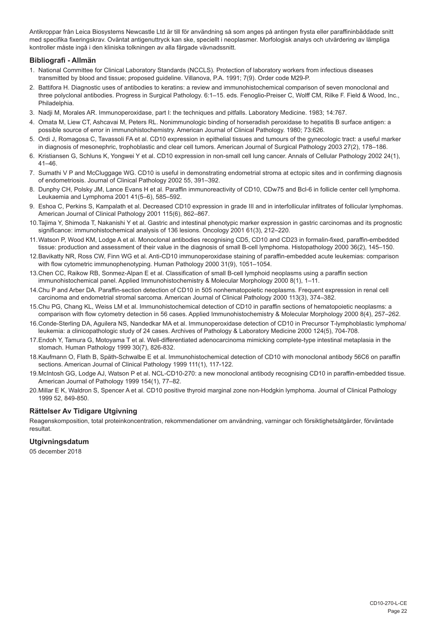Antikroppar från Leica Biosystems Newcastle Ltd är till för användning så som anges på antingen frysta eller paraffininbäddade snitt med specifika fixeringskrav. Oväntat antigenuttryck kan ske, speciellt i neoplasmer. Morfologisk analys och utvärdering av lämpliga kontroller måste ingå i den kliniska tolkningen av alla färgade vävnadssnitt.

## **Bibliografi - Allmän**

- 1. National Committee for Clinical Laboratory Standards (NCCLS). Protection of laboratory workers from infectious diseases transmitted by blood and tissue; proposed guideline. Villanova, P.A. 1991; 7(9). Order code M29-P.
- 2. Battifora H. Diagnostic uses of antibodies to keratins: a review and immunohistochemical comparison of seven monoclonal and three polyclonal antibodies. Progress in Surgical Pathology. 6:1–15. eds. Fenoglio-Preiser C, Wolff CM, Rilke F. Field & Wood, Inc., Philadelphia.
- 3. Nadji M, Morales AR. Immunoperoxidase, part I: the techniques and pitfalls. Laboratory Medicine. 1983; 14:767.
- 4. Omata M, Liew CT, Ashcavai M, Peters RL. Nonimmunologic binding of horseradish peroxidase to hepatitis B surface antigen: a possible source of error in immunohistochemistry. American Journal of Clinical Pathology. 1980; 73:626.
- 5. Ordi J, Romagosa C, Tavassoli FA et al. CD10 expression in epithelial tissues and tumours of the gynecologic tract: a useful marker in diagnosis of mesonephric, trophoblastic and clear cell tumors. American Journal of Surgical Pathology 2003 27(2), 178–186.
- 6. Kristiansen G, Schluns K, Yongwei Y et al. CD10 expression in non-small cell lung cancer. Annals of Cellular Pathology 2002 24(1), 41–46.
- 7. Sumathi V P and McCluggage WG. CD10 is useful in demonstrating endometrial stroma at ectopic sites and in confirming diagnosis of endometriosis. Journal of Clinical Pathology 2002 55, 391–392.
- 8. Dunphy CH, Polsky JM, Lance Evans H et al. Paraffin immunoreactivity of CD10, CDw75 and Bcl-6 in follicle center cell lymphoma. Leukaemia and Lymphoma 2001 41(5–6), 585–592.
- 9. Eshoa C, Perkins S, Kampalath et al. Decreased CD10 expression in grade III and in interfollicular infiltrates of follicular lymphomas. American Journal of Clinical Pathology 2001 115(6), 862–867.
- 10.Tajima Y, Shimoda T, Nakanishi Y et al. Gastric and intestinal phenotypic marker expression in gastric carcinomas and its prognostic significance: immunohistochemical analysis of 136 lesions. Oncology 2001 61(3), 212–220.
- 11.Watson P, Wood KM, Lodge A et al. Monoclonal antibodies recognising CD5, CD10 and CD23 in formalin-fixed, paraffin-embedded tissue: production and assessment of their value in the diagnosis of small B-cell lymphoma. Histopathology 2000 36(2), 145–150.
- 12.Bavikatty NR, Ross CW, Finn WG et al. Anti-CD10 immunoperoxidase staining of paraffin-embedded acute leukemias: comparison with flow cytometric immunophenotyping. Human Pathology 2000 31(9), 1051–1054.
- 13.Chen CC, Raikow RB, Sonmez-Alpan E et al. Classification of small B-cell lymphoid neoplasms using a paraffin section immunohistochemical panel. Applied Immunohistochemistry & Molecular Morphology 2000 8(1), 1–11.
- 14.Chu P and Arber DA. Paraffin-section detection of CD10 in 505 nonhematopoietic neoplasms. Frequent expression in renal cell carcinoma and endometrial stromal sarcoma. American Journal of Clinical Pathology 2000 113(3), 374–382.
- 15.Chu PG, Chang KL, Weiss LM et al. Immunohistochemical detection of CD10 in paraffin sections of hematopoietic neoplasms: a comparison with flow cytometry detection in 56 cases. Applied Immunohistochemistry & Molecular Morphology 2000 8(4), 257–262.
- 16.Conde-Sterling DA, Aguilera NS, Nandedkar MA et al. Immunoperoxidase detection of CD10 in Precursor T-lymphoblastic lymphoma/ leukemia: a clinicopathologic study of 24 cases. Archives of Pathology & Laboratory Medicine 2000 124(5), 704-708.
- 17.Endoh Y, Tamura G, Motoyama T et al. Well-differentiated adenocarcinoma mimicking complete-type intestinal metaplasia in the stomach. Human Pathology 1999 30(7), 826-832.
- 18.Kaufmann O, Flath B, Späth-Schwalbe E et al. Immunohistochemical detection of CD10 with monoclonal antibody 56C6 on paraffin sections. American Journal of Clinical Pathology 1999 111(1), 117-122.
- 19.McIntosh GG, Lodge AJ, Watson P et al. NCL-CD10-270: a new monoclonal antibody recognising CD10 in paraffin-embedded tissue. American Journal of Pathology 1999 154(1), 77–82.
- 20.Millar E K, Waldron S, Spencer A et al. CD10 positive thyroid marginal zone non-Hodgkin lymphoma. Journal of Clinical Pathology 1999 52, 849-850.

#### **Rättelser Av Tidigare Utgivning**

Reagenskomposition, total proteinkoncentration, rekommendationer om användning, varningar och försiktighetsåtgärder, förväntade resultat.

## **Utgivningsdatum**

05 december 2018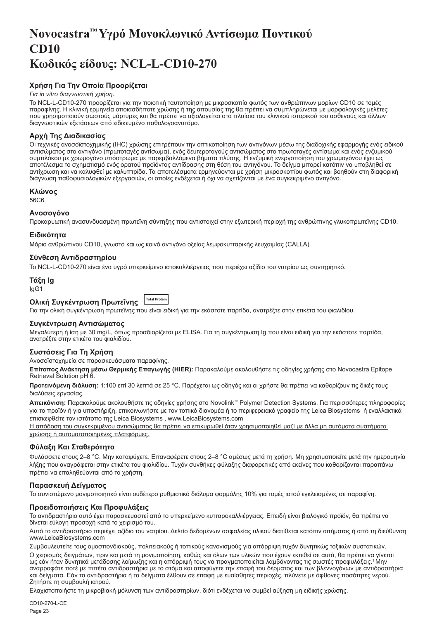# <span id="page-23-0"></span>**Novocastra™ Υγρό Μονοκλωνικό Αντίσωμα Ποντικού CD10 Κωδικός είδους: NCL-L-CD10-270**

## **Χρήση Για Την Οποία Προορίζεται**

#### *Για in vitro διαγνωστική χρήση*.

Το NCL-L-CD10-270 προορίζεται για την ποιοτική ταυτοποίηση με μικροσκοπία φωτός των ανθρώπινων μορίων CD10 σε τομές παραφίνης. Η κλινική ερμηνεία οποιασδήποτε χρώσης ή της απουσίας της θα πρέπει να συμπληρώνεται με μορφολογικές μελέτες που χρησιμοποιούν σωστούς μάρτυρες και θα πρέπει να αξιολογείται στα πλαίσια του κλινικού ιστορικού του ασθενούς και άλλων διαγνωστικών εξετάσεων από ειδικευμένο παθολογοανατόμο.

## **Αρχή Της Διαδικασίας**

Οι τεχνικές ανοσοϊστοχημικής (IHC) χρώσης επιτρέπουν την οπτικοποίηση των αντιγόνων μέσω της διαδοχικής εφαρμογής ενός ειδικού αντισώματος στο αντιγόνο (πρωτοταγές αντίσωμα), ενός δευτεροταγούς αντισώματος στο πρωτοταγές αντίσωμα και ενός ενζυμικού συμπλόκου με χρωμογόνο υπόστρωμα με παρεμβαλλόμενα βήματα πλύσης. Η ενζυμική ενεργοποίηση του χρωμογόνου έχει ως αποτέλεσμα το σχηματισμό ενός ορατού προϊόντος αντίδρασης στη θέση του αντιγόνου. Το δείγμα μπορεί κατόπιν να υποβληθεί σε αντίχρωση και να καλυφθεί με καλυπτρίδα. Τα αποτελέσματα ερμηνεύονται με χρήση μικροσκοπίου φωτός και βοηθούν στη διαφορική διάγνωση παθοφυσιολογικών εξεργασιών, οι οποίες ενδέχεται ή όχι να σχετίζονται με ένα συγκεκριμένο αντιγόνο.

#### **Κλώνος**

56C6

## **Ανοσογόνο**

Προκαρυωτική ανασυνδυασμένη πρωτεϊνη σύντηξης που αντιστοιχεί στην εξωτερική περιοχή της ανθρώπινης γλυκοπρωτεϊνης CD10.

#### **Ειδικότητα**

Μόριο ανθρώπινου CD10, γνωστό και ως κοινό αντιγόνο οξείας λεμφοκυτταρικής λευχαιμίας (CALLA).

#### **Σύνθεση Αντιδραστηρίου**

Το NCL-L-CD10-270 είναι ένα υγρό υπερκείμενο ιστοκαλλιέργειας που περιέχει αζίδιο του νατρίου ως συντηρητικό.

#### **Τάξη Ig** IgG1

#### **Ολική Συγκέντρωση Πρωτεΐνης Total Protein**

Για την ολική συγκέντρωση πρωτεΐνης που είναι ειδική για την εκάστοτε παρτίδα, ανατρέξτε στην ετικέτα του φιαλιδίου.

## **Συγκέντρωση Αντισώματος**

Μεγαλύτερη ή ίση με 30 mg/L, όπως προσδιορίζεται με ELISA. Για τη συγκέντρωση Ig που είναι ειδική για την εκάστοτε παρτίδα, ανατρέξτε στην ετικέτα του φιαλιδίου.

## **Συστάσεις Για Τη Χρήση**

#### Ανοσοϊστοχημεία σε παρασκευάσματα παραφίνης.

**Επίτοπος Ανάκτηση μέσω Θερμικής Επαγωγής (HIER):** Παρακαλούμε ακολουθήστε τις οδηγίες χρήσης στο Novocastra Epitope Retrieval Solution pH 6.

**Προτεινόμενη διάλυση:** 1:100 επί 30 λεπτά σε 25 °C. Παρέχεται ως οδηγός και οι χρήστε θα πρέπει να καθορίζουν τις δικές τους διαλύσεις εργασίας.

**Απεικόνιση:** Παρακαλούμε ακολουθήστε τις οδηγίες χρήσης στο Novolink™ Polymer Detection Systems. Για περισσότερες πληροφορίες για το προϊόν ή για υποστήριξη, επικοινωνήστε με τον τοπικό διανομέα ή το περιφερειακό γραφείο της Leica Biosystems ή εναλλακτικά επισκεφθείτε τον ιστότοπο της Leica Biosystems , www.LeicaBiosystems.com

Η απόδοση του συγκεκριμένου αντισώματος θα πρέπει να επικυρωθεί όταν χρησιμοποιηθεί μαζί με άλλα μη αυτόματα συστήματα χρώσης ή αυτοματοποιημένες πλατφόρμες.

#### **Φύλαξη Και Σταθερότητα**

Φυλάσσετε στους 2–8 °C. Μην καταψύχετε. Επαναφέρετε στους 2–8 °C αμέσως μετά τη χρήση. Μη χρησιμοποιείτε μετά την ημερομηνία λήξης που αναγράφεται στην ετικέτα του φιαλιδίου. Τυχόν συνθήκες φύλαξης διαφορετικές από εκείνες που καθορίζονται παραπάνω πρέπει να επαληθεύονται από το χρήστη.

## **Παρασκευή Δείγματος**

Το συνιστώμενο μονιμοποιητικό είναι ουδέτερο ρυθμιστικό διάλυμα φορμόλης 10% για τομές ιστού εγκλεισμένες σε παραφίνη.

## **Προειδοποιήσεις Και Προφυλάξεις**

Το αντιδραστήριο αυτό έχει παρασκευαστεί από το υπερκείμενο κυτταροκαλλιέργειας. Επειδή είναι βιολογικό προϊόν, θα πρέπει να δίνεται εύλογη προσοχή κατά το χειρισμό του.

Αυτό το αντιδραστήριο περιέχει αζίδιο του νατρίου. Δελτίο δεδομένων ασφαλείας υλικού διατίθεται κατόπιν αιτήματος ή από τη διεύθυνση www.LeicaBiosystems.com

Συμβουλευτείτε τους ομοσπονδιακούς, πολιτειακούς ή τοπικούς κανονισμούς για απόρριψη τυχόν δυνητικώς τοξικών συστατικών. Ο χειρισμός δειγμάτων, πριν και μετά τη μονιμοποίηση, καθώς και όλων των υλικών που έχουν εκτεθεί σε αυτά, θα πρέπει να γίνεται ως εάν ήταν δυνητικά μετάδοσης λοίμωξης και η απόρριψή τους να πραγματοποιείται λαμβάνοντας τις σωστές προφυλάξεις.<sup>1</sup>Μην αναρροφάτε ποτέ με πιπέτα αντιδραστήρια με το στόμα και αποφύγετε την επαφή του δέρματος και των βλεννογόνων με αντιδραστήρια και δείγματα. Εάν τα αντιδραστήρια ή τα δείγματα έλθουν σε επαφή με ευαίσθητες περιοχές, πλύνετε με άφθονες ποσότητες νερού. Ζητήστε τη συμβουλή ιατρού.

Ελαχιστοποιήστε τη μικροβιακή μόλυνση των αντιδραστηρίων, διότι ενδέχεται να συμβεί αύξηση μη ειδικής χρώσης.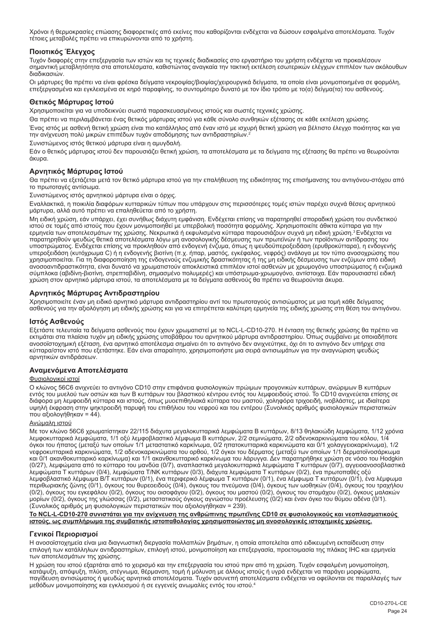Χρόνοι ή θερμοκρασίες επώασης διαφορετικές από εκείνες που καθορίζονται ενδέχεται να δώσουν εσφαλμένα αποτελέσματα. Τυχόν τέτοιες μεταβολές πρέπει να επικυρώνονται από το χρήστη.

## **Ποιοτικός Έλεγχος**

Τυχόν διαφορές στην επεξεργασία των ιστών και τις τεχνικές διαδικασίες στο εργαστήριο του χρήστη ενδέχεται να προκαλέσουν σημαντική μεταβλητότητα στα αποτελέσματα, καθιστώντας αναγκαία την τακτική εκτέλεση εσωτερικών ελέγχων επιπλέον των ακόλουθων διαδικασιών.

Οι μάρτυρες θα πρέπει να είναι φρέσκα δείγματα νεκροψίας/βιοψίας/χειρουργικά δείγματα, τα οποία είναι μονιμοποιημένα σε φορμόλη, επεξεργασμένα και εγκλεισμένα σε κηρό παραφίνης, το συντομότερο δυνατό με τον ίδιο τρόπο με το(α) δείγμα(τα) του ασθενούς.

#### **Θετικός Μάρτυρας Ιστού**

Χρησιμοποιείται για να υποδεικνύει σωστά παρασκευασμένους ιστούς και σωστές τεχνικές χρώσης.

Θα πρέπει να περιλαμβάνεται ένας θετικός μάρτυρας ιστού για κάθε σύνολο συνθηκών εξέτασης σε κάθε εκτέλεση χρώσης.

Ένας ιστός με ασθενή θετική χρώση είναι πιο κατάλληλος από έναν ιστό με ισχυρή θετική χρώση για βέλτιστο έλεγχο ποιότητας και για την ανίχνευση πολύ μικρών επιπέδων τυχόν αποδόμησης των αντιδραστηρίων.<sup>2</sup>

Συνιστώμενος ιστός θετικού μάρτυρα είναι η αμυγδαλή.

Εάν ο θετικός μάρτυρας ιστού δεν παρουσιάζει θετική χρώση, τα αποτελέσματα με τα δείγματα της εξέτασης θα πρέπει να θεωρούνται άκυρα.

## **Αρνητικός Μάρτυρας Ιστού**

Θα πρέπει να εξετάζεται μετά τον θετικό μάρτυρα ιστού για την επαλήθευση της ειδικότητας της επισήμανσης του αντιγόνου-στόχου από το πρωτοταγές αντίσωμα.

Συνιστώμενος ιστός αρνητικού μάρτυρα είναι ο όρχις.

Εναλλακτικά, η ποικιλία διαφόρων κυτταρικών τύπων που υπάρχουν στις περισσότερες τομές ιστών παρέχει συχνά θέσεις αρνητικού μάρτυρα, αλλά αυτό πρέπει να επαληθεύεται από το χρήστη.

Μη ειδική χρώση, εάν υπάρχει, έχει συνήθως διάχυτη εμφάνιση. Ενδέχεται επίσης να παρατηρηθεί σποραδική χρώση του συνδετικού ιστού σε τομές από ιστούς που έχουν μονιμοποιηθεί με υπερβολική ποσότητα φορμόλης. Χρησιμοποιείτε άθικτα κύτταρα για την<br>ερμηνεία των αποτελεσμάτων της χρώσης. Νεκρωτικά ή εκφυλισμένα κύτταρα παρουσιάζουν συχνά μη ειδική παρατηρηθούν ψευδώς θετικά αποτελέσματα λόγω μη ανοσολογικής δέσμευσης των πρωτεϊνών ή των προϊόντων αντίδρασης του υποστρώματος. Ενδέχεται επίσης να προκληθούν από ενδογενή ένζυμα, όπως η ψευδοϋπεροξειδάση (ερυθροκύτταρα), η ενδογενής<br>υπεροξειδάση (κυτόχρωμα C) ή η ενδογενής βιοτίνη (π.χ. ήπαρ, μαστός, εγκέφαλος, νεφρός) ανάλογα με το χρησιμοποιείται. Για τη διαφοροποίηση της ενδογενούς ενζυμικής δραστικότητας ή της μη ειδικής δέσμευσης των ενζύμων από ειδική ανοσοαντιδραστικότητα, είναι δυνατό να χρωματιστούν αποκλειστικά επιπλέον ιστοί ασθενών με χρωμογόνο υποστρώματος ή ενζυμικά σύμπλοκα (αβιδίνη-βιοτίνη, στρεπταβιδίνη, σημασμένο πολυμερές) και υπόστρωμα-χρωμογόνο, αντίστοιχα. Εάν παρουσιαστεί ειδική χρώση στον αρνητικό μάρτυρα ιστού, τα αποτελέσματα με τα δείγματα ασθενούς θα πρέπει να θεωρούνται άκυρα.

## **Αρνητικός Μάρτυρας Αντιδραστηρίου**

Χρησιμοποιείτε έναν μη ειδικό αρνητικό μάρτυρα αντιδραστηρίου αντί του πρωτοταγούς αντισώματος με μια τομή κάθε δείγματος ασθενούς για την αξιολόγηση μη ειδικής χρώσης και για να επιτρέπεται καλύτερη ερμηνεία της ειδικής χρώσης στη θέση του αντιγόνου.

## **Ιστός Ασθενούς**

Εξετάστε τελευταία τα δείγματα ασθενούς που έχουν χρωματιστεί με το NCL-L-CD10-270. Η ένταση της θετικής χρώσης θα πρέπει να εκτιμάται στα πλαίσια τυχόν μη ειδικής χρώσης υποβάθρου του αρνητικού μάρτυρα αντιδραστηρίου. Όπως συμβαίνει με οποιαδήποτε ανοσοϊστοχημική εξέταση, ένα αρνητικό αποτέλεσμα σημαίνει ότι το αντιγόνο δεν ανιχνεύτηκε, όχι ότι το αντιγόνο δεν υπήρχε στα κύτταρα/στον ιστό που εξετάστηκε. Εάν είναι απαραίτητο, χρησιμοποιήστε μια σειρά αντισωμάτων για την αναγνώριση ψευδώς αρνητικών αντιδράσεων.

## **Αναμενόμενα Αποτελέσματα**

#### Φυσιολογικοί ιστοί

Ο κλώνος 56C6 ανιχνεύει το αντιγόνο CD10 στην επιφάνεια φυσιολογικών πρώιμων προγονικών κυττάρων, ανώριμων Β κυττάρων εντός του μυελού των οστών και των Β κυττάρων του βλαστικού κέντρου εντός του λεμφοειδούς ιστού. Το CD10 ανιχνεύεται επίσης σε διάφορα μη λεμφοειδή κύτταρα και ιστούς, όπως μυοεπιθηλιακά κύτταρα του μαστού, χοληφόρα τριχοειδή, ινοβλάστες, με ιδιαίτερα υψηλή έκφραση στην ψηκτροειδή παρυφή του επιθήλιου του νεφρού και του εντέρου (Συνολικός αριθμός φυσιολογικών περιστατικών που αξιολογήθηκαν = 44).

#### Ανώμαλη ιστού

Με τον κλώνο 56C6 χρωματίστηκαν 22/115 διάχυτα μεγαλοκυτταρικά λεμφώματα Β κυττάρων, 8/13 θηλακιώδη λεμφώματα, 1/12 χρόνια λεμφοκυτταρικά λεμφώματα, 1/1 οξύ λεμφοβλαστικό λέμφωμα Β κυττάρων, 2/2 σεμινώματα, 2/2 αδενοκαρκινώματα του κόλου, 1/4 όγκοι του ήπατος (μεταξύ των οποίων 1/1 μεταστατικό καρκίνωμα, 0/2 ηπατοκυτταρικά καρκινώματα και 0/1 χολαγγειοκαρκίνωμα), 1/2 νεφροκυτταρικά καρκινώματα, 1/2 αδενοκαρκινώματα του ορθού, 1/2 όγκοι του δέρματος (μεταξύ των οποίων 1/1 δερματοϊνοσάρκωμα και 0/1 ακανθοκυτταρικό καρκίνωμα) και 1/1 ακανθοκυτταρικό καρκίνωμα του λάρυγγα. Δεν παρατηρήθηκε χρώση σε νόσο του Hodgkin (0/27), λεμφώματα από το κύτταρο του μανδύα (0/7), αναπλαστικά μεγαλοκυτταρικά λεμφώματα T κυττάρων (0/7), αγγειοανοσοβλαστικά λεμφώματα Τ κυττάρων (0/4), λεμφώματα Τ/ΝΚ κυττάρων (0/3), διάχυτα λεμφώματα Τ κυττάρων (0/2), ένα πρωτοπαθές οξύ λεμφοβλαστικό λέμφωμα Β/Τ κυττάρων (0/1), ένα περιφερικό λέμφωμα Τ κυττάρων (0/1), ένα λέμφωμα Τ κυττάρων (0/1), ένα λέμφωμα περιθωριακής ζώνης (0/1), όγκους του θυρεοειδούς (0/4), όγκους του πνεύμονα (0/4), όγκους των ωοθηκών (0/4), όγκους του τραχήλου<br>(0/2), όγκους του εγκεφάλου (0/2), όγκους του οισοφάγου (0/2), όγκους του μαστού (0/2), όγκο μορίων (0/2), όγκους της γλώσσας (0/2), μεταστατικούς όγκους αγνώστου προέλευσης (0/2) και έναν όγκο του θύμου αδένα (0/1). (Συνολικός αριθμός μη φυσιολογικών περιστατικών που αξιολογήθηκαν = 239).

## **Το NCL-L-CD10-270 συνιστάται για την ανίχνευση της ανθρώπινης πρωτεΐνης CD10 σε φυσιολογικούς και νεοπλασματικούς ιστούς, ως συμπλήρωμα της συμβατικής ιστοπαθολογίας χρησιμοποιώντας μη ανοσολογικές ιστοχημικές χρώσεις.**

## **Γενικοί Περιορισμοί**

Η ανοσοϊστοχημεία είναι μια διαγνωστική διεργασία πολλαπλών βημάτων, η οποία αποτελείται από ειδικευμένη εκπαίδευση στην επιλογή των κατάλληλων αντιδραστηρίων, επιλογή ιστού, μονιμοποίηση και επεξεργασία, προετοιμασία της πλάκας IHC και ερμηνεία των αποτελεσμάτων της χρώσης.

Η χρώση του ιστού εξαρτάται από το χειρισμό και την επεξεργασία του ιστού πριν από τη χρώση. Τυχόν εσφαλμένη μονιμοποίηση, κατάψυξη, απόψυξη, πλύση, στέγνωμα, θέρμανση, τομή ή μόλυνση με άλλους ιστούς ή υγρά ενδέχεται να παράγει μορφώματα, παγίδευση αντισώματος ή ψευδώς αρνητικά αποτελέσματα. Τυχόν ασυνεπή αποτελέσματα ενδέχεται να οφείλονται σε παραλλαγές των μεθόδων μονιμοποίησης και εγκλεισμού ή σε εγγενείς ανωμαλίες εντός του ιστού.4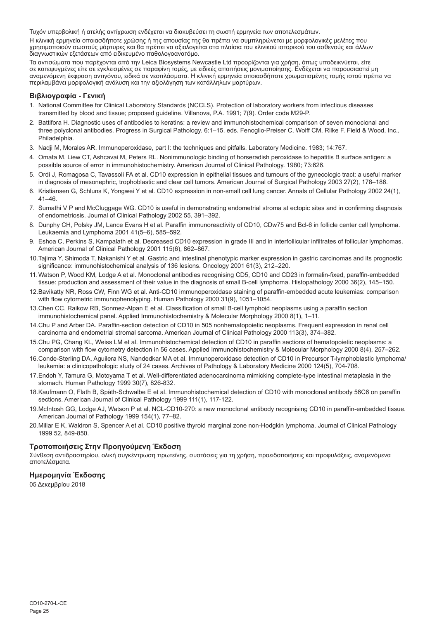Τυχόν υπερβολική ή ατελής αντίχρωση ενδέχεται να διακυβεύσει τη σωστή ερμηνεία των αποτελεσμάτων.

Η κλινική ερμηνεία οποιασδήποτε χρώσης ή της απουσίας της θα πρέπει να συμπληρώνεται με μορφολογικές μελέτες που χρησιμοποιούν σωστούς μάρτυρες και θα πρέπει να αξιολογείται στα πλαίσια του κλινικού ιστορικού του ασθενούς και άλλων διαγνωστικών εξετάσεων από ειδικευμένο παθολογοανατόμο.

Τα αντισώματα που παρέχονται από την Leica Biosystems Newcastle Ltd προορίζονται για χρήση, όπως υποδεικνύεται, είτε σε κατεψυγμένες είτε σε εγκλεισμένες σε παραφίνη τομές, με ειδικές απαιτήσεις μονιμοποίησης. Ενδέχεται να παρουσιαστεί μη<br>αναμενόμενη έκφραση αντιγόνου, ειδικά σε νεοπλάσματα. Η κλινική ερμηνεία οποιασδήποτε χρωματισμένης περιλαμβάνει μορφολογική ανάλυση και την αξιολόγηση των κατάλληλων μαρτύρων.

## **Βιβλιογραφία - Γενική**

- 1. National Committee for Clinical Laboratory Standards (NCCLS). Protection of laboratory workers from infectious diseases transmitted by blood and tissue; proposed guideline. Villanova, P.A. 1991; 7(9). Order code M29-P.
- 2. Battifora H. Diagnostic uses of antibodies to keratins: a review and immunohistochemical comparison of seven monoclonal and three polyclonal antibodies. Progress in Surgical Pathology. 6:1–15. eds. Fenoglio-Preiser C, Wolff CM, Rilke F. Field & Wood, Inc., Philadelphia.
- 3. Nadji M, Morales AR. Immunoperoxidase, part I: the techniques and pitfalls. Laboratory Medicine. 1983; 14:767.
- 4. Omata M, Liew CT, Ashcavai M, Peters RL. Nonimmunologic binding of horseradish peroxidase to hepatitis B surface antigen: a possible source of error in immunohistochemistry. American Journal of Clinical Pathology. 1980; 73:626.
- 5. Ordi J, Romagosa C, Tavassoli FA et al. CD10 expression in epithelial tissues and tumours of the gynecologic tract: a useful marker in diagnosis of mesonephric, trophoblastic and clear cell tumors. American Journal of Surgical Pathology 2003 27(2), 178–186.
- 6. Kristiansen G, Schluns K, Yongwei Y et al. CD10 expression in non-small cell lung cancer. Annals of Cellular Pathology 2002 24(1), 41–46.
- 7. Sumathi V P and McCluggage WG. CD10 is useful in demonstrating endometrial stroma at ectopic sites and in confirming diagnosis of endometriosis. Journal of Clinical Pathology 2002 55, 391–392.
- 8. Dunphy CH, Polsky JM, Lance Evans H et al. Paraffin immunoreactivity of CD10, CDw75 and Bcl-6 in follicle center cell lymphoma. Leukaemia and Lymphoma 2001 41(5–6), 585–592.
- 9. Eshoa C, Perkins S, Kampalath et al. Decreased CD10 expression in grade III and in interfollicular infiltrates of follicular lymphomas. American Journal of Clinical Pathology 2001 115(6), 862–867.
- 10.Tajima Y, Shimoda T, Nakanishi Y et al. Gastric and intestinal phenotypic marker expression in gastric carcinomas and its prognostic significance: immunohistochemical analysis of 136 lesions. Oncology 2001 61(3), 212–220.
- 11.Watson P, Wood KM, Lodge A et al. Monoclonal antibodies recognising CD5, CD10 and CD23 in formalin-fixed, paraffin-embedded tissue: production and assessment of their value in the diagnosis of small B-cell lymphoma. Histopathology 2000 36(2), 145–150.
- 12.Bavikatty NR, Ross CW, Finn WG et al. Anti-CD10 immunoperoxidase staining of paraffin-embedded acute leukemias: comparison with flow cytometric immunophenotyping. Human Pathology 2000 31(9), 1051–1054.
- 13.Chen CC, Raikow RB, Sonmez-Alpan E et al. Classification of small B-cell lymphoid neoplasms using a paraffin section immunohistochemical panel. Applied Immunohistochemistry & Molecular Morphology 2000 8(1), 1–11.
- 14.Chu P and Arber DA. Paraffin-section detection of CD10 in 505 nonhematopoietic neoplasms. Frequent expression in renal cell carcinoma and endometrial stromal sarcoma. American Journal of Clinical Pathology 2000 113(3), 374–382.
- 15.Chu PG, Chang KL, Weiss LM et al. Immunohistochemical detection of CD10 in paraffin sections of hematopoietic neoplasms: a comparison with flow cytometry detection in 56 cases. Applied Immunohistochemistry & Molecular Morphology 2000 8(4), 257–262.
- 16.Conde-Sterling DA, Aguilera NS, Nandedkar MA et al. Immunoperoxidase detection of CD10 in Precursor T-lymphoblastic lymphoma/ leukemia: a clinicopathologic study of 24 cases. Archives of Pathology & Laboratory Medicine 2000 124(5), 704-708.
- 17.Endoh Y, Tamura G, Motoyama T et al. Well-differentiated adenocarcinoma mimicking complete-type intestinal metaplasia in the stomach. Human Pathology 1999 30(7), 826-832.
- 18.Kaufmann O, Flath B, Späth-Schwalbe E et al. Immunohistochemical detection of CD10 with monoclonal antibody 56C6 on paraffin sections. American Journal of Clinical Pathology 1999 111(1), 117-122.
- 19.McIntosh GG, Lodge AJ, Watson P et al. NCL-CD10-270: a new monoclonal antibody recognising CD10 in paraffin-embedded tissue. American Journal of Pathology 1999 154(1), 77–82.
- 20.Millar E K, Waldron S, Spencer A et al. CD10 positive thyroid marginal zone non-Hodgkin lymphoma. Journal of Clinical Pathology 1999 52, 849-850.

## **Τροποποιήσεις Στην Προηγούμενη Έκδοση**

Σύνθεση αντιδραστηρίου, ολική συγκέντρωση πρωτεϊνης, συστάσεις για τη χρήση, προειδοποιήσεις και προφυλάξεις, αναμενόμενα αποτελέσματα.

## **Ημερομηνία Έκδοσης**

05 Δεκεμβρίου 2018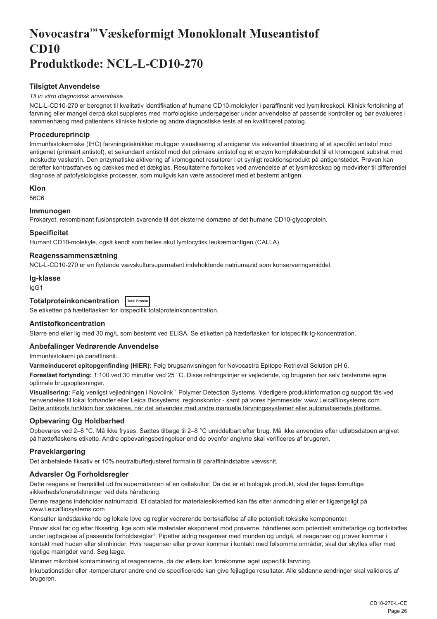# <span id="page-26-0"></span>**Novocastra™ Væskeformigt Monoklonalt Museantistof CD10 Produktkode: NCL-L-CD10-270**

## **Tilsigtet Anvendelse**

## *Til in vitro diagnostisk anvendelse*.

NCL-L-CD10-270 er beregnet til kvalitativ identifikation af humane CD10-molekyler i paraffinsnit ved lysmikroskopi. Klinisk fortolkning af farvning eller mangel derpå skal suppleres med morfologiske undersøgelser under anvendelse af passende kontroller og bør evalueres i sammenhæng med patientens kliniske historie og andre diagnostiske tests af en kvalificeret patolog.

## **Procedureprincip**

Immunhistokemiske (IHC) farvningsteknikker muliggør visualisering af antigener via sekventiel tilsætning af et specifikt antistof mod antigenet (primært antistof), et sekundært antistof mod det primære antistof og et enzym kompleksbundet til et kromogent substrat med indskudte vasketrin. Den enzymatiske aktivering af kromogenet resulterer i et synligt reaktionsprodukt på antigenstedet. Prøven kan derefter kontrastfarves og dækkes med et dækglas. Resultaterne fortolkes ved anvendelse af et lysmikroskop og medvirker til differentiel diagnose af patofysiologiske processer, som muligvis kan være associeret med et bestemt antigen.

## **Klon**

56C6

## **Immunogen**

Prokaryot, rekombinant fusionsprotein svarende til det eksterne domæne af det humane CD10-glycoprotein.

#### **Specificitet**

Humant CD10-molekyle, også kendt som fælles akut lymfocytisk leukæmiantigen (CALLA).

#### **Reagenssammensætning**

NCL-L-CD10-270 er en flydende vævskultursupernatant indeholdende natriumazid som konserveringsmiddel.

#### **Ig-klasse**

IgG1

## **Totalproteinkoncentration Total Protein**

Se etiketten på hætteflasken for lotspecifik totalproteinkoncentration.

## **Antistofkoncentration**

Større end eller lig med 30 mg/L som bestemt ved ELISA. Se etiketten på hætteflasken for lotspecifik Ig-koncentration.

## **Anbefalinger Vedrørende Anvendelse**

Immunhistokemi på paraffinsnit.

**Varmeinduceret epitopgenfinding (HIER):** Følg brugsanvisningen for Novocastra Epitope Retrieval Solution pH 6.

**Foreslået fortynding:** 1:100 ved 30 minutter ved 25 °C. Disse retningslinjer er vejledende, og brugeren bør selv bestemme egne optimale brugsopløsninger.

**Visualisering:** Følg venligst vejledningen i Novolink™ Polymer Detection Systems. Yderligere produktinformation og support fås ved henvendelse til lokal forhandler eller Leica Biosystems regionskontor - samt på vores hjemmeside: www.LeicaBiosystems.com Dette antistofs funktion bør valideres, når det anvendes med andre manuelle farvningssystemer eller automatiserede platforme.

## **Opbevaring Og Holdbarhed**

Opbevares ved 2–8 °C. Må ikke fryses. Sættes tilbage til 2–8 °C umiddelbart efter brug. Må ikke anvendes efter udløbsdatoen angivet på hætteflaskens etikette. Andre opbevaringsbetingelser end de ovenfor angivne skal verificeres af brugeren.

## **Prøveklargøring**

Det anbefalede fiksativ er 10% neutralbufferjusteret formalin til paraffinindstøbte vævssnit.

## **Advarsler Og Forholdsregler**

Dette reagens er fremstillet ud fra supernatanten af en cellekultur. Da det er et biologisk produkt, skal der tages fornuftige sikkerhedsforanstaltninger ved dets håndtering.

Denne reagens indeholder natriumazid. Et datablad for materialesikkerhed kan fås efter anmodning eller er tilgængeligt på www.LeicaBiosystems.com

Konsulter landsdækkende og lokale love og regler vedrørende bortskaffelse af alle potentielt toksiske komponenter.

Prøver skal før og efter fiksering, lige som alle materialer eksponeret mod prøverne, håndteres som potentielt smittefarlige og bortskaffes under iagttagelse af passende forholdsregler<sup>ı</sup>. Pipetter aldrig reagenser med munden og undgå, at reagenser og prøver kommer i kontakt med huden eller slimhinder. Hvis reagenser eller prøver kommer i kontakt med følsomme områder, skal der skylles efter med rigelige mængder vand. Søg læge.

Minimer mikrobiel kontaminering af reagenserne, da der ellers kan forekomme øget uspecifik farvning.

Inkubationstider eller -temperaturer andre end de specificerede kan give fejlagtige resultater. Alle sådanne ændringer skal valideres af brugeren.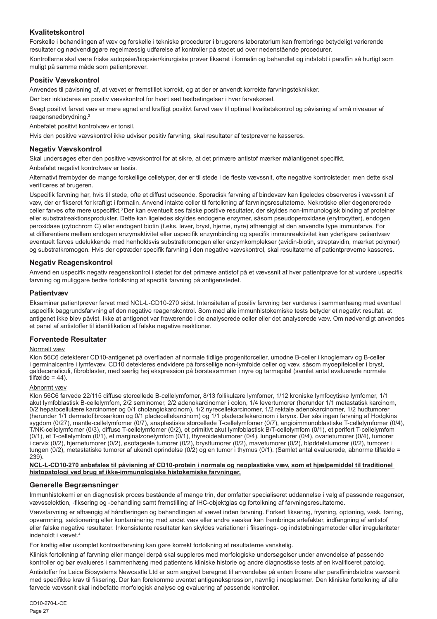## **Kvalitetskontrol**

Forskelle i behandlingen af væv og forskelle i tekniske procedurer i brugerens laboratorium kan frembringe betydeligt varierende resultater og nødvendiggøre regelmæssig udførelse af kontroller på stedet ud over nedenstående procedurer. Kontrollerne skal være friske autopsier/biopsier/kirurgiske prøver fikseret i formalin og behandlet og indstøbt i paraffin så hurtigt som muligt på samme måde som patientprøver.

## **Positiv Vævskontrol**

Anvendes til påvisning af, at vævet er fremstillet korrekt, og at der er anvendt korrekte farvningsteknikker.

Der bør inkluderes en positiv vævskontrol for hvert sæt testbetingelser i hver farvekørsel.

Svagt positivt farvet væv er mere egnet end kraftigt positivt farvet væv til optimal kvalitetskontrol og påvisning af små niveauer af reagensnedbrydning.<sup>2</sup>

Anbefalet positivt kontrolvæv er tonsil.

Hvis den positive vævskontrol ikke udviser positiv farvning, skal resultater af testprøverne kasseres.

## **Negativ Vævskontrol**

Skal undersøges efter den positive vævskontrol for at sikre, at det primære antistof mærker målantigenet specifikt.

Anbefalet negativt kontrolvæv er testis.

Alternativt frembyder de mange forskellige celletyper, der er til stede i de fleste vævssnit, ofte negative kontrolsteder, men dette skal verificeres af brugeren.

Uspecifik farvning har, hvis til stede, ofte et diffust udseende. Sporadisk farvning af bindevæv kan ligeledes observeres i vævssnit af væv, der er fikseret for kraftigt i formalin. Anvend intakte celler til fortolkning af farvningsresultaterne. Nekrotiske eller degenererede celler farves ofte mere uspecifikt.<sup>3</sup>Der kan eventuelt ses falske positive resultater, der skyldes non-immunologisk binding af proteiner eller substratreaktionsprodukter. Dette kan ligeledes skyldes endogene enzymer, såsom pseudoperoxidase (erytrocytter), endogen peroxidase (cytochrom C) eller endogent biotin (f.eks. lever, bryst, hjerne, nyre) afhængigt af den anvendte type immunfarve. For at differentiere mellem endogen enzymaktivitet eller uspecifik enzymbinding og specifik immunreaktivitet kan yderligere patientvæv eventuelt farves udelukkende med henholdsvis substratkromogen eller enzymkomplekser (avidin-biotin, streptavidin, mærket polymer) og substratkromogen. Hvis der optræder specifik farvning i den negative vævskontrol, skal resultaterne af patientprøverne kasseres.

## **Negativ Reagenskontrol**

Anvend en uspecifik negativ reagenskontrol i stedet for det primære antistof på et vævssnit af hver patientprøve for at vurdere uspecifik farvning og muliggøre bedre fortolkning af specifik farvning på antigenstedet.

## **Patientvæv**

Eksaminer patientprøver farvet med NCL-L-CD10-270 sidst. Intensiteten af positiv farvning bør vurderes i sammenhæng med eventuel uspecifik baggrundsfarvning af den negative reagenskontrol. Som med alle immunhistokemiske tests betyder et negativt resultat, at antigenet ikke blev påvist. Ikke at antigenet var fraværende i de analyserede celler eller det analyserede væv. Om nødvendigt anvendes et panel af antistoffer til identifikation af falske negative reaktioner.

## **Forventede Resultater**

#### Normalt væv

Klon 56C6 detekterer CD10-antigenet på overfladen af normale tidlige progenitorceller, umodne B-celler i knoglemarv og B-celler i germinalcentre i lymfevæv. CD10 detekteres endvidere på forskellige non-lymfoide celler og væv, såsom myoepitelceller i bryst, galdecanaliculi, fibroblaster, med særlig høj ekspression på børstesømmen i nyre og tarmepitel (samlet antal evaluerede normale tilfælde = 44).

#### Abnormt væv

Klon 56C6 farvede 22/115 diffuse storcellede B-cellelymfomer, 8/13 follikulære lymfomer, 1/12 kroniske lymfocytiske lymfomer, 1/1 akut lymfoblastisk B-cellelymfom, 2/2 seminomer, 2/2 adenokarcinomer i colon, 1/4 levertumorer (herunder 1/1 metastatisk karcinom, 0/2 hepatocellulære karcinomer og 0/1 cholangiokarcinom), 1/2 nyrecellekarcinomer, 1/2 rektale adenokarcinomer, 1/2 hudtumorer (herunder 1/1 dermatofibrosarkom og 0/1 pladecellekarcinom) og 1/1 pladecellekarcinom i larynx. Der sås ingen farvning af Hodgkins sygdom (0/27), mantle-cellelymfomer (0/7), anaplastiske storcellede T-cellelymfomer (0/7), angioimmunoblastiske T-cellelymfomer (0/4), T/NK-cellelymfomer (0/3), diffuse T-cellelymfomer (0/2), et primitivt akut lymfoblastisk B/T-cellelymfom (0/1), et perifert T-cellelymfom (0/1), et T-cellelymfom (0/1), et marginalzonelymfom (0/1), thyreoideatumorer (0/4), lungetumorer (0/4), ovarietumorer (0/4), tumorer i cervix (0/2), hjernetumorer (0/2), øsofageale tumorer (0/2), brysttumorer (0/2), mavetumorer (0/2), bløddelstumorer (0/2), tumorer i tungen (0/2), metastatiske tumorer af ukendt oprindelse (0/2) og en tumor i thymus (0/1). (Samlet antal evaluerede, abnorme tilfælde = 239).

**NCL-L-CD10-270 anbefales til påvisning af CD10-protein i normale og neoplastiske væv, som et hjælpemiddel til traditionel histopatologi ved brug af ikke-immunologiske histokemiske farvninger.**

## **Generelle Begrænsninger**

Immunhistokemi er en diagnostisk proces bestående af mange trin, der omfatter specialiseret uddannelse i valg af passende reagenser, vævsselektion, -fiksering og -behandling samt fremstilling af IHC-objektglas og fortolkning af farvningsresultaterne.

Vævsfarvning er afhængig af håndteringen og behandlingen af vævet inden farvning. Forkert fiksering, frysning, optøning, vask, tørring, opvarmning, sektionering eller kontaminering med andet væv eller andre væsker kan frembringe artefakter, indfangning af antistof eller falske negative resultater. Inkonsistente resultater kan skyldes variationer i fikserings- og indstøbningsmetoder eller irregulariteter indeholdt i vævet.4

For kraftig eller ukomplet kontrastfarvning kan gøre korrekt fortolkning af resultaterne vanskelig.

Klinisk fortolkning af farvning eller mangel derpå skal suppleres med morfologiske undersøgelser under anvendelse af passende kontroller og bør evalueres i sammenhæng med patientens kliniske historie og andre diagnostiske tests af en kvalificeret patolog.

Antistoffer fra Leica Biosystems Newcastle Ltd er som angivet beregnet til anvendelse på enten frosne eller paraffinindstøbte vævssnit med specifikke krav til fiksering. Der kan forekomme uventet antigenekspression, navnlig i neoplasmer. Den kliniske fortolkning af alle farvede vævssnit skal indbefatte morfologisk analyse og evaluering af passende kontroller.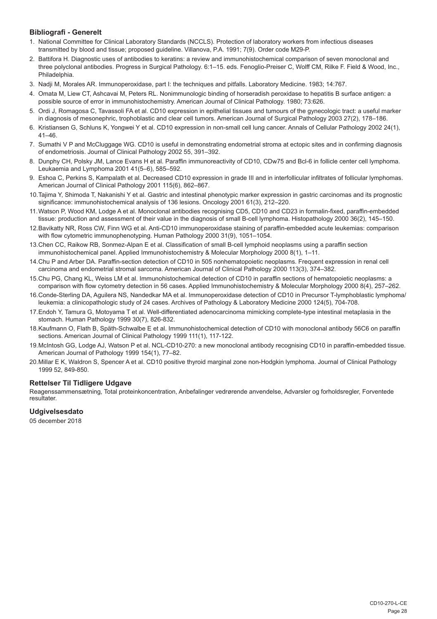## **Bibliografi - Generelt**

- 1. National Committee for Clinical Laboratory Standards (NCCLS). Protection of laboratory workers from infectious diseases transmitted by blood and tissue; proposed guideline. Villanova, P.A. 1991; 7(9). Order code M29-P.
- 2. Battifora H. Diagnostic uses of antibodies to keratins: a review and immunohistochemical comparison of seven monoclonal and three polyclonal antibodies. Progress in Surgical Pathology. 6:1–15. eds. Fenoglio-Preiser C, Wolff CM, Rilke F. Field & Wood, Inc., Philadelphia.
- 3. Nadji M, Morales AR. Immunoperoxidase, part I: the techniques and pitfalls. Laboratory Medicine. 1983; 14:767.
- 4. Omata M, Liew CT, Ashcavai M, Peters RL. Nonimmunologic binding of horseradish peroxidase to hepatitis B surface antigen: a possible source of error in immunohistochemistry. American Journal of Clinical Pathology. 1980; 73:626.
- 5. Ordi J, Romagosa C, Tavassoli FA et al. CD10 expression in epithelial tissues and tumours of the gynecologic tract: a useful marker in diagnosis of mesonephric, trophoblastic and clear cell tumors. American Journal of Surgical Pathology 2003 27(2), 178–186.
- 6. Kristiansen G, Schluns K, Yongwei Y et al. CD10 expression in non-small cell lung cancer. Annals of Cellular Pathology 2002 24(1),  $41 - 46$
- 7. Sumathi V P and McCluggage WG. CD10 is useful in demonstrating endometrial stroma at ectopic sites and in confirming diagnosis of endometriosis. Journal of Clinical Pathology 2002 55, 391–392.
- 8. Dunphy CH, Polsky JM, Lance Evans H et al. Paraffin immunoreactivity of CD10, CDw75 and Bcl-6 in follicle center cell lymphoma. Leukaemia and Lymphoma 2001 41(5–6), 585–592.
- 9. Eshoa C, Perkins S, Kampalath et al. Decreased CD10 expression in grade III and in interfollicular infiltrates of follicular lymphomas. American Journal of Clinical Pathology 2001 115(6), 862–867.
- 10.Tajima Y, Shimoda T, Nakanishi Y et al. Gastric and intestinal phenotypic marker expression in gastric carcinomas and its prognostic significance: immunohistochemical analysis of 136 lesions. Oncology 2001 61(3), 212–220.
- 11.Watson P, Wood KM, Lodge A et al. Monoclonal antibodies recognising CD5, CD10 and CD23 in formalin-fixed, paraffin-embedded tissue: production and assessment of their value in the diagnosis of small B-cell lymphoma. Histopathology 2000 36(2), 145–150.
- 12.Bavikatty NR, Ross CW, Finn WG et al. Anti-CD10 immunoperoxidase staining of paraffin-embedded acute leukemias: comparison with flow cytometric immunophenotyping. Human Pathology 2000 31(9), 1051–1054.
- 13.Chen CC, Raikow RB, Sonmez-Alpan E et al. Classification of small B-cell lymphoid neoplasms using a paraffin section immunohistochemical panel. Applied Immunohistochemistry & Molecular Morphology 2000 8(1), 1–11.
- 14.Chu P and Arber DA. Paraffin-section detection of CD10 in 505 nonhematopoietic neoplasms. Frequent expression in renal cell carcinoma and endometrial stromal sarcoma. American Journal of Clinical Pathology 2000 113(3), 374–382.
- 15.Chu PG, Chang KL, Weiss LM et al. Immunohistochemical detection of CD10 in paraffin sections of hematopoietic neoplasms: a comparison with flow cytometry detection in 56 cases. Applied Immunohistochemistry & Molecular Morphology 2000 8(4), 257–262.
- 16.Conde-Sterling DA, Aguilera NS, Nandedkar MA et al. Immunoperoxidase detection of CD10 in Precursor T-lymphoblastic lymphoma/ leukemia: a clinicopathologic study of 24 cases. Archives of Pathology & Laboratory Medicine 2000 124(5), 704-708.
- 17.Endoh Y, Tamura G, Motoyama T et al. Well-differentiated adenocarcinoma mimicking complete-type intestinal metaplasia in the stomach. Human Pathology 1999 30(7), 826-832.
- 18.Kaufmann O, Flath B, Späth-Schwalbe E et al. Immunohistochemical detection of CD10 with monoclonal antibody 56C6 on paraffin sections. American Journal of Clinical Pathology 1999 111(1), 117-122.
- 19.McIntosh GG, Lodge AJ, Watson P et al. NCL-CD10-270: a new monoclonal antibody recognising CD10 in paraffin-embedded tissue. American Journal of Pathology 1999 154(1), 77–82.
- 20.Millar E K, Waldron S, Spencer A et al. CD10 positive thyroid marginal zone non-Hodgkin lymphoma. Journal of Clinical Pathology 1999 52, 849-850.

## **Rettelser Til Tidligere Udgave**

Reagenssammensætning, Total proteinkoncentration, Anbefalinger vedrørende anvendelse, Advarsler og forholdsregler, Forventede resultater.

#### **Udgivelsesdato**

05 december 2018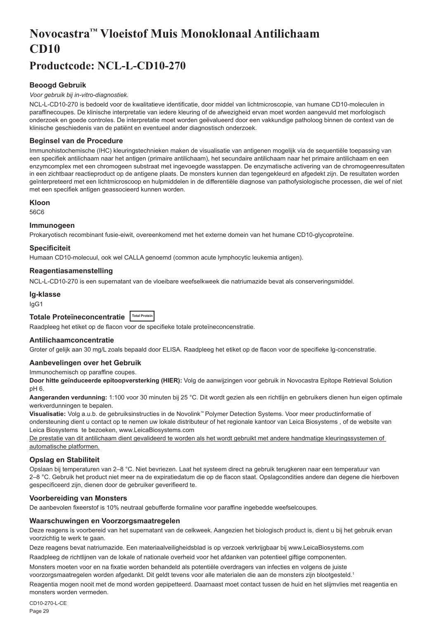# <span id="page-29-0"></span>**Novocastra™ Vloeistof Muis Monoklonaal Antilichaam CD10**

# **Productcode: NCL-L-CD10-270**

## **Beoogd Gebruik**

#### *Voor gebruik bij in-vitro-diagnostiek.*

NCL-L-CD10-270 is bedoeld voor de kwalitatieve identificatie, door middel van lichtmicroscopie, van humane CD10-moleculen in paraffinecoupes. De klinische interpretatie van iedere kleuring of de afwezigheid ervan moet worden aangevuld met morfologisch onderzoek en goede controles. De interpretatie moet worden geëvalueerd door een vakkundige patholoog binnen de context van de klinische geschiedenis van de patiënt en eventueel ander diagnostisch onderzoek.

#### **Beginsel van de Procedure**

Immunohistochemische (IHC) kleuringstechnieken maken de visualisatie van antigenen mogelijk via de sequentiële toepassing van een specifiek antilichaam naar het antigen (primaire antilichaam), het secundaire antilichaam naar het primaire antilichaam en een enzymcomplex met een chromogeen substraat met ingevoegde wasstappen. De enzymatische activering van de chromogeenresultaten in een zichtbaar reactieproduct op de antigene plaats. De monsters kunnen dan tegengekleurd en afgedekt zijn. De resultaten worden geïnterpreteerd met een lichtmicroscoop en hulpmiddelen in de differentiële diagnose van pathofysiologische processen, die wel of niet met een specifiek antigen geassocieerd kunnen worden.

#### **Kloon**

56C6

## **Immunogeen**

Prokaryotisch recombinant fusie-eiwit, overeenkomend met het externe domein van het humane CD10-glycoproteïne.

#### **Specificiteit**

Humaan CD10-molecuul, ook wel CALLA genoemd (common acute lymphocytic leukemia antigen).

#### **Reagentiasamenstelling**

NCL-L-CD10-270 is een supernatant van de vloeibare weefselkweek die natriumazide bevat als conserveringsmiddel.

## **Ig-klasse**

IgG1

## **Totale Proteïneconcentratie Total Protein**

Raadpleeg het etiket op de flacon voor de specifieke totale proteïneconcenstratie.

## **Antilichaamconcentratie**

Groter of gelijk aan 30 mg/L zoals bepaald door ELISA. Raadpleeg het etiket op de flacon voor de specifieke lg-concenstratie.

## **Aanbevelingen over het Gebruik**

Immunochemisch op paraffine coupes.

**Door hitte geïnduceerde epitoopversterking (HIER):** Volg de aanwijzingen voor gebruik in Novocastra Epitope Retrieval Solution pH 6.

**Aangeranden verdunning:** 1:100 voor 30 minuten bij 25 °C. Dit wordt gezien als een richtlijn en gebruikers dienen hun eigen optimale werkverdunningen te bepalen.

**Visualisatie:** Volg a.u.b. de gebruiksinstructies in de Novolink™ Polymer Detection Systems. Voor meer productinformatie of ondersteuning dient u contact op te nemen uw lokale distributeur of het regionale kantoor van Leica Biosystems , of de website van Leica Biosystems te bezoeken, www.LeicaBiosystems.com

De prestatie van dit antilichaam dient gevalideerd te worden als het wordt gebruikt met andere handmatige kleuringssystemen of automatische platformen.

## **Opslag en Stabiliteit**

Opslaan bij temperaturen van 2–8 °C. Niet bevriezen. Laat het systeem direct na gebruik terugkeren naar een temperatuur van 2–8 °C. Gebruik het product niet meer na de expiratiedatum die op de flacon staat. Opslagcondities andere dan degene die hierboven gespecificeerd zijn, dienen door de gebruiker geverifieerd te.

## **Voorbereiding van Monsters**

De aanbevolen fixeerstof is 10% neutraal gebufferde formaline voor paraffine ingebedde weefselcoupes.

#### **Waarschuwingen en Voorzorgsmaatregelen**

Deze reagens is voorbereid van het supernatant van de celkweek. Aangezien het biologisch product is, dient u bij het gebruik ervan voorzichtig te werk te gaan.

Deze reagens bevat natriumazide. Een materiaalveiligheidsblad is op verzoek verkrijgbaar bij www.LeicaBiosystems.com

Raadpleeg de richtlijnen van de lokale of nationale overheid voor het afdanken van potentieel giftige componenten.

Monsters moeten voor en na fixatie worden behandeld als potentiële overdragers van infecties en volgens de juiste voorzorgsmaatregelen worden afgedankt. Dit geldt tevens voor alle materialen die aan de monsters zijn blootgesteld.<sup>1</sup>

Reagentia mogen nooit met de mond worden gepipetteerd. Daarnaast moet contact tussen de huid en het slijmvlies met reagentia en monsters worden vermeden.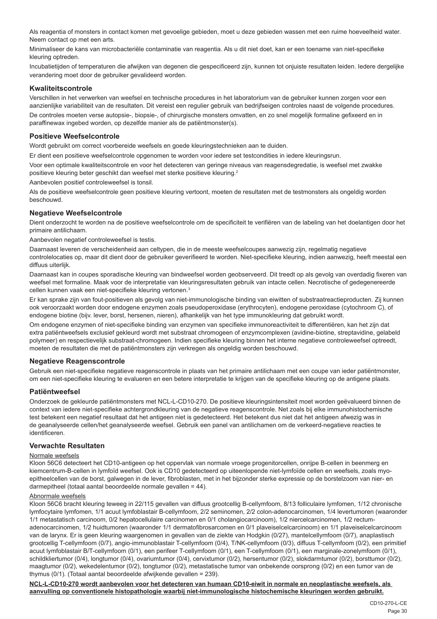Als reagentia of monsters in contact komen met gevoelige gebieden, moet u deze gebieden wassen met een ruime hoeveelheid water. Neem contact op met een arts.

Minimaliseer de kans van microbacteriële contaminatie van reagentia. Als u dit niet doet, kan er een toename van niet-specifieke kleuring optreden.

Incubatietijden of temperaturen die afwijken van degenen die gespecificeerd zijn, kunnen tot onjuiste resultaten leiden. Iedere dergelijke verandering moet door de gebruiker gevalideerd worden.

## **Kwaliteitscontrole**

Verschillen in het verwerken van weefsel en technische procedures in het laboratorium van de gebruiker kunnen zorgen voor een aanzienlijke variabiliteit van de resultaten. Dit vereist een regulier gebruik van bedrijfseigen controles naast de volgende procedures. De controles moeten verse autopsie-, biopsie-, of chirurgische monsters omvatten, en zo snel mogelijk formaline gefixeerd en in paraffinewax ingebed worden, op dezelfde manier als de patiëntmonster(s).

## **Positieve Weefselcontrole**

Wordt gebruikt om correct voorbereide weefsels en goede kleuringstechnieken aan te duiden.

Er dient een positieve weefselcontrole opgenomen te worden voor iedere set testcondities in iedere kleuringsrun.

Voor een optimale kwaliteitscontrole en voor het detecteren van geringe niveaus van reagensdegredatie, is weefsel met zwakke positieve kleuring beter geschikt dan weefsel met sterke positieve kleuring.<sup>2</sup>

Aanbevolen positief controleweefsel is tonsil.

Als de positieve weefselcontrole geen positieve kleuring vertoont, moeten de resultaten met de testmonsters als ongeldig worden beschouwd.

## **Negatieve Weefselcontrole**

Dient onderzocht te worden na de positieve weefselcontrole om de specificiteit te verifiëren van de labeling van het doelantigen door het primaire antilichaam.

Aanbevolen negatief controleweefsel is testis.

Daarnaast leveren de verscheidenheid aan celtypen, die in de meeste weefselcoupes aanwezig zijn, regelmatig negatieve controlelocaties op, maar dit dient door de gebruiker geverifieerd te worden. Niet-specifieke kleuring, indien aanwezig, heeft meestal een diffuus uiterlijk.

Daarnaast kan in coupes sporadische kleuring van bindweefsel worden geobserveerd. Dit treedt op als gevolg van overdadig fixeren van weefsel met formaline. Maak voor de interpretatie van kleuringsresultaten gebruik van intacte cellen. Necrotische of gedegenereerde cellen kunnen vaak een niet-specifieke kleuring vertonen.<sup>3</sup>

Er kan sprake zijn van fout-positieven als gevolg van niet-immunologische binding van eiwitten of substraatreactieproducten. Zij kunnen ook veroorzaakt worden door endogene enzymen zoals pseudoperoxidase (erythrocyten), endogene peroxidase (cytochroom C), of endogene biotine (bijv. lever, borst, hersenen, nieren), afhankelijk van het type immunokleuring dat gebruikt wordt.

Om endogene enzymen of niet-specifieke binding van enzymen van specifieke immunoreactiviteit te differentiëren, kan het zijn dat extra patiëntweefsels exclusief gekleurd wordt met substraat chromogeen of enzymcomplexen (avidine-biotine, streptavidine, gelabeld polymeer) en respectievelijk substraat-chromogeen. Indien specifieke kleuring binnen het interne negatieve controleweefsel optreedt, moeten de resultaten die met de patiëntmonsters zijn verkregen als ongeldig worden beschouwd.

## **Negatieve Reagenscontrole**

Gebruik een niet-specifieke negatieve reagenscontrole in plaats van het primaire antilichaam met een coupe van ieder patiëntmonster, om een niet-specifieke kleuring te evalueren en een betere interpretatie te krijgen van de specifieke kleuring op de antigene plaats.

## **Patiëntweefsel**

Onderzoek de gekleurde patiëntmonsters met NCL-L-CD10-270. De positieve kleuringsintensiteit moet worden geëvalueerd binnen de context van iedere niet-specifieke achtergrondkleuring van de negatieve reagenscontrole. Net zoals bij elke immunohistochemische test betekent een negatief resultaat dat het antigeen niet is gedetecteerd. Het betekent dus niet dat het antigeen afwezig was in de geanalyseerde cellen/het geanalyseerde weefsel. Gebruik een panel van antilichamen om de verkeerd-negatieve reacties te identificeren.

## **Verwachte Resultaten**

#### Normale weefsels

Kloon 56C6 detecteert het CD10-antigeen op het oppervlak van normale vroege progenitorcellen, onrijpe B-cellen in beenmerg en kiemcentrum-B-cellen in lymfoïd weefsel. Ook is CD10 gedetecteerd op uiteenlopende niet-lymfoïde cellen en weefsels, zoals myoepitheelcellen van de borst, galwegen in de lever, fibroblasten, met in het bijzonder sterke expressie op de borstelzoom van nier- en darmepitheel (totaal aantal beoordeelde normale gevallen = 44).

#### Abnormale weefsels

Kloon 56C6 bracht kleuring teweeg in 22/115 gevallen van diffuus grootcellig B-cellymfoom, 8/13 folliculaire lymfomen, 1/12 chronische lymfocytaire lymfomen, 1/1 acuut lymfoblastair B-cellymfoom, 2/2 seminomen, 2/2 colon-adenocarcinomen, 1/4 levertumoren (waaronder 1/1 metastatisch carcinoom, 0/2 hepatocellulaire carcinomen en 0/1 cholangiocarcinoom), 1/2 niercelcarcinomen, 1/2 rectumadenocarcinomen, 1/2 huidtumoren (waaronder 1/1 dermatofibrosarcomen en 0/1 plaveiselcelcarcinoom) en 1/1 plaveiselcelcarcinoom van de larynx. Er is geen kleuring waargenomen in gevallen van de ziekte van Hodgkin (0/27), mantelcellymfoom (0/7), anaplastisch grootcellig T-cellymfoom (0/7), angio-immunoblastair T-cellymfoom (0/4), T/NK-cellymfoom (0/3), diffuus T-cellymfoom (0/2), een primitief acuut lymfoblastair B/T-cellymfoom (0/1), een perifeer T-cellymfoom (0/1), een T-cellymfoom (0/1), een marginale-zonelymfoom (0/1), schildkliertumor (0/4), longtumor (0/4), ovariumtumor (0/4), cervixtumor (0/2), hersentumor (0/2), slokdarmtumor (0/2), borsttumor (0/2), maagtumor (0/2), wekedelentumor (0/2), tongtumor (0/2), metastatische tumor van onbekende oorsprong (0/2) en een tumor van de thymus (0/1). (Totaal aantal beoordeelde afwijkende gevallen = 239).

**NCL-L-CD10-270 wordt aanbevolen voor het detecteren van humaan CD10-eiwit in normale en neoplastische weefsels, als aanvulling op conventionele histopathologie waarbij niet-immunologische histochemische kleuringen worden gebruikt.**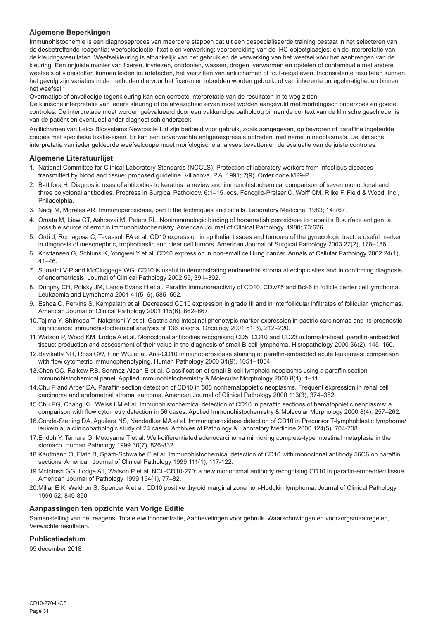## **Algemene Beperkingen**

Immunohistochemie is een diagnoseproces van meerdere stappen dat uit een gespecialiseerde training bestaat in het selecteren van de desbetreffende reagentia; weefselselectie, fixatie en verwerking; voorbereiding van de IHC-objectglaasjes; en de interpretatie van de kleuringsresultaten. Weefselkleuring is afhankelijk van het gebruik en de verwerking van het weefsel vóór het aanbrengen van de kleuring. Een onjuiste manier van fixeren, invriezen, ontdooien, wassen, drogen, verwarmen en opdelen of contaminatie met andere weefsels of vloeistoffen kunnen leiden tot artefacten, het vastzitten van antilichamen of fout-negatieven. Inconsistente resultaten kunnen het gevolg zijn variaties in de methoden die voor het fixeren en inbedden worden gebruikt of van inherente onregelmatigheden binnen het weefsel.4

Overmatige of onvolledige tegenkleuring kan een correcte interpretatie van de resultaten in te weg zitten.

De klinische interpretatie van iedere kleuring of de afwezigheid ervan moet worden aangevuld met morfologisch onderzoek en goede controles. De interpretatie moet worden geëvalueerd door een vakkundige patholoog binnen de context van de klinische geschiedenis van de patiënt en eventueel ander diagnostisch onderzoek.

Antilichamen van Leica Biosystems Newcastle Ltd zijn bedoeld voor gebruik, zoals aangegeven, op bevroren of paraffine ingebedde coupes met specifieke fixatie-eisen. Er kan een onverwachte antigenexpressie optreden, met name in neoplasma's. De klinische interpretatie van ieder gekleurde weefselcoupe moet morfologische analyses bevatten en de evaluatie van de juiste controles.

## **Algemene Literatuurlijst**

- 1. National Committee for Clinical Laboratory Standards (NCCLS). Protection of laboratory workers from infectious diseases transmitted by blood and tissue; proposed guideline. Villanova, P.A. 1991; 7(9). Order code M29-P.
- 2. Battifora H. Diagnostic uses of antibodies to keratins: a review and immunohistochemical comparison of seven monoclonal and three polyclonal antibodies. Progress in Surgical Pathology. 6:1–15. eds. Fenoglio-Preiser C, Wolff CM, Rilke F. Field & Wood, Inc., Philadelphia
- 3. Nadji M, Morales AR. Immunoperoxidase, part I: the techniques and pitfalls. Laboratory Medicine. 1983; 14:767.
- 4. Omata M, Liew CT, Ashcavai M, Peters RL. Nonimmunologic binding of horseradish peroxidase to hepatitis B surface antigen: a possible source of error in immunohistochemistry. American Journal of Clinical Pathology. 1980; 73:626.
- 5. Ordi J, Romagosa C, Tavassoli FA et al. CD10 expression in epithelial tissues and tumours of the gynecologic tract: a useful marker in diagnosis of mesonephric, trophoblastic and clear cell tumors. American Journal of Surgical Pathology 2003 27(2), 178–186.
- 6. Kristiansen G, Schluns K, Yongwei Y et al. CD10 expression in non-small cell lung cancer. Annals of Cellular Pathology 2002 24(1), 41–46.
- 7. Sumathi V P and McCluggage WG. CD10 is useful in demonstrating endometrial stroma at ectopic sites and in confirming diagnosis of endometriosis. Journal of Clinical Pathology 2002 55, 391–392.
- 8. Dunphy CH, Polsky JM, Lance Evans H et al. Paraffin immunoreactivity of CD10, CDw75 and Bcl-6 in follicle center cell lymphoma. Leukaemia and Lymphoma 2001 41(5–6), 585–592.
- 9. Eshoa C, Perkins S, Kampalath et al. Decreased CD10 expression in grade III and in interfollicular infiltrates of follicular lymphomas. American Journal of Clinical Pathology 2001 115(6), 862–867.
- 10.Tajima Y, Shimoda T, Nakanishi Y et al. Gastric and intestinal phenotypic marker expression in gastric carcinomas and its prognostic significance: immunohistochemical analysis of 136 lesions. Oncology 2001 61(3), 212–220.
- 11.Watson P, Wood KM, Lodge A et al. Monoclonal antibodies recognising CD5, CD10 and CD23 in formalin-fixed, paraffin-embedded tissue: production and assessment of their value in the diagnosis of small B-cell lymphoma. Histopathology 2000 36(2), 145–150.
- 12.Bavikatty NR, Ross CW, Finn WG et al. Anti-CD10 immunoperoxidase staining of paraffin-embedded acute leukemias: comparison with flow cytometric immunophenotyping. Human Pathology 2000 31(9), 1051–1054.
- 13.Chen CC, Raikow RB, Sonmez-Alpan E et al. Classification of small B-cell lymphoid neoplasms using a paraffin section immunohistochemical panel. Applied Immunohistochemistry & Molecular Morphology 2000 8(1), 1–11.
- 14.Chu P and Arber DA. Paraffin-section detection of CD10 in 505 nonhematopoietic neoplasms. Frequent expression in renal cell carcinoma and endometrial stromal sarcoma. American Journal of Clinical Pathology 2000 113(3), 374–382.
- 15.Chu PG, Chang KL, Weiss LM et al. Immunohistochemical detection of CD10 in paraffin sections of hematopoietic neoplasms: a comparison with flow cytometry detection in 56 cases. Applied Immunohistochemistry & Molecular Morphology 2000 8(4), 257–262.
- 16.Conde-Sterling DA, Aguilera NS, Nandedkar MA et al. Immunoperoxidase detection of CD10 in Precursor T-lymphoblastic lymphoma/ leukemia: a clinicopathologic study of 24 cases. Archives of Pathology & Laboratory Medicine 2000 124(5), 704-708.
- 17.Endoh Y, Tamura G, Motoyama T et al. Well-differentiated adenocarcinoma mimicking complete-type intestinal metaplasia in the stomach. Human Pathology 1999 30(7), 826-832.
- 18.Kaufmann O, Flath B, Späth-Schwalbe E et al. Immunohistochemical detection of CD10 with monoclonal antibody 56C6 on paraffin sections. American Journal of Clinical Pathology 1999 111(1), 117-122.
- 19.McIntosh GG, Lodge AJ, Watson P et al. NCL-CD10-270: a new monoclonal antibody recognising CD10 in paraffin-embedded tissue. American Journal of Pathology 1999 154(1), 77–82.
- 20.Millar E K, Waldron S, Spencer A et al. CD10 positive thyroid marginal zone non-Hodgkin lymphoma. Journal of Clinical Pathology 1999 52, 849-850.

#### **Aanpassingen ten opzichte van Vorige Editie**

Samenstelling van het reagens, Totale eiwitconcentratie, Aanbevelingen voor gebruik, Waarschuwingen en voorzorgsmaatregelen, Verwachte resultaten.

## **Publicatiedatum**

05 december 2018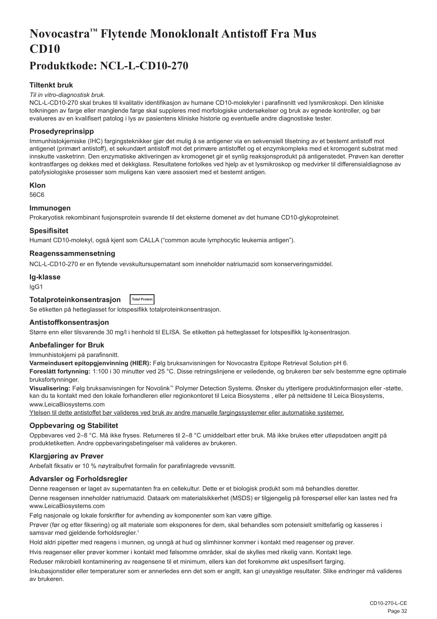# <span id="page-32-0"></span>**Novocastra™ Flytende Monoklonalt Antistoff Fra Mus CD10**

## **Produktkode: NCL-L-CD10-270**

## **Tiltenkt bruk**

#### *Til in vitro-diagnostisk bruk.*

NCL-L-CD10-270 skal brukes til kvalitativ identifikasjon av humane CD10-molekyler i parafinsnitt ved lysmikroskopi. Den kliniske tolkningen av farge eller manglende farge skal suppleres med morfologiske undersøkelser og bruk av egnede kontroller, og bør evalueres av en kvalifisert patolog i lys av pasientens kliniske historie og eventuelle andre diagnostiske tester.

## **Prosedyreprinsipp**

Immunhistokjemiske (IHC) fargingsteknikker gjør det mulig å se antigener via en sekvensiell tilsetning av et bestemt antistoff mot antigenet (primært antistoff), et sekundært antistoff mot det primære antistoffet og et enzymkompleks med et kromogent substrat med innskutte vasketrinn. Den enzymatiske aktiveringen av kromogenet gir et synlig reaksjonsprodukt på antigenstedet. Prøven kan deretter kontrastfarges og dekkes med et dekkglass. Resultatene fortolkes ved hjelp av et lysmikroskop og medvirker til differensialdiagnose av patofysiologiske prosesser som muligens kan være assosiert med et bestemt antigen.

#### **Klon**

56C6

## **Immunogen**

Prokaryotisk rekombinant fusjonsprotein svarende til det eksterne domenet av det humane CD10-glykoproteinet.

#### **Spesifisitet**

Humant CD10-molekyl, også kjent som CALLA ("common acute lymphocytic leukemia antigen").

## **Reagenssammensetning**

NCL-L-CD10-270 er en flytende vevskultursupernatant som inneholder natriumazid som konserveringsmiddel.

#### **Ig-klasse**

IgG1

#### **Totalproteinkonsentrasjon Total Protein**

Se etiketten på hetteglasset for lotspesifikk totalproteinkonsentrasjon.

#### **Antistoffkonsentrasjon**

Større enn eller tilsvarende 30 mg/l i henhold til ELISA. Se etiketten på hetteglasset for lotspesifikk Ig-konsentrasjon.

#### **Anbefalinger for Bruk**

Immunhistokjemi på parafinsnitt.

**Varmeindusert epitopgjenvinning (HIER):** Følg bruksanvisningen for Novocastra Epitope Retrieval Solution pH 6.

**Foreslått fortynning:** 1:100 i 30 minutter ved 25 °C. Disse retningslinjene er veiledende, og brukeren bør selv bestemme egne optimale bruksfortynninger.

**Visualisering:** Følg bruksanvisningen for Novolink™ Polymer Detection Systems. Ønsker du ytterligere produktinformasjon eller -støtte, kan du ta kontakt med den lokale forhandleren eller regionkontoret til Leica Biosystems , eller på nettsidene til Leica Biosystems, www.LeicaBiosystems.com

Ytelsen til dette antistoffet bør valideres ved bruk av andre manuelle fargingssystemer eller automatiske systemer.

## **Oppbevaring og Stabilitet**

Oppbevares ved 2–8 °C. Må ikke fryses. Returneres til 2–8 °C umiddelbart etter bruk. Må ikke brukes etter utløpsdatoen angitt på produktetiketten. Andre oppbevaringsbetingelser må valideres av brukeren.

#### **Klargjøring av Prøver**

Anbefalt fiksativ er 10 % nøytralbufret formalin for parafinlagrede vevssnitt.

## **Advarsler og Forholdsregler**

Denne reagensen er laget av supernatanten fra en cellekultur. Dette er et biologisk produkt som må behandles deretter. Denne reagensen inneholder natriumazid. Dataark om materialsikkerhet (MSDS) er tilgjengelig på forespørsel eller kan lastes ned fra www.LeicaBiosystems.com

Følg nasjonale og lokale forskrifter for avhending av komponenter som kan være giftige.

Prøver (før og etter fiksering) og alt materiale som eksponeres for dem, skal behandles som potensielt smittefarlig og kasseres i samsvar med gjeldende forholdsregler.<sup>1</sup>

Hold aldri pipetter med reagens i munnen, og unngå at hud og slimhinner kommer i kontakt med reagenser og prøver.

Hvis reagenser eller prøver kommer i kontakt med følsomme områder, skal de skylles med rikelig vann. Kontakt lege.

Reduser mikrobiell kontaminering av reagensene til et minimum, ellers kan det forekomme økt uspesifisert farging.

Inkubasjonstider eller temperaturer som er annerledes enn det som er angitt, kan gi unøyaktige resultater. Slike endringer må valideres av brukeren.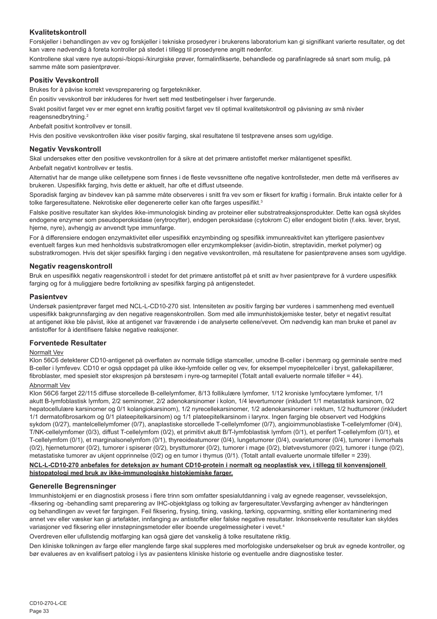## **Kvalitetskontroll**

Forskjeller i behandlingen av vev og forskjeller i tekniske prosedyrer i brukerens laboratorium kan gi signifikant varierte resultater, og det kan være nødvendig å foreta kontroller på stedet i tillegg til prosedyrene angitt nedenfor.

Kontrollene skal være nye autopsi-/biopsi-/kirurgiske prøver, formalinfikserte, behandlede og parafinlagrede så snart som mulig, på samme måte som pasientprøver.

#### **Positiv Vevskontroll**

Brukes for å påvise korrekt vevspreparering og fargeteknikker.

Én positiv vevskontroll bør inkluderes for hvert sett med testbetingelser i hver fargerunde.

Svakt positivt farget vev er mer egnet enn kraftig positivt farget vev til optimal kvalitetskontroll og påvisning av små nivåer reagensnedbrytning.<sup>2</sup>

Anbefalt positivt kontrollvev er tonsill.

Hvis den positive vevskontrollen ikke viser positiv farging, skal resultatene til testprøvene anses som ugyldige.

#### **Negativ Vevskontroll**

Skal undersøkes etter den positive vevskontrollen for å sikre at det primære antistoffet merker målantigenet spesifikt.

Anbefalt negativt kontrollvev er testis.

Alternativt har de mange ulike celletypene som finnes i de fleste vevssnittene ofte negative kontrollsteder, men dette må verifiseres av brukeren. Uspesifikk farging, hvis dette er aktuelt, har ofte et diffust utseende.

Sporadisk farging av bindevev kan på samme måte observeres i snitt fra vev som er fiksert for kraftig i formalin. Bruk intakte celler for å tolke fargeresultatene. Nekrotiske eller degenererte celler kan ofte farges uspesifikt.<sup>3</sup>

Falske positive resultater kan skyldes ikke-immunologisk binding av proteiner eller substratreaksjonsprodukter. Dette kan også skyldes endogene enzymer som pseudoperoksidase (erytrocytter), endogen peroksidase (cytokrom C) eller endogent biotin (f.eks. lever, bryst, hjerne, nyre), avhengig av anvendt type immunfarge.

For å differensiere endogen enzymaktivitet eller uspesifikk enzymbinding og spesifikk immunreaktivitet kan ytterligere pasientvev eventuelt farges kun med henholdsvis substratkromogen eller enzymkomplekser (avidin-biotin, streptavidin, merket polymer) og substratkromogen. Hvis det skjer spesifikk farging i den negative vevskontrollen, må resultatene for pasientprøvene anses som ugyldige.

#### **Negativ reagenskontroll**

Bruk en uspesifikk negativ reagenskontroll i stedet for det primære antistoffet på et snitt av hver pasientprøve for å vurdere uspesifikk farging og for å muliggjøre bedre fortolkning av spesifikk farging på antigenstedet.

#### **Pasientvev**

Undersøk pasientprøver farget med NCL-L-CD10-270 sist. Intensiteten av positiv farging bør vurderes i sammenheng med eventuell uspesifikk bakgrunnsfarging av den negative reagenskontrollen. Som med alle immunhistokjemiske tester, betyr et negativt resultat at antigenet ikke ble påvist, ikke at antigenet var fraværende i de analyserte cellene/vevet. Om nødvendig kan man bruke et panel av antistoffer for å identifisere falske negative reaksjoner.

#### **Forventede Resultater**

#### Normalt Vev

Klon 56C6 detekterer CD10-antigenet på overflaten av normale tidlige stamceller, umodne B-celler i benmarg og germinale sentre med B-celler i lymfevev. CD10 er også oppdaget på ulike ikke-lymfoide celler og vev, for eksempel myoepitelceller i bryst, gallekapillærer, fibroblaster, med spesielt stor ekspresjon på børstesøm i nyre-og tarmepitel (Totalt antall evaluerte normale tilfeller = 44).

#### Abnormalt Vev

Klon 56C6 farget 22/115 diffuse storcellede B-cellelymfomer, 8/13 follikulære lymfomer, 1/12 kroniske lymfocytære lymfomer, 1/1 akutt B-lymfoblastisk lymfom, 2/2 seminomer, 2/2 adenokarsinomer i kolon, 1/4 levertumorer (inkludert 1/1 metastatisk karsinom, 0/2 hepatocellulære karsinomer og 0/1 kolangiokarsinom), 1/2 nyrecellekarsinomer, 1/2 adenokarsinomer i rektum, 1/2 hudtumorer (inkludert 1/1 dermatofibrosarkom og 0/1 plateepitelkarsinom) og 1/1 plateepitelkarsinom i larynx. Ingen farging ble observert ved Hodgkins sykdom (0/27), mantelcellelymfomer (0/7), anaplastiske storcellede T-cellelymfomer (0/7), angioimmunoblastiske T-cellelymfomer (0/4), T/NK-cellelymfomer (0/3), diffust T-cellelymfom (0/2), et primitivt akutt B/T-lymfoblastisk lymfom (0/1), et perifert T-cellelymfom (0/1), et T-cellelymfom (0/1), et marginalsonelymfom (0/1), thyreoideatumorer (0/4), lungetumorer (0/4), ovarietumorer (0/4), tumorer i livmorhals (0/2), hjernetumorer (0/2), tumorer i spiserør (0/2), brysttumorer (0/2), tumorer i mage (0/2), bløtvevstumorer (0/2), tumorer i tunge (0/2), metastatiske tumorer av ukjent opprinnelse (0/2) og en tumor i thymus (0/1). (Totalt antall evaluerte unormale tilfeller = 239).

#### **NCL-L-CD10-270 anbefales for deteksjon av humant CD10-protein i normalt og neoplastisk vev, i tillegg til konvensjonell histopatologi med bruk av ikke-immunologiske histokjemiske farger.**

#### **Generelle Begrensninger**

Immunhistokjemi er en diagnostisk prosess i flere trinn som omfatter spesialutdanning i valg av egnede reagenser, vevsseleksjon, -fiksering og -behandling samt preparering av IHC-objektglass og tolking av fargeresultater.Vevsfarging avhenger av håndteringen og behandlingen av vevet før fargingen. Feil fiksering, frysing, tining, vasking, tørking, oppvarming, snitting eller kontaminering med annet vev eller væsker kan gi artefakter, innfanging av antistoffer eller falske negative resultater. Inkonsekvente resultater kan skyldes variasjoner ved fiksering eller innstøpningsmetoder eller iboende uregelmessigheter i vevet.4

Overdreven eller ufullstendig motfarging kan også gjøre det vanskelig å tolke resultatene riktig.

Den kliniske tolkningen av farge eller manglende farge skal suppleres med morfologiske undersøkelser og bruk av egnede kontroller, og bør evalueres av en kvalifisert patolog i lys av pasientens kliniske historie og eventuelle andre diagnostiske tester.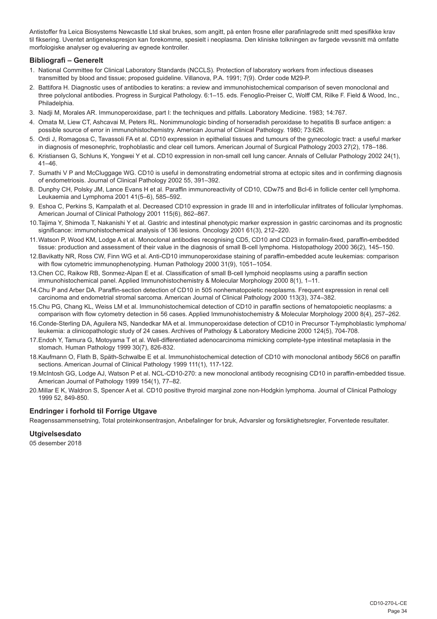Antistoffer fra Leica Biosystems Newcastle Ltd skal brukes, som angitt, på enten frosne eller parafinlagrede snitt med spesifikke krav til fiksering. Uventet antigenekspresjon kan forekomme, spesielt i neoplasma. Den kliniske tolkningen av fargede vevssnitt må omfatte morfologiske analyser og evaluering av egnede kontroller.

#### **Bibliografi – Generelt**

- 1. National Committee for Clinical Laboratory Standards (NCCLS). Protection of laboratory workers from infectious diseases transmitted by blood and tissue; proposed guideline. Villanova, P.A. 1991; 7(9). Order code M29-P.
- 2. Battifora H. Diagnostic uses of antibodies to keratins: a review and immunohistochemical comparison of seven monoclonal and three polyclonal antibodies. Progress in Surgical Pathology. 6:1–15. eds. Fenoglio-Preiser C, Wolff CM, Rilke F. Field & Wood, Inc., Philadelphia.
- 3. Nadji M, Morales AR. Immunoperoxidase, part I: the techniques and pitfalls. Laboratory Medicine. 1983; 14:767.
- 4. Omata M, Liew CT, Ashcavai M, Peters RL. Nonimmunologic binding of horseradish peroxidase to hepatitis B surface antigen: a possible source of error in immunohistochemistry. American Journal of Clinical Pathology. 1980; 73:626.
- 5. Ordi J, Romagosa C, Tavassoli FA et al. CD10 expression in epithelial tissues and tumours of the gynecologic tract: a useful marker in diagnosis of mesonephric, trophoblastic and clear cell tumors. American Journal of Surgical Pathology 2003 27(2), 178–186.
- 6. Kristiansen G, Schluns K, Yongwei Y et al. CD10 expression in non-small cell lung cancer. Annals of Cellular Pathology 2002 24(1), 41–46.
- 7. Sumathi V P and McCluggage WG. CD10 is useful in demonstrating endometrial stroma at ectopic sites and in confirming diagnosis of endometriosis. Journal of Clinical Pathology 2002 55, 391–392.
- 8. Dunphy CH, Polsky JM, Lance Evans H et al. Paraffin immunoreactivity of CD10, CDw75 and Bcl-6 in follicle center cell lymphoma. Leukaemia and Lymphoma 2001 41(5–6), 585–592.
- 9. Eshoa C, Perkins S, Kampalath et al. Decreased CD10 expression in grade III and in interfollicular infiltrates of follicular lymphomas. American Journal of Clinical Pathology 2001 115(6), 862–867.
- 10.Tajima Y, Shimoda T, Nakanishi Y et al. Gastric and intestinal phenotypic marker expression in gastric carcinomas and its prognostic significance: immunohistochemical analysis of 136 lesions. Oncology 2001 61(3), 212–220.
- 11.Watson P, Wood KM, Lodge A et al. Monoclonal antibodies recognising CD5, CD10 and CD23 in formalin-fixed, paraffin-embedded tissue: production and assessment of their value in the diagnosis of small B-cell lymphoma. Histopathology 2000 36(2), 145–150.
- 12.Bavikatty NR, Ross CW, Finn WG et al. Anti-CD10 immunoperoxidase staining of paraffin-embedded acute leukemias: comparison with flow cytometric immunophenotyping. Human Pathology 2000 31(9), 1051–1054.
- 13.Chen CC, Raikow RB, Sonmez-Alpan E et al. Classification of small B-cell lymphoid neoplasms using a paraffin section immunohistochemical panel. Applied Immunohistochemistry & Molecular Morphology 2000 8(1), 1–11.
- 14.Chu P and Arber DA. Paraffin-section detection of CD10 in 505 nonhematopoietic neoplasms. Frequent expression in renal cell carcinoma and endometrial stromal sarcoma. American Journal of Clinical Pathology 2000 113(3), 374–382.
- 15.Chu PG, Chang KL, Weiss LM et al. Immunohistochemical detection of CD10 in paraffin sections of hematopoietic neoplasms: a comparison with flow cytometry detection in 56 cases. Applied Immunohistochemistry & Molecular Morphology 2000 8(4), 257–262.
- 16.Conde-Sterling DA, Aguilera NS, Nandedkar MA et al. Immunoperoxidase detection of CD10 in Precursor T-lymphoblastic lymphoma/ leukemia: a clinicopathologic study of 24 cases. Archives of Pathology & Laboratory Medicine 2000 124(5), 704-708.
- 17.Endoh Y, Tamura G, Motoyama T et al. Well-differentiated adenocarcinoma mimicking complete-type intestinal metaplasia in the stomach. Human Pathology 1999 30(7), 826-832.
- 18.Kaufmann O, Flath B, Späth-Schwalbe E et al. Immunohistochemical detection of CD10 with monoclonal antibody 56C6 on paraffin sections. American Journal of Clinical Pathology 1999 111(1), 117-122.
- 19.McIntosh GG, Lodge AJ, Watson P et al. NCL-CD10-270: a new monoclonal antibody recognising CD10 in paraffin-embedded tissue. American Journal of Pathology 1999 154(1), 77–82.
- 20.Millar E K, Waldron S, Spencer A et al. CD10 positive thyroid marginal zone non-Hodgkin lymphoma. Journal of Clinical Pathology 1999 52, 849-850.

## **Endringer i forhold til Forrige Utgave**

Reagenssammensetning, Total proteinkonsentrasjon, Anbefalinger for bruk, Advarsler og forsiktighetsregler, Forventede resultater.

## **Utgivelsesdato**

05 desember 2018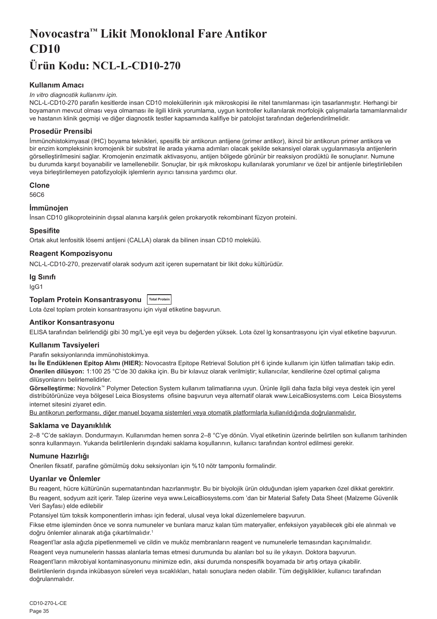# <span id="page-35-0"></span>**Novocastra™ Likit Monoklonal Fare Antikor CD10 Ürün Kodu: NCL-L-CD10-270**

## **Kullanım Amacı**

#### *In vitro diagnostik kullanımı için.*

NCL-L-CD10-270 parafin kesitlerde insan CD10 moleküllerinin ışık mikroskopisi ile nitel tanımlanması için tasarlanmıştır. Herhangi bir boyamanın mevcut olması veya olmaması ile ilgili klinik yorumlama, uygun kontroller kullanılarak morfolojik çalışmalarla tamamlanmalıdır ve hastanın klinik geçmişi ve diğer diagnostik testler kapsamında kalifiye bir patolojist tarafından değerlendirilmelidir.

## **Prosedür Prensibi**

İmmünohistokimyasal (IHC) boyama teknikleri, spesifik bir antikorun antijene (primer antikor), ikincil bir antikorun primer antikora ve bir enzim kompleksinin kromojenik bir substrat ile arada yıkama adımları olacak şekilde sekansiyel olarak uygulanmasıyla antijenlerin görselleştirilmesini sağlar. Kromojenin enzimatik aktivasyonu, antijen bölgede görünür bir reaksiyon prodüktü ile sonuçlanır. Numune bu durumda karşıt boyanabilir ve lamellenebilir. Sonuçlar, bir ışık mikroskopu kullanılarak yorumlanır ve özel bir antijenle birleştirilebilen veya birleştirilemeyen patofizyolojik işlemlerin ayırıcı tanısına yardımcı olur.

#### **Clone**

56C6

## **İmmünojen**

İnsan CD10 glikoproteininin dışsal alanına karşılık gelen prokaryotik rekombinant füzyon proteini.

#### **Spesifite**

Ortak akut lenfositik lösemi antijeni (CALLA) olarak da bilinen insan CD10 molekülü.

## **Reagent Kompozisyonu**

NCL-L-CD10-270, prezervatif olarak sodyum azit içeren supernatant bir likit doku kültürüdür.

#### **Ig Sınıfı**

IgG1

## **Toplam Protein Konsantrasyonu Total Protein**

Lota özel toplam protein konsantrasyonu için viyal etiketine başvurun.

#### **Antikor Konsantrasyonu**

ELISA tarafından belirlendiği gibi 30 mg/L'ye eşit veya bu değerden yüksek. Lota özel lg konsantrasyonu için viyal etiketine başvurun.

#### **Kullanım Tavsiyeleri**

Parafin seksiyonlarında immünohistokimya.

**Isı İle Endüklenen Epitop Alımı (HIER):** Novocastra Epitope Retrieval Solution pH 6 içinde kullanım için lütfen talimatları takip edin. **Önerilen dilüsyon:** 1:100 25 °C'de 30 dakika için. Bu bir kılavuz olarak verilmiştir; kullanıcılar, kendilerine özel optimal çalışma dilüsyonlarını belirlemelidirler.

**Görselleştirme:** Novolink™ Polymer Detection System kullanım talimatlarına uyun. Ürünle ilgili daha fazla bilgi veya destek için yerel distribütörünüze veya bölgesel Leica Biosystems ofisine başvurun veya alternatif olarak www.LeicaBiosystems.com Leica Biosystems internet sitesini ziyaret edin.

Bu antikorun performansı, diğer manuel boyama sistemleri veya otomatik platformlarla kullanıldığında doğrulanmalıdır.

## **Saklama ve Dayanıklılık**

2–8 °C'de saklayın. Dondurmayın. Kullanımdan hemen sonra 2–8 °C'ye dönün. Viyal etiketinin üzerinde belirtilen son kullanım tarihinden sonra kullanmayın. Yukarıda belirtilenlerin dışındaki saklama koşullarının, kullanıcı tarafından kontrol edilmesi gerekir.

## **Numune Hazırlığı**

Önerilen fiksatif, parafine gömülmüş doku seksiyonları için %10 nötr tamponlu formalindir.

## **Uyarılar ve Önlemler**

Bu reagent, hücre kültürünün supernatantından hazırlanmıştır. Bu bir biyolojik ürün olduğundan işlem yaparken özel dikkat gerektirir. Bu reagent, sodyum azit içerir. Talep üzerine veya www.LeicaBiosystems.com 'dan bir Material Safety Data Sheet (Malzeme Güvenlik Veri Sayfası) elde edilebilir

Potansiyel tüm toksik komponentlerin imhası için federal, ulusal veya lokal düzenlemelere başvurun.

Fikse etme işleminden önce ve sonra numuneler ve bunlara maruz kalan tüm materyaller, enfeksiyon yayabilecek gibi ele alınmalı ve doğru önlemler alınarak atığa çıkartılmalıdır.<sup>1</sup>

Reagent'lar asla ağızla pipetlenmemeli ve cildin ve muköz membranların reagent ve numunelerle temasından kaçınılmalıdır.

Reagent veya numunelerin hassas alanlarla temas etmesi durumunda bu alanları bol su ile yıkayın. Doktora başvurun. Reagent'ların mikrobiyal kontaminasyonunu minimize edin, aksi durumda nonspesifik boyamada bir artış ortaya çıkabilir.

Belirtilenlerin dışında inkübasyon süreleri veya sıcaklıkları, hatalı sonuçlara neden olabilir. Tüm değişiklikler, kullanıcı tarafından doğrulanmalıdır.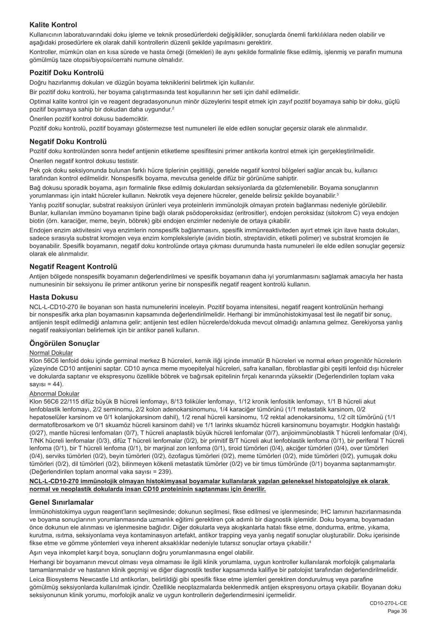## **Kalite Kontrol**

Kullanıcının laboratuvarındaki doku işleme ve teknik prosedürlerdeki değişiklikler, sonuçlarda önemli farklılıklara neden olabilir ve aşağıdaki prosedürlere ek olarak dahili kontrollerin düzenli şekilde yapılmasını gerektirir.

Kontroller, mümkün olan en kısa sürede ve hasta örneği (örnekleri) ile aynı şekilde formalinle fikse edilmiş, işlenmiş ve parafin mumuna gömülmüş taze otopsi/biyopsi/cerrahi numune olmalıdır.

#### **Pozitif Doku Kontrolü**

Doğru hazırlanmış dokuları ve düzgün boyama tekniklerini belirtmek için kullanılır.

Bir pozitif doku kontrolü, her boyama çalıştırmasında test koşullarının her seti için dahil edilmelidir.

Optimal kalite kontrol için ve reagent degradasyonunun minör düzeylerini tespit etmek için zayıf pozitif boyamaya sahip bir doku, güçlü pozitif boyamaya sahip bir dokudan daha uygundur.<sup>2</sup>

Önerilen pozitif kontrol dokusu bademciktir.

Pozitif doku kontrolü, pozitif boyamayı göstermezse test numuneleri ile elde edilen sonuçlar geçersiz olarak ele alınmalıdır.

#### **Negatif Doku Kontrolü**

Pozitif doku kontrolünden sonra hedef antijenin etiketleme spesifitesini primer antikorla kontrol etmek için gerçekleştirilmelidir. Önerilen negatif kontrol dokusu testistir.

Pek çok doku seksiyonunda bulunan farklı hücre tiplerinin çeşitliliği, genelde negatif kontrol bölgeleri sağlar ancak bu, kullanıcı tarafından kontrol edilmelidir. Nonspesifik boyama, mevcutsa genelde difüz bir görünüme sahiptir.

Bağ dokusu sporadik boyama, aşırı formalinle fikse edilmiş dokulardan seksiyonlarda da gözlemlenebilir. Boyama sonuçlarının yorumlanması için intakt hücreler kullanın. Nekrotik veya dejenere hücreler, genelde belirsiz şekilde boyanabilir.<sup>3</sup>

Yanlış pozitif sonuçlar, substrat reaksiyon ürünleri veya proteinlerin immünolojik olmayan protein bağlanması nedeniyle görülebilir. Bunlar, kullanılan immüno boyamanın tipine bağlı olarak psödoperoksidaz (eritrositler), endojen peroksidaz (sitokrom C) veya endojen biotin (örn. karaciğer, meme, beyin, böbrek) gibi endojen enzimler nedeniyle de ortaya çıkabilir.

Endojen enzim aktivitesini veya enzimlerin nonspesifik bağlanmasını, spesifik immünreaktiviteden ayırt etmek için ilave hasta dokuları, sadece sırasıyla substrat kromojen veya enzim kompleksleriyle (avidin biotin, streptavidin, etiketli polimer) ve substrat kromojen ile boyanabilir. Spesifik boyamanın, negatif doku kontrolünde ortaya çıkması durumunda hasta numuneleri ile elde edilen sonuçlar geçersiz olarak ele alınmalıdır.

## **Negatif Reagent Kontrolü**

Antijen bölgede nonspesifik boyamanın değerlendirilmesi ve spesifik boyamanın daha iyi yorumlanmasını sağlamak amacıyla her hasta numunesinin bir seksiyonu ile primer antikorun yerine bir nonspesifik negatif reagent kontrolü kullanın.

#### **Hasta Dokusu**

NCL-L-CD10-270 ile boyanan son hasta numunelerini inceleyin. Pozitif boyama intensitesi, negatif reagent kontrolünün herhangi bir nonspesifik arka plan boyamasının kapsamında değerlendirilmelidir. Herhangi bir immünohistokimyasal test ile negatif bir sonuç, antijenin tespit edilmediği anlamına gelir; antijenin test edilen hücrelerde/dokuda mevcut olmadığı anlamına gelmez. Gerekiyorsa yanlış negatif reaksiyonları belirlemek için bir antikor paneli kullanın.

## **Öngörülen Sonuçlar**

## Normal Dokular

Klon 56C6 lenfoid doku içinde germinal merkez B hücreleri, kemik iliği içinde immatür B hücreleri ve normal erken progenitör hücrelerin yüzeyinde CD10 antijenini saptar. CD10 ayrıca meme myoepitelyal hücreleri, safra kanalları, fibroblastlar gibi çeşitli lenfoid dışı hücreler ve dokularda saptanır ve ekspresyonu özellikle böbrek ve bağırsak epitelinin fırçalı kenarında yüksektir (Değerlendirilen toplam vaka  $savısı = 44$ ).

#### Abnormal Dokular

Klon 56C6 22/115 difüz büyük B hücreli lenfomayı, 8/13 foliküler lenfomayı, 1/12 kronik lenfositik lenfomayı, 1/1 B hücreli akut lenfoblastik lenfomayı, 2/2 seminomu, 2/2 kolon adenokarsinomunu, 1/4 karaciğer tümörünü (1/1 metastatik karsinom, 0/2 hepatoselüler karsinom ve 0/1 kolanjiokarsinom dahil), 1/2 renal hücreli karsinomu, 1/2 rektal adenokarsinomu, 1/2 cilt tümörünü (1/1 dermatofibrosarkom ve 0/1 skuamöz hücreli karsinom dahil) ve 1/1 larinks skuamöz hücreli karsinomunu boyamıştır. Hodgkin hastalığı (0/27), mantle hücresi lenfomaları (0/7), T hücreli anaplastik büyük hücreli lenfomalar (0/7), anjioimmünoblastik T hücreli lenfomalar (0/4), T/NK hücreli lenfomalar (0/3), difüz T hücreli lenfomalar (0/2), bir primitif B/T hücreli akut lenfoblastik lenfoma (0/1), bir periferal T hücreli lenfoma (0/1), bir T hücreli lenfoma (0/1), bir marjinal zon lenfoma (0/1), tiroid tümörleri (0/4), akciğer tümörleri (0/4), over tümörleri (0/4), serviks tümörleri (0/2), beyin tümörleri (0/2), özofagus tümörleri (0/2), meme tümörleri (0/2), mide tümörleri (0/2), yumuşak doku tümörleri (0/2), dil tümörleri (0/2), bilinmeyen kökenli metastatik tümörler (0/2) ve bir timus tümöründe (0/1) boyanma saptanmamıştır. (Değerlendirilen toplam anormal vaka sayısı = 239).

#### **NCL-L-CD10-270 immünolojik olmayan histokimyasal boyamalar kullanılarak yapılan geleneksel histopatolojiye ek olarak normal ve neoplastik dokularda insan CD10 proteininin saptanması için önerilir.**

#### **Genel Sınırlamalar**

İmmünohistokimya uygun reagent'ların seçilmesinde; dokunun seçilmesi, fikse edilmesi ve işlenmesinde; IHC lamının hazırlanmasında ve boyama sonuçlarının yorumlanmasında uzmanlık eğitimi gerektiren çok adımlı bir diagnostik işlemidir. Doku boyama, boyamadan önce dokunun ele alınması ve işlenmesine bağlıdır. Diğer dokularla veya akışkanlarla hatalı fikse etme, dondurma, eritme, yıkama, kurutma, ısıtma, seksiyonlama veya kontaminasyon artefakt, antikor trapping veya yanlış negatif sonuçlar oluşturabilir. Doku içerisinde fikse etme ve gömme yöntemleri veya inherent aksaklıklar nedeniyle tutarsız sonuçlar ortaya çıkabilir. 4

Aşırı veya inkomplet karşıt boya, sonuçların doğru yorumlanmasına engel olabilir.

Herhangi bir boyamanın mevcut olması veya olmaması ile ilgili klinik yorumlama, uygun kontroller kullanılarak morfolojik çalışmalarla tamamlanmalıdır ve hastanın klinik geçmişi ve diğer diagnostik testler kapsamında kalifiye bir patolojist tarafından değerlendirilmelidir.

Leica Biosystems Newcastle Ltd antikorları, belirtildiği gibi spesifik fikse etme işlemleri gerektiren dondurulmuş veya parafine gömülmüş seksiyonlarda kullanılmak içindir. Özellikle neoplazmalarda beklenmedik antijen ekspresyonu ortaya çıkabilir. Boyanan doku seksiyonunun klinik yorumu, morfolojik analiz ve uygun kontrollerin değerlendirmesini içermelidir.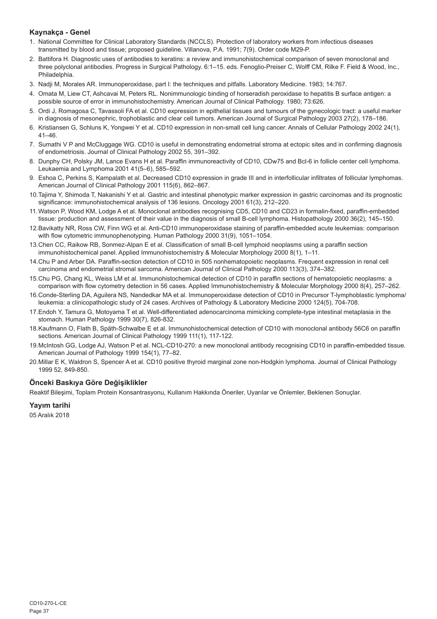## **Kaynakça - Genel**

- 1. National Committee for Clinical Laboratory Standards (NCCLS). Protection of laboratory workers from infectious diseases transmitted by blood and tissue; proposed guideline. Villanova, P.A. 1991; 7(9). Order code M29-P.
- 2. Battifora H. Diagnostic uses of antibodies to keratins: a review and immunohistochemical comparison of seven monoclonal and three polyclonal antibodies. Progress in Surgical Pathology. 6:1–15. eds. Fenoglio-Preiser C, Wolff CM, Rilke F. Field & Wood, Inc., Philadelphia.
- 3. Nadji M, Morales AR. Immunoperoxidase, part I: the techniques and pitfalls. Laboratory Medicine. 1983; 14:767.
- 4. Omata M, Liew CT, Ashcavai M, Peters RL. Nonimmunologic binding of horseradish peroxidase to hepatitis B surface antigen: a possible source of error in immunohistochemistry. American Journal of Clinical Pathology. 1980; 73:626.
- 5. Ordi J, Romagosa C, Tavassoli FA et al. CD10 expression in epithelial tissues and tumours of the gynecologic tract: a useful marker in diagnosis of mesonephric, trophoblastic and clear cell tumors. American Journal of Surgical Pathology 2003 27(2), 178–186.
- 6. Kristiansen G, Schluns K, Yongwei Y et al. CD10 expression in non-small cell lung cancer. Annals of Cellular Pathology 2002 24(1),  $41 - 46$
- 7. Sumathi V P and McCluggage WG. CD10 is useful in demonstrating endometrial stroma at ectopic sites and in confirming diagnosis of endometriosis. Journal of Clinical Pathology 2002 55, 391–392.
- 8. Dunphy CH, Polsky JM, Lance Evans H et al. Paraffin immunoreactivity of CD10, CDw75 and Bcl-6 in follicle center cell lymphoma. Leukaemia and Lymphoma 2001 41(5–6), 585–592.
- 9. Eshoa C, Perkins S, Kampalath et al. Decreased CD10 expression in grade III and in interfollicular infiltrates of follicular lymphomas. American Journal of Clinical Pathology 2001 115(6), 862–867.
- 10.Tajima Y, Shimoda T, Nakanishi Y et al. Gastric and intestinal phenotypic marker expression in gastric carcinomas and its prognostic significance: immunohistochemical analysis of 136 lesions. Oncology 2001 61(3), 212–220.
- 11.Watson P, Wood KM, Lodge A et al. Monoclonal antibodies recognising CD5, CD10 and CD23 in formalin-fixed, paraffin-embedded tissue: production and assessment of their value in the diagnosis of small B-cell lymphoma. Histopathology 2000 36(2), 145–150.
- 12.Bavikatty NR, Ross CW, Finn WG et al. Anti-CD10 immunoperoxidase staining of paraffin-embedded acute leukemias: comparison with flow cytometric immunophenotyping. Human Pathology 2000 31(9), 1051–1054.
- 13.Chen CC, Raikow RB, Sonmez-Alpan E et al. Classification of small B-cell lymphoid neoplasms using a paraffin section immunohistochemical panel. Applied Immunohistochemistry & Molecular Morphology 2000 8(1), 1–11.
- 14.Chu P and Arber DA. Paraffin-section detection of CD10 in 505 nonhematopoietic neoplasms. Frequent expression in renal cell carcinoma and endometrial stromal sarcoma. American Journal of Clinical Pathology 2000 113(3), 374–382.
- 15.Chu PG, Chang KL, Weiss LM et al. Immunohistochemical detection of CD10 in paraffin sections of hematopoietic neoplasms: a comparison with flow cytometry detection in 56 cases. Applied Immunohistochemistry & Molecular Morphology 2000 8(4), 257–262.
- 16.Conde-Sterling DA, Aguilera NS, Nandedkar MA et al. Immunoperoxidase detection of CD10 in Precursor T-lymphoblastic lymphoma/ leukemia: a clinicopathologic study of 24 cases. Archives of Pathology & Laboratory Medicine 2000 124(5), 704-708.
- 17.Endoh Y, Tamura G, Motoyama T et al. Well-differentiated adenocarcinoma mimicking complete-type intestinal metaplasia in the stomach. Human Pathology 1999 30(7), 826-832.
- 18.Kaufmann O, Flath B, Späth-Schwalbe E et al. Immunohistochemical detection of CD10 with monoclonal antibody 56C6 on paraffin sections. American Journal of Clinical Pathology 1999 111(1), 117-122.
- 19.McIntosh GG, Lodge AJ, Watson P et al. NCL-CD10-270: a new monoclonal antibody recognising CD10 in paraffin-embedded tissue. American Journal of Pathology 1999 154(1), 77–82.
- 20.Millar E K, Waldron S, Spencer A et al. CD10 positive thyroid marginal zone non-Hodgkin lymphoma. Journal of Clinical Pathology 1999 52, 849-850.

## **Önceki Baskıya Göre Değişiklikler**

Reaktif Bileşimi, Toplam Protein Konsantrasyonu, Kullanım Hakkında Öneriler, Uyarılar ve Önlemler, Beklenen Sonuçlar.

## **Yayım tarihi**

05 Aralık 2018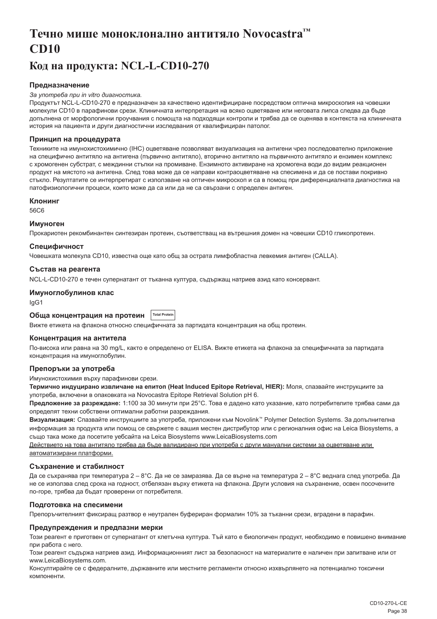# <span id="page-38-0"></span>**Течно мише моноклонално антитяло Novocastra™ CD10**

## **Код на продукта: NCL-L-CD10-270**

## **Предназначение**

#### *За употреба при in vitro диагностика.*

Продуктът NCL-L-CD10-270 е предназначен за качествено идентифициране посредством оптична микроскопия на човешки молекули CD10 в парафинови срези. Клиничната интерпретация на всяко оцветяване или неговата липса следва да бъде допълнена от морфологични проучвания с помощта на подходящи контроли и трябва да се оценява в контекста на клиничната история на пациента и други диагностични изследвания от квалифициран патолог.

## **Принцип на процедурата**

Техниките на имунохистохимично (IHC) оцветяване позволяват визуализация на антигени чрез последователно приложение на специфично антитяло на антигена (първично антитяло), вторично антитяло на първичното антитяло и ензимен комплекс с хромогенен субстрат, с междинни стъпки на промиване. Ензимното активиране на хромогена води до видим реакционен продукт на мястото на антигена. След това може да се направи контраоцветяване на спесимена и да се постави покривно стъкло. Резултатите се интерпретират с използване на оптичен микроскоп и са в помощ при диференциалната диагностика на патофизиологични процеси, които може да са или да не са свързани с определен антиген.

#### **Клонинг**

56C6

#### **Имуноген**

Прокариотен рекомбинантен синтезиран протеин, съответстващ на вътрешния домен на човешки CD10 гликопротеин.

#### **Специфичност**

Човешката молекула CD10, известна още като общ за острата лимфобластна левкемия антиген (CALLA).

#### **Състав на реагента**

NCL-L-CD10-270 е течен супернатант от тъканна култура, съдържащ натриев азид като консервант.

## **Имуноглобулинов клас**

IgG1

#### **Обща концентрация на протеин Total Protei**

Вижте етикета на флакона относно специфичната за партидата концентрация на общ протеин.

#### **Концентрация на антитела**

По-висока или равна на 30 mg/L, както е определено от ELISA. Вижте етикета на флакона за специфичната за партидата концентрация на имуноглобулин.

## **Препоръки за употреба**

Имунохистохимия върху парафинови срези.

**Термично индуцирано извличане на епитоп (Heat Induced Epitope Retrieval, HIER):** Моля, спазвайте инструкциите за употреба, включени в опаковката на Novocastra Epitope Retrieval Solution pH 6.

**Предложение за разреждане:** 1:100 за 30 минути при 25°C. Това е дадено като указание, като потребителите трябва сами да определят техни собствени оптимални работни разреждания.

**Визуализация:** Спазвайте инструкциите за употреба, приложени към Novolink™ Polymer Detection Systems. За допълнителна информация за продукта или помощ се свържете с вашия местен дистрибутор или с регионалния офис на Leica Biosystems, а също така може да посетите уебсайта на Leica Biosystems www.LeicaBiosystems.com

Действието на това антитяло трябва да бъде валидирано при употреба с други мануални системи за оцветяване или автоматизирани платформи.

#### **Съхранение и стабилност**

Да се съхранява при температура 2 – 8°C. Да не се замразява. Да се върне на температура 2 – 8°C веднага след употреба. Да не се използва след срока на годност, отбелязан върху етикета на флакона. Други условия на съхранение, освен посочените по-горе, трябва да бъдат проверени от потребителя.

#### **Подготовка на спесимени**

Препоръчителният фиксиращ разтвор е неутрален буфериран формалин 10% за тъканни срези, вградени в парафин.

#### **Предупреждения и предпазни мерки**

Този реагент е приготвен от супернатант от клетъчна култура. Тъй като е биологичен продукт, необходимо е повишено внимание при работа с него.

Този реагент съдържа натриев азид. Информационният лист за безопасност на материалите е наличен при запитване или от www.LeicaBiosystems.com.

Консултирайте се с федералните, държавните или местните регламенти относно изхвърлянето на потенциално токсични компоненти.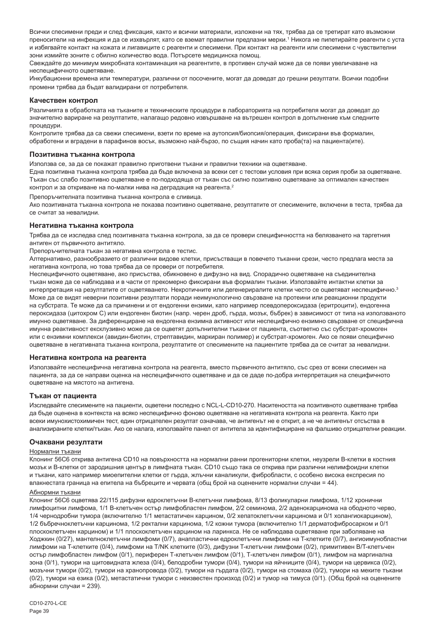Всички спесимени преди и след фиксация, както и всички материали, изложени на тях, трябва да се третират като възможни преносители на инфекция и да се изхвърлят, като се вземат правилни предпазни мерки.' Никога не пипетирайте реагенти с уста и избягвайте контакт на кожата и лигавиците с реагенти и спесимени. При контакт на реагенти или спесимени с чувствителни зони измийте зоните с обилно количество вода. Потърсете медицинска помощ.

Свеждайте до минимум микробната контаминация на реагентите, в противен случай може да се появи увеличаване на неспецифичното оцветяване.

Инкубационни времена или температури, различни от посочените, могат да доведат до грешни резултати. Всички подобни промени трябва да бъдат валидирани от потребителя.

#### **Качествен контрол**

Различията в обработката на тъканите и техническите процедури в лабораторията на потребителя могат да доведат до значително вариране на резултатите, налагащо редовно извършване на вътрешен контрол в допълнение към следните процедури.

Контролите трябва да са свежи спесимени, взети по време на аутопсия/биопсия/операция, фиксирани във формалин, обработени и вградени в парафинов восък, възможно най-бързо, по същия начин като проба(та) на пациента(ите).

#### **Позитивна тъканна контрола**

Използва се, за да се покажат правилно приготвени тъкани и правилни техники на оцветяване.

Една позитивна тъканна контрола трябва да бъде включена за всеки сет с тестови условия при всяка серия проби за оцветяване. Тъкан със слабо позитивно оцветяване е по-подходяща от тъкан със силно позитивно оцветяване за оптимален качествен контрол и за откриване на по-малки нива на деградация на реагента.<sup>2</sup>

Препоръчителната позитивна тъканна контрола е сливица.

Ако позитивната тъканна контрола не показва позитивно оцветяване, резултатите от спесимените, включени в теста, трябва да се считат за невалидни.

#### **Негативна тъканна контрола**

Трябва да се изследва след позитивната тъканна контрола, за да се провери специфичността на белязването на таргетния антиген от първичното антитяло.

Препоръчителната тъкан за негативна контрола е тестис.

Алтернативно, разнообразието от различни видове клетки, присъстващи в повечето тъканни срези, често предлага места за негативна контрола, но това трябва да се провери от потребителя.

Неспецифичното оцветяване, ако присъства, обикновено е дифузно на вид. Спорадично оцветяване на съединителна тъкан може да се наблюдава и в части от прекомерно фиксирани във формалин тъкани. Използвайте интактни клетки за интерпретация на резултатите от оцветяването. Некротичните или дегенериралите клетки често се оцветяват неспецифично.<sup>3</sup> Може да се видят неверни позитивни резултати поради неимунологично свързване на протеини или реакционни продукти на субстрата. Те може да са причинени и от ендогенни ензими, като например псевдопероксидаза (еритроцити), ендогенна пероксидаза (цитохром C) или ендогенен биотин (напр. черен дроб, гърда, мозък, бъбрек) в зависимост от типа на използваното имунно оцветяване. За диференциране на ендогенна ензимна активност или неспецифично ензимно свързване от специфична имунна реактивност ексклузивно може да се оцветят допълнителни тъкани от пациента, съответно със субстрат-хромоген или с ензимни комплекси (авидин-биотин, стрептавидин, маркиран полимер) и субстрат-хромоген. Ако се появи специфично оцветяване в негативната тъканна контрола, резултатите от спесимените на пациентите трябва да се считат за невалидни.

#### **Негативна контрола на реагента**

Използвайте неспецифична негативна контрола на реагента, вместо първичното антитяло, със срез от всеки спесимен на пациента, за да се направи оценка на неспецифичното оцветяване и да се даде по-добра интерпретация на специфичното оцветяване на мястото на антигена.

#### **Тъкан от пациента**

Изследвайте спесимените на пациенти, оцветени последно с NCL-L-CD10-270. Наситеността на позитивното оцветяване трябва да бъде оценена в контекста на всяко неспецифично фоново оцветяване на негативната контрола на реагента. Както при всеки имунохистохимичен тест, един отрицателен резултат означава, че антигенът не е открит, а не че антигенът отсъства в анализираните клетки/тъкан. Ако се налага, използвайте панел от антитела за идентифициране на фалшиво отрицателни реакции.

#### **Очаквани резултати**

#### Нормални тъкани

Клонинг 56C6 открива антигена CD10 на повърхността на нормални ранни прогениторни клетки, неузрели B-клетки в костния мозък и B-клетки от зародишния център в лимфната тъкан. CD10 също така се открива при различни нелимфоидни клетки и тъкани, като например миоепителни клетки от гърда, жлъчни каналикули, фибробласти, с особено висока експресия по влакнестата граница на епитела на бъбреците и червата (общ брой на оценените нормални случаи = 44).

#### Абнормни тъкани

Клонинг 56C6 оцветява 22/115 дифузни едроклетъчни B-клетъчни лимфома, 8/13 фоликуларни лимфома, 1/12 хронични лимфоцитни лимфома, 1/1 B-клетъчен остър лимфобластен лимфом, 2/2 семинома, 2/2 аденокарцинома на ободното черво, 1/4 чернодробни тумора (включително 1/1 метастатичен карцином, 0/2 хепатоклетъчни карцинома и 0/1 холангиокарцином), 1/2 бъбречноклетъчни карцинома, 1/2 ректални карцинома, 1/2 кожни тумора (включително 1/1 дерматофибросарком и 0/1 плоскоклетъчен карцином) и 1/1 плоскоклетъчен карцином на ларинкса. Не се наблюдава оцветяване при заболяване на Ходжкин (0/27), мантелноклетъчни лимфоми (0/7), анапластични едроклетъчни лимфоми на T-клетките (0/7), ангиоимунобластни лимфоми на T-клетките (0/4), лимфоми на T/NK клетките (0/3), дифузни T-клетъчни лимфоми (0/2), примитивен B/T-клетъчен остър лимфобластен лимфом (0/1), периферен Т-клетъчен лимфом (0/1), Т-клетъчен лимфом (0/1), лимфом на маргинална зона (0/1), тумори на щитовидната жлеза (0/4), белодробни тумори (0/4), тумори на яйчниците (0/4), тумори на цервикса (0/2), мозъчни тумори (0/2), тумори на хранопровода (0/2), тумори на гърдата (0/2), тумори на стомаха (0/2), тумори на меките тъкани (0/2), тумори на езика (0/2), метастатични тумори с неизвестен произход (0/2) и тумор на тимуса (0/1). (Общ брой на оценените абнормни случаи = 239).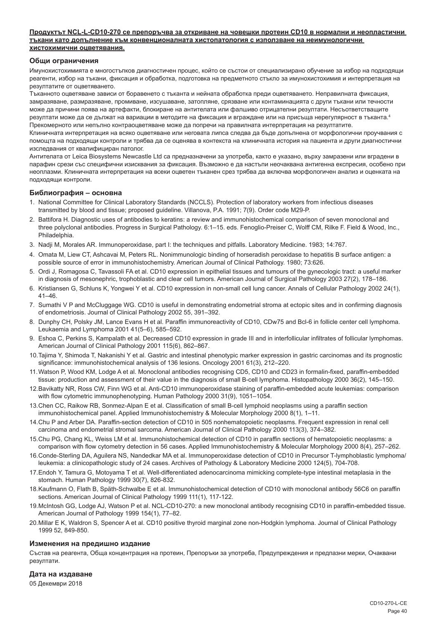#### **Продуктът NCL-L-CD10-270 се препоръчва за откриване на човешки протеин CD10 в нормални и неопластични тъкани като допълнение към конвенционалната хистопатология с използване на неимунологични хистохимични оцветявания.**

#### **Общи ограничения**

Имунохистохимията е многостъпков диагностичен процес, който се състои от специализирано обучение за избор на подходящи реагенти, избор на тъкани, фиксация и обработка, подготовка на предметното стъкло за имунохистохимия и интерпретация на резултатите от оцветяването.

Тъканното оцветяване зависи от боравенето с тъканта и нейната обработка преди оцветяването. Неправилната фиксация, замразяване, размразяване, промиване, изсушаване, затопляне, срязване или контаминацията с други тъкани или течности може да причини поява на артефакти, блокиране на антителата или фалшиво отрицателни резултати. Несъответстващите резултати може да се дължат на вариации в методите на фиксация и вграждане или на присъща нерегулярност в тъканта.4 Прекомерното или непълно контраоцветяване може да попречи на правилната интерпретация на резултатите.

Клиничната интерпретация на всяко оцветяване или неговата липса следва да бъде допълнена от морфологични проучвания с помощта на подходящи контроли и трябва да се оценява в контекста на клиничната история на пациента и други диагностични изследвания от квалифициран патолог.

Антителата от Leica Biosystems Newcastle Ltd са предназначени за употреба, както е указано, върху замразени или вградени в парафин срези със специфични изисквания за фиксация. Възможно е да настъпи неочаквана антигенна експресия, особено при неоплазми. Клиничната интерпретация на всеки оцветен тъканен срез трябва да включва морфологичен анализ и оценката на подходящи контроли.

#### **Библиография – основна**

- 1. National Committee for Clinical Laboratory Standards (NCCLS). Protection of laboratory workers from infectious diseases transmitted by blood and tissue; proposed guideline. Villanova, P.A. 1991; 7(9). Order code M29-P.
- 2. Battifora H. Diagnostic uses of antibodies to keratins: a review and immunohistochemical comparison of seven monoclonal and three polyclonal antibodies. Progress in Surgical Pathology. 6:1–15. eds. Fenoglio-Preiser C, Wolff CM, Rilke F. Field & Wood, Inc., Philadelphia.
- 3. Nadji M, Morales AR. Immunoperoxidase, part I: the techniques and pitfalls. Laboratory Medicine. 1983; 14:767.
- 4. Omata M, Liew CT, Ashcavai M, Peters RL. Nonimmunologic binding of horseradish peroxidase to hepatitis B surface antigen: a possible source of error in immunohistochemistry. American Journal of Clinical Pathology. 1980; 73:626.
- 5. Ordi J, Romagosa C, Tavassoli FA et al. CD10 expression in epithelial tissues and tumours of the gynecologic tract: a useful marker in diagnosis of mesonephric, trophoblastic and clear cell tumors. American Journal of Surgical Pathology 2003 27(2), 178–186.
- 6. Kristiansen G, Schluns K, Yongwei Y et al. CD10 expression in non-small cell lung cancer. Annals of Cellular Pathology 2002 24(1), 41–46.
- 7. Sumathi V P and McCluggage WG. CD10 is useful in demonstrating endometrial stroma at ectopic sites and in confirming diagnosis of endometriosis. Journal of Clinical Pathology 2002 55, 391–392.
- 8. Dunphy CH, Polsky JM, Lance Evans H et al. Paraffin immunoreactivity of CD10, CDw75 and Bcl-6 in follicle center cell lymphoma. Leukaemia and Lymphoma 2001 41(5–6), 585–592.
- 9. Eshoa C, Perkins S, Kampalath et al. Decreased CD10 expression in grade III and in interfollicular infiltrates of follicular lymphomas. American Journal of Clinical Pathology 2001 115(6), 862–867.
- 10.Tajima Y, Shimoda T, Nakanishi Y et al. Gastric and intestinal phenotypic marker expression in gastric carcinomas and its prognostic significance: immunohistochemical analysis of 136 lesions. Oncology 2001 61(3), 212–220.
- 11.Watson P, Wood KM, Lodge A et al. Monoclonal antibodies recognising CD5, CD10 and CD23 in formalin-fixed, paraffin-embedded tissue: production and assessment of their value in the diagnosis of small B-cell lymphoma. Histopathology 2000 36(2), 145–150.
- 12.Bavikatty NR, Ross CW, Finn WG et al. Anti-CD10 immunoperoxidase staining of paraffin-embedded acute leukemias: comparison with flow cytometric immunophenotyping. Human Pathology 2000 31(9), 1051–1054.
- 13.Chen CC, Raikow RB, Sonmez-Alpan E et al. Classification of small B-cell lymphoid neoplasms using a paraffin section immunohistochemical panel. Applied Immunohistochemistry & Molecular Morphology 2000 8(1), 1–11.
- 14.Chu P and Arber DA. Paraffin-section detection of CD10 in 505 nonhematopoietic neoplasms. Frequent expression in renal cell carcinoma and endometrial stromal sarcoma. American Journal of Clinical Pathology 2000 113(3), 374–382.
- 15.Chu PG, Chang KL, Weiss LM et al. Immunohistochemical detection of CD10 in paraffin sections of hematopoietic neoplasms: a comparison with flow cytometry detection in 56 cases. Applied Immunohistochemistry & Molecular Morphology 2000 8(4), 257–262.
- 16.Conde-Sterling DA, Aguilera NS, Nandedkar MA et al. Immunoperoxidase detection of CD10 in Precursor T-lymphoblastic lymphoma/ leukemia: a clinicopathologic study of 24 cases. Archives of Pathology & Laboratory Medicine 2000 124(5), 704-708.
- 17.Endoh Y, Tamura G, Motoyama T et al. Well-differentiated adenocarcinoma mimicking complete-type intestinal metaplasia in the stomach. Human Pathology 1999 30(7), 826-832.
- 18.Kaufmann O, Flath B, Späth-Schwalbe E et al. Immunohistochemical detection of CD10 with monoclonal antibody 56C6 on paraffin sections. American Journal of Clinical Pathology 1999 111(1), 117-122.
- 19.McIntosh GG, Lodge AJ, Watson P et al. NCL-CD10-270: a new monoclonal antibody recognising CD10 in paraffin-embedded tissue. American Journal of Pathology 1999 154(1), 77–82.
- 20.Millar E K, Waldron S, Spencer A et al. CD10 positive thyroid marginal zone non-Hodgkin lymphoma. Journal of Clinical Pathology 1999 52, 849-850.

#### **Изменения на предишно издание**

Състав на реагента, Обща концентрация на протеин, Препоръки за употреба, Предупреждения и предпазни мерки, Очаквани резултати.

#### **Дата на издаване**

05 Декември 2018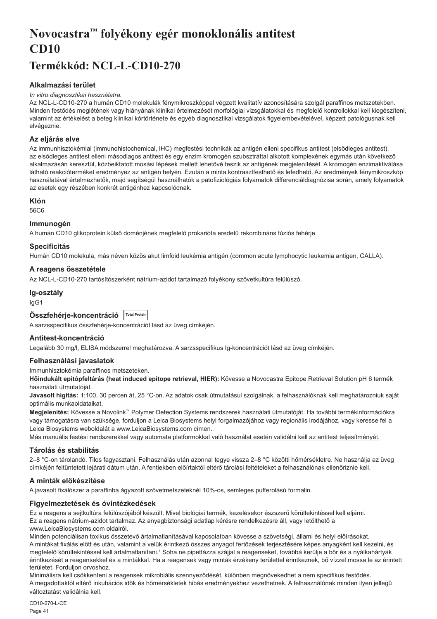# <span id="page-41-0"></span>**Novocastra™ folyékony egér monoklonális antitest CD10**

## **Termékkód: NCL-L-CD10-270**

## **Alkalmazási terület**

#### *In vitro diagnosztikai használatra.*

Az NCL-L-CD10-270 a humán CD10 molekulák fénymikroszkóppal végzett kvalitatív azonosítására szolgál paraffinos metszetekben. Minden festődés meglétének vagy hiányának klinikai értelmezését morfológiai vizsgálatokkal és megfelelő kontrollokkal kell kiegészíteni, valamint az értékelést a beteg klinikai kórtörténete és egyéb diagnosztikai vizsgálatok figyelembevételével, képzett patológusnak kell elvégeznie.

## **Az eljárás elve**

Az immunhisztokémiai (immunohistochemical, IHC) megfestési technikák az antigén elleni specifikus antitest (elsődleges antitest), az elsődleges antitest elleni másodlagos antitest és egy enzim kromogén szubsztráttal alkotott komplexének egymás után következő alkalmazásán keresztül, közbeiktatott mosási lépések mellett lehetővé teszik az antigének megjelenítését. A kromogén enzimaktiválása látható reakcióterméket eredményez az antigén helyén. Ezután a minta kontrasztfesthető és lefedhető. Az eredmények fénymikroszkóp használatával értelmezhetők, majd segítségül használhatók a patofiziológiás folyamatok differenciáldiagnózisa során, amely folyamatok az esetek egy részében konkrét antigénhez kapcsolódnak.

## **Klón**

56C6

## **Immunogén**

A humán CD10 glikoprotein külső doménjének megfelelő prokarióta eredetű rekombináns fúziós fehérje.

## **Specificitás**

Humán CD10 molekula, más néven közös akut limfoid leukémia antigén (common acute lymphocytic leukemia antigen, CALLA).

## **A reagens összetétele**

Az NCL-L-CD10-270 tartósítószerként nátrium-azidot tartalmazó folyékony szövetkultúra felülúszó.

## **Ig-osztály**

IgG1

| Összfehérje-koncentráció Total Protein |  |
|----------------------------------------|--|
|----------------------------------------|--|

A sarzsspecifikus összfehérje-koncentrációt lásd az üveg címkéjén.

## **Antitest-koncentráció**

Legalább 30 mg/l, ELISA módszerrel meghatározva. A sarzsspecifikus Ig-koncentrációt lásd az üveg címkéjén.

## **Felhasználási javaslatok**

Immunhisztokémia paraffinos metszeteken.

**Hőindukált epitópfeltárás (heat induced epitope retrieval, HIER):** Kövesse a Novocastra Epitope Retrieval Solution pH 6 termék használati útmutatóját.

**Javasolt hígítás:** 1:100, 30 percen át, 25 °C-on. Az adatok csak útmutatásul szolgálnak, a felhasználóknak kell meghatározniuk saját optimális munkaoldataikat.

**Megjelenítés:** Kövesse a Novolink™ Polymer Detection Systems rendszerek használati útmutatóját. Ha további termékinformációkra vagy támogatásra van szüksége, forduljon a Leica Biosystems helyi forgalmazójához vagy regionális irodájához, vagy keresse fel a Leica Biosystems weboldalát a www.LeicaBiosystems.com címen.

Más manuális festési rendszerekkel vagy automata platformokkal való használat esetén validálni kell az antitest teljesítményét.

## **Tárolás és stabilitás**

2–8 °C-on tárolandó. Tilos fagyasztani. Felhasználás után azonnal tegye vissza 2–8 °C közötti hőmérsékletre. Ne használja az üveg címkéjén feltüntetett lejárati dátum után. A fentiekben előírtaktól eltérő tárolási feltételeket a felhasználónak ellenőriznie kell.

## **A minták előkészítése**

A javasolt fixálószer a paraffinba ágyazott szövetmetszeteknél 10%-os, semleges pufferolású formalin.

## **Figyelmeztetések és óvintézkedések**

Ez a reagens a sejtkultúra felülúszójából készült. Mivel biológiai termék, kezelésekor észszerű körültekintéssel kell eljárni. Ez a reagens nátrium-azidot tartalmaz. Az anyagbiztonsági adatlap kérésre rendelkezésre áll, vagy letölthető a www.LeicaBiosystems.com oldalról.

Minden potenciálisan toxikus összetevő ártalmatlanításával kapcsolatban kövesse a szövetségi, állami és helyi előírásokat. A mintákat fixálás előtt és után, valamint a velük érintkező összes anyagot fertőzések terjesztésére képes anyagként kell kezelni, és megfelelő körültekintéssel kell ártalmatlanítani.1 Soha ne pipettázza szájjal a reagenseket, továbbá kerülje a bőr és a nyálkahártyák érintkezését a reagensekkel és a mintákkal. Ha a reagensek vagy minták érzékeny területtel érintkeznek, bő vízzel mossa le az érintett területet. Forduljon orvoshoz.

Minimálisra kell csökkenteni a reagensek mikrobiális szennyeződését, különben megnövekedhet a nem specifikus festődés. A megadottaktól eltérő inkubációs idők és hőmérsékletek hibás eredményekhez vezethetnek. A felhasználónak minden ilyen jellegű változtatást validálnia kell.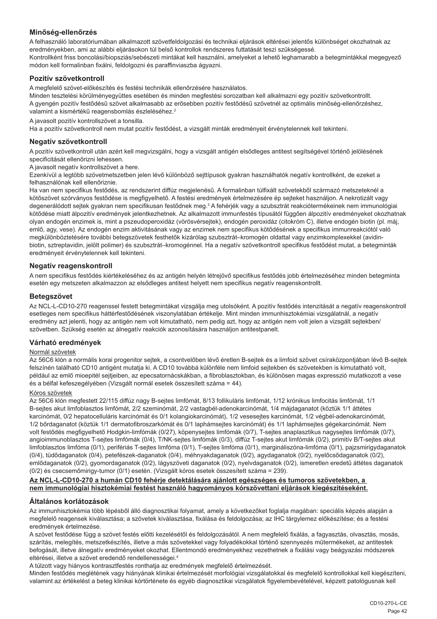## **Minőség-ellenőrzés**

A felhasználó laboratóriumában alkalmazott szövetfeldolgozási és technikai eljárások eltérései jelentős különbséget okozhatnak az eredményekben, ami az alábbi eljárásokon túl belső kontrollok rendszeres futtatását teszi szükségessé. Kontrollként friss boncolási/biopsziás/sebészeti mintákat kell használni, amelyeket a lehető leghamarabb a betegmintákkal megegyező módon kell formalinban fixálni, feldolgozni és paraffinviaszba ágyazni.

## **Pozitív szövetkontroll**

A megfelelő szövet-előkészítés és festési technikák ellenőrzésére használatos.

Minden tesztelési körülményegyüttes esetében és minden megfestési sorozatban kell alkalmazni egy pozitív szövetkontrollt. A gyengén pozitív festődésű szövet alkalmasabb az erősebben pozitív festődésű szövetnél az optimális minőség-ellenőrzéshez, valamint a kismértékű reagensbomlás észleléséhez.<sup>2</sup>

A javasolt pozitív kontrollszövet a tonsilla.

Ha a pozitív szövetkontroll nem mutat pozitív festődést, a vizsgált minták eredményeit érvénytelennek kell tekinteni.

#### **Negatív szövetkontroll**

A pozitív szövetkontroll után azért kell megvizsgálni, hogy a vizsgált antigén elsődleges antitest segítségével történő jelölésének specificitását ellenőrizni lehessen.

A javasolt negatív kontrollszövet a here.

Ezenkívül a legtöbb szövetmetszetben jelen lévő különböző sejttípusok gyakran használhatók negatív kontrollként, de ezeket a felhasználónak kell ellenőriznie.

Ha van nem specifikus festődés, az rendszerint diffúz megjelenésű. A formalinban túlfixált szövetekből származó metszeteknél a kötőszövet szórványos festődése is megfigyelhető. A festési eredmények értelmezésére ép sejteket használjon. A nekrotizált vagy degenerálódott sejtek gyakran nem specifikusan festődnek meg.<sup>3</sup> A fehérjék vagy a szubsztrát reakciótermékeinek nem immunológiai kötődése miatt álpozitív eredmények jelentkezhetnek. Az alkalmazott immunfestés típusától függően álpozitív eredményeket okozhatnak olyan endogén enzimek is, mint a pszeudoperoxidáz (vörösvérsejtek), endogén peroxidáz (citokróm C), illetve endogén biotin (pl. máj, emlő, agy, vese). Az endogén enzim aktivitásának vagy az enzimek nem specifikus kötődésének a specifikus immunreakciótól való megkülönböztetésére további betegszövetek festhetők kizárólag szubsztrát–kromogén oldattal vagy enzimkomplexekkel (avidinbiotin, sztreptavidin, jelölt polimer) és szubsztrát–kromogénnel. Ha a negatív szövetkontroll specifikus festődést mutat, a betegminták eredményeit érvénytelennek kell tekinteni.

#### **Negatív reagenskontroll**

A nem specifikus festődés kiértékeléséhez és az antigén helyén létrejövő specifikus festődés jobb értelmezéséhez minden betegminta esetén egy metszeten alkalmazzon az elsődleges antitest helyett nem specifikus negatív reagenskontrollt.

#### **Betegszövet**

Az NCL-L-CD10-270 reagenssel festett betegmintákat vizsgálja meg utolsóként. A pozitív festődés intenzitását a negatív reagenskontroll esetleges nem specifikus háttérfestődésének viszonylatában értékelje. Mint minden immunhisztokémiai vizsgálatnál, a negatív eredmény azt jelenti, hogy az antigén nem volt kimutatható, nem pedig azt, hogy az antigén nem volt jelen a vizsgált sejtekben/ szövetben. Szükség esetén az álnegatív reakciók azonosítására használjon antitestpanelt.

## **Várható eredmények**

#### Normál szövetek

Az 56C6 klón a normális korai progenitor sejtek, a csontvelőben lévő éretlen B-sejtek és a limfoid szövet csíraközpontjában lévő B-sejtek felszínén található CD10 antigént mutatja ki. A CD10 továbbá különféle nem limfoid sejtekben és szövetekben is kimutatható volt, például az emlő mioepitél sejtjeiben, az epecsatornácskákban, a fibroblasztokban, és különösen magas expresszió mutatkozott a vese és a bélfal kefeszegélyében (Vizsgált normál esetek összesített száma = 44).

#### Kóros szövetek

Az 56C6 klón megfestett 22/115 diffúz nagy B-sejtes limfómát, 8/13 follikuláris limfómát, 1/12 krónikus limfocitás limfómát, 1/1 B-sejtes akut limfoblasztos limfómát, 2/2 szeminómát, 2/2 vastagbél-adenokarcinómát, 1/4 májdaganatot (köztük 1/1 áttétes karcinómát, 0/2 hepatocelluláris karcinómát és 0/1 kolangiokarcinómát), 1/2 vesesejtes karcinómát, 1/2 végbél-adenokarcinómát, 1/2 bőrdaganatot (köztük 1/1 dermatofibroszarkómát és 0/1 laphámsejtes karcinómát) és 1/1 laphámsejtes gégekarcinómát. Nem volt festődés megfigyelhető Hodgkin-limfómák (0/27), köpenysejtes limfómák (0/7), T-sejtes anaplasztikus nagysejtes limfómák (0/7), angioimmunoblasztos T-sejtes limfómák (0/4), T/NK-sejtes limfómák (0/3), diffúz T-sejtes akut limfómák (0/2), primitív B/T-sejtes akut limfoblasztos limfóma (0/1), perifériás T-sejtes limfóma (0/1), T-sejtes limfóma (0/1), margináliszóna-limfóma (0/1), pajzsmirigydaganatok (0/4), tüdődaganatok (0/4), petefészek-daganatok (0/4), méhnyakdaganatok (0/2), agydaganatok (0/2), nyelőcsődaganatok (0/2), emlődaganatok (0/2), gyomordaganatok (0/2), lágyszöveti daganatok (0/2), nyelvdaganatok (0/2), ismeretlen eredetű áttétes daganatok (0/2) és csecsemőmirigy-tumor (0/1) esetén. (Vizsgált kóros esetek összesített száma = 239).

## **Az NCL-L-CD10-270 a humán CD10 fehérje detektálására ajánlott egészséges és tumoros szövetekben, a nem immunológiai hisztokémiai festést használó hagyományos kórszövettani eljárások kiegészítéseként.**

#### **Általános korlátozások**

Az immunhisztokémia több lépésből álló diagnosztikai folyamat, amely a következőket foglalja magában: speciális képzés alapján a megfelelő reagensek kiválasztása; a szövetek kiválasztása, fixálása és feldolgozása; az IHC tárgylemez előkészítése; és a festési eredmények értelmezése.

A szövet festődése függ a szövet festés előtti kezelésétől és feldolgozásától. A nem megfelelő fixálás, a fagyasztás, olvasztás, mosás, szárítás, melegítés, metszetkészítés, illetve a más szövetekkel vagy folyadékokkal történő szennyezés műtermékeket, az antitestek befogását, illetve álnegatív eredményeket okozhat. Ellentmondó eredményekhez vezethetnek a fixálási vagy beágyazási módszerek eltérései, illetve a szövet eredendő rendellenességei.4

A túlzott vagy hiányos kontrasztfestés ronthatja az eredmények megfelelő értelmezését.

Minden festődés meglétének vagy hiányának klinikai értelmezését morfológiai vizsgálatokkal és megfelelő kontrollokkal kell kiegészíteni, valamint az értékelést a beteg klinikai kórtörténete és egyéb diagnosztikai vizsgálatok figyelembevételével, képzett patológusnak kell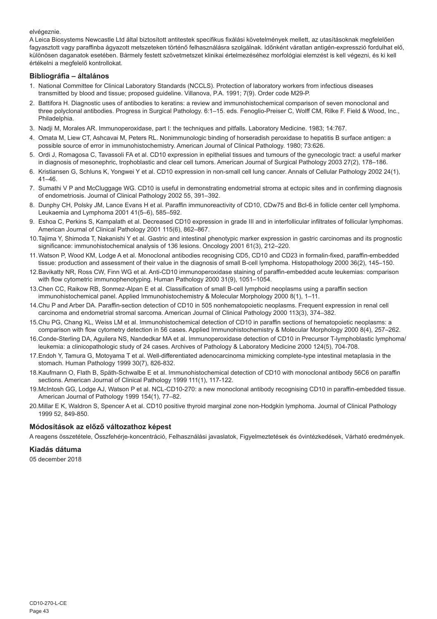elvégeznie.

A Leica Biosystems Newcastle Ltd által biztosított antitestek specifikus fixálási követelmények mellett, az utasításoknak megfelelően fagyasztott vagy paraffinba ágyazott metszeteken történő felhasználásra szolgálnak. Időnként váratlan antigén-expresszió fordulhat elő, különösen daganatok esetében. Bármely festett szövetmetszet klinikai értelmezéséhez morfológiai elemzést is kell végezni, és ki kell értékelni a megfelelő kontrollokat.

## **Bibliográfia – általános**

- 1. National Committee for Clinical Laboratory Standards (NCCLS). Protection of laboratory workers from infectious diseases transmitted by blood and tissue; proposed guideline. Villanova, P.A. 1991; 7(9). Order code M29-P.
- 2. Battifora H. Diagnostic uses of antibodies to keratins: a review and immunohistochemical comparison of seven monoclonal and three polyclonal antibodies. Progress in Surgical Pathology. 6:1–15. eds. Fenoglio-Preiser C, Wolff CM, Rilke F. Field & Wood, Inc., Philadelphia.
- 3. Nadji M, Morales AR. Immunoperoxidase, part I: the techniques and pitfalls. Laboratory Medicine. 1983; 14:767.
- 4. Omata M, Liew CT, Ashcavai M, Peters RL. Nonimmunologic binding of horseradish peroxidase to hepatitis B surface antigen: a possible source of error in immunohistochemistry. American Journal of Clinical Pathology. 1980; 73:626.
- 5. Ordi J, Romagosa C, Tavassoli FA et al. CD10 expression in epithelial tissues and tumours of the gynecologic tract: a useful marker in diagnosis of mesonephric, trophoblastic and clear cell tumors. American Journal of Surgical Pathology 2003 27(2), 178–186.
- 6. Kristiansen G, Schluns K, Yongwei Y et al. CD10 expression in non-small cell lung cancer. Annals of Cellular Pathology 2002 24(1), 41–46.
- 7. Sumathi V P and McCluggage WG. CD10 is useful in demonstrating endometrial stroma at ectopic sites and in confirming diagnosis of endometriosis. Journal of Clinical Pathology 2002 55, 391–392.
- 8. Dunphy CH, Polsky JM, Lance Evans H et al. Paraffin immunoreactivity of CD10, CDw75 and Bcl-6 in follicle center cell lymphoma. Leukaemia and Lymphoma 2001 41(5–6), 585–592.
- 9. Eshoa C, Perkins S, Kampalath et al. Decreased CD10 expression in grade III and in interfollicular infiltrates of follicular lymphomas. American Journal of Clinical Pathology 2001 115(6), 862–867.
- 10.Tajima Y, Shimoda T, Nakanishi Y et al. Gastric and intestinal phenotypic marker expression in gastric carcinomas and its prognostic significance: immunohistochemical analysis of 136 lesions. Oncology 2001 61(3), 212–220.
- 11.Watson P, Wood KM, Lodge A et al. Monoclonal antibodies recognising CD5, CD10 and CD23 in formalin-fixed, paraffin-embedded tissue: production and assessment of their value in the diagnosis of small B-cell lymphoma. Histopathology 2000 36(2), 145–150.
- 12.Bavikatty NR, Ross CW, Finn WG et al. Anti-CD10 immunoperoxidase staining of paraffin-embedded acute leukemias: comparison with flow cytometric immunophenotyping. Human Pathology 2000 31(9), 1051–1054.
- 13.Chen CC, Raikow RB, Sonmez-Alpan E et al. Classification of small B-cell lymphoid neoplasms using a paraffin section immunohistochemical panel. Applied Immunohistochemistry & Molecular Morphology 2000 8(1), 1–11.
- 14.Chu P and Arber DA. Paraffin-section detection of CD10 in 505 nonhematopoietic neoplasms. Frequent expression in renal cell carcinoma and endometrial stromal sarcoma. American Journal of Clinical Pathology 2000 113(3), 374–382.
- 15.Chu PG, Chang KL, Weiss LM et al. Immunohistochemical detection of CD10 in paraffin sections of hematopoietic neoplasms: a comparison with flow cytometry detection in 56 cases. Applied Immunohistochemistry & Molecular Morphology 2000 8(4), 257–262.
- 16.Conde-Sterling DA, Aguilera NS, Nandedkar MA et al. Immunoperoxidase detection of CD10 in Precursor T-lymphoblastic lymphoma/ leukemia: a clinicopathologic study of 24 cases. Archives of Pathology & Laboratory Medicine 2000 124(5), 704-708.
- 17.Endoh Y, Tamura G, Motoyama T et al. Well-differentiated adenocarcinoma mimicking complete-type intestinal metaplasia in the stomach. Human Pathology 1999 30(7), 826-832.
- 18.Kaufmann O, Flath B, Späth-Schwalbe E et al. Immunohistochemical detection of CD10 with monoclonal antibody 56C6 on paraffin sections. American Journal of Clinical Pathology 1999 111(1), 117-122.
- 19.McIntosh GG, Lodge AJ, Watson P et al. NCL-CD10-270: a new monoclonal antibody recognising CD10 in paraffin-embedded tissue. American Journal of Pathology 1999 154(1), 77–82.
- 20.Millar E K, Waldron S, Spencer A et al. CD10 positive thyroid marginal zone non-Hodgkin lymphoma. Journal of Clinical Pathology 1999 52, 849-850.

## **Módosítások az előző változathoz képest**

A reagens összetétele, Összfehérje-koncentráció, Felhasználási javaslatok, Figyelmeztetések és óvintézkedések, Várható eredmények.

#### **Kiadás dátuma**

05 december 2018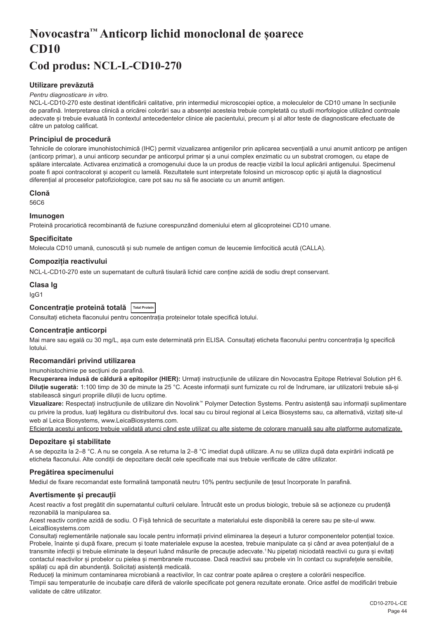# <span id="page-44-0"></span>**Novocastra™ Anticorp lichid monoclonal de șoarece CD10**

## **Cod produs: NCL-L-CD10-270**

## **Utilizare prevăzută**

#### *Pentru diagnosticare in vitro.*

NCL-L-CD10-270 este destinat identificării calitative, prin intermediul microscopiei optice, a moleculelor de CD10 umane în secțiunile de parafină. Interpretarea clinică a oricărei colorări sau a absenței acesteia trebuie completată cu studii morfologice utilizând controale adecvate și trebuie evaluată în contextul antecedentelor clinice ale pacientului, precum și al altor teste de diagnosticare efectuate de către un patolog calificat.

#### **Principiul de procedură**

Tehnicile de colorare imunohistochimică (IHC) permit vizualizarea antigenilor prin aplicarea secvențială a unui anumit anticorp pe antigen (anticorp primar), a unui anticorp secundar pe anticorpul primar și a unui complex enzimatic cu un substrat cromogen, cu etape de spălare intercalate. Activarea enzimatică a cromogenului duce la un produs de reacție vizibil la locul aplicării antigenului. Specimenul poate fi apoi contracolorat și acoperit cu lamelă. Rezultatele sunt interpretate folosind un microscop optic și ajută la diagnosticul diferențial al proceselor patofiziologice, care pot sau nu să fie asociate cu un anumit antigen.

## **Clonă**

56C6

#### **Imunogen**

Proteină procariotică recombinantă de fuziune corespunzând domeniului etern al glicoproteinei CD10 umane.

#### **Specificitate**

Molecula CD10 umană, cunoscută și sub numele de antigen comun de leucemie limfocitică acută (CALLA).

#### **Compoziția reactivului**

NCL-L-CD10-270 este un supernatant de cultură tisulară lichid care conține azidă de sodiu drept conservant.

## **Clasa Ig**

IgG1

## **Concentrație proteină totală Total Protein**

Consultați eticheta flaconului pentru concentrația proteinelor totale specifică lotului.

#### **Concentrație anticorpi**

Mai mare sau egală cu 30 mg/L, asa cum este determinată prin ELISA. Consultati eticheta flaconului pentru concentratia Ig specifică lotului.

#### **Recomandări privind utilizarea**

#### Imunohistochimie pe secțiuni de parafină.

**Recuperarea indusă de căldură a epitopilor (HIER):** Urmați instrucțiunile de utilizare din Novocastra Epitope Retrieval Solution pH 6. **Diluție sugerată:** 1:100 timp de 30 de minute la 25 °C. Aceste informații sunt furnizate cu rol de îndrumare, iar utilizatorii trebuie să-și stabilească singuri propriile diluții de lucru optime.

**Vizualizare:** Respectați instrucțiunile de utilizare din Novolink™ Polymer Detection Systems. Pentru asistență sau informații suplimentare cu privire la produs, luați legătura cu distribuitorul dvs. local sau cu biroul regional al Leica Biosystems sau, ca alternativă, vizitați site-ul web al Leica Biosystems, www.LeicaBiosystems.com.

Eficiența acestui anticorp trebuie validată atunci când este utilizat cu alte sisteme de colorare manuală sau alte platforme automatizate.

#### **Depozitare și stabilitate**

A se depozita la 2–8 °C. A nu se congela. A se returna la 2–8 °C imediat după utilizare. A nu se utiliza după data expirării indicată pe eticheta flaconului. Alte condiții de depozitare decât cele specificate mai sus trebuie verificate de către utilizator.

## **Pregătirea specimenului**

Mediul de fixare recomandat este formalină tamponată neutru 10% pentru secțiunile de țesut încorporate în parafină.

## **Avertismente și precauții**

Acest reactiv a fost pregătit din supernatantul culturii celulare. Întrucât este un produs biologic, trebuie să se acționeze cu prudență rezonabilă la manipularea sa.

Acest reactiv conține azidă de sodiu. O Fișă tehnică de securitate a materialului este disponibilă la cerere sau pe site-ul www. LeicaBiosystems.com

Consultați reglementările naționale sau locale pentru informații privind eliminarea la deșeuri a tuturor componentelor potențial toxice. Probele, înainte și după fixare, precum și toate materialele expuse la acestea, trebuie manipulate ca și când ar avea potențialul de a transmite infecții și trebuie eliminate la deșeuri luând măsurile de precauție adecvate.<sup>1</sup>Nu pipetați niciodată reactivii cu gura și evitați contactul reactivilor și probelor cu pielea și membranele mucoase. Dacă reactivii sau probele vin în contact cu suprafețele sensibile, spălați cu apă din abundență. Solicitați asistență medicală.

Reduceți la minimum contaminarea microbiană a reactivilor, în caz contrar poate apărea o creștere a colorării nespecifice.

Timpii sau temperaturile de incubație care diferă de valorile specificate pot genera rezultate eronate. Orice astfel de modificări trebuie validate de către utilizator.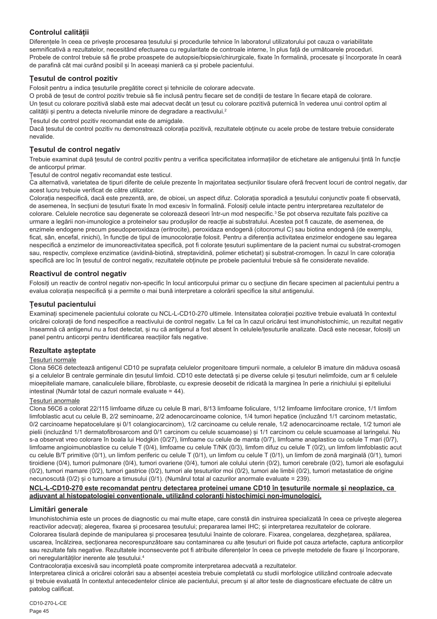## **Controlul calității**

Diferențele în ceea ce privește procesarea țesutului și procedurile tehnice în laboratorul utilizatorului pot cauza o variabilitate semnificativă a rezultatelor, necesitând efectuarea cu regularitate de controale interne, în plus față de următoarele proceduri. Probele de control trebuie să fie probe proaspete de autopsie/biopsie/chirurgicale, fixate în formalină, procesate și încorporate în ceară de parafină cât mai curând posibil și în aceeași manieră ca și probele pacientului.

## **Țesutul de control pozitiv**

Folosit pentru a indica țesuturile pregătite corect și tehnicile de colorare adecvate.

O probă de țesut de control pozitiv trebuie să fie inclusă pentru fiecare set de condiții de testare în fiecare etapă de colorare. Un țesut cu colorare pozitivă slabă este mai adecvat decât un țesut cu colorare pozitivă puternică în vederea unui control optim al calității și pentru a detecta nivelurile minore de degradare a reactivului.<sup>2</sup>

Țesutul de control pozitiv recomandat este de amigdale.

Dacă țesutul de control pozitiv nu demonstrează colorația pozitivă, rezultatele obținute cu acele probe de testare trebuie considerate nevalide.

## **Țesutul de control negativ**

Trebuie examinat după țesutul de control pozitiv pentru a verifica specificitatea informațiilor de etichetare ale antigenului țintă în funcție de anticorpul primar.

Țesutul de control negativ recomandat este testicul.

Ca alternativă, varietatea de tipuri diferite de celule prezente în majoritatea secțiunilor tisulare oferă frecvent locuri de control negativ, dar acest lucru trebuie verificat de către utilizator.

Colorația nespecifică, dacă este prezentă, are, de obicei, un aspect difuz. Colorația sporadică a țesutului conjunctiv poate fi observată, de asemenea, în secțiuni de țesuturi fixate în mod excesiv în formalină. Folosiți celule intacte pentru interpretarea rezultatelor de colorare. Celulele necrotice sau degenerate se colorează deseori într-un mod nespecific.<sup>3</sup> Se pot observa rezultate fals pozitive ca urmare a legării non-imunologice a proteinelor sau produșilor de reacție ai substratului. Acestea pot fi cauzate, de asemenea, de enzimele endogene precum pseudoperoxidaza (eritrocite), peroxidaza endogenă (citocromul C) sau biotina endogenă (de exemplu, ficat, sân, encefal, rinichi), în funcție de tipul de imunocolorație folosit. Pentru a diferenția activitatea enzimelor endogene sau legarea nespecifică a enzimelor de imunoreactivitatea specifică, pot fi colorate tesuturi suplimentare de la pacient numai cu substrat-cromogen sau, respectiv, complexe enzimatice (avidină-biotină, streptavidină, polimer etichetat) și substrat-cromogen. În cazul în care colorația specifică are loc în țesutul de control negativ, rezultatele obținute pe probele pacientului trebuie să fie considerate nevalide.

## **Reactivul de control negativ**

Folosiți un reactiv de control negativ non-specific în locul anticorpului primar cu o secțiune din fiecare specimen al pacientului pentru a evalua colorația nespecifică și a permite o mai bună interpretare a colorării specifice la situl antigenului.

## **Țesutul pacientului**

Examinați specimenele pacientului colorate cu NCL-L-CD10-270 ultimele. Intensitatea colorației pozitive trebuie evaluată în contextul oricărei colorații de fond nespecifice a reactivului de control negativ. La fel ca în cazul oricărui test imunohistochimic, un rezultat negativ înseamnă că antigenul nu a fost detectat, și nu că antigenul a fost absent în celulele/țesuturile analizate. Dacă este necesar, folosiți un panel pentru anticorpi pentru identificarea reacțiilor fals negative.

## **Rezultate așteptate**

## Țesuturi normale

Clona 56C6 detectează antigenul CD10 pe suprafața celulelor progenitoare timpurii normale, a celulelor B imature din măduva osoasă și a celulelor B centrale germinale din țesutul limfoid. CD10 este detectată și pe diverse celule și țesuturi nelimfoide, cum ar fi celulele mioepiteliale mamare, canaliculele biliare, fibroblaste, cu expresie deosebit de ridicată la marginea în perie a rinichiului și epiteliului intestinal (Număr total de cazuri normale evaluate = 44).

## Țesuturi anormale

Clona 56C6 a colorat 22/115 limfoame difuze cu celule B mari, 8/13 limfoame foliculare, 1/12 limfoame limfocitare cronice, 1/1 limfom limfoblastic acut cu celule B, 2/2 seminoame, 2/2 adenocarcinoame colonice, 1/4 tumori hepatice (incluzând 1/1 carcinom metastatic, 0/2 carcinoame hepatocelulare și 0/1 colangiocarcinom), 1/2 carcinoame cu celule renale, 1/2 adenocarcinoame rectale, 1/2 tumori ale pielii (incluzând 1/1 dermatofibrosarcom and 0/1 carcinom cu celule scuamoase) și 1/1 carcinom cu celule scuamoase al laringelui. Nu s-a observat vreo colorare în boala lui Hodgkin (0/27), limfoame cu celule de manta (0/7), limfoame anaplastice cu celule T mari (0/7), limfoame angioimunoblastice cu celule T (0/4), limfoame cu celule T/NK (0/3), limfom difuz cu celule T (0/2), un limfom limfoblastic acut cu celule B/T primitive (0/1), un limfom periferic cu celule T (0/1), un limfom cu celule T (0/1), un limfom de zonă marginală (0/1), tumori tiroidiene (0/4), tumori pulmonare (0/4), tumori ovariene (0/4), tumori ale colului uterin (0/2), tumori cerebrale (0/2), tumori ale esofagului (0/2), tumori mamare (0/2), tumori gastrice (0/2), tumori ale țesuturilor moi (0/2), tumori ale limbii (0/2), tumori metastatice de origine necunoscută (0/2) și o tumoare a timusului (0/1). (Numărul total al cazurilor anormale evaluate = 239).

#### **NCL-L-CD10-270 este recomandat pentru detectarea proteinei umane CD10 în țesuturile normale și neoplazice, ca adjuvant al histopatologiei convenționale, utilizând coloranți histochimici non-imunologici.**

## **Limitări generale**

Imunohistochimia este un proces de diagnostic cu mai multe etape, care constă din instruirea specializată în ceea ce privește alegerea reactivilor adecvați; alegerea, fixarea și procesarea țesutului; prepararea lamei IHC; și interpretarea rezultatelor de colorare. Colorarea tisulară depinde de manipularea și procesarea tesutului înainte de colorare. Fixarea, congelarea, dezghetarea, spălarea, uscarea, încălzirea, secționarea necorespunzătoare sau contaminarea cu alte țesuturi ori fluide pot cauza artefacte, captura anticorpilor sau rezultate fals negative. Rezultatele inconsecvente pot fi atribuite diferentelor în ceea ce privește metodele de fixare și încorporare. ori neregularităților inerente ale țesutului.4

Contracolorația excesivă sau incompletă poate compromite interpretarea adecvată a rezultatelor.

Interpretarea clinică a oricărei colorări sau a absenței acesteia trebuie completată cu studii morfologice utilizând controale adecvate și trebuie evaluată în contextul antecedentelor clinice ale pacientului, precum și al altor teste de diagnosticare efectuate de către un patolog calificat.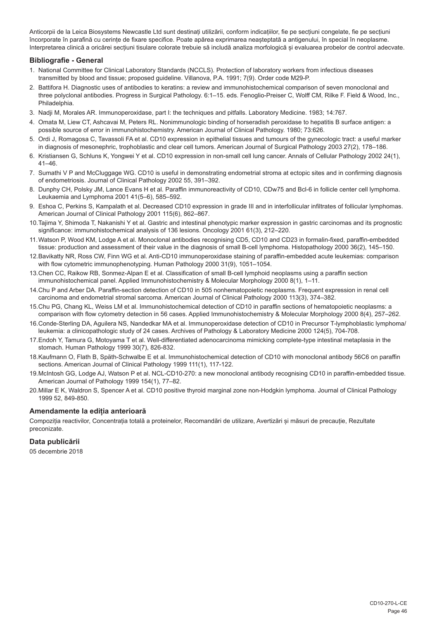Anticorpii de la Leica Biosystems Newcastle Ltd sunt destinați utilizării, conform indicațiilor, fie pe secțiuni congelate, fie pe secțiuni încorporate în parafină cu cerințe de fixare specifice. Poate apărea exprimarea neașteptată a antigenului, în special în neoplasme. Interpretarea clinică a oricărei secțiuni tisulare colorate trebuie să includă analiza morfologică și evaluarea probelor de control adecvate.

## **Bibliografie - General**

- 1. National Committee for Clinical Laboratory Standards (NCCLS). Protection of laboratory workers from infectious diseases transmitted by blood and tissue; proposed guideline. Villanova, P.A. 1991; 7(9). Order code M29-P.
- 2. Battifora H. Diagnostic uses of antibodies to keratins: a review and immunohistochemical comparison of seven monoclonal and three polyclonal antibodies. Progress in Surgical Pathology. 6:1–15. eds. Fenoglio-Preiser C, Wolff CM, Rilke F. Field & Wood, Inc., Philadelphia.
- 3. Nadji M, Morales AR. Immunoperoxidase, part I: the techniques and pitfalls. Laboratory Medicine. 1983; 14:767.
- 4. Omata M, Liew CT, Ashcavai M, Peters RL. Nonimmunologic binding of horseradish peroxidase to hepatitis B surface antigen: a possible source of error in immunohistochemistry. American Journal of Clinical Pathology. 1980; 73:626.
- 5. Ordi J, Romagosa C, Tavassoli FA et al. CD10 expression in epithelial tissues and tumours of the gynecologic tract: a useful marker in diagnosis of mesonephric, trophoblastic and clear cell tumors. American Journal of Surgical Pathology 2003 27(2), 178–186.
- 6. Kristiansen G, Schluns K, Yongwei Y et al. CD10 expression in non-small cell lung cancer. Annals of Cellular Pathology 2002 24(1), 41–46.
- 7. Sumathi V P and McCluggage WG. CD10 is useful in demonstrating endometrial stroma at ectopic sites and in confirming diagnosis of endometriosis. Journal of Clinical Pathology 2002 55, 391–392.
- 8. Dunphy CH, Polsky JM, Lance Evans H et al. Paraffin immunoreactivity of CD10, CDw75 and Bcl-6 in follicle center cell lymphoma. Leukaemia and Lymphoma 2001 41(5–6), 585–592.
- 9. Eshoa C, Perkins S, Kampalath et al. Decreased CD10 expression in grade III and in interfollicular infiltrates of follicular lymphomas. American Journal of Clinical Pathology 2001 115(6), 862–867.
- 10.Tajima Y, Shimoda T, Nakanishi Y et al. Gastric and intestinal phenotypic marker expression in gastric carcinomas and its prognostic significance: immunohistochemical analysis of 136 lesions. Oncology 2001 61(3), 212–220.
- 11.Watson P, Wood KM, Lodge A et al. Monoclonal antibodies recognising CD5, CD10 and CD23 in formalin-fixed, paraffin-embedded tissue: production and assessment of their value in the diagnosis of small B-cell lymphoma. Histopathology 2000 36(2), 145–150.
- 12.Bavikatty NR, Ross CW, Finn WG et al. Anti-CD10 immunoperoxidase staining of paraffin-embedded acute leukemias: comparison with flow cytometric immunophenotyping. Human Pathology 2000 31(9), 1051–1054.
- 13.Chen CC, Raikow RB, Sonmez-Alpan E et al. Classification of small B-cell lymphoid neoplasms using a paraffin section immunohistochemical panel. Applied Immunohistochemistry & Molecular Morphology 2000 8(1), 1–11.
- 14.Chu P and Arber DA. Paraffin-section detection of CD10 in 505 nonhematopoietic neoplasms. Frequent expression in renal cell carcinoma and endometrial stromal sarcoma. American Journal of Clinical Pathology 2000 113(3), 374–382.
- 15.Chu PG, Chang KL, Weiss LM et al. Immunohistochemical detection of CD10 in paraffin sections of hematopoietic neoplasms: a comparison with flow cytometry detection in 56 cases. Applied Immunohistochemistry & Molecular Morphology 2000 8(4), 257–262.
- 16.Conde-Sterling DA, Aguilera NS, Nandedkar MA et al. Immunoperoxidase detection of CD10 in Precursor T-lymphoblastic lymphoma/ leukemia: a clinicopathologic study of 24 cases. Archives of Pathology & Laboratory Medicine 2000 124(5), 704-708.
- 17.Endoh Y, Tamura G, Motoyama T et al. Well-differentiated adenocarcinoma mimicking complete-type intestinal metaplasia in the stomach. Human Pathology 1999 30(7), 826-832.
- 18.Kaufmann O, Flath B, Späth-Schwalbe E et al. Immunohistochemical detection of CD10 with monoclonal antibody 56C6 on paraffin sections. American Journal of Clinical Pathology 1999 111(1), 117-122.
- 19.McIntosh GG, Lodge AJ, Watson P et al. NCL-CD10-270: a new monoclonal antibody recognising CD10 in paraffin-embedded tissue. American Journal of Pathology 1999 154(1), 77–82.
- 20.Millar E K, Waldron S, Spencer A et al. CD10 positive thyroid marginal zone non-Hodgkin lymphoma. Journal of Clinical Pathology 1999 52, 849-850.

#### **Amendamente la ediția anterioară**

Compoziția reactivilor, Concentrația totală a proteinelor, Recomandări de utilizare, Avertizări și măsuri de precauție, Rezultate preconizate.

## **Data publicării**

05 decembrie 2018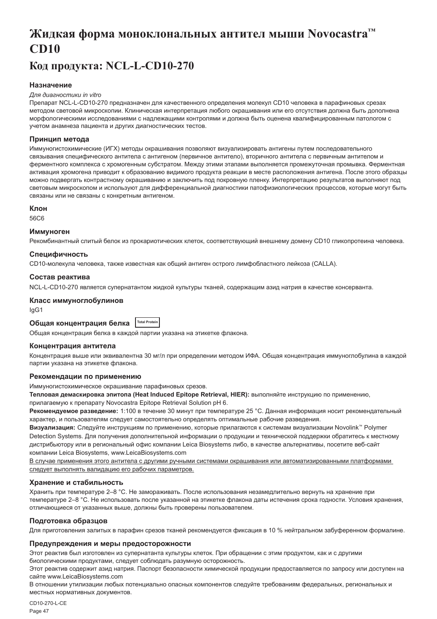# <span id="page-47-0"></span>**Жидкая форма моноклональных антител мыши Novocastra™ CD10**

# **Код продукта: NCL-L-CD10-270**

## **Назначение**

#### *Для диагностики in vitro*

Препарат NCL-L-CD10-270 предназначен для качественного определения молекул CD10 человека в парафиновых срезах методом световой микроскопии. Клиническая интерпретация любого окрашивания или его отсутствия должна быть дополнена морфологическими исследованиями с надлежащими контролями и должна быть оценена квалифицированным патологом с учетом анамнеза пациента и других диагностических тестов.

#### **Принцип метода**

Иммуногистохимические (ИГХ) методы окрашивания позволяют визуализировать антигены путем последовательного связывания специфического антитела с антигеном (первичное антитело), вторичного антитела с первичным антителом и ферментного комплекса с хромогенным субстратом. Между этими этапами выполняется промежуточная промывка. Ферментная активация хромогена приводит к образованию видимого продукта реакции в месте расположения антигена. После этого образцы можно подвергать контрастному окрашиванию и заключить под покровную пленку. Интерпретацию результатов выполняют под световым микроскопом и используют для дифференциальной диагностики патофизиологических процессов, которые могут быть связаны или не связаны с конкретным антигеном.

#### **Клон**

56C6

#### **Иммуноген**

Рекомбинантный слитый белок из прокариотических клеток, соответствующий внешнему домену CD10 гликопротеина человека.

## **Специфичность**

CD10-молекула человека, также известная как общий антиген острого лимфобластного лейкоза (CALLA).

#### **Состав реактива**

NCL-L-CD10-270 является супернатантом жидкой культуры тканей, содержащим азид натрия в качестве консерванта.

## **Класс иммуноглобулинов**

IgG1

## **Общая концентрация белка Total Protein**

Общая концентрация белка в каждой партии указана на этикетке флакона.

#### **Концентрация антитела**

Концентрация выше или эквивалентна 30 мг/л при определении методом ИФА. Общая концентрация иммуноглобулина в каждой партии указана на этикетке флакона.

#### **Рекомендации по применению**

Иммуногистохимическое окрашивание парафиновых срезов.

**Тепловая демаскировка эпитопа (Heat Induced Epitope Retrieval, HIER):** выполняйте инструкцию по применению, прилагаемую к препарату Novocastra Epitope Retrieval Solution pH 6.

**Рекомендуемое разведение:** 1:100 в течение 30 минут при температуре 25 °C. Данная информация носит рекомендательный характер, и пользователям следует самостоятельно определять оптимальные рабочие разведения.

**Визуализация:** Следуйте инструкциям по применению, которые прилагаются к системам визуализации Novolink™ Polymer Detection Systems. Для получения дополнительной информации о продукции и технической поддержки обратитесь к местному дистрибьютору или в региональный офис компании Leica Biosystems либо, в качестве альтернативы, посетите веб-сайт компании Leica Biosystems, www.LeicaBiosystems.com

В случае применения этого антитела с другими ручными системами окрашивания или автоматизированными платформами следует выполнять валидацию его рабочих параметров.

## **Хранение и стабильность**

Хранить при температуре 2–8 °C. Не замораживать. После использования незамедлительно вернуть на хранение при температуре 2–8 °C. Не использовать после указанной на этикетке флакона даты истечения срока годности. Условия хранения, отличающиеся от указанных выше, должны быть проверены пользователем.

## **Подготовка образцов**

Для приготовления залитых в парафин срезов тканей рекомендуется фиксация в 10 % нейтральном забуференном формалине.

## **Предупреждения и меры предосторожности**

Этот реактив был изготовлен из супернатанта культуры клеток. При обращении с этим продуктом, как и с другими биологическими продуктами, следует соблюдать разумную осторожность.

Этот реактив содержит азид натрия. Паспорт безопасности химической продукции предоставляется по запросу или доступен на сайте www.LeicaBiosystems.com

В отношении утилизации любых потенциально опасных компонентов следуйте требованиям федеральных, региональных и местных нормативных документов.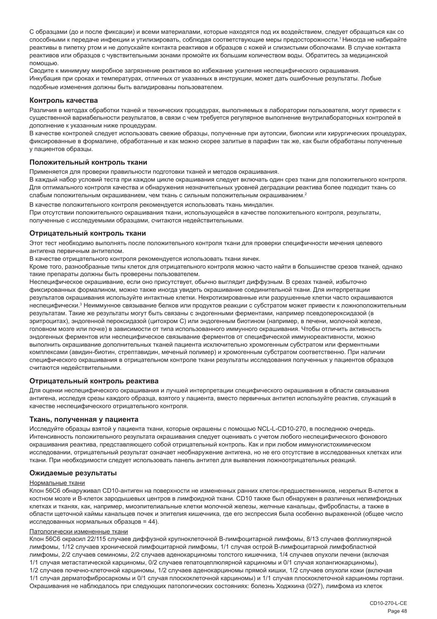С образцами (до и после фиксации) и всеми материалами, которые находятся под их воздействием, следует обращаться как со способными к передаче инфекции и утилизировать, соблюдая соответствующие меры предосторожности.<sup>1</sup>Никогда не набирайте реактивы в пипетку ртом и не допускайте контакта реактивов и образцов с кожей и слизистыми оболочками. В случае контакта реактивов или образцов с чувствительными зонами промойте их большим количеством воды. Обратитесь за медицинской помощью.

Сводите к минимуму микробное загрязнение реактивов во избежание усиления неспецифического окрашивания. Инкубация при сроках и температурах, отличных от указанных в инструкции, может дать ошибочные результаты. Любые подобные изменения должны быть валидированы пользователем.

#### **Контроль качества**

Различия в методах обработки тканей и технических процедурах, выполняемых в лаборатории пользователя, могут привести к существенной вариабельности результатов, в связи с чем требуется регулярное выполнение внутрилабораторных контролей в дополнение к указанным ниже процедурам.

В качестве контролей следует использовать свежие образцы, полученные при аутопсии, биопсии или хирургических процедурах, фиксированные в формалине, обработанные и как можно скорее залитые в парафин так же, как были обработаны полученные у пациентов образцы.

#### **Положительный контроль ткани**

Применяется для проверки правильности подготовки тканей и методов окрашивания.

В каждый набор условий теста при каждом цикле окрашивания следует включать один срез ткани для положительного контроля. Для оптимального контроля качества и обнаружения незначительных уровней деградации реактива более подходит ткань со слабым положительным окрашиванием, чем ткань с сильным положительным окрашиванием.<sup>2</sup>

В качестве положительного контроля рекомендуется использовать ткань миндалин.

При отсутствии положительного окрашивания ткани, использующейся в качестве положительного контроля, результаты, полученные с исследуемыми образцами, считаются недействительными.

#### **Отрицательный контроль ткани**

Этот тест необходимо выполнять после положительного контроля ткани для проверки специфичности мечения целевого антигена первичным антителом.

В качестве отрицательного контроля рекомендуется использовать ткани яичек.

Кроме того, разнообразные типы клеток для отрицательного контроля можно часто найти в большинстве срезов тканей, однако такие препараты должны быть проверены пользователем.

Неспецифическое окрашивание, если оно присутствует, обычно выглядит диффузным. В срезах тканей, избыточно фиксированных формалином, можно также иногда увидеть окрашивание соединительной ткани. Для интерпретации результатов окрашивания используйте интактные клетки. Некротизированные или разрушенные клетки часто окрашиваются неспецифически.<sup>з</sup> Неиммунное связывание белков или продуктов реакции с субстратом может привести к ложноположительным результатам. Такие же результаты могут быть связаны с эндогенными ферментами, например псевдопероксидазой (в эритроцитах), эндогенной пероксидазой (цитохром C) или эндогенным биотином (например, в печени, молочной железе, головном мозге или почке) в зависимости от типа использованного иммунного окрашивания. Чтобы отличить активность эндогенных ферментов или неспецифическое связывание ферментов от специфической иммунореактивности, можно выполнить окрашивание дополнительных тканей пациента исключительно хромогенным субстратом или ферментными комплексами (авидин-биотин, стрептавидин, меченый полимер) и хромогенным субстратом соответственно. При наличии специфического окрашивания в отрицательном контроле ткани результаты исследования полученных у пациентов образцов считаются недействительными.

#### **Отрицательный контроль реактива**

Для оценки неспецифического окрашивания и лучшей интерпретации специфического окрашивания в области связывания антигена, исследуя срезы каждого образца, взятого у пациента, вместо первичных антител используйте реактив, служащий в качестве неспецифического отрицательного контроля.

## **Ткань, полученная у пациента**

Исследуйте образцы взятой у пациента ткани, которые окрашены с помощью NCL-L-CD10-270, в последнюю очередь. Интенсивность положительного результата окрашивания следует оценивать с учетом любого неспецифического фонового окрашивания реактива, представляющего собой отрицательный контроль. Как и при любом иммуногистохимическом исследовании, отрицательный результат означает необнаружение антигена, но не его отсутствие в исследованных клетках или ткани. При необходимости следует использовать панель антител для выявления ложноотрицательных реакций.

#### **Ожидаемые результаты**

#### Нормальные ткани

Клон 56C6 обнаруживал CD10-антиген на поверхности не измененных ранних клеток-предшественников, незрелых B-клеток в костном мозге и B-клеток зародышевых центров в лимфоидной ткани. CD10 также был обнаружен в различных нелимфоидных клетках и тканях, как, например, миоэпителиальные клетки молочной железы, желчные канальцы, фибробласты, а также в области щеточной каймы канальцев почек и эпителия кишечника, где его экспрессия была особенно выраженной (общее число исследованных нормальных образцов = 44).

#### Патологически измененные ткани

Клон 56C6 окрасил 22/115 случаев диффузной крупноклеточной В-лимфоцитарной лимфомы, 8/13 случаев фолликулярной лимфомы, 1/12 случаев хронической лимфоцитарной лимфомы, 1/1 случая острой В-лимфоцитарной лимфобластной лимфомы, 2/2 случаев семиномы, 2/2 случаев аденокарциномы толстого кишечника, 1/4 случаев опухоли печени (включая 1/1 случая метастатической карциномы, 0/2 случаев гепатоцеллюлярной карциномы и 0/1 случая холангиокарциномы), 1/2 случаев почечно-клеточной карциномы, 1/2 случаев аденокарциномы прямой кишки, 1/2 случаев опухоли кожи (включая 1/1 случая дерматофибросаркомы и 0/1 случая плоскоклеточной карциномы) и 1/1 случая плоскоклеточной карциномы гортани. Окрашивания не наблюдалось при следующих патологических состояниях: болезнь Ходжкина (0/27), лимфома из клеток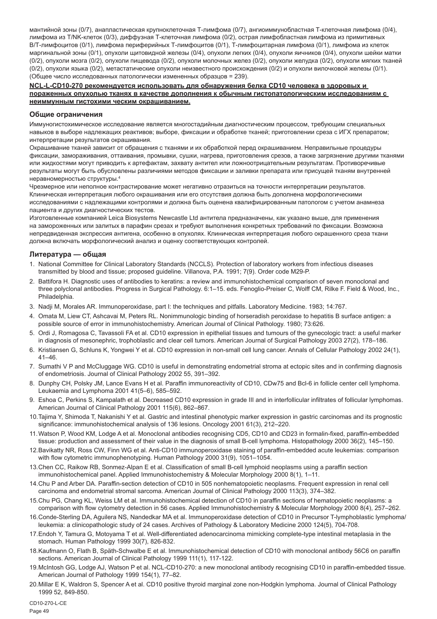мантийной зоны (0/7), анапластическая крупноклеточная Т-лимфома (0/7), ангиоиммунобластная Т-клеточная лимфома (0/4), лимфома из Т/NK-клеток (0/3), диффузная Т-клеточная лимфома (0/2), острая лимфобластная лимфома из примитивных В/Т-лимфоцитов (0/1), лимфома периферийных Т-лимфоцитов (0/1), Т-лимфоцитарная лимфома (0/1), лимфома из клеток маргинальной зоны (0/1), опухоли щитовидной железы (0/4), опухоли легких (0/4), опухоли яичников (0/4), опухоли шейки матки (0/2), опухоли мозга (0/2), опухоли пищевода (0/2), опухоли молочных желез (0/2), опухоли желудка (0/2), опухоли мягких тканей (0/2), опухоли языка (0/2), метастатические опухоли неизвестного происхождения (0/2) и опухоли вилочковой железы (0/1). (Общее число исследованных патологически измененных образцов = 239).

#### **NCL-L-CD10-270 рекомендуется использовать для обнаружения белка CD10 человека в здоровых и пораженных опухолью тканях в качестве дополнения к обычным гистопатологическим исследованиям с неиммунным гистохими ческим окрашиванием.**

#### **Общие ограничения**

Иммуногистохимическое исследование является многостадийным диагностическим процессом, требующим специальных навыков в выборе надлежащих реактивов; выборе, фиксации и обработке тканей; приготовлении среза с ИГХ препаратом; интерпретации результатов окрашивания.

Окрашивание тканей зависит от обращения с тканями и их обработкой перед окрашиванием. Неправильные процедуры фиксации, замораживания, оттаивания, промывки, сушки, нагрева, приготовления срезов, а также загрязнение другими тканями или жидкостями могут приводить к артефактам, захвату антител или ложноотрицательным результатам. Противоречивые результаты могут быть обусловлены различиями методов фиксации и заливки препарата или присущей тканям внутренней неравномерностью структуры.4

Чрезмерное или неполное контрастирование может негативно отразиться на точности интерпретации результатов. Клиническая интерпретация любого окрашивания или его отсутствия должна быть дополнена морфологическими исследованиями с надлежащими контролями и должна быть оценена квалифицированным патологом с учетом анамнеза пациента и других диагностических тестов.

Изготовленные компанией Leica Biosystems Newcastle Ltd антитела предназначены, как указано выше, для применения на замороженных или залитых в парафин срезах и требуют выполнения конкретных требований по фиксации. Возможна непредвиденная экспрессия антигена, особенно в опухолях. Клиническая интерпретация любого окрашенного среза ткани должна включать морфологический анализ и оценку соответствующих контролей.

## **Литература — общая**

- 1. National Committee for Clinical Laboratory Standards (NCCLS). Protection of laboratory workers from infectious diseases transmitted by blood and tissue; proposed guideline. Villanova, P.A. 1991; 7(9). Order code M29-P.
- 2. Battifora H. Diagnostic uses of antibodies to keratins: a review and immunohistochemical comparison of seven monoclonal and three polyclonal antibodies. Progress in Surgical Pathology. 6:1–15. eds. Fenoglio-Preiser C, Wolff CM, Rilke F. Field & Wood, Inc., Philadelphia.
- 3. Nadji M, Morales AR. Immunoperoxidase, part I: the techniques and pitfalls. Laboratory Medicine. 1983; 14:767.
- 4. Omata M, Liew CT, Ashcavai M, Peters RL. Nonimmunologic binding of horseradish peroxidase to hepatitis B surface antigen: a possible source of error in immunohistochemistry. American Journal of Clinical Pathology. 1980; 73:626.
- 5. Ordi J, Romagosa C, Tavassoli FA et al. CD10 expression in epithelial tissues and tumours of the gynecologic tract: a useful marker in diagnosis of mesonephric, trophoblastic and clear cell tumors. American Journal of Surgical Pathology 2003 27(2), 178–186.
- 6. Kristiansen G, Schluns K, Yongwei Y et al. CD10 expression in non-small cell lung cancer. Annals of Cellular Pathology 2002 24(1), 41–46.
- 7. Sumathi V P and McCluggage WG. CD10 is useful in demonstrating endometrial stroma at ectopic sites and in confirming diagnosis of endometriosis. Journal of Clinical Pathology 2002 55, 391–392.
- 8. Dunphy CH, Polsky JM, Lance Evans H et al. Paraffin immunoreactivity of CD10, CDw75 and Bcl-6 in follicle center cell lymphoma. Leukaemia and Lymphoma 2001 41(5–6), 585–592.
- 9. Eshoa C, Perkins S, Kampalath et al. Decreased CD10 expression in grade III and in interfollicular infiltrates of follicular lymphomas. American Journal of Clinical Pathology 2001 115(6), 862–867.
- 10.Tajima Y, Shimoda T, Nakanishi Y et al. Gastric and intestinal phenotypic marker expression in gastric carcinomas and its prognostic significance: immunohistochemical analysis of 136 lesions. Oncology 2001 61(3), 212–220.
- 11.Watson P, Wood KM, Lodge A et al. Monoclonal antibodies recognising CD5, CD10 and CD23 in formalin-fixed, paraffin-embedded tissue: production and assessment of their value in the diagnosis of small B-cell lymphoma. Histopathology 2000 36(2), 145–150.
- 12.Bavikatty NR, Ross CW, Finn WG et al. Anti-CD10 immunoperoxidase staining of paraffin-embedded acute leukemias: comparison with flow cytometric immunophenotyping. Human Pathology 2000 31(9), 1051–1054.
- 13.Chen CC, Raikow RB, Sonmez-Alpan E et al. Classification of small B-cell lymphoid neoplasms using a paraffin section immunohistochemical panel. Applied Immunohistochemistry & Molecular Morphology 2000 8(1), 1–11.
- 14.Chu P and Arber DA. Paraffin-section detection of CD10 in 505 nonhematopoietic neoplasms. Frequent expression in renal cell carcinoma and endometrial stromal sarcoma. American Journal of Clinical Pathology 2000 113(3), 374–382.
- 15.Chu PG, Chang KL, Weiss LM et al. Immunohistochemical detection of CD10 in paraffin sections of hematopoietic neoplasms: a comparison with flow cytometry detection in 56 cases. Applied Immunohistochemistry & Molecular Morphology 2000 8(4), 257–262.
- 16.Conde-Sterling DA, Aguilera NS, Nandedkar MA et al. Immunoperoxidase detection of CD10 in Precursor T-lymphoblastic lymphoma/ leukemia: a clinicopathologic study of 24 cases. Archives of Pathology & Laboratory Medicine 2000 124(5), 704-708.
- 17.Endoh Y, Tamura G, Motoyama T et al. Well-differentiated adenocarcinoma mimicking complete-type intestinal metaplasia in the stomach. Human Pathology 1999 30(7), 826-832.
- 18.Kaufmann O, Flath B, Späth-Schwalbe E et al. Immunohistochemical detection of CD10 with monoclonal antibody 56C6 on paraffin sections. American Journal of Clinical Pathology 1999 111(1), 117-122.
- 19.McIntosh GG, Lodge AJ, Watson P et al. NCL-CD10-270: a new monoclonal antibody recognising CD10 in paraffin-embedded tissue. American Journal of Pathology 1999 154(1), 77–82.
- 20.Millar E K, Waldron S, Spencer A et al. CD10 positive thyroid marginal zone non-Hodgkin lymphoma. Journal of Clinical Pathology 1999 52, 849-850.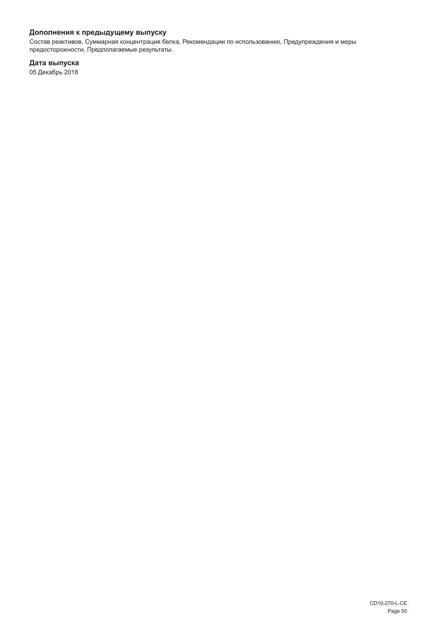## **Дополнения к предыдущему выпуску**

Состав реактивов, Суммарная концентрация белка, Рекомендации по использованию, Предупреждения и меры предосторожности, Предполагаемые результаты.

**Дата выпуска**

05 Декабрь 2018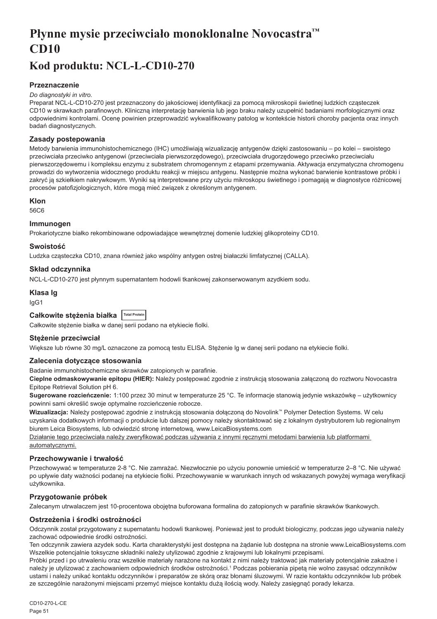# <span id="page-51-0"></span>**Płynne mysie przeciwciało monoklonalne Novocastra™ CD10**

# **Kod produktu: NCL-L-CD10-270**

## **Przeznaczenie**

#### *Do diagnostyki in vitro.*

Preparat NCL-L-CD10-270 jest przeznaczony do jakościowej identyfikacji za pomocą mikroskopii świetlnej ludzkich cząsteczek CD10 w skrawkach parafinowych. Kliniczną interpretację barwienia lub jego braku należy uzupełnić badaniami morfologicznymi oraz odpowiednimi kontrolami. Ocenę powinien przeprowadzić wykwalifikowany patolog w kontekście historii choroby pacjenta oraz innych badań diagnostycznych.

## **Zasady postepowania**

Metody barwienia immunohistochemicznego (IHC) umożliwiają wizualizację antygenów dzięki zastosowaniu – po kolei – swoistego przeciwciała przeciwko antygenowi (przeciwciała pierwszorzędowego), przeciwciała drugorzędowego przeciwko przeciwciału pierwszorzędowemu i kompleksu enzymu z substratem chromogennym z etapami przemywania. Aktywacja enzymatyczna chromogenu prowadzi do wytworzenia widocznego produktu reakcji w miejscu antygenu. Następnie można wykonać barwienie kontrastowe próbki i zakryć ją szkiełkiem nakrywkowym. Wyniki są interpretowane przy użyciu mikroskopu świetlnego i pomagają w diagnostyce różnicowej procesów patofizjologicznych, które mogą mieć związek z określonym antygenem.

## **Klon**

56C6

## **Immunogen**

Prokariotyczne białko rekombinowane odpowiadające wewnętrznej domenie ludzkiej glikoproteiny CD10.

## **Swoistość**

Ludzka cząsteczka CD10, znana również jako wspólny antygen ostrej białaczki limfatycznej (CALLA).

## **Skład odczynnika**

NCL-L-CD10-270 jest płynnym supernatantem hodowli tkankowej zakonserwowanym azydkiem sodu.

## **Klasa Ig**

IgG1

| Całkowite stężenia białka Total Protein |  |
|-----------------------------------------|--|
|-----------------------------------------|--|

Całkowite stężenie białka w danej serii podano na etykiecie fiolki.

## **Stężenie przeciwciał**

Większe lub równe 30 mg/L oznaczone za pomocą testu ELISA. Stężenie lg w danej serii podano na etykiecie fiolki.

## **Zalecenia dotyczące stosowania**

Badanie immunohistochemiczne skrawków zatopionych w parafinie.

**Cieplne odmaskowywanie epitopu (HIER):** Należy postępować zgodnie z instrukcją stosowania załączoną do roztworu Novocastra Epitope Retrieval Solution pH 6.

**Sugerowane rozcieńczenie:** 1:100 przez 30 minut w temperaturze 25 °C. Te informacje stanowią jedynie wskazówkę – użytkownicy powinni sami określić swoje optymalne rozcieńczenie robocze.

**Wizualizacja:** Należy postępować zgodnie z instrukcją stosowania dołączoną do Novolink™ Polymer Detection Systems. W celu uzyskania dodatkowych informacji o produkcie lub dalszej pomocy należy skontaktować się z lokalnym dystrybutorem lub regionalnym biurem Leica Biosystems, lub odwiedzić stronę internetową, www.LeicaBiosystems.com

Działanie tego przeciwciała należy zweryfikować podczas używania z innymi ręcznymi metodami barwienia lub platformami automatycznymi.

## **Przechowywanie i trwałość**

Przechowywać w temperaturze 2-8 °C. Nie zamrażać. Niezwłocznie po użyciu ponownie umieścić w temperaturze 2–8 °C. Nie używać po upływie daty ważności podanej na etykiecie fiolki. Przechowywanie w warunkach innych od wskazanych powyżej wymaga weryfikacji użytkownika.

## **Przygotowanie próbek**

Zalecanym utrwalaczem jest 10-procentowa obojętna buforowana formalina do zatopionych w parafinie skrawków tkankowych.

## **Ostrzeżenia i środki ostrożności**

Odczynnik został przygotowany z supernatantu hodowli tkankowej. Ponieważ jest to produkt biologiczny, podczas jego używania należy zachować odpowiednie środki ostrożności.

Ten odczynnik zawiera azydek sodu. Karta charakterystyki jest dostępna na żądanie lub dostępna na stronie www.LeicaBiosystems.com Wszelkie potencjalnie toksyczne składniki należy utylizować zgodnie z krajowymi lub lokalnymi przepisami.

Próbki przed i po utrwaleniu oraz wszelkie materiały narażone na kontakt z nimi należy traktować jak materiały potencjalnie zakaźne i należy je utylizować z zachowaniem odpowiednich środków ostrożności.1 Podczas pobierania pipetą nie wolno zasysać odczynników ustami i należy unikać kontaktu odczynników i preparatów ze skórą oraz błonami śluzowymi. W razie kontaktu odczynników lub próbek ze szczególnie narażonymi miejscami przemyć miejsce kontaktu dużą ilością wody. Należy zasięgnąć porady lekarza.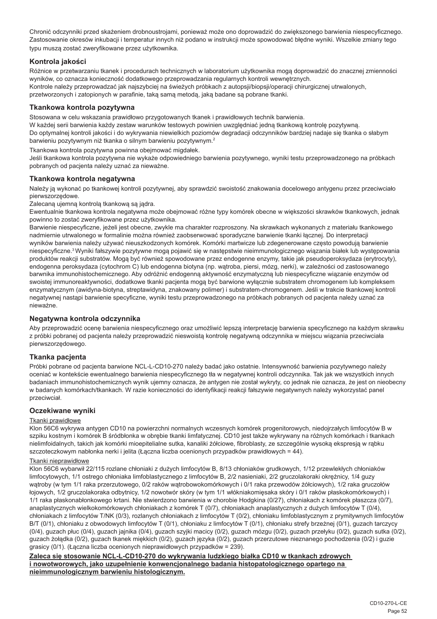Chronić odczynniki przed skażeniem drobnoustrojami, ponieważ może ono doprowadzić do zwiększonego barwienia niespecyficznego. Zastosowanie okresów inkubacji i temperatur innych niż podano w instrukcji może spowodować błędne wyniki. Wszelkie zmiany tego typu muszą zostać zweryfikowane przez użytkownika.

## **Kontrola jakości**

Różnice w przetwarzaniu tkanek i procedurach technicznych w laboratorium użytkownika mogą doprowadzić do znacznej zmienności wyników, co oznacza konieczność dodatkowego przeprowadzania regularnych kontroli wewnętrznych. Kontrole należy przeprowadzać jak najszybciej na świeżych próbkach z autopsji/biopsji/operacji chirurgicznej utrwalonych, przetworzonych i zatopionych w parafinie, taką samą metodą, jaką badane są pobrane tkanki.

## **Tkankowa kontrola pozytywna**

Stosowana w celu wskazania prawidłowo przygotowanych tkanek i prawidłowych technik barwienia.

W każdej serii barwienia każdy zestaw warunków testowych powinien uwzględniać jedną tkankową kontrolę pozytywną. Do optymalnej kontroli jakości i do wykrywania niewielkich poziomów degradacji odczynników bardziej nadaje się tkanka o słabym barwieniu pozytywnym niż tkanka o silnym barwieniu pozytywnym.<sup>2</sup>

Tkankowa kontrola pozytywna powinna obejmować migdałek.

Jeśli tkankowa kontrola pozytywna nie wykaże odpowiedniego barwienia pozytywnego, wyniki testu przeprowadzonego na próbkach pobranych od pacjenta należy uznać za nieważne.

## **Tkankowa kontrola negatywna**

Należy ją wykonać po tkankowej kontroli pozytywnej, aby sprawdzić swoistość znakowania docelowego antygenu przez przeciwciało pierwszorzędowe.

Zalecaną ujemną kontrolą tkankową są jądra.

Ewentualnie tkankowa kontrola negatywna może obejmować różne typy komórek obecne w większości skrawków tkankowych, jednak powinno to zostać zweryfikowane przez użytkownika.

Barwienie niespecyficzne, jeżeli jest obecne, zwykle ma charakter rozproszony. Na skrawkach wykonanych z materiału tkankowego nadmiernie utrwalonego w formalinie można również zaobserwować sporadyczne barwienie tkanki łącznej. Do interpretacji wyników barwienia należy używać nieuszkodzonych komórek. Komórki martwicze lub zdegenerowane często powodują barwienie niespecyficzne.<sup>3</sup>Wyniki fałszywie pozytywne mogą pojawić się w następstwie nieimmunologicznego wiązania białek lub występowania produktów reakcji substratów. Mogą być również spowodowane przez endogenne enzymy, takie jak pseudoperoksydaza (erytrocyty), endogenna peroksydaza (cytochrom C) lub endogenna biotyna (np. wątroba, piersi, mózg, nerki), w zależności od zastosowanego barwnika immunohistochemicznego. Aby odróżnić endogenną aktywność enzymatyczną lub niespecyficzne wiązanie enzymów od swoistej immunoreaktywności, dodatkowe tkanki pacjenta mogą być barwione wyłącznie substratem chromogenem lub kompleksem enzymatycznym (awidyna-biotyna, streptawidyna, znakowany polimer) i substratem-chromogenem. Jeśli w trakcie tkankowej kontroli negatywnej nastąpi barwienie specyficzne, wyniki testu przeprowadzonego na próbkach pobranych od pacjenta należy uznać za nieważne.

## **Negatywna kontrola odczynnika**

Aby przeprowadzić ocenę barwienia niespecyficznego oraz umożliwić lepszą interpretację barwienia specyficznego na każdym skrawku z próbki pobranej od pacjenta należy przeprowadzić nieswoistą kontrolę negatywną odczynnika w miejscu wiązania przeciwciała pierwszorzędowego.

## **Tkanka pacjenta**

Próbki pobrane od pacjenta barwione NCL-L-CD10-270 należy badać jako ostatnie. Intensywność barwienia pozytywnego należy oceniać w kontekście ewentualnego barwienia niespecyficznego tła w negatywnej kontroli odczynnika. Tak jak we wszystkich innych badaniach immunohistochemicznych wynik ujemny oznacza, że antygen nie został wykryty, co jednak nie oznacza, że jest on nieobecny w badanych komórkach/tkankach. W razie konieczności do identyfikacji reakcji fałszywie negatywnych należy wykorzystać panel przeciwciał.

## **Oczekiwane wyniki**

## Tkanki prawidłowe

Klon 56C6 wykrywa antygen CD10 na powierzchni normalnych wczesnych komórek progenitorowych, niedojrzałych limfocytów B w szpiku kostnym i komórek B śródbłonka w obrębie tkanki limfatycznej. CD10 jest także wykrywany na różnych komórkach i tkankach nielimfoidalnych, takich jak komórki mioepitelialne sutka, kanaliki żółciowe, fibroblasty, ze szczególnie wysoką ekspresją w rąbku szczoteczkowym nabłonka nerki i jelita (Łączna liczba ocenionych przypadków prawidłowych = 44).

## Tkanki nieprawidłowe

Klon 56C6 wybarwił 22/115 rozlane chłoniaki z dużych limfocytów B, 8/13 chłoniaków grudkowych, 1/12 przewlekłych chłoniaków limfocytowych, 1/1 ostrego chłoniaka limfoblastycznego z limfocytów B, 2/2 nasieniaki, 2/2 gruczolakoraki okrężnicy, 1/4 guzy wątroby (w tym 1/1 raka przerzutowego, 0/2 raków wątrobowokomórkowych i 0/1 raka przewodów żółciowych), 1/2 raka gruczołów łojowych, 1/2 gruczolakoraka odbytnicy, 1/2 nowotwór skóry (w tym 1/1 włókniakomięsaka skóry i 0/1 raków płaskokomórkowych) i 1/1 raka płaskonabłonkowego krtani. Nie stwierdzono barwienia w chorobie Hodgkina (0/27), chłoniakach z komórek płaszcza (0/7), anaplastycznych wielkokomórkowych chłoniakach z komórek T (0/7), chłoniakach anaplastycznych z dużych limfocytów T (0/4), chłoniakach z limfocytów T/NK (0/3), rozlanych chłoniakach z limfocytów T (0/2), chłoniaku limfoblastycznym z prymitywnych limfocytów B/T (0/1), chłoniaku z obwodowych limfocytów T (0/1), chłoniaku z limfocytów T (0/1), chłoniaku strefy brzeżnej (0/1), guzach tarczycy  $(0/4)$ , guzach płuc (0/4), guzach jajnika  $(0/4)$ , guzach szyjki macicy (0/2), guzach mózgu (0/2), guzach przełyku  $(0/2)$ , guzach sutka (0/2), guzach żołądka (0/2), guzach tkanek miękkich (0/2), guzach języka (0/2), guzach przerzutowe nieznanego pochodzenia (0/2) i guzie grasicy (0/1). (Łączna liczba ocenionych nieprawidłowych przypadków = 239).

**Zaleca się stosowanie NCL-L-CD10-270 do wykrywania ludzkiego białka CD10 w tkankach zdrowych i nowotworowych, jako uzupełnienie konwencjonalnego badania histopatologicznego opartego na nieimmunologicznym barwieniu histologicznym.**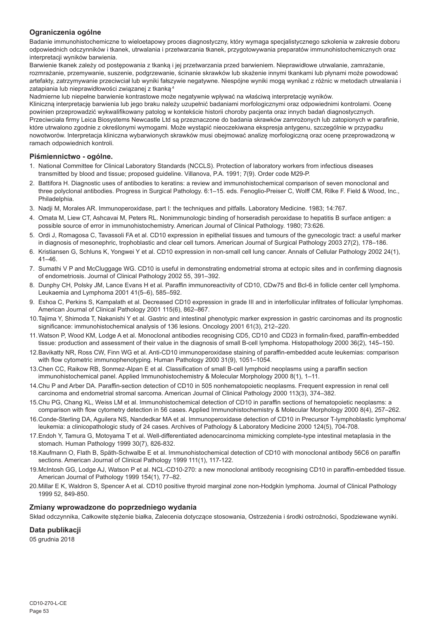## **Ograniczenia ogólne**

Badanie immunohistochemiczne to wieloetapowy proces diagnostyczny, który wymaga specjalistycznego szkolenia w zakresie doboru odpowiednich odczynników i tkanek, utrwalania i przetwarzania tkanek, przygotowywania preparatów immunohistochemicznych oraz interpretacji wyników barwienia.

Barwienie tkanek zależy od postępowania z tkanką i jej przetwarzania przed barwieniem. Nieprawidłowe utrwalanie, zamrażanie, rozmrażanie, przemywanie, suszenie, podgrzewanie, ścinanie skrawków lub skażenie innymi tkankami lub płynami może powodować artefakty, zatrzymywanie przeciwciał lub wyniki fałszywie negatywne. Niespójne wyniki mogą wynikać z różnic w metodach utrwalania i zatapiania lub nieprawidłowości związanej z tkanką.4

Nadmierne lub niepełne barwienie kontrastowe może negatywnie wpływać na właściwą interpretację wyników.

Kliniczną interpretację barwienia lub jego braku należy uzupełnić badaniami morfologicznymi oraz odpowiednimi kontrolami. Ocenę powinien przeprowadzić wykwalifikowany patolog w kontekście historii choroby pacjenta oraz innych badań diagnostycznych. Przeciwciała firmy Leica Biosystems Newcastle Ltd są przeznaczone do badania skrawków zamrożonych lub zatopionych w parafinie, które utrwalono zgodnie z określonymi wymogami. Może wystąpić nieoczekiwana ekspresja antygenu, szczególnie w przypadku nowotworów. Interpretacja kliniczna wybarwionych skrawków musi obejmować analizę morfologiczną oraz ocenę przeprowadzoną w ramach odpowiednich kontroli.

## **Piśmiennictwo - ogólne.**

- 1. National Committee for Clinical Laboratory Standards (NCCLS). Protection of laboratory workers from infectious diseases transmitted by blood and tissue; proposed guideline. Villanova, P.A. 1991; 7(9). Order code M29-P.
- 2. Battifora H. Diagnostic uses of antibodies to keratins: a review and immunohistochemical comparison of seven monoclonal and three polyclonal antibodies. Progress in Surgical Pathology. 6:1–15. eds. Fenoglio-Preiser C, Wolff CM, Rilke F. Field & Wood, Inc., Philadelphia.
- 3. Nadji M, Morales AR. Immunoperoxidase, part I: the techniques and pitfalls. Laboratory Medicine. 1983; 14:767.
- 4. Omata M, Liew CT, Ashcavai M, Peters RL. Nonimmunologic binding of horseradish peroxidase to hepatitis B surface antigen: a possible source of error in immunohistochemistry. American Journal of Clinical Pathology. 1980; 73:626.
- 5. Ordi J, Romagosa C, Tavassoli FA et al. CD10 expression in epithelial tissues and tumours of the gynecologic tract: a useful marker in diagnosis of mesonephric, trophoblastic and clear cell tumors. American Journal of Surgical Pathology 2003 27(2), 178–186.
- 6. Kristiansen G, Schluns K, Yongwei Y et al. CD10 expression in non-small cell lung cancer. Annals of Cellular Pathology 2002 24(1),  $41 - 46$
- 7. Sumathi V P and McCluggage WG. CD10 is useful in demonstrating endometrial stroma at ectopic sites and in confirming diagnosis of endometriosis. Journal of Clinical Pathology 2002 55, 391–392.
- 8. Dunphy CH, Polsky JM, Lance Evans H et al. Paraffin immunoreactivity of CD10, CDw75 and Bcl-6 in follicle center cell lymphoma. Leukaemia and Lymphoma 2001 41(5–6), 585–592.
- 9. Eshoa C, Perkins S, Kampalath et al. Decreased CD10 expression in grade III and in interfollicular infiltrates of follicular lymphomas. American Journal of Clinical Pathology 2001 115(6), 862–867.
- 10.Tajima Y, Shimoda T, Nakanishi Y et al. Gastric and intestinal phenotypic marker expression in gastric carcinomas and its prognostic significance: immunohistochemical analysis of 136 lesions. Oncology 2001 61(3), 212–220.
- 11.Watson P, Wood KM, Lodge A et al. Monoclonal antibodies recognising CD5, CD10 and CD23 in formalin-fixed, paraffin-embedded tissue: production and assessment of their value in the diagnosis of small B-cell lymphoma. Histopathology 2000 36(2), 145–150.
- 12.Bavikatty NR, Ross CW, Finn WG et al. Anti-CD10 immunoperoxidase staining of paraffin-embedded acute leukemias: comparison with flow cytometric immunophenotyping. Human Pathology 2000 31(9), 1051–1054.
- 13.Chen CC, Raikow RB, Sonmez-Alpan E et al. Classification of small B-cell lymphoid neoplasms using a paraffin section immunohistochemical panel. Applied Immunohistochemistry & Molecular Morphology 2000 8(1), 1–11.
- 14.Chu P and Arber DA. Paraffin-section detection of CD10 in 505 nonhematopoietic neoplasms. Frequent expression in renal cell carcinoma and endometrial stromal sarcoma. American Journal of Clinical Pathology 2000 113(3), 374–382.
- 15.Chu PG, Chang KL, Weiss LM et al. Immunohistochemical detection of CD10 in paraffin sections of hematopoietic neoplasms: a comparison with flow cytometry detection in 56 cases. Applied Immunohistochemistry & Molecular Morphology 2000 8(4), 257–262.
- 16.Conde-Sterling DA, Aguilera NS, Nandedkar MA et al. Immunoperoxidase detection of CD10 in Precursor T-lymphoblastic lymphoma/ leukemia: a clinicopathologic study of 24 cases. Archives of Pathology & Laboratory Medicine 2000 124(5), 704-708.
- 17.Endoh Y, Tamura G, Motoyama T et al. Well-differentiated adenocarcinoma mimicking complete-type intestinal metaplasia in the stomach. Human Pathology 1999 30(7), 826-832.
- 18.Kaufmann O, Flath B, Späth-Schwalbe E et al. Immunohistochemical detection of CD10 with monoclonal antibody 56C6 on paraffin sections. American Journal of Clinical Pathology 1999 111(1), 117-122.
- 19.McIntosh GG, Lodge AJ, Watson P et al. NCL-CD10-270: a new monoclonal antibody recognising CD10 in paraffin-embedded tissue. American Journal of Pathology 1999 154(1), 77–82.
- 20.Millar E K, Waldron S, Spencer A et al. CD10 positive thyroid marginal zone non-Hodgkin lymphoma. Journal of Clinical Pathology 1999 52, 849-850.

## **Zmiany wprowadzone do poprzedniego wydania**

Skład odczynnika, Całkowite stężenie białka, Zalecenia dotyczące stosowania, Ostrzeżenia i środki ostrożności, Spodziewane wyniki.

## **Data publikacji**

05 grudnia 2018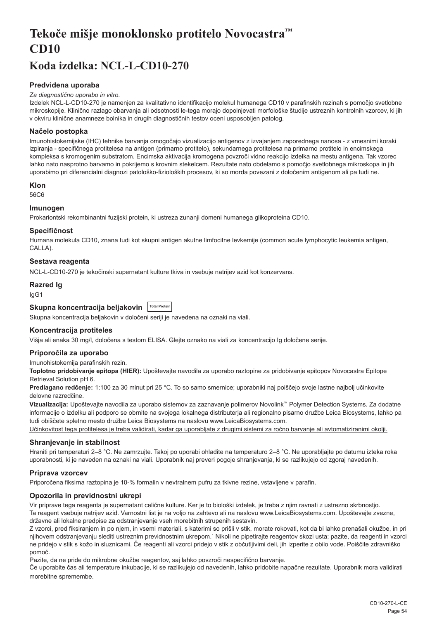# <span id="page-54-0"></span>**Tekoče mišje monoklonsko protitelo Novocastra™ CD10**

## **Koda izdelka: NCL-L-CD10-270**

## **Predvidena uporaba**

#### *Za diagnostično uporabo in vitro.*

Izdelek NCL-L-CD10-270 je namenjen za kvalitativno identifikacijo molekul humanega CD10 v parafinskih rezinah s pomočjo svetlobne mikroskopije. Klinično razlago obarvanja ali odsotnosti le-tega morajo dopolnjevati morfološke študije ustreznih kontrolnih vzorcev, ki jih v okviru klinične anamneze bolnika in drugih diagnostičnih testov oceni usposobljen patolog.

#### **Načelo postopka**

Imunohistokemijske (IHC) tehnike barvanja omogočajo vizualizacijo antigenov z izvajanjem zaporednega nanosa - z vmesnimi koraki izpiranja - specifičnega protitelesa na antigen (primarno protitelo), sekundarnega protitelesa na primarno protitelo in encimskega kompleksa s kromogenim substratom. Encimska aktivacija kromogena povzroči vidno reakcijo izdelka na mestu antigena. Tak vzorec lahko nato nasprotno barvamo in pokrijemo s krovnim stekelcem. Rezultate nato obdelamo s pomočjo svetlobnega mikroskopa in jih uporabimo pri diferencialni diagnozi patološko-fizioloških procesov, ki so morda povezani z določenim antigenom ali pa tudi ne.

#### **Klon**

56C6

## **Imunogen**

Prokariontski rekombinantni fuzijski protein, ki ustreza zunanji domeni humanega glikoproteina CD10.

#### **Specifičnost**

Humana molekula CD10, znana tudi kot skupni antigen akutne limfocitne levkemije (common acute lymphocytic leukemia antigen, CALLA).

#### **Sestava reagenta**

NCL-L-CD10-270 je tekočinski supernatant kulture tkiva in vsebuje natrijev azid kot konzervans.

#### **Razred Ig**

IgG1

## **Skupna koncentracija beljakovin Total Protein**

Skupna koncentracija beljakovin v določeni seriji je navedena na oznaki na viali.

## **Koncentracija protiteles**

Višja ali enaka 30 mg/l, določena s testom ELISA. Glejte oznako na viali za koncentracijo Ig določene serije.

#### **Priporočila za uporabo**

Imunohistokemija parafinskih rezin.

**Toplotno pridobivanje epitopa (HIER):** Upoštevajte navodila za uporabo raztopine za pridobivanje epitopov Novocastra Epitope Retrieval Solution pH 6.

**Predlagano redčenje:** 1:100 za 30 minut pri 25 °C. To so samo smernice; uporabniki naj poiščejo svoje lastne najbolj učinkovite delovne razredčine.

**Vizualizacija:** Upoštevajte navodila za uporabo sistemov za zaznavanje polimerov Novolink™ Polymer Detection Systems. Za dodatne informacije o izdelku ali podporo se obrnite na svojega lokalnega distributerja ali regionalno pisarno družbe Leica Biosystems, lahko pa tudi obiščete spletno mesto družbe Leica Biosystems na naslovu www.LeicaBiosystems.com.

Učinkovitost tega protitelesa je treba validirati, kadar ga uporabljate z drugimi sistemi za ročno barvanje ali avtomatiziranimi okolji.

#### **Shranjevanje in stabilnost**

Hraniti pri temperaturi 2–8 °C. Ne zamrzujte. Takoj po uporabi ohladite na temperaturo 2–8 °C. Ne uporabljajte po datumu izteka roka uporabnosti, ki je naveden na oznaki na viali. Uporabnik naj preveri pogoje shranjevanja, ki se razlikujejo od zgoraj navedenih.

#### **Priprava vzorcev**

Priporočena fiksirna raztopina je 10-% formalin v nevtralnem pufru za tkivne rezine, vstavljene v parafin.

## **Opozorila in previdnostni ukrepi**

Vir priprave tega reagenta je supernatant celične kulture. Ker je to biološki izdelek, je treba z njim ravnati z ustrezno skrbnostjo. Ta reagent vsebuje natrijev azid. Varnostni list je na voljo na zahtevo ali na naslovu www.LeicaBiosystems.com. Upoštevajte zvezne, državne ali lokalne predpise za odstranjevanje vseh morebitnih strupenih sestavin.

Z vzorci, pred fiksiranjem in po njem, in vsemi materiali, s katerimi so prišli v stik, morate rokovati, kot da bi lahko prenašali okužbe, in pri njihovem odstranjevanju slediti ustreznim previdnostnim ukrepom.<sup>1</sup> Nikoli ne pipetirajte reagentov skozi usta; pazite, da reagenti in vzorci ne pridejo v stik s kožo in sluznicami. Če reagenti ali vzorci pridejo v stik z občutljivimi deli, jih izperite z obilo vode. Poiščite zdravniško pomoč.

Pazite, da ne pride do mikrobne okužbe reagentov, saj lahko povzroči nespecifično barvanje.

Če uporabite čas ali temperature inkubacije, ki se razlikujejo od navedenih, lahko pridobite napačne rezultate. Uporabnik mora validirati morebitne spremembe.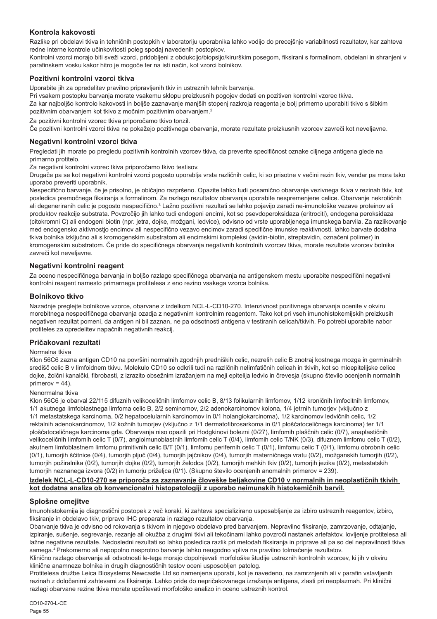## **Kontrola kakovosti**

Razlike pri obdelavi tkiva in tehničnih postopkih v laboratoriju uporabnika lahko vodijo do precejšnje variabilnosti rezultatov, kar zahteva redne interne kontrole učinkovitosti poleg spodaj navedenih postopkov.

Kontrolni vzorci morajo biti sveži vzorci, pridobljeni z obdukcijo/biopsijo/kirurškim posegom, fiksirani s formalinom, obdelani in shranjeni v parafinskem vosku kakor hitro je mogoče ter na isti način, kot vzorci bolnikov.

## **Pozitivni kontrolni vzorci tkiva**

Uporabite jih za opredelitev pravilno pripravljenih tkiv in ustreznih tehnik barvanja.

Pri vsakem postopku barvanja morate vsakemu sklopu preizkusnih pogojev dodati en pozitiven kontrolni vzorec tkiva. Za kar najboljšo kontrolo kakovosti in boljše zaznavanje manjših stopenj razkroja reagenta je bolj primerno uporabiti tkivo s šibkim pozitivnim obarvanjem kot tkivo z močnim pozitivnim obarvanjem.<sup>2</sup>

Za pozitivni kontrolni vzorec tkiva priporočamo tkivo tonzil.

Če pozitivni kontrolni vzorci tkiva ne pokažejo pozitivnega obarvanja, morate rezultate preizkusnih vzorcev zavreči kot neveljavne.

#### **Negativni kontrolni vzorci tkiva**

Pregledati jih morate po pregledu pozitivnih kontrolnih vzorcev tkiva, da preverite specifičnost oznake ciljnega antigena glede na primarno protitelo.

Za negativni kontrolni vzorec tkiva priporočamo tkivo testisov.

Drugače pa se kot negativni kontrolni vzorci pogosto uporablja vrsta različnih celic, ki so prisotne v večini rezin tkiv, vendar pa mora tako uporabo preveriti uporabnik.

Nespecifično barvanje, če je prisotno, je običajno razpršeno. Opazite lahko tudi posamično obarvanje vezivnega tkiva v rezinah tkiv, kot posledica premočnega fiksiranja s formalinom. Za razlago rezultatov obarvanja uporabite nespremenjene celice. Obarvanje nekrotičnih ali degeneriranih celic je pogosto nespecifično.<sup>3</sup> Lažno pozitivni rezultati se lahko pojavijo zaradi ne-imunološke vezave proteinov ali produktov reakcije substrata. Povzročijo jih lahko tudi endogeni encimi, kot so psevdoperoksidaza (eritrociti), endogena peroksidaza (citokromni C) ali endogeni biotin (npr. jetra, dojke, možgani, ledvice), odvisno od vrste uporabljenega imunskega barvila. Za razlikovanje med endogensko aktivnostjo encimov ali nespecifično vezavo encimov zaradi specifične imunske reaktivnosti, lahko barvate dodatna tkiva bolnika izključno ali s kromogenskim substratom ali encimskimi kompleksi (avidin-biotin, streptavidin, označeni polimer) in kromogenskim substratom. Če pride do specifičnega obarvanja negativnih kontrolnih vzorcev tkiva, morate rezultate vzorcev bolnika zavreči kot neveljavne.

## **Negativni kontrolni reagent**

Za oceno nespecifičnega barvanja in boljšo razlago specifičnega obarvanja na antigenskem mestu uporabite nespecifični negativni kontrolni reagent namesto primarnega protitelesa z eno rezino vsakega vzorca bolnika.

#### **Bolnikovo tkivo**

Nazadnje preglejte bolnikove vzorce, obarvane z izdelkom NCL-L-CD10-270. Intenzivnost pozitivnega obarvanja ocenite v okviru morebitnega nespecifičnega obarvanja ozadja z negativnim kontrolnim reagentom. Tako kot pri vseh imunohistokemijskih preizkusih negativen rezultat pomeni, da antigen ni bil zaznan, ne pa odsotnosti antigena v testiranih celicah/tkivih. Po potrebi uporabite nabor protiteles za opredelitev napačnih negativnih reakcij.

## **Pričakovani rezultati**

#### Normalna tkiva

Klon 56C6 zazna antigen CD10 na površini normalnih zgodnjih predniških celic, nezrelih celic B znotraj kostnega mozga in germinalnih središč celic B v limfoidnem tkivu. Molekulo CD10 so odkrili tudi na različnih nelimfatičnih celicah in tkivih, kot so mioepitelijske celice dojke, žolčni kanalčki, fibrobasti, z izrazito obsežnim izražanjem na meji epitelija ledvic in črevesja (skupno število ocenjenih normalnih primerov = 44).

#### Nenormalna tkiva

Klon 56C6 je obarval 22/115 difuznih velikoceličnih limfomov celic B, 8/13 folikularnih limfomov, 1/12 kroničnih limfocitnih limfomov, 1/1 akutnega limfoblastnega limfoma celic B, 2/2 seminomov, 2/2 adenokarcinomov kolona, 1/4 jetrnih tumorjev (vključno z 1/1 metastatskega karcinoma, 0/2 hepatocelularnih karcinomov in 0/1 holangiokarcinoma), 1/2 karcinomov ledvičnih celic, 1/2 rektalnih adenokarcinomov, 1/2 kožnih tumorjev (vključno z 1/1 dermatofibrosarkoma in 0/1 ploščatoceličnega karcinoma) ter 1/1 ploščatoceličnega karcinoma grla. Obarvanja niso opazili pri Hodgkinovi bolezni (0/27), limfomih plaščnih celic (0/7), anaplastičnih velikoceličnih limfomih celic T (0/7), angioimunoblastnih limfomih celic T (0/4), limfomih celic T/NK (0/3), difuznem limfomu celic T (0/2), akutnem limfoblastnem limfomu primitivnih celic B/T (0/1), limfomu perifernih celic T (0/1), limfomu celic T (0/1), limfomu obrobnih celic (0/1), tumorjih ščitnice (0/4), tumorjih pljuč (0/4), tumorjih jajčnikov (0/4), tumorjih materničnega vratu (0/2), možganskih tumorjih (0/2), tumorjih požiralnika (0/2), tumorjih dojke (0/2), tumorjih želodca (0/2), tumorjih mehkih tkiv (0/2), tumorjih jezika (0/2), metastatskih tumorjih neznanega izvora (0/2) in tumorju priželjca (0/1). (Skupno število ocenjenih anomalnih primerov = 239).

#### **Izdelek NCL-L-CD10-270 se priporoča za zaznavanje človeške beljakovine CD10 v normalnih in neoplastičnih tkivih kot dodatna analiza ob konvencionalni histopatologiji z uporabo neimunskih histokemičnih barvil.**

#### **Splošne omejitve**

Imunohistokemija je diagnostični postopek z več koraki, ki zahteva specializirano usposabljanje za izbiro ustreznih reagentov, izbiro, fiksiranje in obdelavo tkiv, pripravo IHC preparata in razlago rezultatov obarvanja.

Obarvanje tkiva je odvisno od rokovanja s tkivom in njegovo obdelavo pred barvanjem. Nepravilno fiksiranje, zamrzovanje, odtajanje, izpiranje, sušenje, segrevanje, rezanje ali okužba z drugimi tkivi ali tekočinami lahko povzroči nastanek artefaktov, lovljenje protitelesa ali lažne negativne rezultate. Nedosledni rezultati so lahko posledica razlik pri metodah fiksiranja in priprave ali pa so del nepravilnosti tkiva samega.4 Prekomerno ali nepopolno nasprotno barvanje lahko neugodno vpliva na pravilno tolmačenje rezultatov.

Klinično razlago obarvanja ali odsotnosti le-tega morajo dopolnjevati morfološke študije ustreznih kontrolnih vzorcev, ki jih v okviru klinične anamneze bolnika in drugih diagnostičnih testov oceni usposobljen patolog.

Protitelesa družbe Leica Biosystems Newcastle Ltd so namenjena uporabi, kot je navedeno, na zamrznjenih ali v parafin vstavljenih rezinah z določenimi zahtevami za fiksiranje. Lahko pride do nepričakovanega izražanja antigena, zlasti pri neoplazmah. Pri klinični razlagi obarvane rezine tkiva morate upoštevati morfološko analizo in oceno ustreznih kontrol.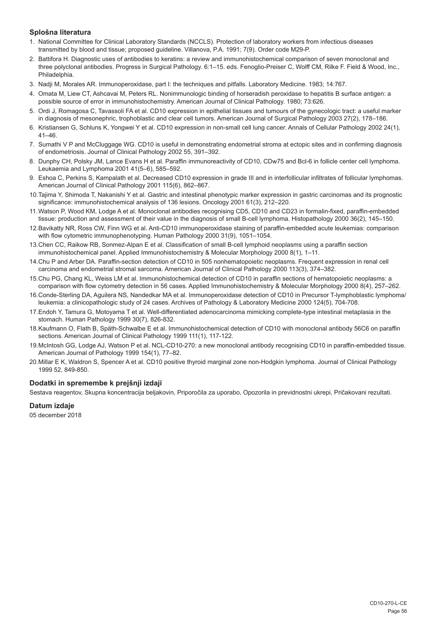## **Splošna literatura**

- 1. National Committee for Clinical Laboratory Standards (NCCLS). Protection of laboratory workers from infectious diseases transmitted by blood and tissue; proposed guideline. Villanova, P.A. 1991; 7(9). Order code M29-P.
- 2. Battifora H. Diagnostic uses of antibodies to keratins: a review and immunohistochemical comparison of seven monoclonal and three polyclonal antibodies. Progress in Surgical Pathology. 6:1–15. eds. Fenoglio-Preiser C, Wolff CM, Rilke F. Field & Wood, Inc., Philadelphia.
- 3. Nadji M, Morales AR. Immunoperoxidase, part I: the techniques and pitfalls. Laboratory Medicine. 1983; 14:767.
- 4. Omata M, Liew CT, Ashcavai M, Peters RL. Nonimmunologic binding of horseradish peroxidase to hepatitis B surface antigen: a possible source of error in immunohistochemistry. American Journal of Clinical Pathology. 1980; 73:626.
- 5. Ordi J, Romagosa C, Tavassoli FA et al. CD10 expression in epithelial tissues and tumours of the gynecologic tract: a useful marker in diagnosis of mesonephric, trophoblastic and clear cell tumors. American Journal of Surgical Pathology 2003 27(2), 178–186.
- 6. Kristiansen G, Schluns K, Yongwei Y et al. CD10 expression in non-small cell lung cancer. Annals of Cellular Pathology 2002 24(1),  $41 - 46$
- 7. Sumathi V P and McCluggage WG. CD10 is useful in demonstrating endometrial stroma at ectopic sites and in confirming diagnosis of endometriosis. Journal of Clinical Pathology 2002 55, 391–392.
- 8. Dunphy CH, Polsky JM, Lance Evans H et al. Paraffin immunoreactivity of CD10, CDw75 and Bcl-6 in follicle center cell lymphoma. Leukaemia and Lymphoma 2001 41(5–6), 585–592.
- 9. Eshoa C, Perkins S, Kampalath et al. Decreased CD10 expression in grade III and in interfollicular infiltrates of follicular lymphomas. American Journal of Clinical Pathology 2001 115(6), 862–867.
- 10.Tajima Y, Shimoda T, Nakanishi Y et al. Gastric and intestinal phenotypic marker expression in gastric carcinomas and its prognostic significance: immunohistochemical analysis of 136 lesions. Oncology 2001 61(3), 212–220.
- 11.Watson P, Wood KM, Lodge A et al. Monoclonal antibodies recognising CD5, CD10 and CD23 in formalin-fixed, paraffin-embedded tissue: production and assessment of their value in the diagnosis of small B-cell lymphoma. Histopathology 2000 36(2), 145–150.
- 12.Bavikatty NR, Ross CW, Finn WG et al. Anti-CD10 immunoperoxidase staining of paraffin-embedded acute leukemias: comparison with flow cytometric immunophenotyping. Human Pathology 2000 31(9), 1051–1054.
- 13.Chen CC, Raikow RB, Sonmez-Alpan E et al. Classification of small B-cell lymphoid neoplasms using a paraffin section immunohistochemical panel. Applied Immunohistochemistry & Molecular Morphology 2000 8(1), 1–11.
- 14.Chu P and Arber DA. Paraffin-section detection of CD10 in 505 nonhematopoietic neoplasms. Frequent expression in renal cell carcinoma and endometrial stromal sarcoma. American Journal of Clinical Pathology 2000 113(3), 374–382.
- 15.Chu PG, Chang KL, Weiss LM et al. Immunohistochemical detection of CD10 in paraffin sections of hematopoietic neoplasms: a comparison with flow cytometry detection in 56 cases. Applied Immunohistochemistry & Molecular Morphology 2000 8(4), 257–262.
- 16.Conde-Sterling DA, Aguilera NS, Nandedkar MA et al. Immunoperoxidase detection of CD10 in Precursor T-lymphoblastic lymphoma/ leukemia: a clinicopathologic study of 24 cases. Archives of Pathology & Laboratory Medicine 2000 124(5), 704-708.
- 17.Endoh Y, Tamura G, Motoyama T et al. Well-differentiated adenocarcinoma mimicking complete-type intestinal metaplasia in the stomach. Human Pathology 1999 30(7), 826-832.
- 18.Kaufmann O, Flath B, Späth-Schwalbe E et al. Immunohistochemical detection of CD10 with monoclonal antibody 56C6 on paraffin sections. American Journal of Clinical Pathology 1999 111(1), 117-122.
- 19.McIntosh GG, Lodge AJ, Watson P et al. NCL-CD10-270: a new monoclonal antibody recognising CD10 in paraffin-embedded tissue. American Journal of Pathology 1999 154(1), 77–82.
- 20.Millar E K, Waldron S, Spencer A et al. CD10 positive thyroid marginal zone non-Hodgkin lymphoma. Journal of Clinical Pathology 1999 52, 849-850.

## **Dodatki in spremembe k prejšnji izdaji**

Sestava reagentov, Skupna koncentracija beljakovin, Priporočila za uporabo, Opozorila in previdnostni ukrepi, Pričakovani rezultati.

## **Datum izdaje**

05 december 2018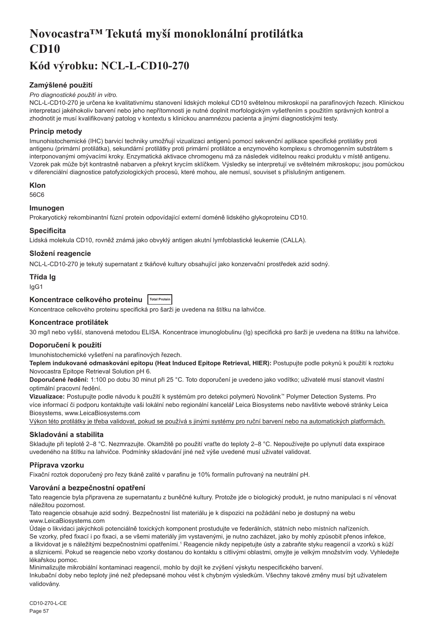# <span id="page-57-0"></span>**Novocastra™ Tekutá myší monoklonální protilátka CD10**

## **Kód výrobku: NCL-L-CD10-270**

## **Zamýšlené použití**

#### *Pro diagnostické použití in vitro.*

NCL-L-CD10-270 je určena ke kvalitativnímu stanovení lidských molekul CD10 světelnou mikroskopií na parafínových řezech. Klinickou interpretaci jakéhokoliv barvení nebo jeho nepřítomnosti je nutné doplnit morfologickým vyšetřením s použitím správných kontrol a zhodnotit je musí kvalifikovaný patolog v kontextu s klinickou anamnézou pacienta a jinými diagnostickými testy.

## **Princip metody**

Imunohistochemické (IHC) barvicí techniky umožňují vizualizaci antigenů pomocí sekvenční aplikace specifické protilátky proti antigenu (primární protilátka), sekundární protilátky proti primární protilátce a enzymového komplexu s chromogenním substrátem s interponovanými omývacími kroky. Enzymatická aktivace chromogenu má za následek viditelnou reakci produktu v místě antigenu. Vzorek pak může být kontrastně nabarven a překryt krycím sklíčkem. Výsledky se interpretují ve světelném mikroskopu; jsou pomůckou v diferenciální diagnostice patofyziologických procesů, které mohou, ale nemusí, souviset s příslušným antigenem.

#### **Klon**

56C6

## **Imunogen**

Prokaryotický rekombinantní fúzní protein odpovídající externí doméně lidského glykoproteinu CD10.

#### **Specificita**

Lidská molekula CD10, rovněž známá jako obvyklý antigen akutní lymfoblastické leukemie (CALLA).

## **Složení reagencie**

NCL-L-CD10-270 je tekutý supernatant z tkáňové kultury obsahující jako konzervační prostředek azid sodný.

## **Třída Ig**

IgG1

## **Koncentrace celkového proteinu Total Protein**

Koncentrace celkového proteinu specifická pro šarži je uvedena na štítku na lahvičce.

## **Koncentrace protilátek**

30 mg/l nebo vyšší, stanovená metodou ELISA. Koncentrace imunoglobulinu (Ig) specifická pro šarži je uvedena na štítku na lahvičce.

#### **Doporučení k použití**

Imunohistochemické vyšetření na parafínových řezech.

**Teplem indukované odmaskování epitopu (Heat Induced Epitope Retrieval, HIER):** Postupujte podle pokynů k použití k roztoku Novocastra Epitope Retrieval Solution pH 6.

**Doporučené ředění:** 1:100 po dobu 30 minut při 25 °C. Toto doporučení je uvedeno jako vodítko; uživatelé musí stanovit vlastní optimální pracovní ředění.

**Vizualizace:** Postupujte podle návodu k použití k systémům pro detekci polymerů Novolink™ Polymer Detection Systems. Pro více informací či podporu kontaktujte vaši lokální nebo regionální kancelář Leica Biosystems nebo navštivte webové stránky Leica Biosystems, www.LeicaBiosystems.com

Výkon této protilátky je třeba validovat, pokud se používá s jinými systémy pro ruční barvení nebo na automatických platformách.

## **Skladování a stabilita**

Skladujte při teplotě 2–8 °C. Nezmrazujte. Okamžitě po použití vraťte do teploty 2–8 °C. Nepoužívejte po uplynutí data exspirace uvedeného na štítku na lahvičce. Podmínky skladování jiné než výše uvedené musí uživatel validovat.

## **Příprava vzorku**

Fixační roztok doporučený pro řezy tkáně zalité v parafinu je 10% formalín pufrovaný na neutrální pH.

## **Varování a bezpečnostní opatření**

Tato reagencie byla připravena ze supernatantu z buněčné kultury. Protože jde o biologický produkt, je nutno manipulaci s ní věnovat náležitou pozornost.

Tato reagencie obsahuje azid sodný. Bezpečnostní list materiálu je k dispozici na požádání nebo je dostupný na webu www.LeicaBiosystems.com

Údaje o likvidaci jakýchkoli potenciálně toxických komponent prostudujte ve federálních, státních nebo místních nařízeních. Se vzorky, před fixací i po fixaci, a se všemi materiály jim vystavenými, je nutno zacházet, jako by mohly způsobit přenos infekce, a likvidovat je s náležitými bezpečnostními opatřeními.<sup>1</sup> Reagencie nikdy nepipetujte ústy a zabraňte styku reagencií a vzorků s kůží a sliznicemi. Pokud se reagencie nebo vzorky dostanou do kontaktu s citlivými oblastmi, omyjte je velkým množstvím vody. Vyhledejte

lékařskou pomoc. Minimalizujte mikrobiální kontaminaci reagencií, mohlo by dojít ke zvýšení výskytu nespecifického barvení.

Inkubační doby nebo teploty jiné než předepsané mohou vést k chybným výsledkům. Všechny takové změny musí být uživatelem validovány.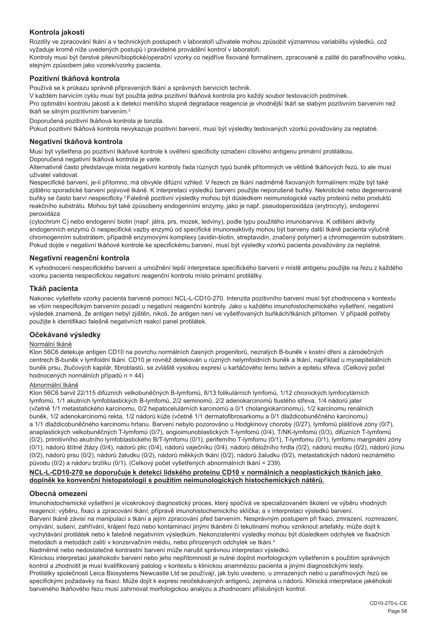## **Kontrola jakosti**

Rozdíly ve zpracování tkání a v technických postupech v laboratoři uživatele mohou způsobit významnou variabilitu výsledků, což vyžaduje kromě níže uvedených postupů i pravidelné provádění kontrol v laboratoři.

Kontroly musí být čerstvé pitevní/bioptické/operační vzorky co nejdříve fixované formalínem, zpracované a zalité do parafínového vosku, stejným způsobem jako vzorek/vzorky pacienta.

## **Pozitivní tkáňová kontrola**

Používá se k průkazu správně připravených tkání a správných barvicích technik.

V každém barvicím cyklu musí být použita jedna pozitivní tkáňová kontrola pro každý soubor testovacích podmínek.

Pro optimální kontrolu jakosti a k detekci menšího stupně degradace reagencie je vhodnější tkáň se slabým pozitivním barvením než tkáň se silným pozitivním barvením.<sup>2</sup>

Doporučená pozitivní tkáňová kontrola je tonzila.

Pokud pozitivní tkáňová kontrola nevykazuje pozitivní barvení, musí být výsledky testovaných vzorků považovány za neplatné.

#### **Negativní tkáňová kontrola**

Musí být vyšetřena po pozitivní tkáňové kontrole k ověření specificity označení cílového antigenu primární protilátkou. Doporučená negativní tkáňová kontrola je varle.

Alternativně často představuje místa negativní kontroly řada různých typů buněk přítomných ve většině tkáňových řezů, to ale musí uživatel validovat.

Nespecifické barvení, je-li přítomno, má obvykle difúzní vzhled. V řezech ze tkání nadměrně fixovaných formalínem může být také zjištěno sporadické barvení pojivové tkáně. K interpretaci výsledků barvení použijte neporušené buňky. Nekrotické nebo degenerované buňky se často barví nespecificky.<sup>3</sup>Falešně pozitivní výsledky mohou být důsledkem neimunologické vazby proteinů nebo produktů reakčního substrátu. Mohou být také způsobeny endogenními enzymy, jako je např. pseudoperoxidáza (erytrocyty), endogenní peroxidáza

(cytochrom C) nebo endogenní biotin (např. játra, prs, mozek, ledviny), podle typu použitého imunobarviva. K odlišení aktivity endogenních enzymů či nespecifické vazby enzymů od specifické imunoreaktivity mohou být barveny další tkáně pacienta výlučně chromogenním substrátem, případně enzymovými komplexy (avidin-biotin, streptavidin, značený polymer) a chromogenním substrátem. Pokud dojde v negativní tkáňové kontrole ke specifickému barvení, musí být výsledky vzorků pacienta považovány za neplatné.

## **Negativní reagenční kontrola**

K vyhodnocení nespecifického barvení a umožnění lepší interpretace specifického barvení v místě antigenu použijte na řezu z každého vzorku pacienta nespecifickou negativní reagenční kontrolu místo primární protilátky.

## **Tkáň pacienta**

Nakonec vyšetřete vzorky pacienta barvené pomocí NCL-L-CD10-270. Intenzita pozitivního barvení musí být zhodnocena v kontextu se vším nespecifickým barvením pozadí u negativní reagenční kontroly. Jako u každého imunohistochemického vyšetření, negativní výsledek znamená, že antigen nebyl zjištěn, nikoli, že antigen není ve vyšetřovaných buňkách/tkáních přítomen. V případě potřeby použijte k identifikaci falešně negativních reakcí panel protilátek.

## **Očekávané výsledky**

#### Normální tkáně

Klon 56C6 detekuje antigen CD10 na povrchu normálních časných progenitorů, nezralých B-buněk v kostní dřeni a zárodečných centrech B-buněk v lymfoidní tkáni. CD10 je rovněž detekován u různých nelymfoidních buněk a tkání, například u myoepiteliálních buněk prsu, žlučových kapilár, fibroblastů, se zvláště vysokou expresí u kartáčového lemu ledvin a epitelu střeva. (Celkový počet hodnocených normálních případů n = 44)

#### Abnormální tkáně

Klon 56C6 barvil 22/115 difúzních velkobuněčných B-lymfomů, 8/13 folikulárních lymfomů, 1/12 chronických lymfocytárních lymfomů, 1/1 akutních lymfoblastických B-lymfomů, 2/2 seminomů, 2/2 adenokarcinomů tlustého střeva, 1/4 nádorů jater (včetně 1/1 metastatického karcinomu, 0/2 hepatocelulárních karcinomů a 0/1 cholangiokarcinomu), 1/2 karcinomu renálních buněk, 1/2 adenokarcinomů rekta, 1/2 nádorů kůže (včetně 1/1 dermatofibrosarkomu a 0/1 dlaždicobuněčného karcinomu) a 1/1 dlaždicobuněčného karcinomu hrtanu. Barvení nebylo pozorováno u Hodgkinovy choroby (0/27), lymfomů plášťové zóny (0/7), anaplastických velkobuněčných T-lymfomů (0/7), angioimunoblastických T-lymfomů (0/4), T/NK-lymfomů (0/3), difúzních T-lymfomů (0/2), primitivního akutního lymfoblastického B/T-lymfomu (0/1), periferního T-lymfomu (0/1), T-lymfomu (0/1), lymfomu marginální zóny (0/1), nádorů štítné žlázy (0/4), nádorů plic (0/4), nádorů vaječníku (0/4), nádorů děložního hrdla (0/2), nádorů mozku (0/2), nádorů jícnu (0/2), nádorů prsu (0/2), nádorů žaludku (0/2), nádorů měkkých tkání (0/2), nádorů žaludku (0/2), metastatických nádorů neznámého původu (0/2) a nádoru brzlíku (0/1). (Celkový počet vyšetřených abnormálních tkání = 239).

#### **NCL-L-CD10-270 se doporučuje k detekci lidského proteinu CD10 v normálních a neoplastických tkáních jako doplněk ke konvenční histopatologii s použitím neimunologických histochemických nátěrů.**

## **Obecná omezení**

Imunohistochemické vyšetření je vícekrokový diagnostický proces, který spočívá ve specializovaném školení ve výběru vhodných reagencií; výběru, fixaci a zpracování tkání; přípravě imunohistochemickího sklíčka; a v interpretaci výsledků barvení. Barvení tkáně závisí na manipulaci s tkání a jejím zpracování před barvením. Nesprávným postupem při fixaci, zmrazení, rozmrazení, omývání, sušení, zahřívání, krájení řezů nebo kontaminací jinými tkáněmi či tekutinami mohou vzniknout artefakty, může dojít k vychytávání protilátek nebo k falešně negativním výsledkům. Nekonzistentní výsledky mohou být důsledkem odchylek ve fixačních metodách a metodách zalití v konzervačním médiu, nebo přirozených odchylek ve tkáni.4

Nadměrné nebo nedostatečné kontrastní barvení může narušit správnou interpretaci výsledků.

Klinickou interpretaci jakéhokoliv barvení nebo jeho nepřítomnosti je nutné doplnit morfologickým vyšetřením s použitím správných kontrol a zhodnotit je musí kvalifikovaný patolog v kontextu s klinickou anamnézou pacienta a jinými diagnostickými testy. Protilátky společnosti Leica Biosystems Newcastle Ltd se používají, jak bylo uvedeno, u zmrazených nebo u parafínových řezů se specifickými požadavky na fixaci. Může dojít k expresi neočekávaných antigenů, zejména u nádorů. Klinická interpretace jakéhokoli barveného tkáňového řezu musí zahrnovat morfologickou analýzu a zhodnocení příslušných kontrol.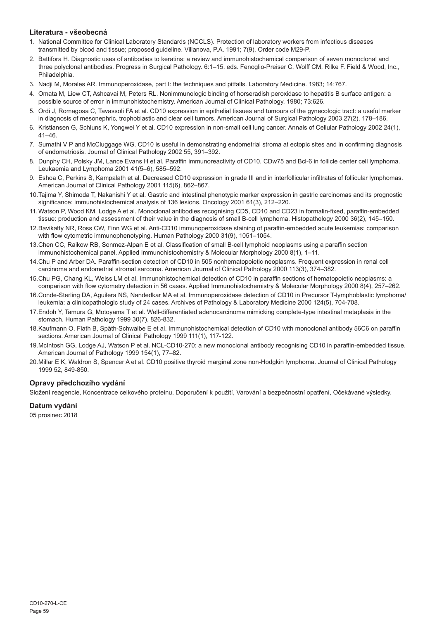## **Literatura - všeobecná**

- 1. National Committee for Clinical Laboratory Standards (NCCLS). Protection of laboratory workers from infectious diseases transmitted by blood and tissue; proposed guideline. Villanova, P.A. 1991; 7(9). Order code M29-P.
- 2. Battifora H. Diagnostic uses of antibodies to keratins: a review and immunohistochemical comparison of seven monoclonal and three polyclonal antibodies. Progress in Surgical Pathology. 6:1–15. eds. Fenoglio-Preiser C, Wolff CM, Rilke F. Field & Wood, Inc., Philadelphia.
- 3. Nadji M, Morales AR. Immunoperoxidase, part I: the techniques and pitfalls. Laboratory Medicine. 1983; 14:767.
- 4. Omata M, Liew CT, Ashcavai M, Peters RL. Nonimmunologic binding of horseradish peroxidase to hepatitis B surface antigen: a possible source of error in immunohistochemistry. American Journal of Clinical Pathology. 1980; 73:626.
- 5. Ordi J, Romagosa C, Tavassoli FA et al. CD10 expression in epithelial tissues and tumours of the gynecologic tract: a useful marker in diagnosis of mesonephric, trophoblastic and clear cell tumors. American Journal of Surgical Pathology 2003 27(2), 178–186.
- 6. Kristiansen G, Schluns K, Yongwei Y et al. CD10 expression in non-small cell lung cancer. Annals of Cellular Pathology 2002 24(1),  $41 - 46$
- 7. Sumathi V P and McCluggage WG. CD10 is useful in demonstrating endometrial stroma at ectopic sites and in confirming diagnosis of endometriosis. Journal of Clinical Pathology 2002 55, 391–392.
- 8. Dunphy CH, Polsky JM, Lance Evans H et al. Paraffin immunoreactivity of CD10, CDw75 and Bcl-6 in follicle center cell lymphoma. Leukaemia and Lymphoma 2001 41(5–6), 585–592.
- 9. Eshoa C, Perkins S, Kampalath et al. Decreased CD10 expression in grade III and in interfollicular infiltrates of follicular lymphomas. American Journal of Clinical Pathology 2001 115(6), 862–867.
- 10.Tajima Y, Shimoda T, Nakanishi Y et al. Gastric and intestinal phenotypic marker expression in gastric carcinomas and its prognostic significance: immunohistochemical analysis of 136 lesions. Oncology 2001 61(3), 212–220.
- 11.Watson P, Wood KM, Lodge A et al. Monoclonal antibodies recognising CD5, CD10 and CD23 in formalin-fixed, paraffin-embedded tissue: production and assessment of their value in the diagnosis of small B-cell lymphoma. Histopathology 2000 36(2), 145–150.
- 12.Bavikatty NR, Ross CW, Finn WG et al. Anti-CD10 immunoperoxidase staining of paraffin-embedded acute leukemias: comparison with flow cytometric immunophenotyping. Human Pathology 2000 31(9), 1051–1054.
- 13.Chen CC, Raikow RB, Sonmez-Alpan E et al. Classification of small B-cell lymphoid neoplasms using a paraffin section immunohistochemical panel. Applied Immunohistochemistry & Molecular Morphology 2000 8(1), 1–11.
- 14.Chu P and Arber DA. Paraffin-section detection of CD10 in 505 nonhematopoietic neoplasms. Frequent expression in renal cell carcinoma and endometrial stromal sarcoma. American Journal of Clinical Pathology 2000 113(3), 374–382.
- 15.Chu PG, Chang KL, Weiss LM et al. Immunohistochemical detection of CD10 in paraffin sections of hematopoietic neoplasms: a comparison with flow cytometry detection in 56 cases. Applied Immunohistochemistry & Molecular Morphology 2000 8(4), 257–262.
- 16.Conde-Sterling DA, Aguilera NS, Nandedkar MA et al. Immunoperoxidase detection of CD10 in Precursor T-lymphoblastic lymphoma/ leukemia: a clinicopathologic study of 24 cases. Archives of Pathology & Laboratory Medicine 2000 124(5), 704-708.
- 17.Endoh Y, Tamura G, Motoyama T et al. Well-differentiated adenocarcinoma mimicking complete-type intestinal metaplasia in the stomach. Human Pathology 1999 30(7), 826-832.
- 18.Kaufmann O, Flath B, Späth-Schwalbe E et al. Immunohistochemical detection of CD10 with monoclonal antibody 56C6 on paraffin sections. American Journal of Clinical Pathology 1999 111(1), 117-122.
- 19.McIntosh GG, Lodge AJ, Watson P et al. NCL-CD10-270: a new monoclonal antibody recognising CD10 in paraffin-embedded tissue. American Journal of Pathology 1999 154(1), 77–82.
- 20.Millar E K, Waldron S, Spencer A et al. CD10 positive thyroid marginal zone non-Hodgkin lymphoma. Journal of Clinical Pathology 1999 52, 849-850.

## **Opravy předchozího vydání**

Složení reagencie, Koncentrace celkového proteinu, Doporučení k použití, Varování a bezpečnostní opatření, Očekávané výsledky.

## **Datum vydání**

05 prosinec 2018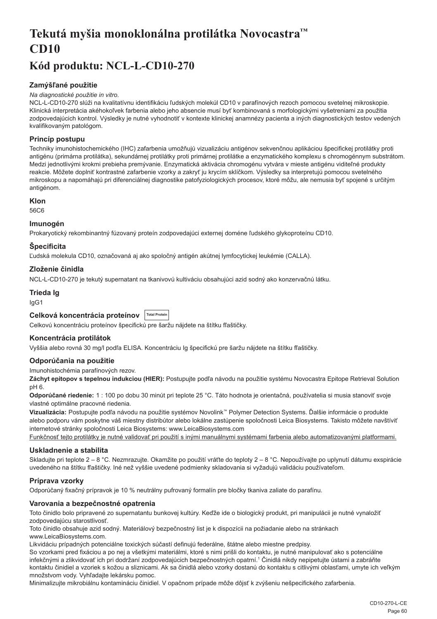# <span id="page-60-0"></span>**Tekutá myšia monoklonálna protilátka Novocastra™ CD10**

# **Kód produktu: NCL-L-CD10-270**

## **Zamýšľané použitie**

#### *Na diagnostické použitie in vitro.*

NCL-L-CD10-270 slúži na kvalitatívnu identifikáciu ľudských molekúl CD10 v parafínových rezoch pomocou svetelnej mikroskopie. Klinická interpretácia akéhokoľvek farbenia alebo jeho absencie musí byť kombinovaná s morfologickými vyšetreniami za použitia zodpovedajúcich kontrol. Výsledky je nutné vyhodnotiť v kontexte klinickej anamnézy pacienta a iných diagnostických testov vedených kvalifikovaným patológom.

## **Princíp postupu**

Techniky imunohistochemického (IHC) zafarbenia umožňujú vizualizáciu antigénov sekvenčnou aplikáciou špecifickej protilátky proti antigénu (primárna protilátka), sekundárnej protilátky proti primárnej protilátke a enzymatického komplexu s chromogénnym substrátom. Medzi jednotlivými krokmi prebieha premývanie. Enzymatická aktivácia chromogénu vytvára v mieste antigénu viditeľné produkty reakcie. Môžete doplniť kontrastné zafarbenie vzorky a zakryť ju krycím sklíčkom. Výsledky sa interpretujú pomocou svetelného mikroskopu a napomáhajú pri diferenciálnej diagnostike patofyziologických procesov, ktoré môžu, ale nemusia byť spojené s určitým antigénom.

## **Klon**

56C6

## **Imunogén**

Prokaryotický rekombinantný fúzovaný proteín zodpovedajúci externej doméne ľudského glykoproteínu CD10.

## **Špecificita**

Ľudská molekula CD10, označovaná aj ako spoločný antigén akútnej lymfocytickej leukémie (CALLA).

## **Zloženie činidla**

NCL-L-CD10-270 je tekutý supernatant na tkanivovú kultiváciu obsahujúci azid sodný ako konzervačnú látku.

#### **Trieda Ig**

IgG1

## **Celková koncentrácia proteínov Total Protein**

Celkovú koncentráciu proteínov špecifickú pre šaržu nájdete na štítku fľaštičky.

## **Koncentrácia protilátok**

Vyššia alebo rovná 30 mg/l podľa ELISA. Koncentráciu Ig špecifickú pre šaržu nájdete na štítku fľaštičky.

## **Odporúčania na použitie**

Imunohistochémia parafínových rezov.

**Záchyt epitopov s tepelnou indukciou (HIER):** Postupujte podľa návodu na použitie systému Novocastra Epitope Retrieval Solution pH 6.

**Odporúčané riedenie:** 1 : 100 po dobu 30 minút pri teplote 25 °C. Táto hodnota je orientačná, používatelia si musia stanoviť svoje vlastné optimálne pracovné riedenia.

**Vizualizácia:** Postupujte podľa návodu na použitie systémov Novolink™ Polymer Detection Systems. Ďalšie informácie o produkte alebo podporu vám poskytne váš miestny distribútor alebo lokálne zastúpenie spoločnosti Leica Biosystems. Takisto môžete navštíviť internetové stránky spoločnosti Leica Biosystems: www.LeicaBiosystems.com

Funkčnosť tejto protilátky je nutné validovať pri použití s inými manuálnymi systémami farbenia alebo automatizovanými platformami.

## **Uskladnenie a stabilita**

Skladujte pri teplote 2 – 8 °C. Nezmrazujte. Okamžite po použití vráťte do teploty 2 – 8 °C. Nepoužívajte po uplynutí dátumu exspirácie uvedeného na štítku fľaštičky. Iné než vyššie uvedené podmienky skladovania si vyžadujú validáciu používateľom.

## **Príprava vzorky**

Odporúčaný fixačný prípravok je 10 % neutrálny pufrovaný formalín pre bločky tkaniva zaliate do parafínu.

## **Varovania a bezpečnostné opatrenia**

Toto činidlo bolo pripravené zo supernatantu bunkovej kultúry. Keďže ide o biologický produkt, pri manipulácii je nutné vynaložiť zodpovedajúcu starostlivosť.

Toto činidlo obsahuje azid sodný. Materiálový bezpečnostný list je k dispozícii na požiadanie alebo na stránkach www.LeicaBiosystems.com.

Likvidáciu prípadných potenciálne toxických súčastí definujú federálne, štátne alebo miestne predpisy.

So vzorkami pred fixáciou a po nej a všetkými materiálmi, ktoré s nimi prišli do kontaktu, je nutné manipulovať ako s potenciálne infekčnými a zlikvidovať ich pri dodržaní zodpovedajúcich bezpečnostných opatrní.<sup>1</sup> Činidlá nikdy nepipetujte ústami a zabráňte kontaktu činidiel a vzoriek s kožou a sliznicami. Ak sa činidlá alebo vzorky dostanú do kontaktu s citlivými oblasťami, umyte ich veľkým množstvom vody. Vyhľadajte lekársku pomoc.

Minimalizujte mikrobiálnu kontamináciu činidiel. V opačnom prípade môže dôjsť k zvýšeniu nešpecifického zafarbenia.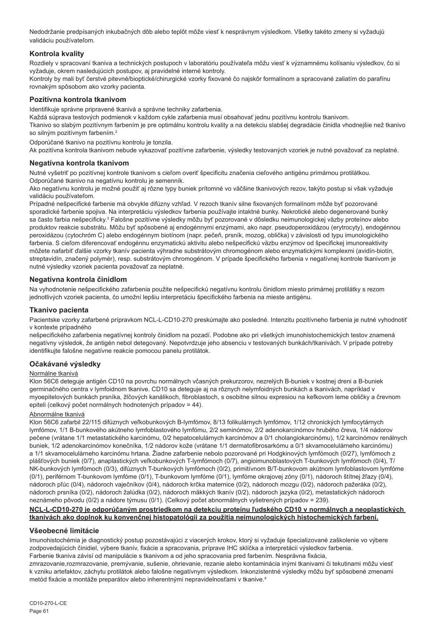Nedodržanie predpísaných inkubačných dôb alebo teplôt môže viesť k nesprávnym výsledkom. Všetky takéto zmeny si vyžadujú validáciu používateľom.

## **Kontrola kvality**

Rozdiely v spracovaní tkaniva a technických postupoch v laboratóriu používateľa môžu viesť k významnému kolísaniu výsledkov, čo si vyžaduje, okrem nasledujúcich postupov, aj pravidelné interné kontroly.

Kontroly by mali byť čerstvé pitevné/bioptické/chirurgické vzorky fixované čo najskôr formalínom a spracované zaliatím do parafínu rovnakým spôsobom ako vzorky pacienta.

## **Pozitívna kontrola tkanivom**

Identifikuje správne pripravené tkanivá a správne techniky zafarbenia.

Každá súprava testových podmienok v každom cykle zafarbenia musí obsahovať jednu pozitívnu kontrolu tkanivom.

Tkanivo so slabým pozitívnym farbením je pre optimálnu kontrolu kvality a na detekciu slabšej degradácie činidla vhodnejšie než tkanivo so silným pozitívnym farbením.<sup>2</sup>

Odporúčané tkanivo na pozitívnu kontrolu je tonzila.

Ak pozitívna kontrola tkanivom nebude vykazovať pozitívne zafarbenie, výsledky testovaných vzoriek je nutné považovať za neplatné.

#### **Negatívna kontrola tkanivom**

Nutné vyšetriť po pozitívnej kontrole tkanivom s cieľom overiť špecificitu značenia cieľového antigénu primárnou protilátkou. Odporúčané tkanivo na negatívnu kontrolu je semenník.

Ako negatívnu kontrolu je možné použiť aj rôzne typy buniek prítomné vo väčšine tkanivových rezov, takýto postup si však vyžaduje validáciu používateľom.

Prípadné nešpecifické farbenie má obvykle difúzny vzhľad. V rezoch tkanív silne fixovaných formalínom môže byť pozorované sporadické farbenie spojiva. Na interpretáciu výsledkov farbenia používajte intaktné bunky. Nekrotické alebo degenerované bunky sa často farbia nešpecificky.<sup>3</sup> Falošne pozitívne výsledky môžu byť pozorované v dôsledku neimunologickej väzby proteínov alebo produktov reakcie substrátu. Môžu byť spôsobené aj endogénnymi enzýmami, ako napr. pseudoperoxidázou (erytrocyty), endogénnou peroxidázou (cytochróm C) alebo endogénnym biotínom (napr. pečeň, prsník, mozog, oblička) v závislosti od typu imunologického farbenia. S cieľom diferencovať endogénnu enzymatickú aktivitu alebo nešpecifickú väzbu enzýmov od špecifickej imunoreaktivity môžete nafarbiť ďalšie vzorky tkanív pacienta výhradne substrátovým chromogénom alebo enzymatickými komplexmi (avidín-biotín, streptavidín, značený polymér), resp. substrátovým chromogénom. V prípade špecifického farbenia v negatívnej kontrole tkanivom je nutné výsledky vzoriek pacienta považovať za neplatné.

#### **Negatívna kontrola činidlom**

Na vyhodnotenie nešpecifického zafarbenia použite nešpecifickú negatívnu kontrolu činidlom miesto primárnej protilátky s rezom jednotlivých vzoriek pacienta, čo umožní lepšiu interpretáciu špecifického farbenia na mieste antigénu.

#### **Tkanivo pacienta**

Pacientske vzorky zafarbené prípravkom NCL-L-CD10-270 preskúmajte ako posledné. Intenzitu pozitívneho farbenia je nutné vyhodnotiť v kontexte prípadného

nešpecifického zafarbenia negatívnej kontroly činidlom na pozadí. Podobne ako pri všetkých imunohistochemických testov znamená negatívny výsledok, že antigén nebol detegovaný. Nepotvrdzuje jeho absenciu v testovaných bunkách/tkanivách. V prípade potreby identifikujte falošne negatívne reakcie pomocou panelu protilátok.

#### **Očakávané výsledky**

#### Normálne tkanivá

Klon 56C6 deteguje antigén CD10 na povrchu normálnych včasných prekurzorov, nezrelých B-buniek v kostnej dreni a B-buniek germinačného centra v lymfoidnom tkanive. CD10 sa deteguje aj na rôznych nelymfoidných bunkách a tkanivách, napríklad v myoepitelových bunkách prsníka, žlčových kanálikoch, fibroblastoch, s osobitne silnou expresiou na kefkovom leme obličky a črevnom epiteli (celkový počet normálnych hodnotených prípadov = 44).

#### Abnormálne tkanivá

Klon 56C6 zafarbil 22/115 difúznych veľkobunkových B-lymfómov, 8/13 folikulárnych lymfómov, 1/12 chronických lymfocytárnych lymfómov, 1/1 B-bunkového akútneho lymfoblastového lymfómu, 2/2 seminómov, 2/2 adenokarcinómov hrubého čreva, 1/4 nádorov pečene (vrátane 1/1 metastatického karcinómu, 0/2 hepatocelulárnych karcinómov a 0/1 cholangiokarcinómu), 1/2 karcinómov renálnych buniek, 1/2 adenokarcinómov konečníka, 1/2 nádorov kože (vrátane 1/1 dermatofibrosarkómu a 0/1 skvamocelulárneho karcinómu) a 1/1 skvamocelulárneho karcinómu hrtana. Žiadne zafarbenie nebolo pozorované pri Hodgkinových lymfómoch (0/27), lymfómoch z plášťových buniek (0/7), anaplastických veľkobunkových T-lymfómoch (0/7), angioimunoblastových T-bunkových lymfómoch (0/4), T/ NK-bunkových lymfómoch (0/3), difúznych T-bunkových lymfómoch (0/2), primitívnom B/T-bunkovom akútnom lymfoblastovom lymfóme (0/1), periférnom T-bunkovom lymfóme (0/1), T-bunkovom lymfóme (0/1), lymfóme okrajovej zóny (0/1), nádoroch štítnej žľazy (0/4), nádoroch pľúc (0/4), nádoroch vaječníkov (0/4), nádoroch krčka maternice (0/2), nádoroch mozgu (0/2), nádoroch pažeráka (0/2), nádoroch prsníka (0/2), nádoroch žalúdka (0/2), nádoroch mäkkých tkanív (0/2), nádoroch jazyka (0/2), metastatických nádoroch neznámeho pôvodu (0/2) a nádore týmusu (0/1). (Celkový počet abnormálnych vyšetrených prípadov = 239).

#### **NCL-L-CD10-270 je odporúčaným prostriedkom na detekciu proteínu ľudského CD10 v normálnych a neoplastických tkanivách ako doplnok ku konvenčnej histopatológii za použitia neimunologických histochemických farbení.**

## **Všeobecné limitácie**

Imunohistochémia je diagnostický postup pozostávajúci z viacerých krokov, ktorý si vyžaduje špecializované zaškolenie vo výbere zodpovedajúcich činidiel, výbere tkanív, fixácie a spracovania, príprave IHC sklíčka a interpretácii výsledkov farbenia. Farbenie tkaniva závisí od manipulácie s tkanivom a od jeho spracovania pred farbením. Nesprávna fixácia,

zmrazovanie,rozmrazovanie, premývanie, sušenie, ohrievanie, rezanie alebo kontaminácia inými tkanivami či tekutinami môžu viesť k vzniku artefaktov, záchytu protilátok alebo falošne negatívnym výsledkom. Inkonzistentné výsledky môžu byť spôsobené zmenami metód fixácie a montáže preparátov alebo inherentnými nepravidelnosťami v tkanive.4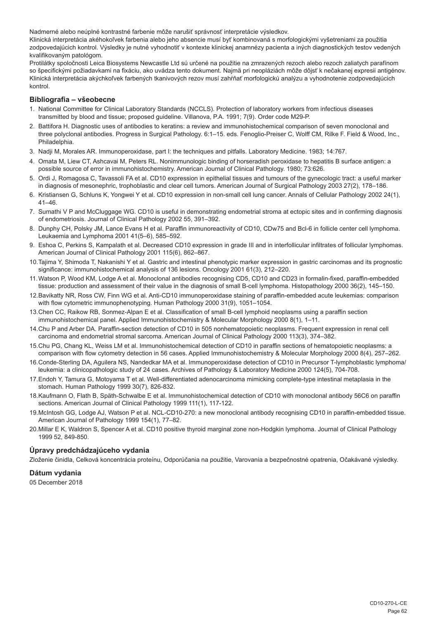Nadmerné alebo neúplné kontrastné farbenie môže narušiť správnosť interpretácie výsledkov.

Klinická interpretácia akéhokoľvek farbenia alebo jeho absencie musí byť kombinovaná s morfologickými vyšetreniami za použitia zodpovedajúcich kontrol. Výsledky je nutné vyhodnotiť v kontexte klinickej anamnézy pacienta a iných diagnostických testov vedených kvalifikovaným patológom.

Protilátky spoločnosti Leica Biosystems Newcastle Ltd sú určené na použitie na zmrazených rezoch alebo rezoch zaliatych parafínom so špecifickými požiadavkami na fixáciu, ako uvádza tento dokument. Najmä pri neopláziách môže dôjsť k nečakanej expresii antigénov. Klinická interpretácia akýchkoľvek farbených tkanivových rezov musí zahŕňať morfologickú analýzu a vyhodnotenie zodpovedajúcich kontrol.

#### **Bibliografia – všeobecne**

- 1. National Committee for Clinical Laboratory Standards (NCCLS). Protection of laboratory workers from infectious diseases transmitted by blood and tissue; proposed guideline. Villanova, P.A. 1991; 7(9). Order code M29-P.
- 2. Battifora H. Diagnostic uses of antibodies to keratins: a review and immunohistochemical comparison of seven monoclonal and three polyclonal antibodies. Progress in Surgical Pathology. 6:1–15. eds. Fenoglio-Preiser C, Wolff CM, Rilke F. Field & Wood, Inc., Philadelphia.
- 3. Nadji M, Morales AR. Immunoperoxidase, part I: the techniques and pitfalls. Laboratory Medicine. 1983; 14:767.
- 4. Omata M, Liew CT, Ashcavai M, Peters RL. Nonimmunologic binding of horseradish peroxidase to hepatitis B surface antigen: a possible source of error in immunohistochemistry. American Journal of Clinical Pathology. 1980; 73:626.
- 5. Ordi J, Romagosa C, Tavassoli FA et al. CD10 expression in epithelial tissues and tumours of the gynecologic tract: a useful marker in diagnosis of mesonephric, trophoblastic and clear cell tumors. American Journal of Surgical Pathology 2003 27(2), 178–186.
- 6. Kristiansen G, Schluns K, Yongwei Y et al. CD10 expression in non-small cell lung cancer. Annals of Cellular Pathology 2002 24(1), 41–46.
- 7. Sumathi V P and McCluggage WG. CD10 is useful in demonstrating endometrial stroma at ectopic sites and in confirming diagnosis of endometriosis. Journal of Clinical Pathology 2002 55, 391–392.
- 8. Dunphy CH, Polsky JM, Lance Evans H et al. Paraffin immunoreactivity of CD10, CDw75 and Bcl-6 in follicle center cell lymphoma. Leukaemia and Lymphoma 2001 41(5–6), 585–592.
- 9. Eshoa C, Perkins S, Kampalath et al. Decreased CD10 expression in grade III and in interfollicular infiltrates of follicular lymphomas. American Journal of Clinical Pathology 2001 115(6), 862–867.
- 10.Tajima Y, Shimoda T, Nakanishi Y et al. Gastric and intestinal phenotypic marker expression in gastric carcinomas and its prognostic significance: immunohistochemical analysis of 136 lesions. Oncology 2001 61(3), 212–220.
- 11.Watson P, Wood KM, Lodge A et al. Monoclonal antibodies recognising CD5, CD10 and CD23 in formalin-fixed, paraffin-embedded tissue: production and assessment of their value in the diagnosis of small B-cell lymphoma. Histopathology 2000 36(2), 145–150.
- 12.Bavikatty NR, Ross CW, Finn WG et al. Anti-CD10 immunoperoxidase staining of paraffin-embedded acute leukemias: comparison with flow cytometric immunophenotyping. Human Pathology 2000 31(9), 1051–1054.
- 13.Chen CC, Raikow RB, Sonmez-Alpan E et al. Classification of small B-cell lymphoid neoplasms using a paraffin section immunohistochemical panel. Applied Immunohistochemistry & Molecular Morphology 2000 8(1), 1–11.
- 14.Chu P and Arber DA. Paraffin-section detection of CD10 in 505 nonhematopoietic neoplasms. Frequent expression in renal cell carcinoma and endometrial stromal sarcoma. American Journal of Clinical Pathology 2000 113(3), 374–382.
- 15.Chu PG, Chang KL, Weiss LM et al. Immunohistochemical detection of CD10 in paraffin sections of hematopoietic neoplasms: a comparison with flow cytometry detection in 56 cases. Applied Immunohistochemistry & Molecular Morphology 2000 8(4), 257–262.
- 16.Conde-Sterling DA, Aguilera NS, Nandedkar MA et al. Immunoperoxidase detection of CD10 in Precursor T-lymphoblastic lymphoma/ leukemia: a clinicopathologic study of 24 cases. Archives of Pathology & Laboratory Medicine 2000 124(5), 704-708.
- 17.Endoh Y, Tamura G, Motoyama T et al. Well-differentiated adenocarcinoma mimicking complete-type intestinal metaplasia in the stomach. Human Pathology 1999 30(7), 826-832.
- 18.Kaufmann O, Flath B, Späth-Schwalbe E et al. Immunohistochemical detection of CD10 with monoclonal antibody 56C6 on paraffin sections. American Journal of Clinical Pathology 1999 111(1), 117-122.
- 19.McIntosh GG, Lodge AJ, Watson P et al. NCL-CD10-270: a new monoclonal antibody recognising CD10 in paraffin-embedded tissue. American Journal of Pathology 1999 154(1), 77–82.
- 20.Millar E K, Waldron S, Spencer A et al. CD10 positive thyroid marginal zone non-Hodgkin lymphoma. Journal of Clinical Pathology 1999 52, 849-850.

## **Úpravy predchádzajúceho vydania**

Zloženie činidla, Celková koncentrácia proteínu, Odporúčania na použitie, Varovania a bezpečnostné opatrenia, Očakávané výsledky.

#### **Dátum vydania**

05 December 2018